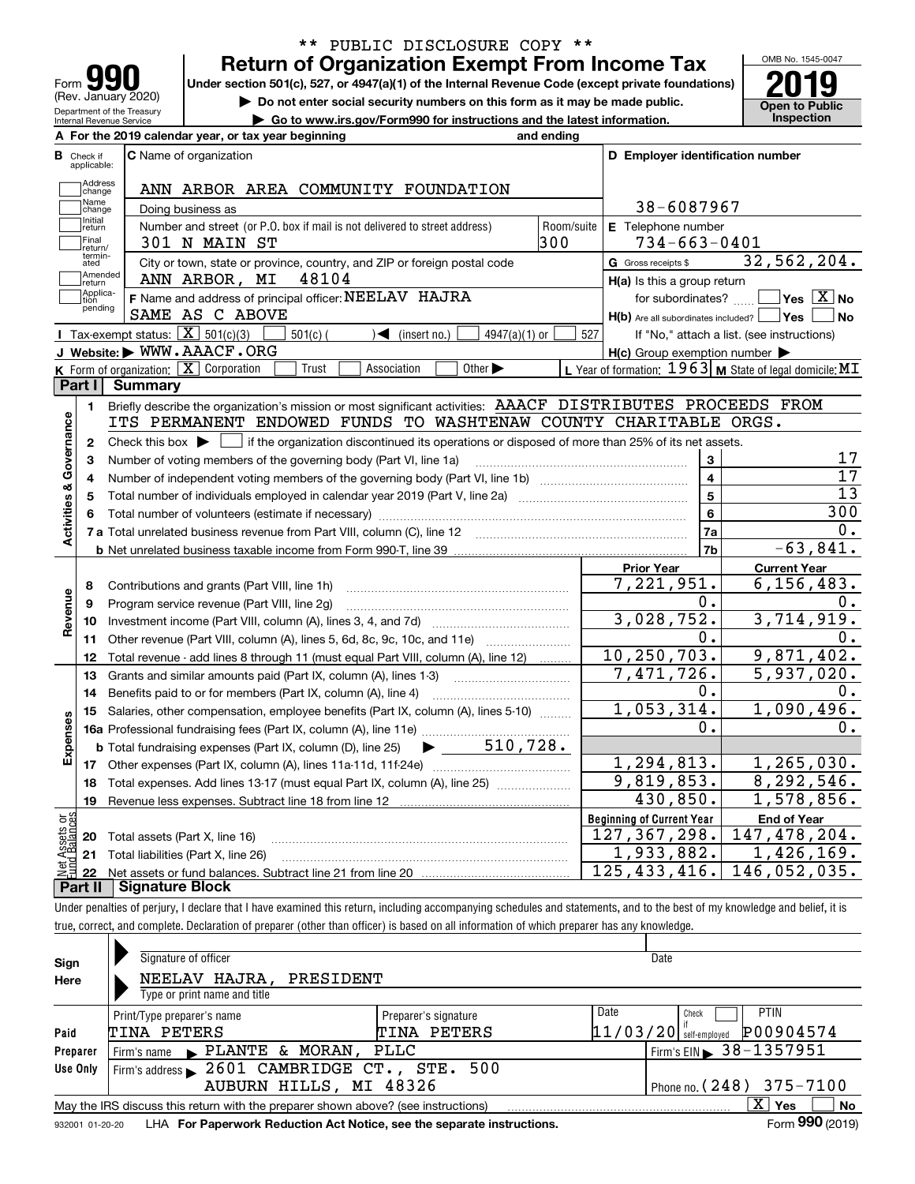| U<br>Form                                              |
|--------------------------------------------------------|
| (Rev. January 2020)                                    |
| Department of the Treasury<br>Internal Revenue Service |

## **Return of Organization Exempt From Income Tax** \*\* PUBLIC DISCLOSURE COPY \*\*

Under section 501(c), 527, or 4947(a)(1) of the Internal Revenue Code (except private foundations) **2019** 

**| Do not enter social security numbers on this form as it may be made public.**

**| Go to www.irs.gov/Form990 for instructions and the latest information. Inspection**

OMB No. 1545-0047 **Open to Public** 

|                         |                               | A For the 2019 calendar year, or tax year beginning                                                                                       | and ending |                                                     |                                                           |  |  |  |  |
|-------------------------|-------------------------------|-------------------------------------------------------------------------------------------------------------------------------------------|------------|-----------------------------------------------------|-----------------------------------------------------------|--|--|--|--|
|                         | <b>B</b> Check if applicable: | <b>C</b> Name of organization                                                                                                             |            | D Employer identification number                    |                                                           |  |  |  |  |
|                         | Address<br>change             | ANN ARBOR AREA COMMUNITY FOUNDATION                                                                                                       |            |                                                     |                                                           |  |  |  |  |
|                         | Name<br>change                | Doing business as                                                                                                                         |            | 38-6087967                                          |                                                           |  |  |  |  |
|                         | Initial<br>return             | Number and street (or P.O. box if mail is not delivered to street address)                                                                | Room/suite | E Telephone number                                  |                                                           |  |  |  |  |
|                         | Final<br>return/              | 301 N MAIN ST                                                                                                                             | 300        | $734 - 663 - 0401$                                  |                                                           |  |  |  |  |
|                         | termin-<br>ated               | City or town, state or province, country, and ZIP or foreign postal code                                                                  |            | G Gross receipts \$                                 | 32,562,204.                                               |  |  |  |  |
|                         | Amended<br>return             | 48104<br>ANN ARBOR, MI                                                                                                                    |            | $H(a)$ is this a group return                       |                                                           |  |  |  |  |
|                         | Applica-<br>tion              | F Name and address of principal officer: NEELAV HAJRA                                                                                     |            | for subordinates?                                   | $\sqrt{}$ Yes $\sqrt{}$ X $\sqrt{}$ No                    |  |  |  |  |
|                         | pending                       | SAME AS C ABOVE                                                                                                                           |            | H(b) Are all subordinates included?   Yes           | ∣No                                                       |  |  |  |  |
|                         |                               | Tax-exempt status: $\boxed{\mathbf{X}}$ 501(c)(3)<br>$501(c)$ (<br>$\sqrt{\bullet}$ (insert no.)<br>$4947(a)(1)$ or                       | 527        |                                                     | If "No," attach a list. (see instructions)                |  |  |  |  |
|                         |                               | J Website: WWW.AAACF.ORG                                                                                                                  |            | $H(c)$ Group exemption number $\blacktriangleright$ |                                                           |  |  |  |  |
|                         |                               | $K$ Form of organization: $X$ Corporation<br>Trust<br>Association<br>Other $\blacktriangleright$                                          |            |                                                     | L Year of formation: $1963$ M State of legal domicile: MI |  |  |  |  |
|                         | Part I                        | Summary                                                                                                                                   |            |                                                     |                                                           |  |  |  |  |
|                         | 1.                            | Briefly describe the organization's mission or most significant activities: AAACF DISTRIBUTES PROCEEDS FROM                               |            |                                                     |                                                           |  |  |  |  |
|                         |                               | ITS PERMANENT ENDOWED FUNDS TO WASHTENAW COUNTY CHARITABLE ORGS.                                                                          |            |                                                     |                                                           |  |  |  |  |
|                         | 2                             | Check this box $\blacktriangleright \Box$ if the organization discontinued its operations or disposed of more than 25% of its net assets. |            |                                                     |                                                           |  |  |  |  |
|                         | 3                             | Number of voting members of the governing body (Part VI, line 1a)                                                                         |            | 3                                                   | 17                                                        |  |  |  |  |
|                         | 4                             |                                                                                                                                           |            | $\overline{\mathbf{4}}$                             | 17                                                        |  |  |  |  |
|                         | 5                             | Total number of individuals employed in calendar year 2019 (Part V, line 2a) manufacture in the manufacture of                            |            | 5                                                   | $\overline{13}$                                           |  |  |  |  |
|                         |                               |                                                                                                                                           |            | 6                                                   | 300                                                       |  |  |  |  |
| Activities & Governance |                               |                                                                                                                                           |            | 7a                                                  | О.                                                        |  |  |  |  |
|                         |                               |                                                                                                                                           |            | 7 <sub>b</sub>                                      | $-63,841.$                                                |  |  |  |  |
|                         |                               |                                                                                                                                           |            | <b>Prior Year</b>                                   | <b>Current Year</b>                                       |  |  |  |  |
|                         | 8                             | Contributions and grants (Part VIII, line 1h)                                                                                             |            | 7,221,951.                                          | 6, 156, 483.                                              |  |  |  |  |
| Revenue                 | 9                             | Program service revenue (Part VIII, line 2g)                                                                                              |            | 0.                                                  | $0$ .                                                     |  |  |  |  |
|                         | 10                            |                                                                                                                                           |            | 3,028,752.                                          | 3,714,919.                                                |  |  |  |  |
|                         | 11                            | Other revenue (Part VIII, column (A), lines 5, 6d, 8c, 9c, 10c, and 11e)                                                                  |            | 0.                                                  | 0.                                                        |  |  |  |  |
|                         | 12                            | Total revenue - add lines 8 through 11 (must equal Part VIII, column (A), line 12)                                                        |            | 10, 250, 703.                                       | 9,871,402.                                                |  |  |  |  |
|                         | 13                            | Grants and similar amounts paid (Part IX, column (A), lines 1-3)                                                                          |            | 7,471,726.                                          | 5,937,020.                                                |  |  |  |  |
|                         | 14                            | Benefits paid to or for members (Part IX, column (A), line 4)                                                                             |            | 0.                                                  | 0.                                                        |  |  |  |  |
|                         | 15                            | Salaries, other compensation, employee benefits (Part IX, column (A), lines 5-10)                                                         |            | 1,053,314.                                          | 1,090,496.                                                |  |  |  |  |
|                         |                               |                                                                                                                                           |            | 0.                                                  | $0$ .                                                     |  |  |  |  |
|                         |                               | <b>b</b> Total fundraising expenses (Part IX, column (D), line 25)                                                                        |            |                                                     |                                                           |  |  |  |  |
|                         |                               |                                                                                                                                           |            | 1,294,813.                                          | 1, 265, 030.                                              |  |  |  |  |
|                         | 18                            | Total expenses. Add lines 13-17 (must equal Part IX, column (A), line 25)                                                                 |            | 9,819,853.                                          | 8, 292, 546.                                              |  |  |  |  |
|                         | 19                            |                                                                                                                                           |            | 430,850.                                            | 1,578,856.                                                |  |  |  |  |
| äğ                      |                               |                                                                                                                                           |            | <b>Beginning of Current Year</b>                    | <b>End of Year</b>                                        |  |  |  |  |
| Assets<br>Ralanc        | 20                            | Total assets (Part X, line 16)                                                                                                            |            | 127, 367, 298.                                      | 147,478,204.                                              |  |  |  |  |
|                         |                               | 21 Total liabilities (Part X, line 26)                                                                                                    |            | 1,933,882.                                          | 1,426,169.                                                |  |  |  |  |
|                         | 22                            |                                                                                                                                           |            | 125, 433, 416.                                      | 146,052,035.                                              |  |  |  |  |
|                         |                               | <b>Part II   Signature Block</b>                                                                                                          |            |                                                     |                                                           |  |  |  |  |
|                         |                               | allahasi yang bersatuan di disebutkan di kalendar ke<br>considerations of alleged the account of the classification                       |            |                                                     | at the contract of the S                                  |  |  |  |  |

Under penalties of perjury, I declare that I have examined this return, including accompanying schedules and statements, and to the best of my knowledge and belief, it is true, correct, and complete. Declaration of preparer (other than officer) is based on all information of which preparer has any knowledge.

| Sign            | Signature of officer                                                              |                      |      | Date                                  |
|-----------------|-----------------------------------------------------------------------------------|----------------------|------|---------------------------------------|
| Here            | NEELAV HAJRA,<br>PRESIDENT                                                        |                      |      |                                       |
|                 | Type or print name and title                                                      |                      |      |                                       |
|                 | Print/Type preparer's name                                                        | Preparer's signature | Date | <b>PTIN</b><br>Check                  |
| Paid            | TINA PETERS                                                                       | TINA PETERS          |      | P00904574<br>$11/03/20$ self-employed |
| Preparer        | Firm's name $\blacktriangleright$ PLANTE & MORAN,                                 | PLLC                 |      | Firm's EIN 38 - 1357 951              |
| Use Only        | Firm's address > 2601 CAMBRIDGE CT., STE. 500                                     |                      |      |                                       |
|                 | AUBURN HILLS, MI 48326                                                            |                      |      | Phone no. $(248)$ 375-7100            |
|                 | May the IRS discuss this return with the preparer shown above? (see instructions) |                      |      | $X \vert Y$ es<br><b>No</b>           |
| 932001 01-20-20 | LHA For Paperwork Reduction Act Notice, see the separate instructions.            |                      |      | Form 990 (2019)                       |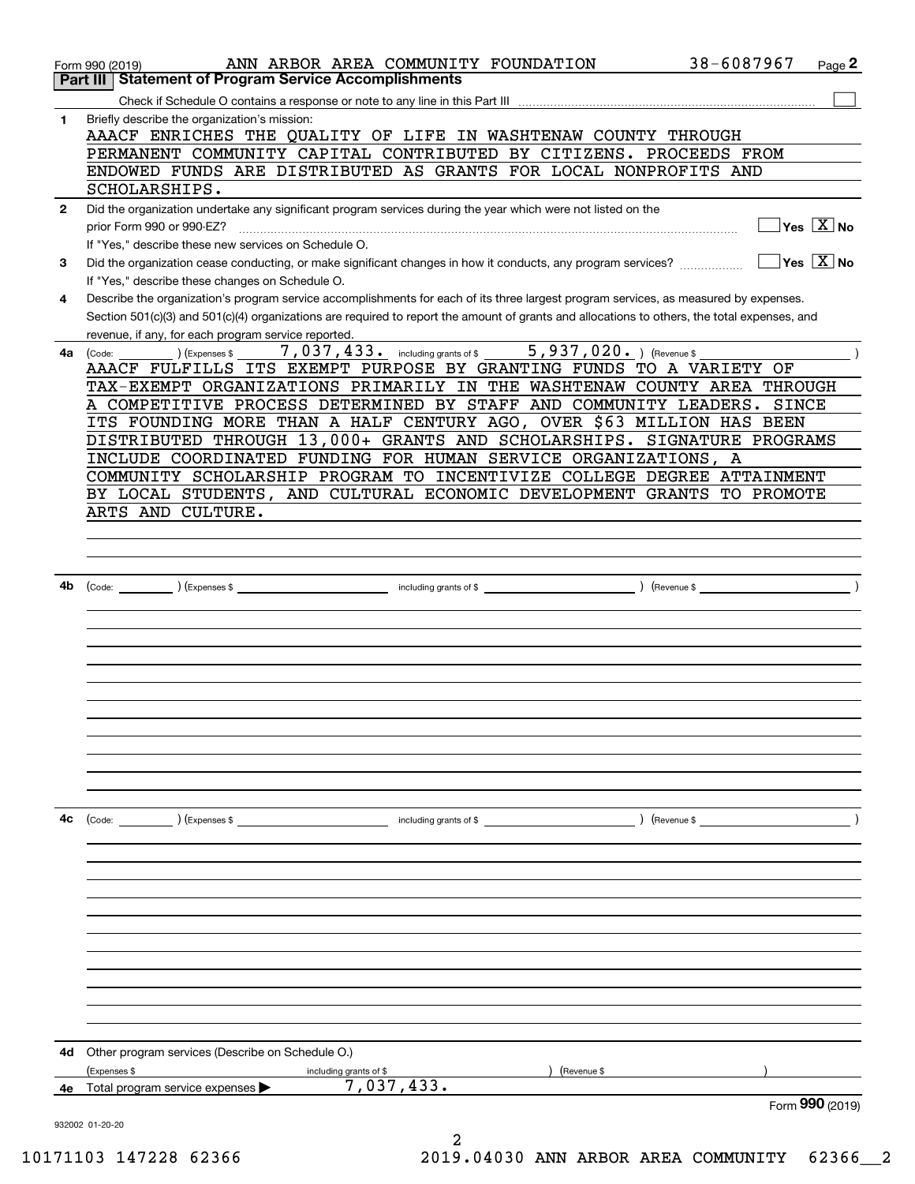|              | ANN ARBOR AREA COMMUNITY FOUNDATION<br>Form 990 (2019)<br><b>Statement of Program Service Accomplishments</b><br>Part III                                                                           | 38-6087967<br>Page 2    |
|--------------|-----------------------------------------------------------------------------------------------------------------------------------------------------------------------------------------------------|-------------------------|
|              |                                                                                                                                                                                                     |                         |
| 1            | Briefly describe the organization's mission:<br>AAACF ENRICHES THE QUALITY OF LIFE IN WASHTENAW COUNTY THROUGH<br>PERMANENT COMMUNITY CAPITAL CONTRIBUTED BY CITIZENS. PROCEEDS FROM                |                         |
|              | ENDOWED FUNDS ARE DISTRIBUTED AS GRANTS FOR LOCAL NONPROFITS AND                                                                                                                                    |                         |
|              | SCHOLARSHIPS.                                                                                                                                                                                       |                         |
| $\mathbf{2}$ | Did the organization undertake any significant program services during the year which were not listed on the                                                                                        |                         |
|              | prior Form 990 or 990-EZ?<br>If "Yes," describe these new services on Schedule O.                                                                                                                   | $Yes \ \boxed{X}$ No    |
| 3            | Did the organization cease conducting, or make significant changes in how it conducts, any program services?                                                                                        | $ Yes  \times  No $     |
|              | If "Yes," describe these changes on Schedule O.                                                                                                                                                     |                         |
| 4            | Describe the organization's program service accomplishments for each of its three largest program services, as measured by expenses.                                                                |                         |
|              | Section 501(c)(3) and 501(c)(4) organizations are required to report the amount of grants and allocations to others, the total expenses, and<br>revenue, if any, for each program service reported. |                         |
| 4a           | 7,037,433. including grants of \$ 5,937,020. ) (Revenue \$<br>(Expenses \$<br>(Code:                                                                                                                |                         |
|              | AAACF FULFILLS ITS EXEMPT PURPOSE BY GRANTING FUNDS TO A VARIETY OF                                                                                                                                 |                         |
|              | TAX-EXEMPT ORGANIZATIONS PRIMARILY IN THE WASHTENAW COUNTY AREA THROUGH<br>A COMPETITIVE PROCESS DETERMINED BY STAFF AND COMMUNITY LEADERS. SINCE                                                   |                         |
|              | ITS FOUNDING MORE THAN A HALF CENTURY AGO, OVER \$63 MILLION HAS BEEN                                                                                                                               |                         |
|              | DISTRIBUTED THROUGH 13,000+ GRANTS AND SCHOLARSHIPS. SIGNATURE PROGRAMS                                                                                                                             |                         |
|              | INCLUDE COORDINATED FUNDING FOR HUMAN SERVICE ORGANIZATIONS, A                                                                                                                                      |                         |
|              | COMMUNITY SCHOLARSHIP PROGRAM TO INCENTIVIZE COLLEGE DEGREE ATTAINMENT                                                                                                                              |                         |
|              | BY LOCAL STUDENTS, AND CULTURAL ECONOMIC DEVELOPMENT GRANTS TO PROMOTE                                                                                                                              |                         |
|              | ARTS AND CULTURE.                                                                                                                                                                                   |                         |
|              |                                                                                                                                                                                                     |                         |
|              |                                                                                                                                                                                                     |                         |
|              |                                                                                                                                                                                                     |                         |
| 4b           |                                                                                                                                                                                                     | $\left(\text{Revenue }$ |
|              |                                                                                                                                                                                                     |                         |
|              |                                                                                                                                                                                                     |                         |
|              |                                                                                                                                                                                                     |                         |
|              |                                                                                                                                                                                                     |                         |
|              |                                                                                                                                                                                                     |                         |
|              |                                                                                                                                                                                                     |                         |
|              |                                                                                                                                                                                                     |                         |
|              |                                                                                                                                                                                                     |                         |
|              |                                                                                                                                                                                                     |                         |
|              |                                                                                                                                                                                                     |                         |
|              |                                                                                                                                                                                                     |                         |
| 4c           | $\text{(Code:}$ $\qquad \qquad \text{)}$ (Expenses \$<br>including grants of \$                                                                                                                     | $($ Revenue \$          |
|              |                                                                                                                                                                                                     |                         |
|              |                                                                                                                                                                                                     |                         |
|              |                                                                                                                                                                                                     |                         |
|              |                                                                                                                                                                                                     |                         |
|              |                                                                                                                                                                                                     |                         |
|              |                                                                                                                                                                                                     |                         |
|              |                                                                                                                                                                                                     |                         |
|              |                                                                                                                                                                                                     |                         |
|              |                                                                                                                                                                                                     |                         |
|              |                                                                                                                                                                                                     |                         |
|              |                                                                                                                                                                                                     |                         |
| 4d           | Other program services (Describe on Schedule O.)                                                                                                                                                    |                         |
|              | (Expenses \$<br>(Revenue \$<br>including grants of \$                                                                                                                                               |                         |
| 4е           | 7,037,433.<br>Total program service expenses                                                                                                                                                        |                         |
|              |                                                                                                                                                                                                     | Form 990 (2019)         |
|              | 932002 01-20-20                                                                                                                                                                                     |                         |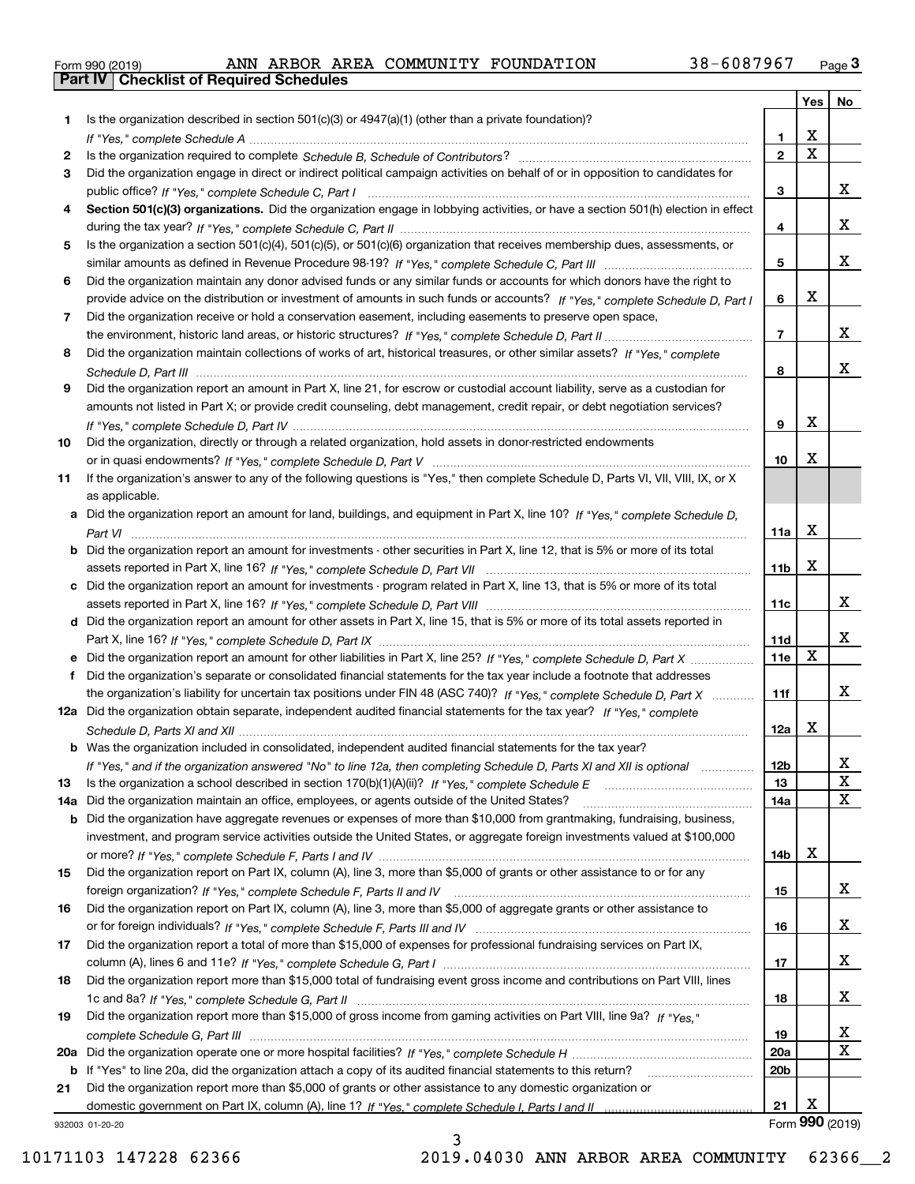|  | Form 990 (2019) |  |
|--|-----------------|--|

|     |                                                                                                                                   |                 | Yes                     | No              |
|-----|-----------------------------------------------------------------------------------------------------------------------------------|-----------------|-------------------------|-----------------|
| 1   | Is the organization described in section $501(c)(3)$ or $4947(a)(1)$ (other than a private foundation)?                           |                 |                         |                 |
|     |                                                                                                                                   | 1.              | X                       |                 |
| 2   |                                                                                                                                   | $\overline{2}$  | $\overline{\mathbf{x}}$ |                 |
| 3   | Did the organization engage in direct or indirect political campaign activities on behalf of or in opposition to candidates for   |                 |                         |                 |
|     |                                                                                                                                   | 3               |                         | x               |
| 4   | Section 501(c)(3) organizations. Did the organization engage in lobbying activities, or have a section 501(h) election in effect  |                 |                         |                 |
|     |                                                                                                                                   | 4               |                         | x               |
| 5   | Is the organization a section 501(c)(4), 501(c)(5), or 501(c)(6) organization that receives membership dues, assessments, or      |                 |                         |                 |
|     |                                                                                                                                   | 5               |                         | x               |
| 6   | Did the organization maintain any donor advised funds or any similar funds or accounts for which donors have the right to         |                 |                         |                 |
|     | provide advice on the distribution or investment of amounts in such funds or accounts? If "Yes," complete Schedule D, Part I      | 6               | X                       |                 |
| 7   | Did the organization receive or hold a conservation easement, including easements to preserve open space,                         |                 |                         |                 |
|     |                                                                                                                                   | $\overline{7}$  |                         | x               |
| 8   | Did the organization maintain collections of works of art, historical treasures, or other similar assets? If "Yes," complete      |                 |                         |                 |
|     |                                                                                                                                   | 8               |                         | x               |
| 9   | Did the organization report an amount in Part X, line 21, for escrow or custodial account liability, serve as a custodian for     |                 |                         |                 |
|     | amounts not listed in Part X; or provide credit counseling, debt management, credit repair, or debt negotiation services?         |                 |                         |                 |
|     |                                                                                                                                   | 9               | X                       |                 |
| 10  | Did the organization, directly or through a related organization, hold assets in donor-restricted endowments                      |                 |                         |                 |
|     |                                                                                                                                   | 10              | Х                       |                 |
| 11  | If the organization's answer to any of the following questions is "Yes," then complete Schedule D, Parts VI, VIII, VIII, IX, or X |                 |                         |                 |
|     | as applicable.                                                                                                                    |                 |                         |                 |
|     | a Did the organization report an amount for land, buildings, and equipment in Part X, line 10? If "Yes," complete Schedule D,     |                 | X                       |                 |
|     |                                                                                                                                   | 11a             |                         |                 |
| b   | Did the organization report an amount for investments - other securities in Part X, line 12, that is 5% or more of its total      |                 | $\mathbf X$             |                 |
|     |                                                                                                                                   | 11 <sub>b</sub> |                         |                 |
| c   | Did the organization report an amount for investments - program related in Part X, line 13, that is 5% or more of its total       | 11c             |                         | x               |
|     | d Did the organization report an amount for other assets in Part X, line 15, that is 5% or more of its total assets reported in   |                 |                         |                 |
|     |                                                                                                                                   | 11d             |                         | x               |
|     | Did the organization report an amount for other liabilities in Part X, line 25? If "Yes," complete Schedule D, Part X             | 11e             | X                       |                 |
| f   | Did the organization's separate or consolidated financial statements for the tax year include a footnote that addresses           |                 |                         |                 |
|     | the organization's liability for uncertain tax positions under FIN 48 (ASC 740)? If "Yes," complete Schedule D, Part X            | 11f             |                         | x               |
|     | 12a Did the organization obtain separate, independent audited financial statements for the tax year? If "Yes," complete           |                 |                         |                 |
|     |                                                                                                                                   | 12a             | X                       |                 |
|     | <b>b</b> Was the organization included in consolidated, independent audited financial statements for the tax year?                |                 |                         |                 |
|     | If "Yes," and if the organization answered "No" to line 12a, then completing Schedule D, Parts XI and XII is optional             | 12D             |                         | ᅀ               |
| 13  |                                                                                                                                   | 13              |                         | X               |
| 14a | Did the organization maintain an office, employees, or agents outside of the United States?                                       | 14a             |                         | X               |
| b   | Did the organization have aggregate revenues or expenses of more than \$10,000 from grantmaking, fundraising, business,           |                 |                         |                 |
|     | investment, and program service activities outside the United States, or aggregate foreign investments valued at \$100,000        |                 |                         |                 |
|     |                                                                                                                                   | 14b             | х                       |                 |
| 15  | Did the organization report on Part IX, column (A), line 3, more than \$5,000 of grants or other assistance to or for any         |                 |                         |                 |
|     |                                                                                                                                   | 15              |                         | X               |
| 16  | Did the organization report on Part IX, column (A), line 3, more than \$5,000 of aggregate grants or other assistance to          |                 |                         |                 |
|     |                                                                                                                                   | 16              |                         | x               |
| 17  | Did the organization report a total of more than \$15,000 of expenses for professional fundraising services on Part IX,           |                 |                         |                 |
|     |                                                                                                                                   | 17              |                         | x               |
| 18  | Did the organization report more than \$15,000 total of fundraising event gross income and contributions on Part VIII, lines      |                 |                         |                 |
|     |                                                                                                                                   | 18              |                         | x               |
| 19  | Did the organization report more than \$15,000 of gross income from gaming activities on Part VIII, line 9a? If "Yes."            |                 |                         |                 |
|     |                                                                                                                                   | 19              |                         | x               |
| 20a |                                                                                                                                   | 20a             |                         | $\mathbf x$     |
| b   | If "Yes" to line 20a, did the organization attach a copy of its audited financial statements to this return?                      | 20 <sub>b</sub> |                         |                 |
| 21  | Did the organization report more than \$5,000 of grants or other assistance to any domestic organization or                       |                 |                         |                 |
|     |                                                                                                                                   | 21              | X                       |                 |
|     | 932003 01-20-20                                                                                                                   |                 |                         | Form 990 (2019) |

932003 01-20-20

3 10171103 147228 62366 2019.04030 ANN ARBOR AREA COMMUNITY 62366\_\_2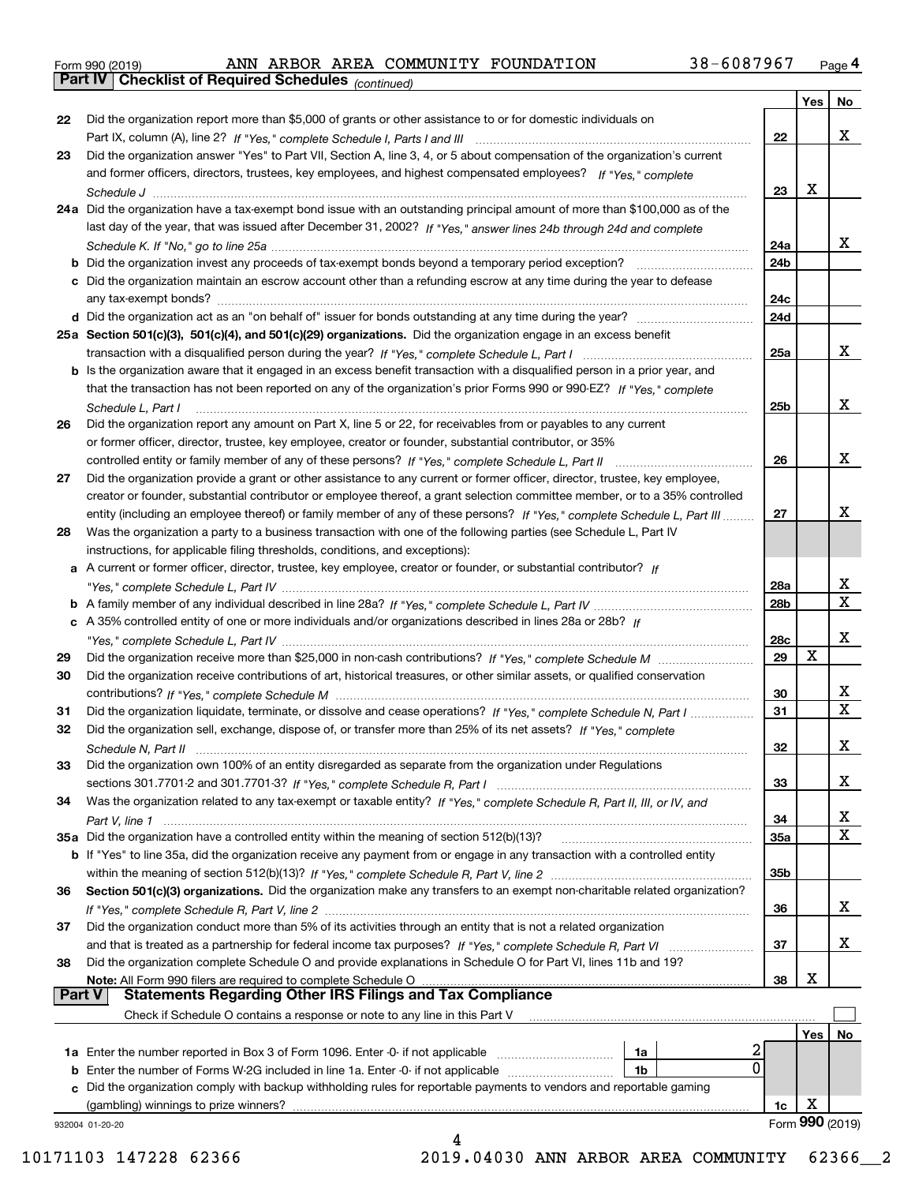|  | Form 990 (2019) |  |
|--|-----------------|--|
|  |                 |  |

*(continued)*

| 22            | Did the organization report more than \$5,000 of grants or other assistance to or for domestic individuals on                |                 |     |                 |
|---------------|------------------------------------------------------------------------------------------------------------------------------|-----------------|-----|-----------------|
|               |                                                                                                                              | 22              |     | x               |
| 23            | Did the organization answer "Yes" to Part VII, Section A, line 3, 4, or 5 about compensation of the organization's current   |                 |     |                 |
|               | and former officers, directors, trustees, key employees, and highest compensated employees? If "Yes," complete               |                 |     |                 |
|               | Schedule J                                                                                                                   | 23              | X   |                 |
|               | 24a Did the organization have a tax-exempt bond issue with an outstanding principal amount of more than \$100,000 as of the  |                 |     |                 |
|               | last day of the year, that was issued after December 31, 2002? If "Yes," answer lines 24b through 24d and complete           |                 |     |                 |
|               |                                                                                                                              | 24a             |     | x               |
|               | <b>b</b> Did the organization invest any proceeds of tax-exempt bonds beyond a temporary period exception?                   | 24b             |     |                 |
|               | c Did the organization maintain an escrow account other than a refunding escrow at any time during the year to defease       |                 |     |                 |
|               |                                                                                                                              | 24c             |     |                 |
|               |                                                                                                                              | 24d             |     |                 |
|               | 25a Section 501(c)(3), 501(c)(4), and 501(c)(29) organizations. Did the organization engage in an excess benefit             |                 |     |                 |
|               |                                                                                                                              | 25a             |     | x               |
|               | b Is the organization aware that it engaged in an excess benefit transaction with a disqualified person in a prior year, and |                 |     |                 |
|               | that the transaction has not been reported on any of the organization's prior Forms 990 or 990-EZ? If "Yes," complete        |                 |     |                 |
|               | Schedule L. Part I                                                                                                           | 25b             |     | x               |
| 26            | Did the organization report any amount on Part X, line 5 or 22, for receivables from or payables to any current              |                 |     |                 |
|               | or former officer, director, trustee, key employee, creator or founder, substantial contributor, or 35%                      |                 |     |                 |
|               |                                                                                                                              | 26              |     | x               |
| 27            | Did the organization provide a grant or other assistance to any current or former officer, director, trustee, key employee,  |                 |     |                 |
|               | creator or founder, substantial contributor or employee thereof, a grant selection committee member, or to a 35% controlled  |                 |     |                 |
|               | entity (including an employee thereof) or family member of any of these persons? If "Yes," complete Schedule L, Part III     | 27              |     | х               |
| 28            | Was the organization a party to a business transaction with one of the following parties (see Schedule L, Part IV            |                 |     |                 |
|               | instructions, for applicable filing thresholds, conditions, and exceptions):                                                 |                 |     |                 |
|               | a A current or former officer, director, trustee, key employee, creator or founder, or substantial contributor? If           |                 |     |                 |
|               |                                                                                                                              | 28a             |     | x               |
|               |                                                                                                                              | 28 <sub>b</sub> |     | X               |
|               | c A 35% controlled entity of one or more individuals and/or organizations described in lines 28a or 28b? If                  |                 |     |                 |
|               |                                                                                                                              | 28c             |     | х               |
| 29            |                                                                                                                              | 29              | X   |                 |
| 30            | Did the organization receive contributions of art, historical treasures, or other similar assets, or qualified conservation  |                 |     |                 |
|               |                                                                                                                              | 30              |     | x               |
| 31            | Did the organization liquidate, terminate, or dissolve and cease operations? If "Yes," complete Schedule N, Part I           | 31              |     | $\mathbf x$     |
| 32            | Did the organization sell, exchange, dispose of, or transfer more than 25% of its net assets? If "Yes," complete             |                 |     |                 |
|               | Schedule N, Part II                                                                                                          | 32              |     | х               |
| 33            | Did the organization own 100% of an entity disregarded as separate from the organization under Regulations                   |                 |     |                 |
|               |                                                                                                                              | 33              |     | х               |
| 34            | Was the organization related to any tax-exempt or taxable entity? If "Yes," complete Schedule R, Part II, III, or IV, and    |                 |     |                 |
|               |                                                                                                                              | 34              |     | X               |
|               | 35a Did the organization have a controlled entity within the meaning of section 512(b)(13)?                                  | 35a             |     | X               |
|               | b If "Yes" to line 35a, did the organization receive any payment from or engage in any transaction with a controlled entity  |                 |     |                 |
|               |                                                                                                                              | 35 <sub>b</sub> |     |                 |
| 36            | Section 501(c)(3) organizations. Did the organization make any transfers to an exempt non-charitable related organization?   |                 |     |                 |
|               |                                                                                                                              | 36              |     | x               |
| 37            | Did the organization conduct more than 5% of its activities through an entity that is not a related organization             |                 |     |                 |
|               |                                                                                                                              | 37              |     | x               |
| 38            | Did the organization complete Schedule O and provide explanations in Schedule O for Part VI, lines 11b and 19?               |                 |     |                 |
|               | Note: All Form 990 filers are required to complete Schedule O                                                                | 38              | X   |                 |
| <b>Part V</b> | <b>Statements Regarding Other IRS Filings and Tax Compliance</b>                                                             |                 |     |                 |
|               | Check if Schedule O contains a response or note to any line in this Part V                                                   |                 |     |                 |
|               |                                                                                                                              |                 | Yes | No              |
|               | 2<br><b>1a</b> Enter the number reported in Box 3 of Form 1096. Enter -0- if not applicable <i>manumumumum</i><br>1a         |                 |     |                 |
|               | $\mathbf{0}$<br><b>b</b> Enter the number of Forms W-2G included in line 1a. Enter -0- if not applicable<br>1b               |                 |     |                 |
|               | c Did the organization comply with backup withholding rules for reportable payments to vendors and reportable gaming         |                 |     |                 |
|               | (gambling) winnings to prize winners?                                                                                        | 1c              | х   |                 |
|               | 932004 01-20-20                                                                                                              |                 |     | Form 990 (2019) |
|               |                                                                                                                              |                 |     |                 |

10171103 147228 62366 2019.04030 ANN ARBOR AREA COMMUNITY 62366\_\_2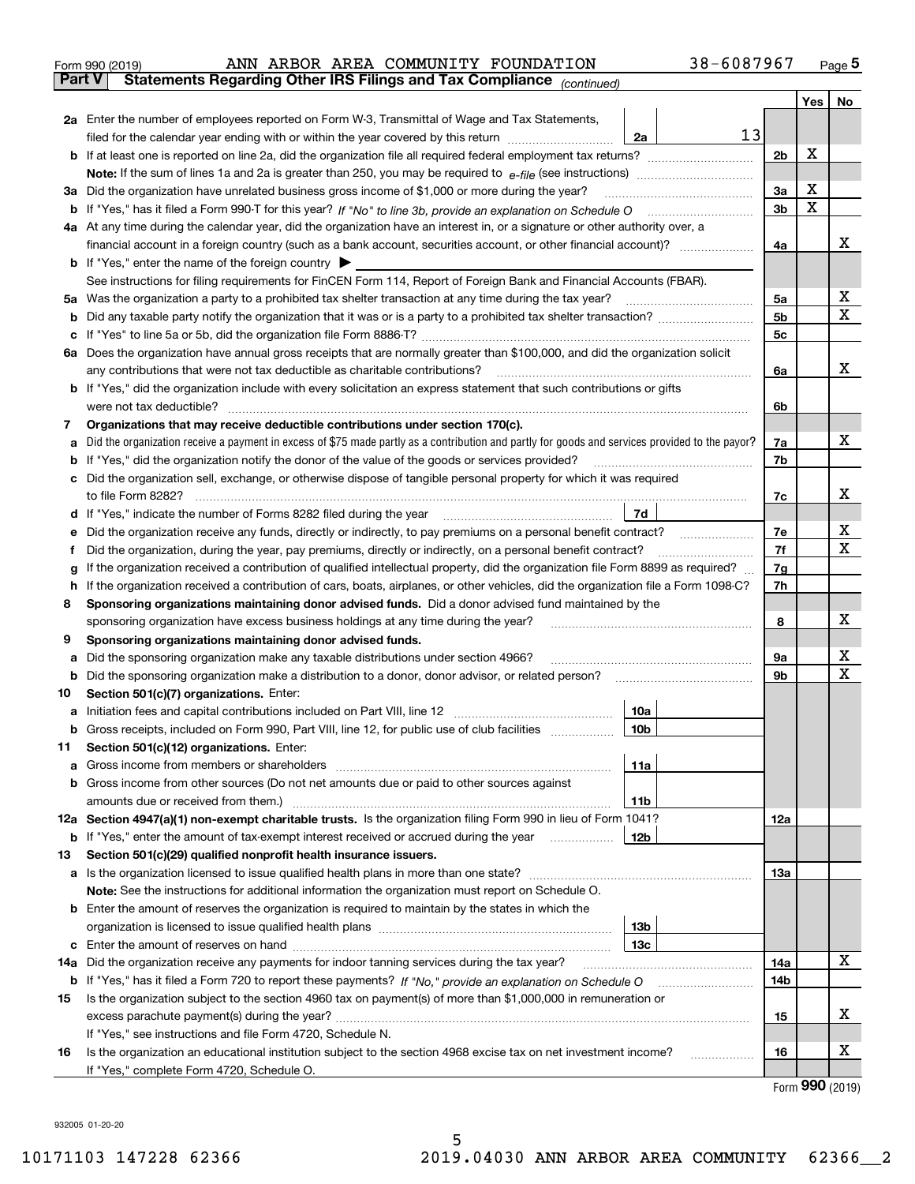|               | 38-6087967<br>ANN ARBOR AREA COMMUNITY FOUNDATION<br>Form 990 (2019)                                                                                                                                                                 |                |                   | $_{\text{Page}}$ 5 |
|---------------|--------------------------------------------------------------------------------------------------------------------------------------------------------------------------------------------------------------------------------------|----------------|-------------------|--------------------|
| <b>Part V</b> | Statements Regarding Other IRS Filings and Tax Compliance (continued)                                                                                                                                                                |                |                   |                    |
|               |                                                                                                                                                                                                                                      |                | Yes               | No                 |
|               | 2a Enter the number of employees reported on Form W-3, Transmittal of Wage and Tax Statements,                                                                                                                                       |                |                   |                    |
|               | 13<br>filed for the calendar year ending with or within the year covered by this return <i>manumumumum</i><br>2a                                                                                                                     |                |                   |                    |
|               |                                                                                                                                                                                                                                      | 2b             | X                 |                    |
|               |                                                                                                                                                                                                                                      |                |                   |                    |
|               | 3a Did the organization have unrelated business gross income of \$1,000 or more during the year?                                                                                                                                     | 3a             | x                 |                    |
|               |                                                                                                                                                                                                                                      | 3b             | X                 |                    |
|               | 4a At any time during the calendar year, did the organization have an interest in, or a signature or other authority over, a                                                                                                         |                |                   |                    |
|               |                                                                                                                                                                                                                                      | 4a             |                   | х                  |
|               | <b>b</b> If "Yes," enter the name of the foreign country $\blacktriangleright$                                                                                                                                                       |                |                   |                    |
|               | See instructions for filing requirements for FinCEN Form 114, Report of Foreign Bank and Financial Accounts (FBAR).                                                                                                                  |                |                   |                    |
|               |                                                                                                                                                                                                                                      | 5а             |                   | х                  |
| b             |                                                                                                                                                                                                                                      | 5 <sub>b</sub> |                   | х                  |
|               |                                                                                                                                                                                                                                      | 5c             |                   |                    |
|               | 6a Does the organization have annual gross receipts that are normally greater than \$100,000, and did the organization solicit                                                                                                       |                |                   |                    |
|               |                                                                                                                                                                                                                                      | 6a             |                   | x                  |
|               | <b>b</b> If "Yes," did the organization include with every solicitation an express statement that such contributions or gifts                                                                                                        |                |                   |                    |
|               | were not tax deductible?                                                                                                                                                                                                             | 6b             |                   |                    |
| 7             | Organizations that may receive deductible contributions under section 170(c).                                                                                                                                                        |                |                   |                    |
| а             | Did the organization receive a payment in excess of \$75 made partly as a contribution and partly for goods and services provided to the payor?                                                                                      | 7a             |                   | x                  |
| b             | If "Yes," did the organization notify the donor of the value of the goods or services provided?                                                                                                                                      | 7b             |                   |                    |
|               | c Did the organization sell, exchange, or otherwise dispose of tangible personal property for which it was required                                                                                                                  |                |                   |                    |
|               |                                                                                                                                                                                                                                      | 7c             |                   | х                  |
|               | 7d<br>d If "Yes," indicate the number of Forms 8282 filed during the year manufactured in the set of the set of the summan was defined as the set of the set of the set of the set of the set of the set of the set of the set of th |                |                   |                    |
| е             | Did the organization receive any funds, directly or indirectly, to pay premiums on a personal benefit contract?                                                                                                                      | 7e             |                   | х                  |
| f             | Did the organization, during the year, pay premiums, directly or indirectly, on a personal benefit contract?                                                                                                                         | 7f             |                   | x                  |
| g             | If the organization received a contribution of qualified intellectual property, did the organization file Form 8899 as required?                                                                                                     | 7g             |                   |                    |
|               | h If the organization received a contribution of cars, boats, airplanes, or other vehicles, did the organization file a Form 1098-C?                                                                                                 | 7h             |                   |                    |
| 8             | Sponsoring organizations maintaining donor advised funds. Did a donor advised fund maintained by the                                                                                                                                 |                |                   |                    |
|               | sponsoring organization have excess business holdings at any time during the year?                                                                                                                                                   | 8              |                   | х                  |
| 9             | Sponsoring organizations maintaining donor advised funds.                                                                                                                                                                            |                |                   |                    |
| а             | Did the sponsoring organization make any taxable distributions under section 4966?                                                                                                                                                   | 9а             |                   | х                  |
| b             | Did the sponsoring organization make a distribution to a donor, donor advisor, or related person?                                                                                                                                    | 9b             |                   | Χ                  |
| 10            | Section 501(c)(7) organizations. Enter:                                                                                                                                                                                              |                |                   |                    |
|               | 10a                                                                                                                                                                                                                                  |                |                   |                    |
|               | 10 <sub>b</sub><br>Gross receipts, included on Form 990, Part VIII, line 12, for public use of club facilities                                                                                                                       |                |                   |                    |
| 11            | Section 501(c)(12) organizations. Enter:                                                                                                                                                                                             |                |                   |                    |
| а             | Gross income from members or shareholders<br>11a                                                                                                                                                                                     |                |                   |                    |
|               | <b>b</b> Gross income from other sources (Do not net amounts due or paid to other sources against                                                                                                                                    |                |                   |                    |
|               | <b>11b</b><br>amounts due or received from them.)                                                                                                                                                                                    |                |                   |                    |
|               | 12a Section 4947(a)(1) non-exempt charitable trusts. Is the organization filing Form 990 in lieu of Form 1041?                                                                                                                       | 12a            |                   |                    |
|               | 12b<br><b>b</b> If "Yes," enter the amount of tax-exempt interest received or accrued during the year <i>manument</i>                                                                                                                |                |                   |                    |
| 13            | Section 501(c)(29) qualified nonprofit health insurance issuers.                                                                                                                                                                     |                |                   |                    |
|               | <b>a</b> Is the organization licensed to issue qualified health plans in more than one state?                                                                                                                                        | 13a            |                   |                    |
|               | Note: See the instructions for additional information the organization must report on Schedule O.                                                                                                                                    |                |                   |                    |
|               | <b>b</b> Enter the amount of reserves the organization is required to maintain by the states in which the                                                                                                                            |                |                   |                    |
|               | 13b                                                                                                                                                                                                                                  |                |                   |                    |
|               | 13с                                                                                                                                                                                                                                  |                |                   |                    |
|               | 14a Did the organization receive any payments for indoor tanning services during the tax year?                                                                                                                                       | 14a            |                   | x                  |
|               | <b>b</b> If "Yes," has it filed a Form 720 to report these payments? If "No," provide an explanation on Schedule O                                                                                                                   | 14b            |                   |                    |
| 15            | Is the organization subject to the section 4960 tax on payment(s) of more than \$1,000,000 in remuneration or                                                                                                                        |                |                   |                    |
|               |                                                                                                                                                                                                                                      | 15             |                   | x                  |
|               | If "Yes," see instructions and file Form 4720, Schedule N.                                                                                                                                                                           |                |                   |                    |
| 16            | Is the organization an educational institution subject to the section 4968 excise tax on net investment income?                                                                                                                      | 16             |                   | х                  |
|               | If "Yes," complete Form 4720, Schedule O.                                                                                                                                                                                            |                |                   |                    |
|               |                                                                                                                                                                                                                                      |                | $000 \; \text{m}$ |                    |

Form (2019) **990**

932005 01-20-20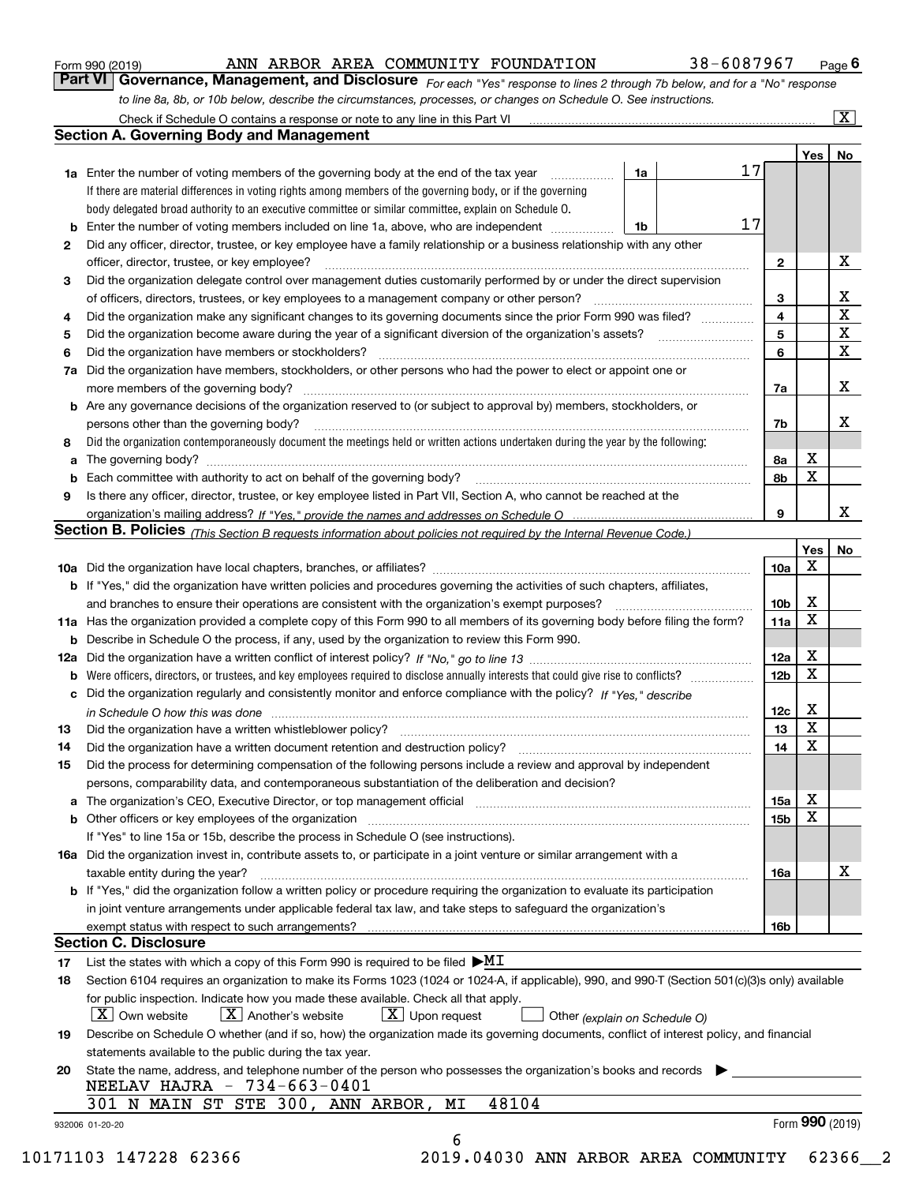|  | Form 990 (2019) |  |
|--|-----------------|--|
|  |                 |  |

#### ANN ARBOR AREA COMMUNITY FOUNDATION 38-6087967

*For each "Yes" response to lines 2 through 7b below, and for a "No" response to line 8a, 8b, or 10b below, describe the circumstances, processes, or changes on Schedule O. See instructions.* Form 990 (2019) **ANN ARBOR AREA COMMUNITY FOUNDATION** 38 – 6087967 Page 6<br>**Part VI Governance, Management, and Disclosure** For each "Yes" response to lines 2 through 7b below, and for a "No" response

|                 |                                                                                                                                                                                                                                |    |    |                 | Yes   No        |                         |
|-----------------|--------------------------------------------------------------------------------------------------------------------------------------------------------------------------------------------------------------------------------|----|----|-----------------|-----------------|-------------------------|
|                 | <b>1a</b> Enter the number of voting members of the governing body at the end of the tax year                                                                                                                                  | 1a | 17 |                 |                 |                         |
|                 | If there are material differences in voting rights among members of the governing body, or if the governing                                                                                                                    |    |    |                 |                 |                         |
|                 | body delegated broad authority to an executive committee or similar committee, explain on Schedule O.                                                                                                                          |    |    |                 |                 |                         |
| b               | Enter the number of voting members included on line 1a, above, who are independent <i>manumum</i>                                                                                                                              | 1b | 17 |                 |                 |                         |
| 2               | Did any officer, director, trustee, or key employee have a family relationship or a business relationship with any other                                                                                                       |    |    |                 |                 |                         |
|                 | officer, director, trustee, or key employee?                                                                                                                                                                                   |    |    | $\mathbf{2}$    |                 | X                       |
| 3               | Did the organization delegate control over management duties customarily performed by or under the direct supervision                                                                                                          |    |    |                 |                 |                         |
|                 |                                                                                                                                                                                                                                |    |    | 3               |                 | $\mathbf{X}$            |
| 4               | Did the organization make any significant changes to its governing documents since the prior Form 990 was filed?                                                                                                               |    |    | 4               |                 | $\overline{\texttt{x}}$ |
| 5               |                                                                                                                                                                                                                                |    |    | 5               |                 | $\overline{\mathbf{x}}$ |
| 6               | Did the organization have members or stockholders?                                                                                                                                                                             |    |    | 6               |                 | $\overline{\mathbf{x}}$ |
| 7a              | Did the organization have members, stockholders, or other persons who had the power to elect or appoint one or                                                                                                                 |    |    |                 |                 |                         |
|                 |                                                                                                                                                                                                                                |    |    | 7a              |                 | X                       |
|                 | <b>b</b> Are any governance decisions of the organization reserved to (or subject to approval by) members, stockholders, or                                                                                                    |    |    |                 |                 |                         |
|                 | persons other than the governing body?                                                                                                                                                                                         |    |    | 7b              |                 | X                       |
| 8               | Did the organization contemporaneously document the meetings held or written actions undertaken during the year by the following:                                                                                              |    |    |                 |                 |                         |
| a               |                                                                                                                                                                                                                                |    |    | 8а              | X               |                         |
|                 |                                                                                                                                                                                                                                |    |    | 8b              | X               |                         |
| 9               | Is there any officer, director, trustee, or key employee listed in Part VII, Section A, who cannot be reached at the                                                                                                           |    |    |                 |                 |                         |
|                 |                                                                                                                                                                                                                                |    |    | 9               |                 | X                       |
|                 | Section B. Policies <sub>(This</sub> Section B requests information about policies not required by the Internal Revenue Code.)                                                                                                 |    |    |                 |                 |                         |
|                 |                                                                                                                                                                                                                                |    |    |                 | Yes             | No                      |
|                 |                                                                                                                                                                                                                                |    |    | 10a             | X               |                         |
|                 | <b>b</b> If "Yes," did the organization have written policies and procedures governing the activities of such chapters, affiliates,                                                                                            |    |    |                 |                 |                         |
|                 |                                                                                                                                                                                                                                |    |    | 10 <sub>b</sub> | X               |                         |
|                 |                                                                                                                                                                                                                                |    |    | 11a             | X               |                         |
|                 | 11a Has the organization provided a complete copy of this Form 990 to all members of its governing body before filing the form?                                                                                                |    |    |                 |                 |                         |
|                 | <b>b</b> Describe in Schedule O the process, if any, used by the organization to review this Form 990.                                                                                                                         |    |    |                 | X               |                         |
|                 |                                                                                                                                                                                                                                |    |    | 12a             | X               |                         |
| b               |                                                                                                                                                                                                                                |    |    | 12 <sub>b</sub> |                 |                         |
|                 | c Did the organization regularly and consistently monitor and enforce compliance with the policy? If "Yes," describe                                                                                                           |    |    |                 |                 |                         |
|                 | in Schedule O how this was done measured and the control of the control of the state of the control of the control of the control of the control of the control of the control of the control of the control of the control of |    |    | 12c             | X               |                         |
| 13              |                                                                                                                                                                                                                                |    |    | 13              | $\mathbf x$     |                         |
| 14              |                                                                                                                                                                                                                                |    |    | 14              | X               |                         |
| 15              | Did the process for determining compensation of the following persons include a review and approval by independent                                                                                                             |    |    |                 |                 |                         |
|                 | persons, comparability data, and contemporaneous substantiation of the deliberation and decision?                                                                                                                              |    |    |                 |                 |                         |
|                 | a The organization's CEO, Executive Director, or top management official manufactured content of the organization's CEO, Executive Director, or top management official                                                        |    |    | 15a             | х               |                         |
|                 |                                                                                                                                                                                                                                |    |    | 15 <sub>b</sub> | X               |                         |
|                 | If "Yes" to line 15a or 15b, describe the process in Schedule O (see instructions).                                                                                                                                            |    |    |                 |                 |                         |
|                 | 16a Did the organization invest in, contribute assets to, or participate in a joint venture or similar arrangement with a                                                                                                      |    |    |                 |                 |                         |
|                 | taxable entity during the year?                                                                                                                                                                                                |    |    | 16a             |                 | X                       |
|                 | b If "Yes," did the organization follow a written policy or procedure requiring the organization to evaluate its participation                                                                                                 |    |    |                 |                 |                         |
|                 | in joint venture arrangements under applicable federal tax law, and take steps to safeguard the organization's                                                                                                                 |    |    |                 |                 |                         |
|                 |                                                                                                                                                                                                                                |    |    | 16b             |                 |                         |
|                 | <b>Section C. Disclosure</b>                                                                                                                                                                                                   |    |    |                 |                 |                         |
| 17              | List the states with which a copy of this Form 990 is required to be filed $\blacktriangleright\text{MI}$                                                                                                                      |    |    |                 |                 |                         |
| 18              | Section 6104 requires an organization to make its Forms 1023 (1024 or 1024-A, if applicable), 990, and 990-T (Section 501(c)(3)s only) available                                                                               |    |    |                 |                 |                         |
|                 | for public inspection. Indicate how you made these available. Check all that apply.                                                                                                                                            |    |    |                 |                 |                         |
|                 | $X$ Upon request<br>$ X $ Own website<br>$ X $ Another's website<br>Other (explain on Schedule O)                                                                                                                              |    |    |                 |                 |                         |
| 19              | Describe on Schedule O whether (and if so, how) the organization made its governing documents, conflict of interest policy, and financial                                                                                      |    |    |                 |                 |                         |
|                 | statements available to the public during the tax year.                                                                                                                                                                        |    |    |                 |                 |                         |
| 20              | State the name, address, and telephone number of the person who possesses the organization's books and records                                                                                                                 |    |    |                 |                 |                         |
|                 | NEELAV HAJRA - 734-663-0401                                                                                                                                                                                                    |    |    |                 |                 |                         |
|                 | 48104<br>301 N MAIN ST STE 300, ANN ARBOR, MI                                                                                                                                                                                  |    |    |                 |                 |                         |
| 932006 01-20-20 |                                                                                                                                                                                                                                |    |    |                 | Form 990 (2019) |                         |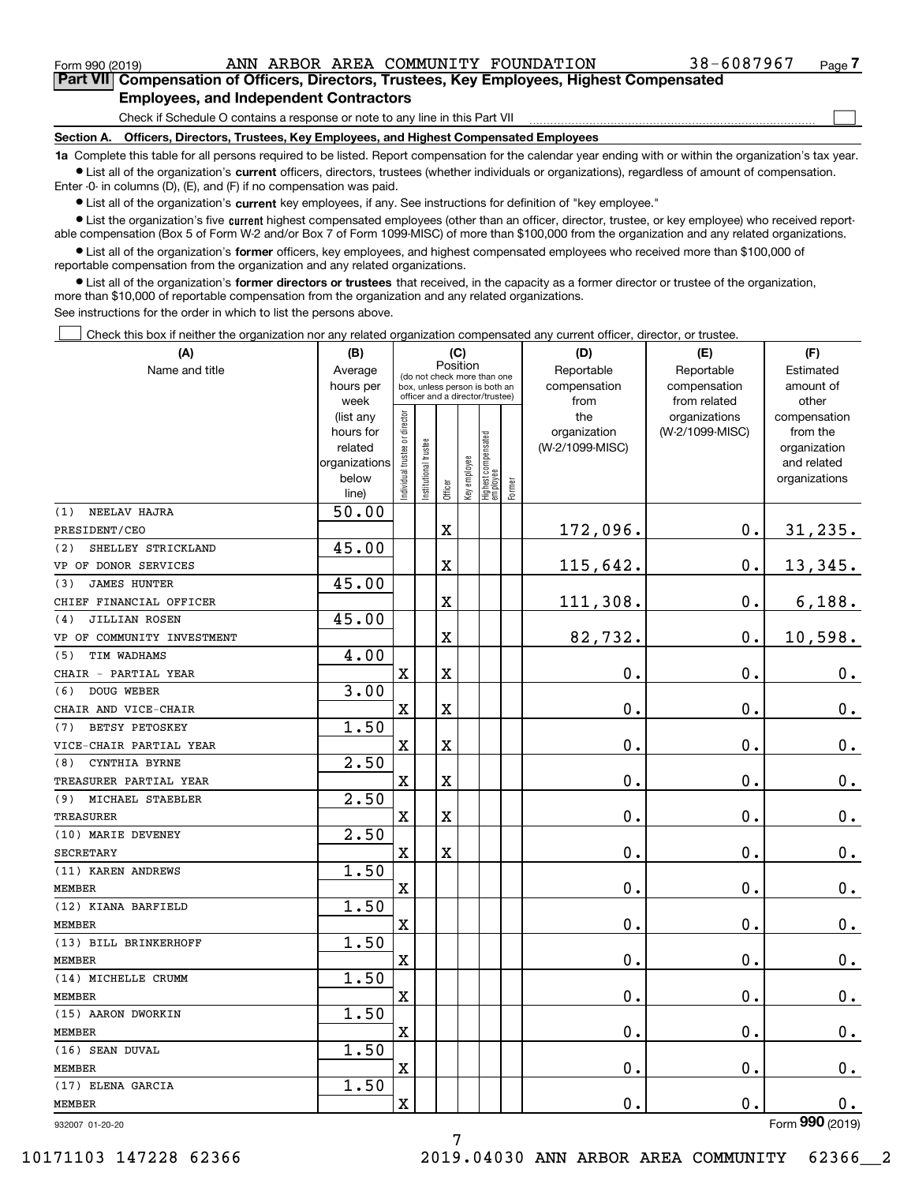$\mathcal{L}^{\text{max}}$ 

| Form 990 (2019) |                                               |  | ANN ARBOR AREA COMMUNITY FOUNDATION                                                        | 38-6087967 | Page $\prime$ |
|-----------------|-----------------------------------------------|--|--------------------------------------------------------------------------------------------|------------|---------------|
|                 |                                               |  | Part VII Compensation of Officers, Directors, Trustees, Key Employees, Highest Compensated |            |               |
|                 | <b>Employees, and Independent Contractors</b> |  |                                                                                            |            |               |

Check if Schedule O contains a response or note to any line in this Part VII

**Section A. Officers, Directors, Trustees, Key Employees, and Highest Compensated Employees**

**1a**  Complete this table for all persons required to be listed. Report compensation for the calendar year ending with or within the organization's tax year. **•** List all of the organization's current officers, directors, trustees (whether individuals or organizations), regardless of amount of compensation.

Enter -0- in columns (D), (E), and (F) if no compensation was paid.

 $\bullet$  List all of the organization's  $\,$ current key employees, if any. See instructions for definition of "key employee."

**•** List the organization's five current highest compensated employees (other than an officer, director, trustee, or key employee) who received reportable compensation (Box 5 of Form W-2 and/or Box 7 of Form 1099-MISC) of more than \$100,000 from the organization and any related organizations.

**•** List all of the organization's former officers, key employees, and highest compensated employees who received more than \$100,000 of reportable compensation from the organization and any related organizations.

**former directors or trustees**  ¥ List all of the organization's that received, in the capacity as a former director or trustee of the organization, more than \$10,000 of reportable compensation from the organization and any related organizations.

See instructions for the order in which to list the persons above.

Check this box if neither the organization nor any related organization compensated any current officer, director, or trustee.  $\mathcal{L}^{\text{max}}$ 

| Name and title<br>Reportable<br>Reportable<br>Average<br>Estimated<br>(do not check more than one<br>compensation<br>amount of<br>hours per<br>compensation<br>box, unless person is both an<br>officer and a director/trustee)<br>from related<br>week<br>from<br>other<br>ndividual trustee or director<br>organizations<br>(list any<br>the<br>compensation<br>(W-2/1099-MISC)<br>hours for<br>organization<br>from the<br>Highest compensated<br> employee<br>In stitutional trustee<br>(W-2/1099-MISC)<br>related<br>organization<br>Key employee<br>and related<br>organizations<br>below<br>organizations<br>Former<br>Officer<br>line)<br>50.00<br>NEELAV HAJRA<br>(1)<br>172,096.<br>0.<br>$\mathbf X$<br>31,235.<br>PRESIDENT/CEO<br>45.00<br>SHELLEY STRICKLAND<br>(2)<br>115,642.<br>0.<br>13,345.<br>X<br>VP OF DONOR SERVICES<br>45.00<br><b>JAMES HUNTER</b><br>(3)<br>111,308.<br>6,188.<br>X<br>0.<br>CHIEF FINANCIAL OFFICER<br>45.00<br>JILLIAN ROSEN<br>(4)<br>82,732.<br>10,598.<br>X<br>0.<br>VP OF COMMUNITY INVESTMENT<br>4.00<br>TIM WADHAMS<br>(5)<br>$\mathbf 0$ .<br>0.<br>$\mathbf x$<br>X<br>0.<br>CHAIR - PARTIAL YEAR<br>DOUG WEBER<br>3.00<br>(6)<br>X<br>$\mathbf 0$ .<br>0.<br>0.<br>X<br>CHAIR AND VICE-CHAIR<br>1.50<br>BETSY PETOSKEY<br>(7)<br>$\mathbf 0$ .<br>$\mathbf X$<br>$\mathbf X$<br>0.<br>$\mathbf 0$ .<br>VICE-CHAIR PARTIAL YEAR<br>2.50<br>CYNTHIA BYRNE<br>(8)<br>X<br>$\overline{\textbf{X}}$<br>$\mathbf 0$ .<br>0.<br>$\mathbf 0$ .<br>TREASURER PARTIAL YEAR<br>2.50<br>(9) MICHAEL STAEBLER<br>X<br>X<br>0.<br>$0_{.}$<br>0.<br>2.50<br>(10) MARIE DEVENEY<br>X<br>$\mathbf X$<br>0.<br>$\mathbf 0$ .<br>$0_{.}$<br><b>SECRETARY</b><br>1.50<br>(11) KAREN ANDREWS<br>$\mathbf 0$ .<br>$0_{.}$<br>X<br>0.<br>1.50<br>(12) KIANA BARFIELD<br>$\overline{\textbf{X}}$<br>$\mathbf 0$ .<br>0.<br>$\mathbf 0$ .<br>1.50<br>(13) BILL BRINKERHOFF<br>$\mathbf 0$ .<br>X<br>$\mathbf 0$ .<br>0.<br><b>MEMBER</b><br>1.50<br>(14) MICHELLE CRUMM<br>$\mathbf 0$ .<br>X<br>0.<br>$\mathbf 0$ .<br>1.50<br>(15) AARON DWORKIN<br>$\overline{\mathbf{X}}$<br>$\mathbf 0$ .<br>$\mathbf 0$ .<br>$\mathbf 0$ .<br>1.50<br>(16) SEAN DUVAL<br>$\overline{\textbf{X}}$<br>$\mathbf 0$ .<br>0.<br>$0_{.}$<br>1.50<br>(17) ELENA GARCIA | (A)              | (B) |   |          |  | (C) |  | (D)           | (E) | (F)           |
|-----------------------------------------------------------------------------------------------------------------------------------------------------------------------------------------------------------------------------------------------------------------------------------------------------------------------------------------------------------------------------------------------------------------------------------------------------------------------------------------------------------------------------------------------------------------------------------------------------------------------------------------------------------------------------------------------------------------------------------------------------------------------------------------------------------------------------------------------------------------------------------------------------------------------------------------------------------------------------------------------------------------------------------------------------------------------------------------------------------------------------------------------------------------------------------------------------------------------------------------------------------------------------------------------------------------------------------------------------------------------------------------------------------------------------------------------------------------------------------------------------------------------------------------------------------------------------------------------------------------------------------------------------------------------------------------------------------------------------------------------------------------------------------------------------------------------------------------------------------------------------------------------------------------------------------------------------------------------------------------------------------------------------------------------------------------------------------------------------------------------------------------------------------------------------------------------------------------------------------------------------------------------------------|------------------|-----|---|----------|--|-----|--|---------------|-----|---------------|
|                                                                                                                                                                                                                                                                                                                                                                                                                                                                                                                                                                                                                                                                                                                                                                                                                                                                                                                                                                                                                                                                                                                                                                                                                                                                                                                                                                                                                                                                                                                                                                                                                                                                                                                                                                                                                                                                                                                                                                                                                                                                                                                                                                                                                                                                                   |                  |     |   | Position |  |     |  |               |     |               |
|                                                                                                                                                                                                                                                                                                                                                                                                                                                                                                                                                                                                                                                                                                                                                                                                                                                                                                                                                                                                                                                                                                                                                                                                                                                                                                                                                                                                                                                                                                                                                                                                                                                                                                                                                                                                                                                                                                                                                                                                                                                                                                                                                                                                                                                                                   |                  |     |   |          |  |     |  |               |     |               |
|                                                                                                                                                                                                                                                                                                                                                                                                                                                                                                                                                                                                                                                                                                                                                                                                                                                                                                                                                                                                                                                                                                                                                                                                                                                                                                                                                                                                                                                                                                                                                                                                                                                                                                                                                                                                                                                                                                                                                                                                                                                                                                                                                                                                                                                                                   |                  |     |   |          |  |     |  |               |     |               |
|                                                                                                                                                                                                                                                                                                                                                                                                                                                                                                                                                                                                                                                                                                                                                                                                                                                                                                                                                                                                                                                                                                                                                                                                                                                                                                                                                                                                                                                                                                                                                                                                                                                                                                                                                                                                                                                                                                                                                                                                                                                                                                                                                                                                                                                                                   |                  |     |   |          |  |     |  |               |     |               |
|                                                                                                                                                                                                                                                                                                                                                                                                                                                                                                                                                                                                                                                                                                                                                                                                                                                                                                                                                                                                                                                                                                                                                                                                                                                                                                                                                                                                                                                                                                                                                                                                                                                                                                                                                                                                                                                                                                                                                                                                                                                                                                                                                                                                                                                                                   |                  |     |   |          |  |     |  |               |     |               |
|                                                                                                                                                                                                                                                                                                                                                                                                                                                                                                                                                                                                                                                                                                                                                                                                                                                                                                                                                                                                                                                                                                                                                                                                                                                                                                                                                                                                                                                                                                                                                                                                                                                                                                                                                                                                                                                                                                                                                                                                                                                                                                                                                                                                                                                                                   |                  |     |   |          |  |     |  |               |     |               |
|                                                                                                                                                                                                                                                                                                                                                                                                                                                                                                                                                                                                                                                                                                                                                                                                                                                                                                                                                                                                                                                                                                                                                                                                                                                                                                                                                                                                                                                                                                                                                                                                                                                                                                                                                                                                                                                                                                                                                                                                                                                                                                                                                                                                                                                                                   |                  |     |   |          |  |     |  |               |     |               |
|                                                                                                                                                                                                                                                                                                                                                                                                                                                                                                                                                                                                                                                                                                                                                                                                                                                                                                                                                                                                                                                                                                                                                                                                                                                                                                                                                                                                                                                                                                                                                                                                                                                                                                                                                                                                                                                                                                                                                                                                                                                                                                                                                                                                                                                                                   |                  |     |   |          |  |     |  |               |     |               |
|                                                                                                                                                                                                                                                                                                                                                                                                                                                                                                                                                                                                                                                                                                                                                                                                                                                                                                                                                                                                                                                                                                                                                                                                                                                                                                                                                                                                                                                                                                                                                                                                                                                                                                                                                                                                                                                                                                                                                                                                                                                                                                                                                                                                                                                                                   |                  |     |   |          |  |     |  |               |     |               |
|                                                                                                                                                                                                                                                                                                                                                                                                                                                                                                                                                                                                                                                                                                                                                                                                                                                                                                                                                                                                                                                                                                                                                                                                                                                                                                                                                                                                                                                                                                                                                                                                                                                                                                                                                                                                                                                                                                                                                                                                                                                                                                                                                                                                                                                                                   |                  |     |   |          |  |     |  |               |     |               |
|                                                                                                                                                                                                                                                                                                                                                                                                                                                                                                                                                                                                                                                                                                                                                                                                                                                                                                                                                                                                                                                                                                                                                                                                                                                                                                                                                                                                                                                                                                                                                                                                                                                                                                                                                                                                                                                                                                                                                                                                                                                                                                                                                                                                                                                                                   |                  |     |   |          |  |     |  |               |     |               |
|                                                                                                                                                                                                                                                                                                                                                                                                                                                                                                                                                                                                                                                                                                                                                                                                                                                                                                                                                                                                                                                                                                                                                                                                                                                                                                                                                                                                                                                                                                                                                                                                                                                                                                                                                                                                                                                                                                                                                                                                                                                                                                                                                                                                                                                                                   |                  |     |   |          |  |     |  |               |     |               |
|                                                                                                                                                                                                                                                                                                                                                                                                                                                                                                                                                                                                                                                                                                                                                                                                                                                                                                                                                                                                                                                                                                                                                                                                                                                                                                                                                                                                                                                                                                                                                                                                                                                                                                                                                                                                                                                                                                                                                                                                                                                                                                                                                                                                                                                                                   |                  |     |   |          |  |     |  |               |     |               |
|                                                                                                                                                                                                                                                                                                                                                                                                                                                                                                                                                                                                                                                                                                                                                                                                                                                                                                                                                                                                                                                                                                                                                                                                                                                                                                                                                                                                                                                                                                                                                                                                                                                                                                                                                                                                                                                                                                                                                                                                                                                                                                                                                                                                                                                                                   |                  |     |   |          |  |     |  |               |     |               |
|                                                                                                                                                                                                                                                                                                                                                                                                                                                                                                                                                                                                                                                                                                                                                                                                                                                                                                                                                                                                                                                                                                                                                                                                                                                                                                                                                                                                                                                                                                                                                                                                                                                                                                                                                                                                                                                                                                                                                                                                                                                                                                                                                                                                                                                                                   |                  |     |   |          |  |     |  |               |     |               |
|                                                                                                                                                                                                                                                                                                                                                                                                                                                                                                                                                                                                                                                                                                                                                                                                                                                                                                                                                                                                                                                                                                                                                                                                                                                                                                                                                                                                                                                                                                                                                                                                                                                                                                                                                                                                                                                                                                                                                                                                                                                                                                                                                                                                                                                                                   |                  |     |   |          |  |     |  |               |     |               |
|                                                                                                                                                                                                                                                                                                                                                                                                                                                                                                                                                                                                                                                                                                                                                                                                                                                                                                                                                                                                                                                                                                                                                                                                                                                                                                                                                                                                                                                                                                                                                                                                                                                                                                                                                                                                                                                                                                                                                                                                                                                                                                                                                                                                                                                                                   |                  |     |   |          |  |     |  |               |     |               |
|                                                                                                                                                                                                                                                                                                                                                                                                                                                                                                                                                                                                                                                                                                                                                                                                                                                                                                                                                                                                                                                                                                                                                                                                                                                                                                                                                                                                                                                                                                                                                                                                                                                                                                                                                                                                                                                                                                                                                                                                                                                                                                                                                                                                                                                                                   |                  |     |   |          |  |     |  |               |     |               |
|                                                                                                                                                                                                                                                                                                                                                                                                                                                                                                                                                                                                                                                                                                                                                                                                                                                                                                                                                                                                                                                                                                                                                                                                                                                                                                                                                                                                                                                                                                                                                                                                                                                                                                                                                                                                                                                                                                                                                                                                                                                                                                                                                                                                                                                                                   |                  |     |   |          |  |     |  |               |     |               |
|                                                                                                                                                                                                                                                                                                                                                                                                                                                                                                                                                                                                                                                                                                                                                                                                                                                                                                                                                                                                                                                                                                                                                                                                                                                                                                                                                                                                                                                                                                                                                                                                                                                                                                                                                                                                                                                                                                                                                                                                                                                                                                                                                                                                                                                                                   |                  |     |   |          |  |     |  |               |     |               |
|                                                                                                                                                                                                                                                                                                                                                                                                                                                                                                                                                                                                                                                                                                                                                                                                                                                                                                                                                                                                                                                                                                                                                                                                                                                                                                                                                                                                                                                                                                                                                                                                                                                                                                                                                                                                                                                                                                                                                                                                                                                                                                                                                                                                                                                                                   |                  |     |   |          |  |     |  |               |     |               |
|                                                                                                                                                                                                                                                                                                                                                                                                                                                                                                                                                                                                                                                                                                                                                                                                                                                                                                                                                                                                                                                                                                                                                                                                                                                                                                                                                                                                                                                                                                                                                                                                                                                                                                                                                                                                                                                                                                                                                                                                                                                                                                                                                                                                                                                                                   |                  |     |   |          |  |     |  |               |     |               |
|                                                                                                                                                                                                                                                                                                                                                                                                                                                                                                                                                                                                                                                                                                                                                                                                                                                                                                                                                                                                                                                                                                                                                                                                                                                                                                                                                                                                                                                                                                                                                                                                                                                                                                                                                                                                                                                                                                                                                                                                                                                                                                                                                                                                                                                                                   |                  |     |   |          |  |     |  |               |     |               |
|                                                                                                                                                                                                                                                                                                                                                                                                                                                                                                                                                                                                                                                                                                                                                                                                                                                                                                                                                                                                                                                                                                                                                                                                                                                                                                                                                                                                                                                                                                                                                                                                                                                                                                                                                                                                                                                                                                                                                                                                                                                                                                                                                                                                                                                                                   |                  |     |   |          |  |     |  |               |     |               |
|                                                                                                                                                                                                                                                                                                                                                                                                                                                                                                                                                                                                                                                                                                                                                                                                                                                                                                                                                                                                                                                                                                                                                                                                                                                                                                                                                                                                                                                                                                                                                                                                                                                                                                                                                                                                                                                                                                                                                                                                                                                                                                                                                                                                                                                                                   |                  |     |   |          |  |     |  |               |     |               |
|                                                                                                                                                                                                                                                                                                                                                                                                                                                                                                                                                                                                                                                                                                                                                                                                                                                                                                                                                                                                                                                                                                                                                                                                                                                                                                                                                                                                                                                                                                                                                                                                                                                                                                                                                                                                                                                                                                                                                                                                                                                                                                                                                                                                                                                                                   | <b>TREASURER</b> |     |   |          |  |     |  |               |     |               |
|                                                                                                                                                                                                                                                                                                                                                                                                                                                                                                                                                                                                                                                                                                                                                                                                                                                                                                                                                                                                                                                                                                                                                                                                                                                                                                                                                                                                                                                                                                                                                                                                                                                                                                                                                                                                                                                                                                                                                                                                                                                                                                                                                                                                                                                                                   |                  |     |   |          |  |     |  |               |     |               |
|                                                                                                                                                                                                                                                                                                                                                                                                                                                                                                                                                                                                                                                                                                                                                                                                                                                                                                                                                                                                                                                                                                                                                                                                                                                                                                                                                                                                                                                                                                                                                                                                                                                                                                                                                                                                                                                                                                                                                                                                                                                                                                                                                                                                                                                                                   |                  |     |   |          |  |     |  |               |     |               |
|                                                                                                                                                                                                                                                                                                                                                                                                                                                                                                                                                                                                                                                                                                                                                                                                                                                                                                                                                                                                                                                                                                                                                                                                                                                                                                                                                                                                                                                                                                                                                                                                                                                                                                                                                                                                                                                                                                                                                                                                                                                                                                                                                                                                                                                                                   |                  |     |   |          |  |     |  |               |     |               |
|                                                                                                                                                                                                                                                                                                                                                                                                                                                                                                                                                                                                                                                                                                                                                                                                                                                                                                                                                                                                                                                                                                                                                                                                                                                                                                                                                                                                                                                                                                                                                                                                                                                                                                                                                                                                                                                                                                                                                                                                                                                                                                                                                                                                                                                                                   | <b>MEMBER</b>    |     |   |          |  |     |  |               |     |               |
|                                                                                                                                                                                                                                                                                                                                                                                                                                                                                                                                                                                                                                                                                                                                                                                                                                                                                                                                                                                                                                                                                                                                                                                                                                                                                                                                                                                                                                                                                                                                                                                                                                                                                                                                                                                                                                                                                                                                                                                                                                                                                                                                                                                                                                                                                   |                  |     |   |          |  |     |  |               |     |               |
|                                                                                                                                                                                                                                                                                                                                                                                                                                                                                                                                                                                                                                                                                                                                                                                                                                                                                                                                                                                                                                                                                                                                                                                                                                                                                                                                                                                                                                                                                                                                                                                                                                                                                                                                                                                                                                                                                                                                                                                                                                                                                                                                                                                                                                                                                   | <b>MEMBER</b>    |     |   |          |  |     |  |               |     |               |
|                                                                                                                                                                                                                                                                                                                                                                                                                                                                                                                                                                                                                                                                                                                                                                                                                                                                                                                                                                                                                                                                                                                                                                                                                                                                                                                                                                                                                                                                                                                                                                                                                                                                                                                                                                                                                                                                                                                                                                                                                                                                                                                                                                                                                                                                                   |                  |     |   |          |  |     |  |               |     |               |
|                                                                                                                                                                                                                                                                                                                                                                                                                                                                                                                                                                                                                                                                                                                                                                                                                                                                                                                                                                                                                                                                                                                                                                                                                                                                                                                                                                                                                                                                                                                                                                                                                                                                                                                                                                                                                                                                                                                                                                                                                                                                                                                                                                                                                                                                                   |                  |     |   |          |  |     |  |               |     |               |
|                                                                                                                                                                                                                                                                                                                                                                                                                                                                                                                                                                                                                                                                                                                                                                                                                                                                                                                                                                                                                                                                                                                                                                                                                                                                                                                                                                                                                                                                                                                                                                                                                                                                                                                                                                                                                                                                                                                                                                                                                                                                                                                                                                                                                                                                                   |                  |     |   |          |  |     |  |               |     |               |
|                                                                                                                                                                                                                                                                                                                                                                                                                                                                                                                                                                                                                                                                                                                                                                                                                                                                                                                                                                                                                                                                                                                                                                                                                                                                                                                                                                                                                                                                                                                                                                                                                                                                                                                                                                                                                                                                                                                                                                                                                                                                                                                                                                                                                                                                                   | <b>MEMBER</b>    |     |   |          |  |     |  |               |     |               |
|                                                                                                                                                                                                                                                                                                                                                                                                                                                                                                                                                                                                                                                                                                                                                                                                                                                                                                                                                                                                                                                                                                                                                                                                                                                                                                                                                                                                                                                                                                                                                                                                                                                                                                                                                                                                                                                                                                                                                                                                                                                                                                                                                                                                                                                                                   |                  |     |   |          |  |     |  |               |     |               |
|                                                                                                                                                                                                                                                                                                                                                                                                                                                                                                                                                                                                                                                                                                                                                                                                                                                                                                                                                                                                                                                                                                                                                                                                                                                                                                                                                                                                                                                                                                                                                                                                                                                                                                                                                                                                                                                                                                                                                                                                                                                                                                                                                                                                                                                                                   | <b>MEMBER</b>    |     |   |          |  |     |  |               |     |               |
|                                                                                                                                                                                                                                                                                                                                                                                                                                                                                                                                                                                                                                                                                                                                                                                                                                                                                                                                                                                                                                                                                                                                                                                                                                                                                                                                                                                                                                                                                                                                                                                                                                                                                                                                                                                                                                                                                                                                                                                                                                                                                                                                                                                                                                                                                   |                  |     |   |          |  |     |  |               |     |               |
|                                                                                                                                                                                                                                                                                                                                                                                                                                                                                                                                                                                                                                                                                                                                                                                                                                                                                                                                                                                                                                                                                                                                                                                                                                                                                                                                                                                                                                                                                                                                                                                                                                                                                                                                                                                                                                                                                                                                                                                                                                                                                                                                                                                                                                                                                   | <b>MEMBER</b>    |     |   |          |  |     |  |               |     |               |
|                                                                                                                                                                                                                                                                                                                                                                                                                                                                                                                                                                                                                                                                                                                                                                                                                                                                                                                                                                                                                                                                                                                                                                                                                                                                                                                                                                                                                                                                                                                                                                                                                                                                                                                                                                                                                                                                                                                                                                                                                                                                                                                                                                                                                                                                                   |                  |     |   |          |  |     |  |               |     |               |
| <b>OOO</b>                                                                                                                                                                                                                                                                                                                                                                                                                                                                                                                                                                                                                                                                                                                                                                                                                                                                                                                                                                                                                                                                                                                                                                                                                                                                                                                                                                                                                                                                                                                                                                                                                                                                                                                                                                                                                                                                                                                                                                                                                                                                                                                                                                                                                                                                        | <b>MEMBER</b>    |     | X |          |  |     |  | $\mathbf 0$ . | 0.  | $\mathbf 0$ . |

932007 01-20-20

Form (2019) **990**

7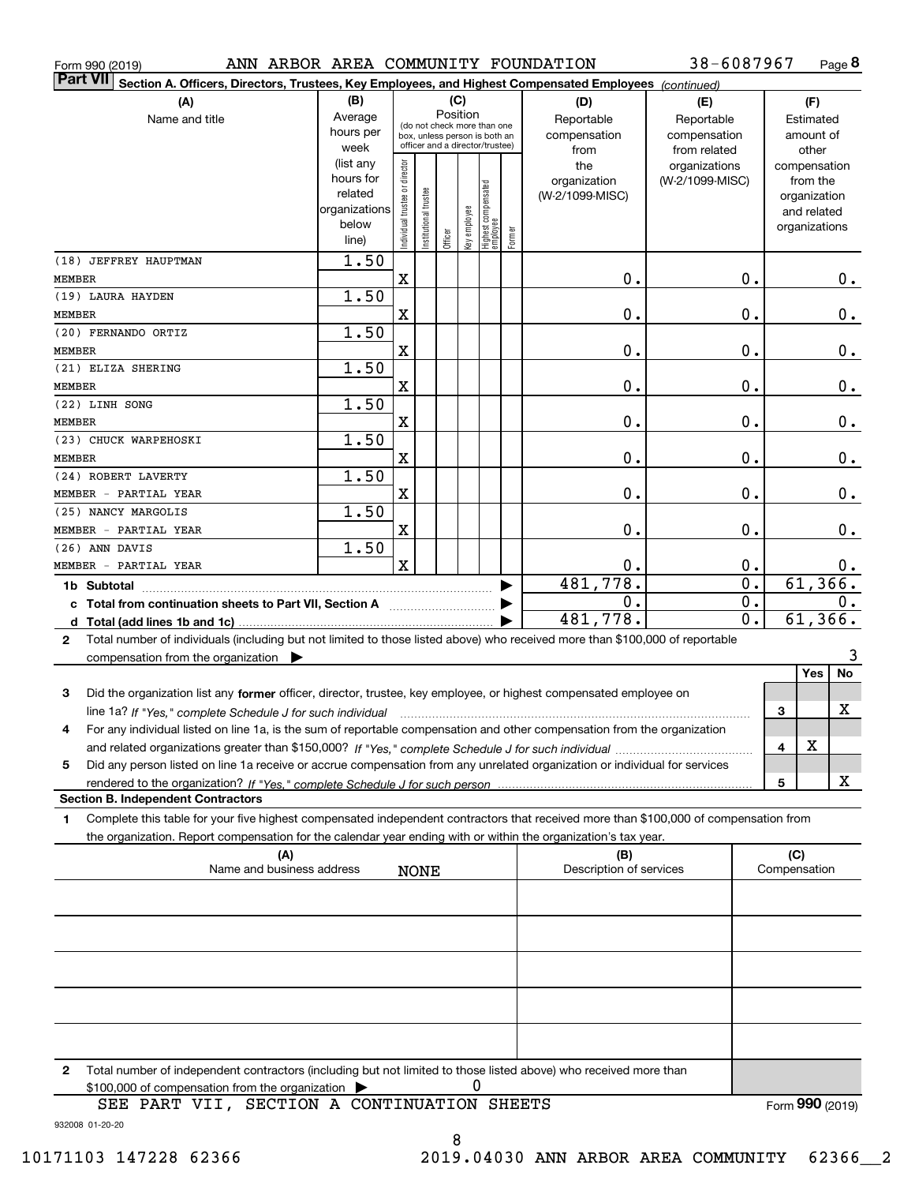|  | Form 990 (2019) |  |
|--|-----------------|--|
|  |                 |  |

Form 990 (2019) ANN ARBOR AREA COMMUNITY FOUNDATION 38-6087967 Page **8** 

| Part VII <br>Section A. Officers, Directors, Trustees, Key Employees, and Highest Compensated Employees (continued)                       |                      |                               |                                                              |         |              |                                   |        |                         |                 |               |               |              |               |
|-------------------------------------------------------------------------------------------------------------------------------------------|----------------------|-------------------------------|--------------------------------------------------------------|---------|--------------|-----------------------------------|--------|-------------------------|-----------------|---------------|---------------|--------------|---------------|
| (A)                                                                                                                                       | (B)                  |                               |                                                              |         | (C)          |                                   |        | (D)                     | (E)             |               |               | (F)          |               |
| Name and title                                                                                                                            | Average              |                               |                                                              |         | Position     |                                   |        | Reportable              | Reportable      |               |               | Estimated    |               |
|                                                                                                                                           | hours per            |                               | (do not check more than one<br>box, unless person is both an |         |              |                                   |        | compensation            | compensation    |               | amount of     |              |               |
|                                                                                                                                           | week                 |                               | officer and a director/trustee)                              |         |              |                                   |        | from                    | from related    |               |               | other        |               |
|                                                                                                                                           | (list any            |                               |                                                              |         |              |                                   |        | the                     | organizations   |               | compensation  |              |               |
|                                                                                                                                           | hours for<br>related |                               |                                                              |         |              |                                   |        | organization            | (W-2/1099-MISC) |               |               | from the     |               |
|                                                                                                                                           | organizations        |                               |                                                              |         |              |                                   |        | (W-2/1099-MISC)         |                 |               |               | organization |               |
|                                                                                                                                           | below                |                               |                                                              |         |              |                                   |        |                         |                 |               | organizations | and related  |               |
|                                                                                                                                           | line)                | ndividual trustee or director | Institutional trustee                                        | Officer | Key employee | Highest compensated<br>  employee | Former |                         |                 |               |               |              |               |
| (18) JEFFREY HAUPTMAN                                                                                                                     | $\overline{1.50}$    |                               |                                                              |         |              |                                   |        |                         |                 |               |               |              |               |
| <b>MEMBER</b>                                                                                                                             |                      | X                             |                                                              |         |              |                                   |        | 0.                      | 0.              |               |               |              | 0.            |
|                                                                                                                                           | 1.50                 |                               |                                                              |         |              |                                   |        |                         |                 |               |               |              |               |
| (19) LAURA HAYDEN                                                                                                                         |                      |                               |                                                              |         |              |                                   |        |                         |                 |               |               |              |               |
| <b>MEMBER</b>                                                                                                                             |                      | X                             |                                                              |         |              |                                   |        | 0.                      | 0.              |               |               |              | 0.            |
| (20) FERNANDO ORTIZ                                                                                                                       | 1.50                 |                               |                                                              |         |              |                                   |        |                         |                 |               |               |              |               |
| <b>MEMBER</b>                                                                                                                             |                      | X                             |                                                              |         |              |                                   |        | 0.                      | 0.              |               |               |              | 0.            |
| (21) ELIZA SHERING                                                                                                                        | 1.50                 |                               |                                                              |         |              |                                   |        |                         |                 |               |               |              |               |
| <b>MEMBER</b>                                                                                                                             |                      | X                             |                                                              |         |              |                                   |        | 0.                      | 0.              |               |               |              | 0.            |
| (22) LINH SONG                                                                                                                            | 1.50                 |                               |                                                              |         |              |                                   |        |                         |                 |               |               |              |               |
| <b>MEMBER</b>                                                                                                                             |                      | X                             |                                                              |         |              |                                   |        | 0.                      | 0.              |               |               |              | 0.            |
| (23) CHUCK WARPEHOSKI                                                                                                                     | 1.50                 |                               |                                                              |         |              |                                   |        |                         |                 |               |               |              |               |
| <b>MEMBER</b>                                                                                                                             |                      | X                             |                                                              |         |              |                                   |        | 0.                      |                 | $\mathbf 0$ . |               |              | $0$ .         |
| (24) ROBERT LAVERTY                                                                                                                       | 1.50                 |                               |                                                              |         |              |                                   |        |                         |                 |               |               |              |               |
| MEMBER - PARTIAL YEAR                                                                                                                     |                      | X                             |                                                              |         |              |                                   |        | 0.                      |                 | 0.            |               |              | 0.            |
| (25) NANCY MARGOLIS                                                                                                                       | 1.50                 |                               |                                                              |         |              |                                   |        |                         |                 |               |               |              |               |
| MEMBER - PARTIAL YEAR                                                                                                                     |                      | X                             |                                                              |         |              |                                   |        | 0.                      |                 | $\mathbf 0$ . |               |              | 0.            |
| (26) ANN DAVIS                                                                                                                            | 1.50                 |                               |                                                              |         |              |                                   |        |                         |                 |               |               |              |               |
| MEMBER - PARTIAL YEAR                                                                                                                     |                      | $\mathbf x$                   |                                                              |         |              |                                   |        | 0.                      |                 | 0.            |               |              | 0.            |
| 1b Subtotal                                                                                                                               |                      |                               |                                                              |         |              |                                   |        | 481,778.                |                 | 0.            |               | 61, 366.     |               |
|                                                                                                                                           |                      |                               |                                                              |         |              |                                   |        | 0.                      |                 | 0.            |               |              | $\mathbf 0$ . |
|                                                                                                                                           |                      |                               |                                                              |         |              |                                   |        | 481,778.                |                 | 0.            |               | 61,366.      |               |
| Total number of individuals (including but not limited to those listed above) who received more than \$100,000 of reportable<br>2         |                      |                               |                                                              |         |              |                                   |        |                         |                 |               |               |              |               |
| compensation from the organization $\blacktriangleright$                                                                                  |                      |                               |                                                              |         |              |                                   |        |                         |                 |               |               |              | 3             |
|                                                                                                                                           |                      |                               |                                                              |         |              |                                   |        |                         |                 |               |               | Yes          | No            |
|                                                                                                                                           |                      |                               |                                                              |         |              |                                   |        |                         |                 |               |               |              |               |
| Did the organization list any former officer, director, trustee, key employee, or highest compensated employee on<br>3                    |                      |                               |                                                              |         |              |                                   |        |                         |                 |               |               |              | х             |
|                                                                                                                                           |                      |                               |                                                              |         |              |                                   |        |                         |                 |               | 3             |              |               |
| For any individual listed on line 1a, is the sum of reportable compensation and other compensation from the organization<br>4             |                      |                               |                                                              |         |              |                                   |        |                         |                 |               |               | X            |               |
|                                                                                                                                           |                      |                               |                                                              |         |              |                                   |        |                         |                 |               | 4             |              |               |
| Did any person listed on line 1a receive or accrue compensation from any unrelated organization or individual for services<br>5           |                      |                               |                                                              |         |              |                                   |        |                         |                 |               |               |              |               |
| rendered to the organization? If "Yes." complete Schedule J for such person                                                               |                      |                               |                                                              |         |              |                                   |        |                         |                 |               | 5             |              | х             |
| <b>Section B. Independent Contractors</b>                                                                                                 |                      |                               |                                                              |         |              |                                   |        |                         |                 |               |               |              |               |
| Complete this table for your five highest compensated independent contractors that received more than \$100,000 of compensation from<br>1 |                      |                               |                                                              |         |              |                                   |        |                         |                 |               |               |              |               |
| the organization. Report compensation for the calendar year ending with or within the organization's tax year.                            |                      |                               |                                                              |         |              |                                   |        |                         |                 |               |               |              |               |
| (A)                                                                                                                                       |                      |                               |                                                              |         |              |                                   |        | (B)                     |                 |               | (C)           |              |               |
| Name and business address                                                                                                                 |                      |                               | <b>NONE</b>                                                  |         |              |                                   |        | Description of services |                 |               | Compensation  |              |               |
|                                                                                                                                           |                      |                               |                                                              |         |              |                                   |        |                         |                 |               |               |              |               |
|                                                                                                                                           |                      |                               |                                                              |         |              |                                   |        |                         |                 |               |               |              |               |
|                                                                                                                                           |                      |                               |                                                              |         |              |                                   |        |                         |                 |               |               |              |               |
|                                                                                                                                           |                      |                               |                                                              |         |              |                                   |        |                         |                 |               |               |              |               |
|                                                                                                                                           |                      |                               |                                                              |         |              |                                   |        |                         |                 |               |               |              |               |
|                                                                                                                                           |                      |                               |                                                              |         |              |                                   |        |                         |                 |               |               |              |               |
|                                                                                                                                           |                      |                               |                                                              |         |              |                                   |        |                         |                 |               |               |              |               |
|                                                                                                                                           |                      |                               |                                                              |         |              |                                   |        |                         |                 |               |               |              |               |
|                                                                                                                                           |                      |                               |                                                              |         |              |                                   |        |                         |                 |               |               |              |               |
|                                                                                                                                           |                      |                               |                                                              |         |              |                                   |        |                         |                 |               |               |              |               |
| Total number of independent contractors (including but not limited to those listed above) who received more than<br>2                     |                      |                               |                                                              |         |              |                                   |        |                         |                 |               |               |              |               |
| \$100,000 of compensation from the organization                                                                                           |                      |                               |                                                              |         |              | 0                                 |        |                         |                 |               |               |              |               |

932008 01-20-20 SEE PART VII, SECTION A CONTINUATION SHEETS Form (2019) **990**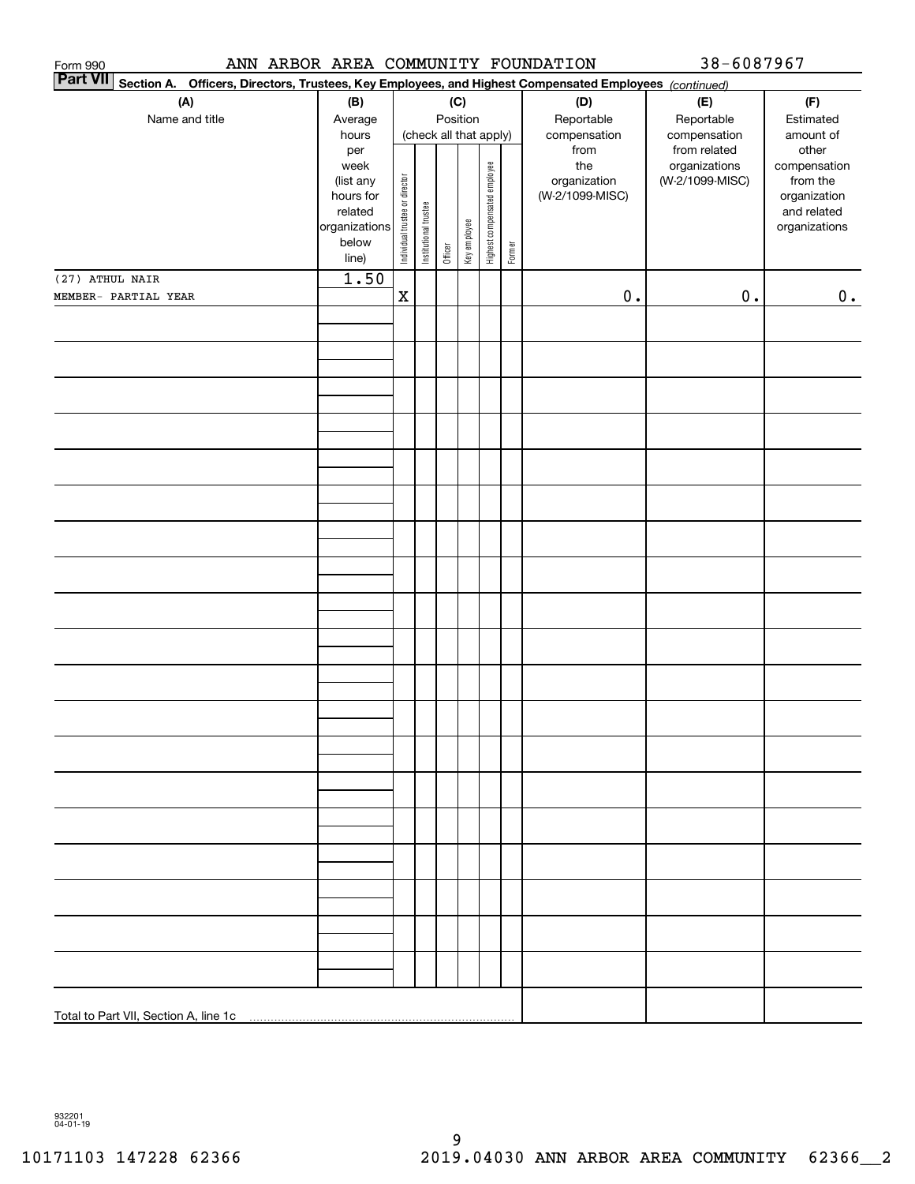| ANN ARBOR AREA COMMUNITY FOUNDATION<br>Form 990                                                                              |                |                                |                       |         |                        |                              |        |                 | 38-6087967                    |                       |
|------------------------------------------------------------------------------------------------------------------------------|----------------|--------------------------------|-----------------------|---------|------------------------|------------------------------|--------|-----------------|-------------------------------|-----------------------|
| <b>Part VII</b><br>Section A.<br>Officers, Directors, Trustees, Key Employees, and Highest Compensated Employees (continued) |                |                                |                       |         |                        |                              |        |                 |                               |                       |
| (A)                                                                                                                          | (B)            |                                |                       |         | (C)                    |                              |        | (D)             | (E)                           | (F)                   |
| Name and title                                                                                                               | Average        |                                |                       |         | Position               |                              |        | Reportable      | Reportable                    | Estimated             |
|                                                                                                                              | hours          |                                |                       |         | (check all that apply) |                              |        | compensation    | compensation                  | amount of             |
|                                                                                                                              | per<br>week    |                                |                       |         |                        |                              |        | from<br>the     | from related<br>organizations | other<br>compensation |
|                                                                                                                              | (list any      |                                |                       |         |                        |                              |        | organization    | (W-2/1099-MISC)               | from the              |
|                                                                                                                              | hours for      |                                |                       |         |                        |                              |        | (W-2/1099-MISC) |                               | organization          |
|                                                                                                                              | related        |                                |                       |         |                        |                              |        |                 |                               | and related           |
|                                                                                                                              | organizations  |                                |                       |         |                        |                              |        |                 |                               | organizations         |
|                                                                                                                              | below<br>line) | Individual trustee or director | Institutional trustee | Officer | Key employee           | Highest compensated employee | Former |                 |                               |                       |
| (27) ATHUL NAIR                                                                                                              | 1.50           |                                |                       |         |                        |                              |        |                 |                               |                       |
| MEMBER- PARTIAL YEAR                                                                                                         |                | $\mathbf x$                    |                       |         |                        |                              |        | $\mathbf 0$ .   | $0$ .                         | 0.                    |
|                                                                                                                              |                |                                |                       |         |                        |                              |        |                 |                               |                       |
|                                                                                                                              |                |                                |                       |         |                        |                              |        |                 |                               |                       |
|                                                                                                                              |                |                                |                       |         |                        |                              |        |                 |                               |                       |
|                                                                                                                              |                |                                |                       |         |                        |                              |        |                 |                               |                       |
|                                                                                                                              |                |                                |                       |         |                        |                              |        |                 |                               |                       |
|                                                                                                                              |                |                                |                       |         |                        |                              |        |                 |                               |                       |
|                                                                                                                              |                |                                |                       |         |                        |                              |        |                 |                               |                       |
|                                                                                                                              |                |                                |                       |         |                        |                              |        |                 |                               |                       |
|                                                                                                                              |                |                                |                       |         |                        |                              |        |                 |                               |                       |
|                                                                                                                              |                |                                |                       |         |                        |                              |        |                 |                               |                       |
|                                                                                                                              |                |                                |                       |         |                        |                              |        |                 |                               |                       |
|                                                                                                                              |                |                                |                       |         |                        |                              |        |                 |                               |                       |
|                                                                                                                              |                |                                |                       |         |                        |                              |        |                 |                               |                       |
|                                                                                                                              |                |                                |                       |         |                        |                              |        |                 |                               |                       |
|                                                                                                                              |                |                                |                       |         |                        |                              |        |                 |                               |                       |
|                                                                                                                              |                |                                |                       |         |                        |                              |        |                 |                               |                       |
|                                                                                                                              |                |                                |                       |         |                        |                              |        |                 |                               |                       |
|                                                                                                                              |                |                                |                       |         |                        |                              |        |                 |                               |                       |
|                                                                                                                              |                |                                |                       |         |                        |                              |        |                 |                               |                       |
|                                                                                                                              |                |                                |                       |         |                        |                              |        |                 |                               |                       |
|                                                                                                                              |                |                                |                       |         |                        |                              |        |                 |                               |                       |
|                                                                                                                              |                |                                |                       |         |                        |                              |        |                 |                               |                       |
|                                                                                                                              |                |                                |                       |         |                        |                              |        |                 |                               |                       |
|                                                                                                                              |                |                                |                       |         |                        |                              |        |                 |                               |                       |
|                                                                                                                              |                |                                |                       |         |                        |                              |        |                 |                               |                       |
|                                                                                                                              |                |                                |                       |         |                        |                              |        |                 |                               |                       |
|                                                                                                                              |                |                                |                       |         |                        |                              |        |                 |                               |                       |
|                                                                                                                              |                |                                |                       |         |                        |                              |        |                 |                               |                       |
|                                                                                                                              |                |                                |                       |         |                        |                              |        |                 |                               |                       |
|                                                                                                                              |                |                                |                       |         |                        |                              |        |                 |                               |                       |
|                                                                                                                              |                |                                |                       |         |                        |                              |        |                 |                               |                       |
|                                                                                                                              |                |                                |                       |         |                        |                              |        |                 |                               |                       |
|                                                                                                                              |                |                                |                       |         |                        |                              |        |                 |                               |                       |
|                                                                                                                              |                |                                |                       |         |                        |                              |        |                 |                               |                       |
|                                                                                                                              |                |                                |                       |         |                        |                              |        |                 |                               |                       |
|                                                                                                                              |                |                                |                       |         |                        |                              |        |                 |                               |                       |
|                                                                                                                              |                |                                |                       |         |                        |                              |        |                 |                               |                       |
|                                                                                                                              |                |                                |                       |         |                        |                              |        |                 |                               |                       |

932201 04-01-19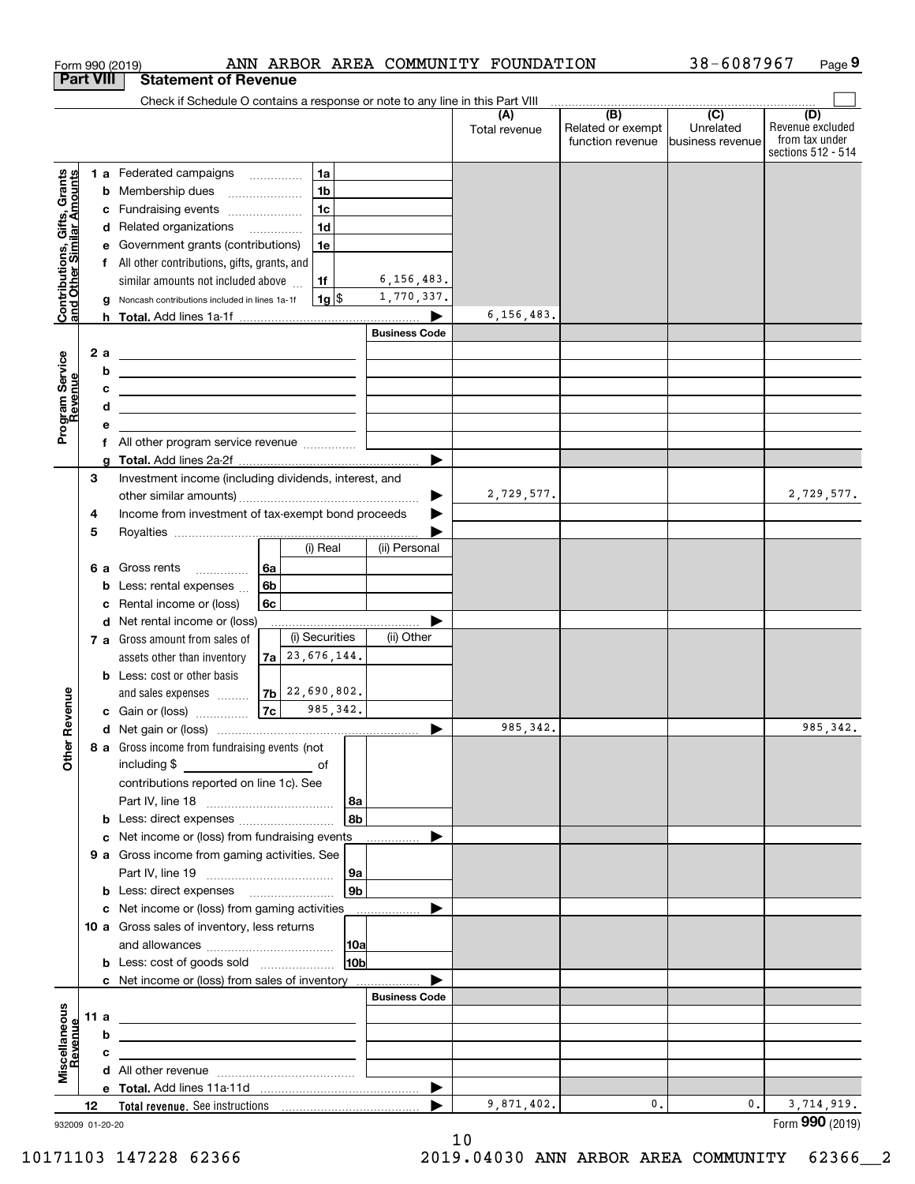|                                                           |                  |                 | Form 990 (2019)                                                                                                                                                                                                                      |                    |                        |                       | ANN ARBOR AREA COMMUNITY FOUNDATION |                                                     | 38-6087967                    | Page 9                                                   |
|-----------------------------------------------------------|------------------|-----------------|--------------------------------------------------------------------------------------------------------------------------------------------------------------------------------------------------------------------------------------|--------------------|------------------------|-----------------------|-------------------------------------|-----------------------------------------------------|-------------------------------|----------------------------------------------------------|
|                                                           | <b>Part VIII</b> |                 | <b>Statement of Revenue</b>                                                                                                                                                                                                          |                    |                        |                       |                                     |                                                     |                               |                                                          |
|                                                           |                  |                 | Check if Schedule O contains a response or note to any line in this Part VIII                                                                                                                                                        |                    |                        |                       | (A)                                 | $\overline{(\mathsf{B})}$ $\overline{(\mathsf{C})}$ |                               | (D)                                                      |
|                                                           |                  |                 |                                                                                                                                                                                                                                      |                    |                        |                       | Total revenue                       | Related or exempt<br>function revenue               | Unrelated<br>business revenue | Revenue excluded<br>from tax under<br>sections 512 - 514 |
|                                                           |                  |                 | 1 a Federated campaigns                                                                                                                                                                                                              |                    | 1a                     |                       |                                     |                                                     |                               |                                                          |
| Contributions, Gifts, Grants<br>and Other Similar Amounts |                  |                 | <b>b</b> Membership dues                                                                                                                                                                                                             | 1 <sub>b</sub>     |                        |                       |                                     |                                                     |                               |                                                          |
|                                                           |                  |                 | c Fundraising events                                                                                                                                                                                                                 | 1 <sub>c</sub>     |                        |                       |                                     |                                                     |                               |                                                          |
|                                                           |                  |                 | d Related organizations                                                                                                                                                                                                              | 1 <sub>d</sub>     |                        |                       |                                     |                                                     |                               |                                                          |
|                                                           |                  | е               | Government grants (contributions)                                                                                                                                                                                                    |                    | 1e                     |                       |                                     |                                                     |                               |                                                          |
|                                                           |                  |                 | f All other contributions, gifts, grants, and                                                                                                                                                                                        |                    |                        |                       |                                     |                                                     |                               |                                                          |
|                                                           |                  |                 | similar amounts not included above                                                                                                                                                                                                   | 1f                 |                        | 6, 156, 483.          |                                     |                                                     |                               |                                                          |
|                                                           |                  | g               | Noncash contributions included in lines 1a-1f                                                                                                                                                                                        |                    | $1g$ \$                | 1,770,337.            |                                     |                                                     |                               |                                                          |
|                                                           |                  |                 |                                                                                                                                                                                                                                      |                    |                        |                       | 6,156,483.                          |                                                     |                               |                                                          |
|                                                           |                  |                 |                                                                                                                                                                                                                                      |                    |                        | <b>Business Code</b>  |                                     |                                                     |                               |                                                          |
|                                                           | 2 a              |                 | <u> 1989 - Johann Harry Harry Harry Harry Harry Harry Harry Harry Harry Harry Harry Harry Harry Harry Harry Harry</u>                                                                                                                |                    |                        |                       |                                     |                                                     |                               |                                                          |
|                                                           |                  | b               | <u> 1989 - Johann John Stone, meil in der Stone aus der Stone aus der Stone aus der Stone aus der Stone anderes E</u>                                                                                                                |                    |                        |                       |                                     |                                                     |                               |                                                          |
| Program Service<br>Revenue                                |                  | с               | <u> Alexander (Alexander Alexander Alexander Alexander Alexander Alexander Alexander Alexander Alexander Alexander</u>                                                                                                               |                    |                        |                       |                                     |                                                     |                               |                                                          |
|                                                           |                  | d               | <u> 1989 - Johann Barbara, martin amerikan basal dan berasal dan berasal dalam basal dan berasal dan berasal dan</u>                                                                                                                 |                    |                        |                       |                                     |                                                     |                               |                                                          |
|                                                           |                  | е               |                                                                                                                                                                                                                                      |                    |                        |                       |                                     |                                                     |                               |                                                          |
|                                                           |                  |                 | f All other program service revenue                                                                                                                                                                                                  |                    |                        |                       |                                     |                                                     |                               |                                                          |
|                                                           | 3                | g               | Investment income (including dividends, interest, and                                                                                                                                                                                |                    |                        |                       |                                     |                                                     |                               |                                                          |
|                                                           |                  |                 |                                                                                                                                                                                                                                      |                    |                        |                       | 2,729,577.                          |                                                     |                               | 2,729,577.                                               |
|                                                           | 4                |                 | Income from investment of tax-exempt bond proceeds                                                                                                                                                                                   |                    |                        |                       |                                     |                                                     |                               |                                                          |
|                                                           | 5                |                 |                                                                                                                                                                                                                                      |                    |                        |                       |                                     |                                                     |                               |                                                          |
|                                                           |                  |                 |                                                                                                                                                                                                                                      |                    | (i) Real               | (ii) Personal         |                                     |                                                     |                               |                                                          |
|                                                           |                  |                 | 6 a Gross rents                                                                                                                                                                                                                      | 6a                 |                        |                       |                                     |                                                     |                               |                                                          |
|                                                           |                  | b               | Less: rental expenses                                                                                                                                                                                                                | 6b                 |                        |                       |                                     |                                                     |                               |                                                          |
|                                                           |                  | c               | Rental income or (loss)                                                                                                                                                                                                              | 6с                 |                        |                       |                                     |                                                     |                               |                                                          |
|                                                           |                  |                 | d Net rental income or (loss)                                                                                                                                                                                                        |                    |                        |                       |                                     |                                                     |                               |                                                          |
|                                                           |                  |                 | 7 a Gross amount from sales of                                                                                                                                                                                                       |                    | (i) Securities         | (ii) Other            |                                     |                                                     |                               |                                                          |
|                                                           |                  |                 | assets other than inventory                                                                                                                                                                                                          | $7a$ 23, 676, 144. |                        |                       |                                     |                                                     |                               |                                                          |
|                                                           |                  |                 | <b>b</b> Less: cost or other basis                                                                                                                                                                                                   |                    |                        |                       |                                     |                                                     |                               |                                                          |
|                                                           |                  |                 | and sales expenses                                                                                                                                                                                                                   | $ 7b $ 22,690,802. |                        |                       |                                     |                                                     |                               |                                                          |
| evenue                                                    |                  |                 | c Gain or (loss)                                                                                                                                                                                                                     | 7c                 | 985, 342.              |                       |                                     |                                                     |                               |                                                          |
| œ                                                         |                  |                 |                                                                                                                                                                                                                                      |                    |                        |                       | 985, 342.                           |                                                     |                               | 985, 342.                                                |
| Other                                                     |                  |                 | 8 a Gross income from fundraising events (not                                                                                                                                                                                        |                    |                        |                       |                                     |                                                     |                               |                                                          |
|                                                           |                  |                 |                                                                                                                                                                                                                                      |                    |                        |                       |                                     |                                                     |                               |                                                          |
|                                                           |                  |                 | contributions reported on line 1c). See                                                                                                                                                                                              |                    |                        |                       |                                     |                                                     |                               |                                                          |
|                                                           |                  |                 |                                                                                                                                                                                                                                      |                    | 8a                     |                       |                                     |                                                     |                               |                                                          |
|                                                           |                  |                 | <b>b</b> Less: direct expenses                                                                                                                                                                                                       |                    | l 8b                   |                       |                                     |                                                     |                               |                                                          |
|                                                           |                  |                 | c Net income or (loss) from fundraising events                                                                                                                                                                                       |                    |                        |                       |                                     |                                                     |                               |                                                          |
|                                                           |                  |                 | 9 a Gross income from gaming activities. See                                                                                                                                                                                         |                    |                        |                       |                                     |                                                     |                               |                                                          |
|                                                           |                  |                 |                                                                                                                                                                                                                                      |                    | 9a                     |                       |                                     |                                                     |                               |                                                          |
|                                                           |                  |                 | <b>b</b> Less: direct expenses <b>manually</b>                                                                                                                                                                                       |                    | l 9b                   |                       |                                     |                                                     |                               |                                                          |
|                                                           |                  |                 | <b>c</b> Net income or (loss) from gaming activities                                                                                                                                                                                 |                    |                        |                       |                                     |                                                     |                               |                                                          |
|                                                           |                  |                 | 10 a Gross sales of inventory, less returns                                                                                                                                                                                          |                    |                        |                       |                                     |                                                     |                               |                                                          |
|                                                           |                  |                 |                                                                                                                                                                                                                                      |                    | 10a<br>10 <sub>b</sub> |                       |                                     |                                                     |                               |                                                          |
|                                                           |                  |                 | <b>b</b> Less: cost of goods sold                                                                                                                                                                                                    |                    |                        |                       |                                     |                                                     |                               |                                                          |
|                                                           |                  |                 | c Net income or (loss) from sales of inventory                                                                                                                                                                                       |                    |                        | <b>Business Code</b>  |                                     |                                                     |                               |                                                          |
|                                                           | 11 a             |                 |                                                                                                                                                                                                                                      |                    |                        |                       |                                     |                                                     |                               |                                                          |
|                                                           |                  |                 | <u> 1989 - Andrea Stadt Britain, amerikansk politiker (</u>                                                                                                                                                                          |                    |                        |                       |                                     |                                                     |                               |                                                          |
|                                                           |                  | b<br>с          | <u>experimental control of the control of the control of the control of the control of the control of the control of the control of the control of the control of the control of the control of the control of the control of th</u> |                    |                        |                       |                                     |                                                     |                               |                                                          |
| Miscellaneous<br>Revenue                                  |                  |                 | the contract of the contract of the contract of the contract of the contract of                                                                                                                                                      |                    |                        |                       |                                     |                                                     |                               |                                                          |
|                                                           |                  |                 |                                                                                                                                                                                                                                      |                    |                        | $\blacktriangleright$ |                                     |                                                     |                               |                                                          |
|                                                           | 12 <sup>12</sup> |                 |                                                                                                                                                                                                                                      |                    |                        |                       | 9,871,402.                          | 0.                                                  | 0.                            | 3,714,919.                                               |
|                                                           |                  | 932009 01-20-20 |                                                                                                                                                                                                                                      |                    |                        |                       |                                     |                                                     |                               | Form 990 (2019)                                          |

932009 01-20-20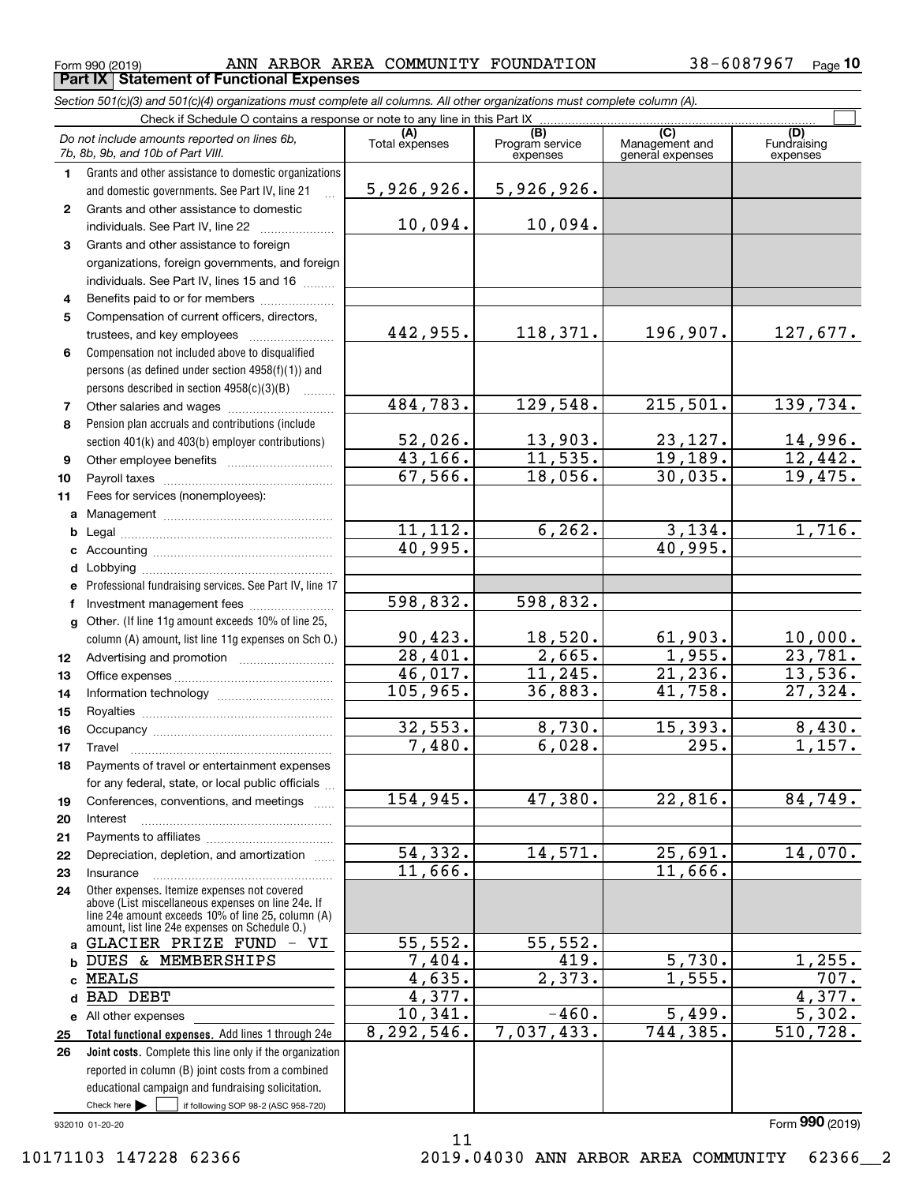$\mathcal{L}^{\text{max}}$ 

|    | <b>Part IX   Statement of Functional Expenses</b>                                                                                                    |                |                                    |                                           |                                |
|----|------------------------------------------------------------------------------------------------------------------------------------------------------|----------------|------------------------------------|-------------------------------------------|--------------------------------|
|    | Section 501(c)(3) and 501(c)(4) organizations must complete all columns. All other organizations must complete column (A).                           |                |                                    |                                           |                                |
|    | Check if Schedule O contains a response or note to any line in this Part IX                                                                          |                |                                    |                                           |                                |
|    | Do not include amounts reported on lines 6b,<br>7b, 8b, 9b, and 10b of Part VIII.                                                                    | Total expenses | (B)<br>Program service<br>expenses | (C)<br>Management and<br>general expenses | (D)<br>Fundraising<br>expenses |
| 1  | Grants and other assistance to domestic organizations<br>and domestic governments. See Part IV, line 21                                              | 5,926,926.     | 5,926,926.                         |                                           |                                |
| 2  | Grants and other assistance to domestic<br>individuals. See Part IV, line 22                                                                         | 10,094.        | 10,094.                            |                                           |                                |
| 3  | Grants and other assistance to foreign<br>organizations, foreign governments, and foreign<br>individuals. See Part IV, lines 15 and 16               |                |                                    |                                           |                                |
| 4  | Benefits paid to or for members                                                                                                                      |                |                                    |                                           |                                |
| 5  | Compensation of current officers, directors,<br>trustees, and key employees                                                                          | 442,955.       | 118, 371.                          | 196,907.                                  | 127,6                          |
| 6  | Compensation not included above to disqualified<br>persons (as defined under section 4958(f)(1)) and<br>persons described in section $4958(c)(3)(B)$ |                |                                    |                                           |                                |
| 7  |                                                                                                                                                      | 484,783.       | 129,548.                           | 215,501.                                  | 139,7                          |
| 8  | Pension plan accruals and contributions (include                                                                                                     | 52,026.        | 13,903.                            | 23,127.                                   | 14,9                           |
| 9  | section 401(k) and 403(b) employer contributions)                                                                                                    | 43,166.        | 11,535.                            | 19,189.                                   | 12,4                           |
| 10 | Payroll taxes                                                                                                                                        | 67,566.        | 18,056.                            | 30,035.                                   | 19,4                           |
| 11 | Fees for services (nonemployees):                                                                                                                    |                |                                    |                                           |                                |
|    | $h \cdot \text{total}$                                                                                                                               | 112<br>11      | 6262                               | 134<br>٩                                  | - 7                            |

|              | and domestic governments. See Part IV, line 21                                                                                                           | 5,926,926.              | 5, 926, 926.           |                           |                           |
|--------------|----------------------------------------------------------------------------------------------------------------------------------------------------------|-------------------------|------------------------|---------------------------|---------------------------|
| $\mathbf{2}$ | Grants and other assistance to domestic                                                                                                                  |                         |                        |                           |                           |
|              | individuals. See Part IV, line 22                                                                                                                        | 10,094.                 | 10,094.                |                           |                           |
| 3            | Grants and other assistance to foreign                                                                                                                   |                         |                        |                           |                           |
|              | organizations, foreign governments, and foreign                                                                                                          |                         |                        |                           |                           |
|              | individuals. See Part IV, lines 15 and 16                                                                                                                |                         |                        |                           |                           |
| 4            | Benefits paid to or for members                                                                                                                          |                         |                        |                           |                           |
| 5            | Compensation of current officers, directors,                                                                                                             |                         |                        |                           |                           |
|              | trustees, and key employees                                                                                                                              | 442,955.                | 118,371.               | 196,907.                  | 127,677.                  |
| 6            | Compensation not included above to disqualified                                                                                                          |                         |                        |                           |                           |
|              | persons (as defined under section 4958(f)(1)) and                                                                                                        |                         |                        |                           |                           |
|              | persons described in section 4958(c)(3)(B)                                                                                                               |                         |                        |                           |                           |
| 7            |                                                                                                                                                          | 484,783.                | 129, 548.              | 215,501.                  | 139,734.                  |
| 8            | Pension plan accruals and contributions (include                                                                                                         |                         |                        |                           |                           |
|              | section 401(k) and 403(b) employer contributions)                                                                                                        | $\frac{52,026}{43,166}$ |                        |                           |                           |
| 9            |                                                                                                                                                          |                         | 13,903.<br>11,535.     | $\frac{23,127.}{19,189.}$ | $\frac{14,996.}{12,442.}$ |
| 10           |                                                                                                                                                          | 67,566.                 | 18,056.                | 30,035.                   | 19,475.                   |
| 11           | Fees for services (nonemployees):                                                                                                                        |                         |                        |                           |                           |
|              |                                                                                                                                                          |                         |                        |                           |                           |
|              |                                                                                                                                                          | 11,112.                 | 6, 262.                | 3,134.                    | 1,716.                    |
|              |                                                                                                                                                          | 40,995.                 |                        | 40,995.                   |                           |
|              |                                                                                                                                                          |                         |                        |                           |                           |
|              | e Professional fundraising services. See Part IV, line 17                                                                                                |                         |                        |                           |                           |
|              | Investment management fees                                                                                                                               | 598,832.                | 598,832.               |                           |                           |
|              | g Other. (If line 11g amount exceeds 10% of line 25,                                                                                                     |                         |                        |                           |                           |
|              | column (A) amount, list line 11g expenses on Sch 0.)                                                                                                     | 90,423.                 |                        |                           | <u>10,000.</u>            |
| 12           |                                                                                                                                                          | 28,401.                 | $\frac{18,520}{2,665}$ | $\frac{61,903.}{1,955.}$  | 23,781.                   |
| 13           |                                                                                                                                                          | 46,017.                 | 11,245.                | 21,236.                   | 13,536.                   |
| 14           |                                                                                                                                                          | 105,965.                | 36,883.                | 41,758.                   | $\overline{27,324}$ .     |
| 15           |                                                                                                                                                          |                         |                        |                           |                           |
| 16           |                                                                                                                                                          | 32,553.                 | 8,730.                 | 15,393.                   | 8,430.                    |
| 17           | Travel                                                                                                                                                   | 7,480.                  | 6,028.                 | 295.                      | 1,157.                    |
| 18           | Payments of travel or entertainment expenses                                                                                                             |                         |                        |                           |                           |
|              | for any federal, state, or local public officials                                                                                                        |                         |                        |                           |                           |
| 19           | Conferences, conventions, and meetings                                                                                                                   | 154,945.                | 47,380.                | 22,816.                   | 84,749.                   |
| 20           | Interest                                                                                                                                                 |                         |                        |                           |                           |
| 21           |                                                                                                                                                          |                         |                        |                           |                           |
| 22           | Depreciation, depletion, and amortization<br>$\overline{1}$                                                                                              | 54,332.                 | 14,571.                | 25,691.                   | 14,070.                   |
| 23           | Insurance                                                                                                                                                | 11,666.                 |                        | 11,666.                   |                           |
| 24           | Other expenses. Itemize expenses not covered<br>above (List miscellaneous expenses on line 24e. If<br>line 24e amount exceeds 10% of line 25, column (A) |                         |                        |                           |                           |
|              | amount, list line 24e expenses on Schedule O.)<br>GLACIER PRIZE FUND - VI                                                                                | 55,552.                 | 55,552.                |                           |                           |
|              | DUES & MEMBERSHIPS                                                                                                                                       | 7,404.                  | 419.                   | 5,730.                    | 1,255.                    |
|              | <b>MEALS</b>                                                                                                                                             | 4,635.                  | 2,373.                 | 1,555.                    | 707.                      |
| d            | <b>BAD DEBT</b>                                                                                                                                          | 4,377.                  |                        |                           | 4,377.                    |
|              | e All other expenses                                                                                                                                     | 10,341.                 | $-460.$                | 5,499.                    | $\overline{5,302}$ .      |
| 25           | Total functional expenses. Add lines 1 through 24e                                                                                                       | 8,292,546.              | 7,037,433.             | 744,385.                  | 510,728.                  |
| 26           | <b>Joint costs.</b> Complete this line only if the organization                                                                                          |                         |                        |                           |                           |
|              | reported in column (B) joint costs from a combined                                                                                                       |                         |                        |                           |                           |
|              | educational campaign and fundraising solicitation.                                                                                                       |                         |                        |                           |                           |
|              | Check here<br>if following SOP 98-2 (ASC 958-720)                                                                                                        |                         |                        |                           |                           |
|              | 032010 01-20-20                                                                                                                                          |                         |                        |                           | Form 990 (2019)           |

11

#### 932010 01-20-20

Form (2019) **990**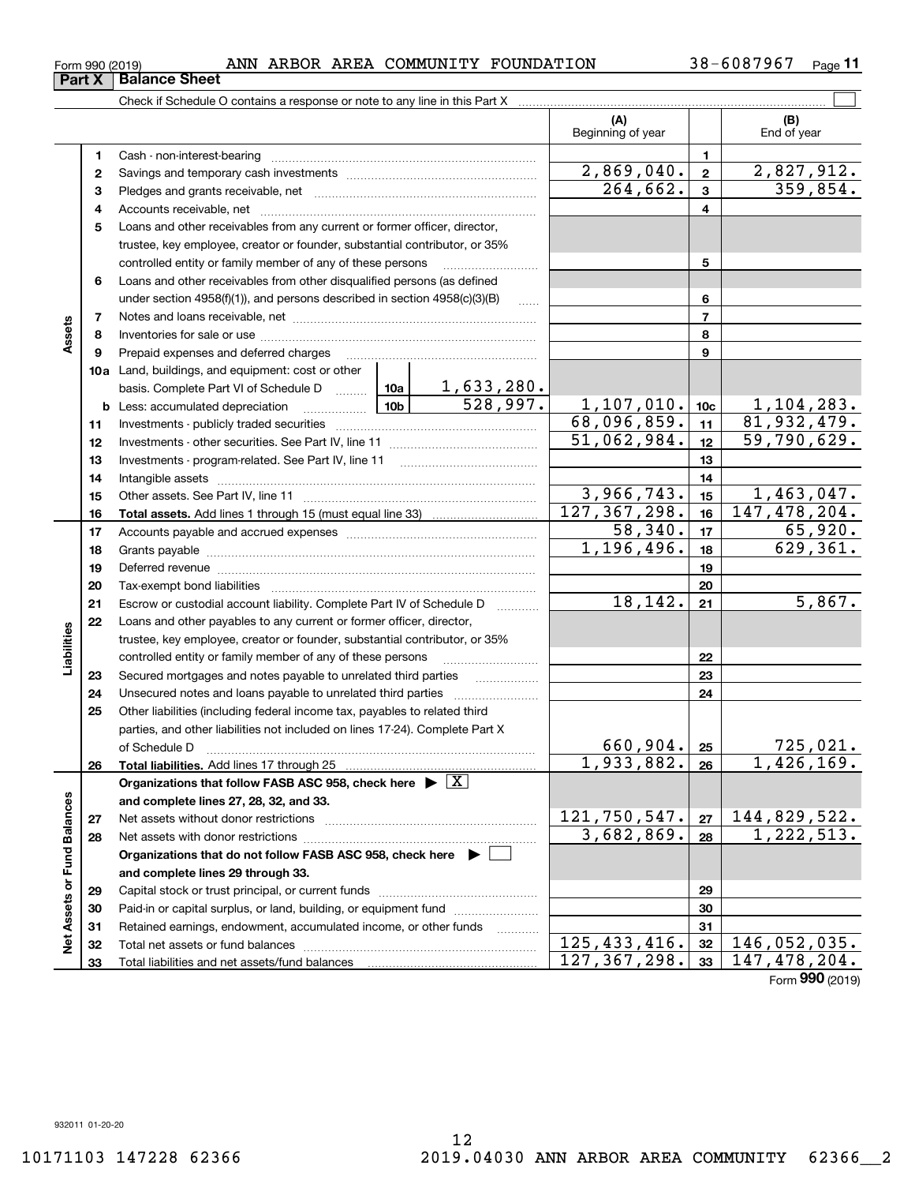# 12 10171103 147228 62366 2019.04030 ANN ARBOR AREA COMMUNITY 62366\_\_2

**11**

|                             |    |                                                                                                                                                                                                                                |            |                | (A)<br>Beginning of year |                 | (B)<br>End of year        |
|-----------------------------|----|--------------------------------------------------------------------------------------------------------------------------------------------------------------------------------------------------------------------------------|------------|----------------|--------------------------|-----------------|---------------------------|
|                             | 1  |                                                                                                                                                                                                                                |            |                |                          | $\mathbf{1}$    |                           |
|                             | 2  |                                                                                                                                                                                                                                |            |                | 2,869,040.               | $\mathbf{2}$    | 2,827,912.                |
|                             | 3  |                                                                                                                                                                                                                                |            |                | 264,662.                 | $\mathbf{3}$    | 359,854.                  |
|                             | 4  |                                                                                                                                                                                                                                |            |                |                          | $\overline{4}$  |                           |
|                             | 5  | Loans and other receivables from any current or former officer, director,                                                                                                                                                      |            |                |                          |                 |                           |
|                             |    | trustee, key employee, creator or founder, substantial contributor, or 35%                                                                                                                                                     |            |                |                          |                 |                           |
|                             |    | controlled entity or family member of any of these persons                                                                                                                                                                     |            |                |                          | 5               |                           |
|                             | 6  | Loans and other receivables from other disqualified persons (as defined                                                                                                                                                        |            |                |                          |                 |                           |
|                             |    | under section 4958(f)(1)), and persons described in section 4958(c)(3)(B)                                                                                                                                                      |            | <b>Section</b> |                          | 6               |                           |
|                             | 7  |                                                                                                                                                                                                                                |            |                |                          | $\overline{7}$  |                           |
| Assets                      | 8  |                                                                                                                                                                                                                                |            |                |                          | 8               |                           |
|                             | 9  | Prepaid expenses and deferred charges                                                                                                                                                                                          |            |                |                          | 9               |                           |
|                             |    | <b>10a</b> Land, buildings, and equipment: cost or other                                                                                                                                                                       |            |                |                          |                 |                           |
|                             |    | basis. Complete Part VI of Schedule D  10a                                                                                                                                                                                     |            | 1,633,280.     |                          |                 |                           |
|                             |    |                                                                                                                                                                                                                                |            | 528,997.       | 1,107,010.               | 10 <sub>c</sub> | 1,104,283.                |
|                             | 11 |                                                                                                                                                                                                                                |            |                | 68,096,859.              | 11              | 81,932,479.               |
|                             | 12 |                                                                                                                                                                                                                                |            |                | 51,062,984.              | 12              | $\overline{59,790,629}$ . |
|                             | 13 |                                                                                                                                                                                                                                |            |                | 13                       |                 |                           |
|                             | 14 |                                                                                                                                                                                                                                |            |                | 14                       |                 |                           |
|                             | 15 |                                                                                                                                                                                                                                |            | 3,966,743.     | 15                       | 1,463,047.      |                           |
|                             | 16 |                                                                                                                                                                                                                                |            |                | 127, 367, 298.           | 16              | 147,478,204.              |
|                             | 17 |                                                                                                                                                                                                                                |            |                | 58,340.                  | 17              | 65,920.                   |
|                             | 18 |                                                                                                                                                                                                                                |            |                | 1,196,496.               | 18              | $\overline{629,361}$ .    |
|                             | 19 | Deferred revenue manual contracts and contracts are contracted and contract and contract are contracted and contract are contracted and contract are contracted and contract are contracted and contract are contracted and co |            |                |                          | 19              |                           |
|                             | 20 |                                                                                                                                                                                                                                |            |                |                          | 20              |                           |
|                             | 21 | Escrow or custodial account liability. Complete Part IV of Schedule D                                                                                                                                                          |            |                | 18,142.                  | 21              | 5,867.                    |
|                             | 22 | Loans and other payables to any current or former officer, director,                                                                                                                                                           |            |                |                          |                 |                           |
| Liabilities                 |    | trustee, key employee, creator or founder, substantial contributor, or 35%                                                                                                                                                     |            |                |                          |                 |                           |
|                             |    | controlled entity or family member of any of these persons                                                                                                                                                                     |            |                |                          | 22              |                           |
|                             | 23 | Secured mortgages and notes payable to unrelated third parties                                                                                                                                                                 |            |                |                          | 23              |                           |
|                             | 24 | Unsecured notes and loans payable to unrelated third parties                                                                                                                                                                   |            |                |                          | 24              |                           |
|                             | 25 | Other liabilities (including federal income tax, payables to related third                                                                                                                                                     |            |                |                          |                 |                           |
|                             |    | parties, and other liabilities not included on lines 17-24). Complete Part X                                                                                                                                                   |            |                | $660,904.$ 25            |                 | 725,021.                  |
|                             |    | of Schedule D<br>Total liabilities. Add lines 17 through 25                                                                                                                                                                    |            |                | 1,933,882.               | 26              | 1,426,169.                |
|                             | 26 | Organizations that follow FASB ASC 958, check here $\triangleright \lfloor X \rfloor$                                                                                                                                          |            |                |                          |                 |                           |
|                             |    | and complete lines 27, 28, 32, and 33.                                                                                                                                                                                         |            |                |                          |                 |                           |
|                             | 27 |                                                                                                                                                                                                                                |            |                | 121,750,547.             | 27              | 144,829,522.              |
|                             | 28 |                                                                                                                                                                                                                                | 3,682,869. | 28             | 1,222,513.               |                 |                           |
|                             |    | Organizations that do not follow FASB ASC 958, check here $\blacktriangleright$                                                                                                                                                |            |                |                          |                 |                           |
|                             |    | and complete lines 29 through 33.                                                                                                                                                                                              |            |                |                          |                 |                           |
|                             | 29 |                                                                                                                                                                                                                                |            |                |                          | 29              |                           |
|                             | 30 | Paid-in or capital surplus, or land, building, or equipment fund                                                                                                                                                               |            |                |                          | 30              |                           |
|                             | 31 | Retained earnings, endowment, accumulated income, or other funds                                                                                                                                                               |            |                |                          | 31              |                           |
| Net Assets or Fund Balances | 32 |                                                                                                                                                                                                                                |            |                | 125, 433, 416.           | 32              | 146,052,035.              |
|                             | 33 | Total liabilities and net assets/fund balances                                                                                                                                                                                 |            |                | 127, 367, 298.           | 33              | 147, 478, 204.            |
|                             |    |                                                                                                                                                                                                                                |            |                |                          |                 | Form 990 (2019)           |

**Part X Balance Sheet**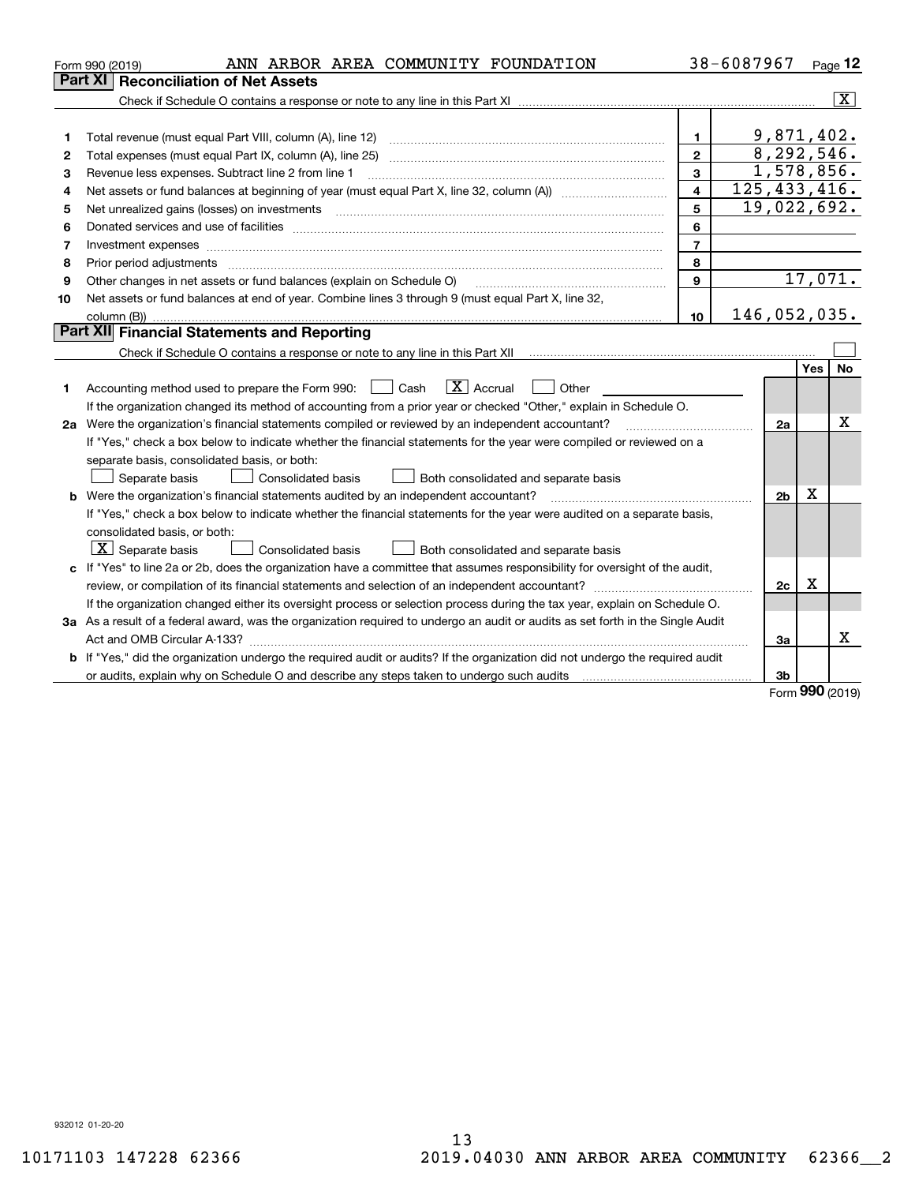|                                                                                                                                 | 38-6087967     |            | Page 12                 |
|---------------------------------------------------------------------------------------------------------------------------------|----------------|------------|-------------------------|
| Part XI<br><b>Reconciliation of Net Assets</b>                                                                                  |                |            |                         |
|                                                                                                                                 |                |            | $\overline{\mathbf{x}}$ |
|                                                                                                                                 |                |            |                         |
| 1.<br>1                                                                                                                         | 9,871,402.     |            |                         |
| $\overline{2}$<br>2                                                                                                             | 8,292,546.     |            |                         |
| 3<br>Revenue less expenses. Subtract line 2 from line 1<br>3                                                                    | 1,578,856.     |            |                         |
| 4<br>4                                                                                                                          | 125, 433, 416. |            |                         |
| 5<br>5<br>Net unrealized gains (losses) on investments                                                                          | 19,022,692.    |            |                         |
| 6<br>6                                                                                                                          |                |            |                         |
| $\overline{7}$<br>Investment expenses<br>7                                                                                      |                |            |                         |
| 8<br>8                                                                                                                          |                |            |                         |
| $\mathbf{9}$<br>Other changes in net assets or fund balances (explain on Schedule O)<br>9                                       |                |            | 17,071.                 |
| Net assets or fund balances at end of year. Combine lines 3 through 9 (must equal Part X, line 32,<br>10                        |                |            |                         |
| 10 <sup>10</sup>                                                                                                                | 146,052,035.   |            |                         |
| <b>Part XII</b> Financial Statements and Reporting                                                                              |                |            |                         |
|                                                                                                                                 |                |            |                         |
|                                                                                                                                 |                | Yes        | No                      |
| $\boxed{\text{X}}$ Accrual<br>Accounting method used to prepare the Form 990: <u>I</u> Cash<br>Other<br>1                       |                |            |                         |
| If the organization changed its method of accounting from a prior year or checked "Other," explain in Schedule O.               |                |            |                         |
| 2a Were the organization's financial statements compiled or reviewed by an independent accountant?                              | 2a             |            | Χ                       |
| If "Yes," check a box below to indicate whether the financial statements for the year were compiled or reviewed on a            |                |            |                         |
| separate basis, consolidated basis, or both:                                                                                    |                |            |                         |
| Both consolidated and separate basis<br>Separate basis<br>Consolidated basis                                                    |                |            |                         |
| <b>b</b> Were the organization's financial statements audited by an independent accountant?                                     | 2 <sub>b</sub> | X          |                         |
| If "Yes," check a box below to indicate whether the financial statements for the year were audited on a separate basis,         |                |            |                         |
| consolidated basis, or both:                                                                                                    |                |            |                         |
| $\boxed{\textbf{X}}$ Separate basis<br>Consolidated basis<br>Both consolidated and separate basis                               |                |            |                         |
| c If "Yes" to line 2a or 2b, does the organization have a committee that assumes responsibility for oversight of the audit,     |                |            |                         |
|                                                                                                                                 | 2c             | X          |                         |
| If the organization changed either its oversight process or selection process during the tax year, explain on Schedule O.       |                |            |                         |
| 3a As a result of a federal award, was the organization required to undergo an audit or audits as set forth in the Single Audit |                |            |                         |
|                                                                                                                                 | За             |            | x                       |
| b If "Yes," did the organization undergo the required audit or audits? If the organization did not undergo the required audit   |                |            |                         |
| or audits, explain why on Schedule O and describe any steps taken to undergo such audits [11] content to under                  | 3b             | <b>nnn</b> |                         |

Form (2019) **990**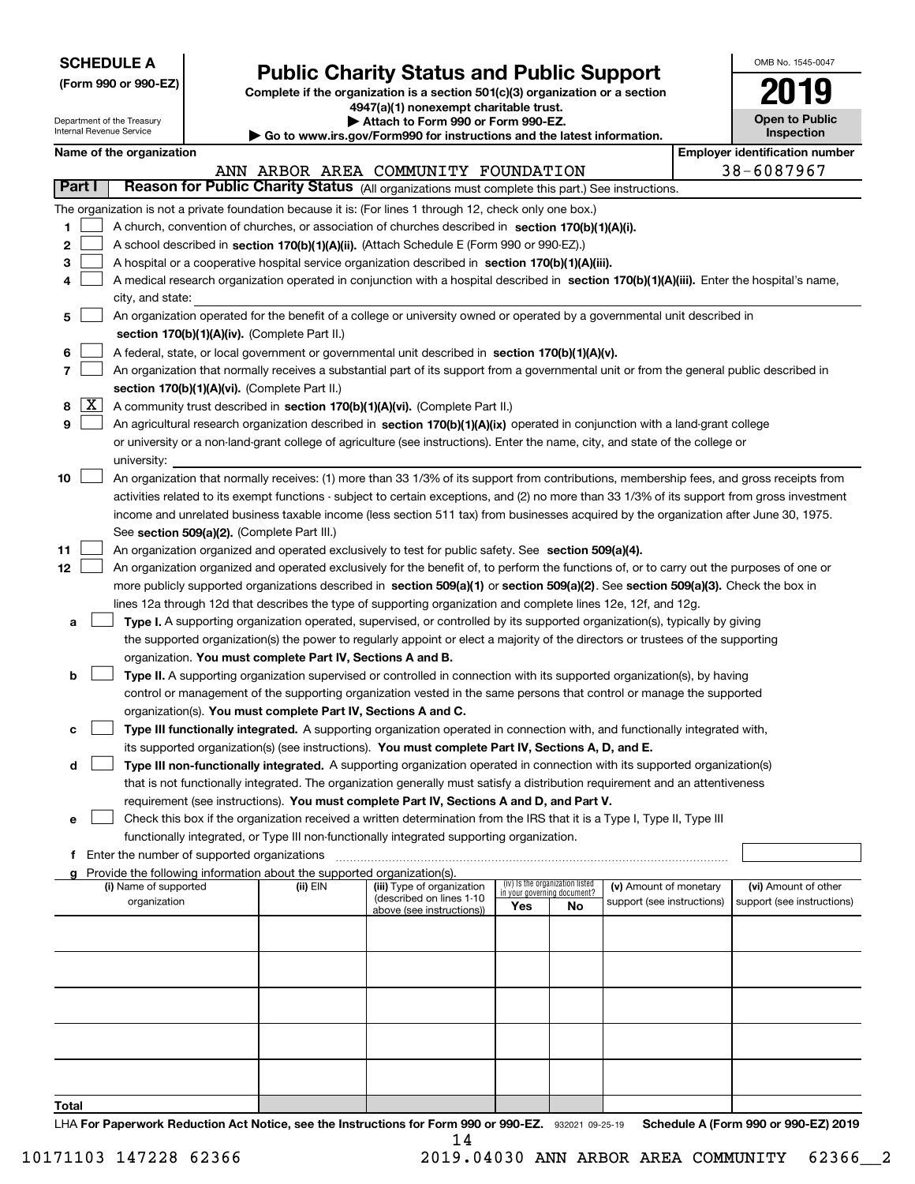| <b>SCHEDULE A</b> |
|-------------------|
|-------------------|

**(Form 990 or 990-EZ)**

# **Public Charity Status and Public Support**

**Complete if the organization is a section 501(c)(3) organization or a section 4947(a)(1) nonexempt charitable trust. | Attach to Form 990 or Form 990-EZ.** 

| Go to www.irs.gov/Form990 for instructions and the latest information. |  |  |
|------------------------------------------------------------------------|--|--|
|                                                                        |  |  |

| OMB No. 1545-0047                   |
|-------------------------------------|
| 2019                                |
| <b>Open to Public</b><br>Inspection |

|                    | Department of the Treasury<br>▶ Attach to Form 990 or Form 990-EZ.<br><b>Open to Public</b><br>Internal Revenue Service<br><b>Inspection</b><br>Go to www.irs.gov/Form990 for instructions and the latest information.                                                                                                                                                                                                                                                                                                                                                                                                                                                                                                                                                                                                                                                                                                                                                                                                                                                                                                                       |                                                                                                                                                                                                                                                                                                                                                                                                                                                                                                                                                                 |                                             |                                                                                    |                                                                                                                                                                                                                                                                                                                                                                                                                                                                |                                    |                                        |                                                      |  |                                                    |
|--------------------|----------------------------------------------------------------------------------------------------------------------------------------------------------------------------------------------------------------------------------------------------------------------------------------------------------------------------------------------------------------------------------------------------------------------------------------------------------------------------------------------------------------------------------------------------------------------------------------------------------------------------------------------------------------------------------------------------------------------------------------------------------------------------------------------------------------------------------------------------------------------------------------------------------------------------------------------------------------------------------------------------------------------------------------------------------------------------------------------------------------------------------------------|-----------------------------------------------------------------------------------------------------------------------------------------------------------------------------------------------------------------------------------------------------------------------------------------------------------------------------------------------------------------------------------------------------------------------------------------------------------------------------------------------------------------------------------------------------------------|---------------------------------------------|------------------------------------------------------------------------------------|----------------------------------------------------------------------------------------------------------------------------------------------------------------------------------------------------------------------------------------------------------------------------------------------------------------------------------------------------------------------------------------------------------------------------------------------------------------|------------------------------------|----------------------------------------|------------------------------------------------------|--|----------------------------------------------------|
|                    | <b>Employer identification number</b><br>Name of the organization                                                                                                                                                                                                                                                                                                                                                                                                                                                                                                                                                                                                                                                                                                                                                                                                                                                                                                                                                                                                                                                                            |                                                                                                                                                                                                                                                                                                                                                                                                                                                                                                                                                                 |                                             |                                                                                    |                                                                                                                                                                                                                                                                                                                                                                                                                                                                |                                    |                                        |                                                      |  |                                                    |
|                    |                                                                                                                                                                                                                                                                                                                                                                                                                                                                                                                                                                                                                                                                                                                                                                                                                                                                                                                                                                                                                                                                                                                                              | 38-6087967<br>ANN ARBOR AREA COMMUNITY FOUNDATION                                                                                                                                                                                                                                                                                                                                                                                                                                                                                                               |                                             |                                                                                    |                                                                                                                                                                                                                                                                                                                                                                                                                                                                |                                    |                                        |                                                      |  |                                                    |
| Part I             |                                                                                                                                                                                                                                                                                                                                                                                                                                                                                                                                                                                                                                                                                                                                                                                                                                                                                                                                                                                                                                                                                                                                              | Reason for Public Charity Status (All organizations must complete this part.) See instructions.                                                                                                                                                                                                                                                                                                                                                                                                                                                                 |                                             |                                                                                    |                                                                                                                                                                                                                                                                                                                                                                                                                                                                |                                    |                                        |                                                      |  |                                                    |
| 1<br>2<br>3<br>4   |                                                                                                                                                                                                                                                                                                                                                                                                                                                                                                                                                                                                                                                                                                                                                                                                                                                                                                                                                                                                                                                                                                                                              | The organization is not a private foundation because it is: (For lines 1 through 12, check only one box.)<br>A church, convention of churches, or association of churches described in section 170(b)(1)(A)(i).<br>A school described in section 170(b)(1)(A)(ii). (Attach Schedule E (Form 990 or 990-EZ).)<br>A hospital or a cooperative hospital service organization described in section 170(b)(1)(A)(iii).<br>A medical research organization operated in conjunction with a hospital described in section 170(b)(1)(A)(iii). Enter the hospital's name, |                                             |                                                                                    |                                                                                                                                                                                                                                                                                                                                                                                                                                                                |                                    |                                        |                                                      |  |                                                    |
| 5                  |                                                                                                                                                                                                                                                                                                                                                                                                                                                                                                                                                                                                                                                                                                                                                                                                                                                                                                                                                                                                                                                                                                                                              | city, and state:                                                                                                                                                                                                                                                                                                                                                                                                                                                                                                                                                |                                             |                                                                                    | An organization operated for the benefit of a college or university owned or operated by a governmental unit described in                                                                                                                                                                                                                                                                                                                                      |                                    |                                        |                                                      |  |                                                    |
|                    |                                                                                                                                                                                                                                                                                                                                                                                                                                                                                                                                                                                                                                                                                                                                                                                                                                                                                                                                                                                                                                                                                                                                              |                                                                                                                                                                                                                                                                                                                                                                                                                                                                                                                                                                 |                                             | section 170(b)(1)(A)(iv). (Complete Part II.)                                      |                                                                                                                                                                                                                                                                                                                                                                                                                                                                |                                    |                                        |                                                      |  |                                                    |
| 6<br>7<br>8<br>9   | X                                                                                                                                                                                                                                                                                                                                                                                                                                                                                                                                                                                                                                                                                                                                                                                                                                                                                                                                                                                                                                                                                                                                            |                                                                                                                                                                                                                                                                                                                                                                                                                                                                                                                                                                 |                                             | section 170(b)(1)(A)(vi). (Complete Part II.)                                      | A federal, state, or local government or governmental unit described in section 170(b)(1)(A)(v).<br>An organization that normally receives a substantial part of its support from a governmental unit or from the general public described in<br>A community trust described in section 170(b)(1)(A)(vi). (Complete Part II.)<br>An agricultural research organization described in section 170(b)(1)(A)(ix) operated in conjunction with a land-grant college |                                    |                                        |                                                      |  |                                                    |
|                    |                                                                                                                                                                                                                                                                                                                                                                                                                                                                                                                                                                                                                                                                                                                                                                                                                                                                                                                                                                                                                                                                                                                                              |                                                                                                                                                                                                                                                                                                                                                                                                                                                                                                                                                                 |                                             |                                                                                    | or university or a non-land-grant college of agriculture (see instructions). Enter the name, city, and state of the college or                                                                                                                                                                                                                                                                                                                                 |                                    |                                        |                                                      |  |                                                    |
| 10                 |                                                                                                                                                                                                                                                                                                                                                                                                                                                                                                                                                                                                                                                                                                                                                                                                                                                                                                                                                                                                                                                                                                                                              | university:<br>An organization that normally receives: (1) more than 33 1/3% of its support from contributions, membership fees, and gross receipts from<br>activities related to its exempt functions - subject to certain exceptions, and (2) no more than 33 1/3% of its support from gross investment<br>income and unrelated business taxable income (less section 511 tax) from businesses acquired by the organization after June 30, 1975.                                                                                                              |                                             |                                                                                    |                                                                                                                                                                                                                                                                                                                                                                                                                                                                |                                    |                                        |                                                      |  |                                                    |
| 11<br>12<br>а<br>b | See section 509(a)(2). (Complete Part III.)<br>An organization organized and operated exclusively to test for public safety. See section 509(a)(4).<br>An organization organized and operated exclusively for the benefit of, to perform the functions of, or to carry out the purposes of one or<br>more publicly supported organizations described in section 509(a)(1) or section 509(a)(2). See section 509(a)(3). Check the box in<br>lines 12a through 12d that describes the type of supporting organization and complete lines 12e, 12f, and 12g.<br>Type I. A supporting organization operated, supervised, or controlled by its supported organization(s), typically by giving<br>the supported organization(s) the power to regularly appoint or elect a majority of the directors or trustees of the supporting<br>organization. You must complete Part IV, Sections A and B.<br>Type II. A supporting organization supervised or controlled in connection with its supported organization(s), by having<br>control or management of the supporting organization vested in the same persons that control or manage the supported |                                                                                                                                                                                                                                                                                                                                                                                                                                                                                                                                                                 |                                             |                                                                                    |                                                                                                                                                                                                                                                                                                                                                                                                                                                                |                                    |                                        |                                                      |  |                                                    |
| с                  |                                                                                                                                                                                                                                                                                                                                                                                                                                                                                                                                                                                                                                                                                                                                                                                                                                                                                                                                                                                                                                                                                                                                              |                                                                                                                                                                                                                                                                                                                                                                                                                                                                                                                                                                 |                                             | organization(s). You must complete Part IV, Sections A and C.                      | Type III functionally integrated. A supporting organization operated in connection with, and functionally integrated with,                                                                                                                                                                                                                                                                                                                                     |                                    |                                        |                                                      |  |                                                    |
|                    |                                                                                                                                                                                                                                                                                                                                                                                                                                                                                                                                                                                                                                                                                                                                                                                                                                                                                                                                                                                                                                                                                                                                              |                                                                                                                                                                                                                                                                                                                                                                                                                                                                                                                                                                 |                                             |                                                                                    |                                                                                                                                                                                                                                                                                                                                                                                                                                                                |                                    |                                        |                                                      |  |                                                    |
| d<br>е             | its supported organization(s) (see instructions). You must complete Part IV, Sections A, D, and E.<br>Type III non-functionally integrated. A supporting organization operated in connection with its supported organization(s)<br>that is not functionally integrated. The organization generally must satisfy a distribution requirement and an attentiveness<br>requirement (see instructions). You must complete Part IV, Sections A and D, and Part V.<br>Check this box if the organization received a written determination from the IRS that it is a Type I, Type II, Type III<br>functionally integrated, or Type III non-functionally integrated supporting organization.                                                                                                                                                                                                                                                                                                                                                                                                                                                          |                                                                                                                                                                                                                                                                                                                                                                                                                                                                                                                                                                 |                                             |                                                                                    |                                                                                                                                                                                                                                                                                                                                                                                                                                                                |                                    |                                        |                                                      |  |                                                    |
| f                  |                                                                                                                                                                                                                                                                                                                                                                                                                                                                                                                                                                                                                                                                                                                                                                                                                                                                                                                                                                                                                                                                                                                                              |                                                                                                                                                                                                                                                                                                                                                                                                                                                                                                                                                                 | Enter the number of supported organizations |                                                                                    |                                                                                                                                                                                                                                                                                                                                                                                                                                                                |                                    |                                        |                                                      |  |                                                    |
| a                  |                                                                                                                                                                                                                                                                                                                                                                                                                                                                                                                                                                                                                                                                                                                                                                                                                                                                                                                                                                                                                                                                                                                                              | (i) Name of supported<br>organization                                                                                                                                                                                                                                                                                                                                                                                                                                                                                                                           |                                             | Provide the following information about the supported organization(s).<br>(ii) EIN | (iii) Type of organization<br>(described on lines 1-10<br>above (see instructions))                                                                                                                                                                                                                                                                                                                                                                            | in your governing document?<br>Yes | (iv) Is the organization listed<br>No. | (v) Amount of monetary<br>support (see instructions) |  | (vi) Amount of other<br>support (see instructions) |
|                    |                                                                                                                                                                                                                                                                                                                                                                                                                                                                                                                                                                                                                                                                                                                                                                                                                                                                                                                                                                                                                                                                                                                                              |                                                                                                                                                                                                                                                                                                                                                                                                                                                                                                                                                                 |                                             |                                                                                    |                                                                                                                                                                                                                                                                                                                                                                                                                                                                |                                    |                                        |                                                      |  |                                                    |
|                    |                                                                                                                                                                                                                                                                                                                                                                                                                                                                                                                                                                                                                                                                                                                                                                                                                                                                                                                                                                                                                                                                                                                                              |                                                                                                                                                                                                                                                                                                                                                                                                                                                                                                                                                                 |                                             |                                                                                    |                                                                                                                                                                                                                                                                                                                                                                                                                                                                |                                    |                                        |                                                      |  |                                                    |
|                    |                                                                                                                                                                                                                                                                                                                                                                                                                                                                                                                                                                                                                                                                                                                                                                                                                                                                                                                                                                                                                                                                                                                                              |                                                                                                                                                                                                                                                                                                                                                                                                                                                                                                                                                                 |                                             |                                                                                    |                                                                                                                                                                                                                                                                                                                                                                                                                                                                |                                    |                                        |                                                      |  |                                                    |
|                    |                                                                                                                                                                                                                                                                                                                                                                                                                                                                                                                                                                                                                                                                                                                                                                                                                                                                                                                                                                                                                                                                                                                                              |                                                                                                                                                                                                                                                                                                                                                                                                                                                                                                                                                                 |                                             |                                                                                    |                                                                                                                                                                                                                                                                                                                                                                                                                                                                |                                    |                                        |                                                      |  |                                                    |
|                    |                                                                                                                                                                                                                                                                                                                                                                                                                                                                                                                                                                                                                                                                                                                                                                                                                                                                                                                                                                                                                                                                                                                                              |                                                                                                                                                                                                                                                                                                                                                                                                                                                                                                                                                                 |                                             |                                                                                    |                                                                                                                                                                                                                                                                                                                                                                                                                                                                |                                    |                                        |                                                      |  |                                                    |
|                    |                                                                                                                                                                                                                                                                                                                                                                                                                                                                                                                                                                                                                                                                                                                                                                                                                                                                                                                                                                                                                                                                                                                                              |                                                                                                                                                                                                                                                                                                                                                                                                                                                                                                                                                                 |                                             |                                                                                    |                                                                                                                                                                                                                                                                                                                                                                                                                                                                |                                    |                                        |                                                      |  |                                                    |

**Total**

14

LHA For Paperwork Reduction Act Notice, see the Instructions for Form 990 or 990-EZ. 932021 09-25-19 Schedule A (Form 990 or 990-EZ) 2019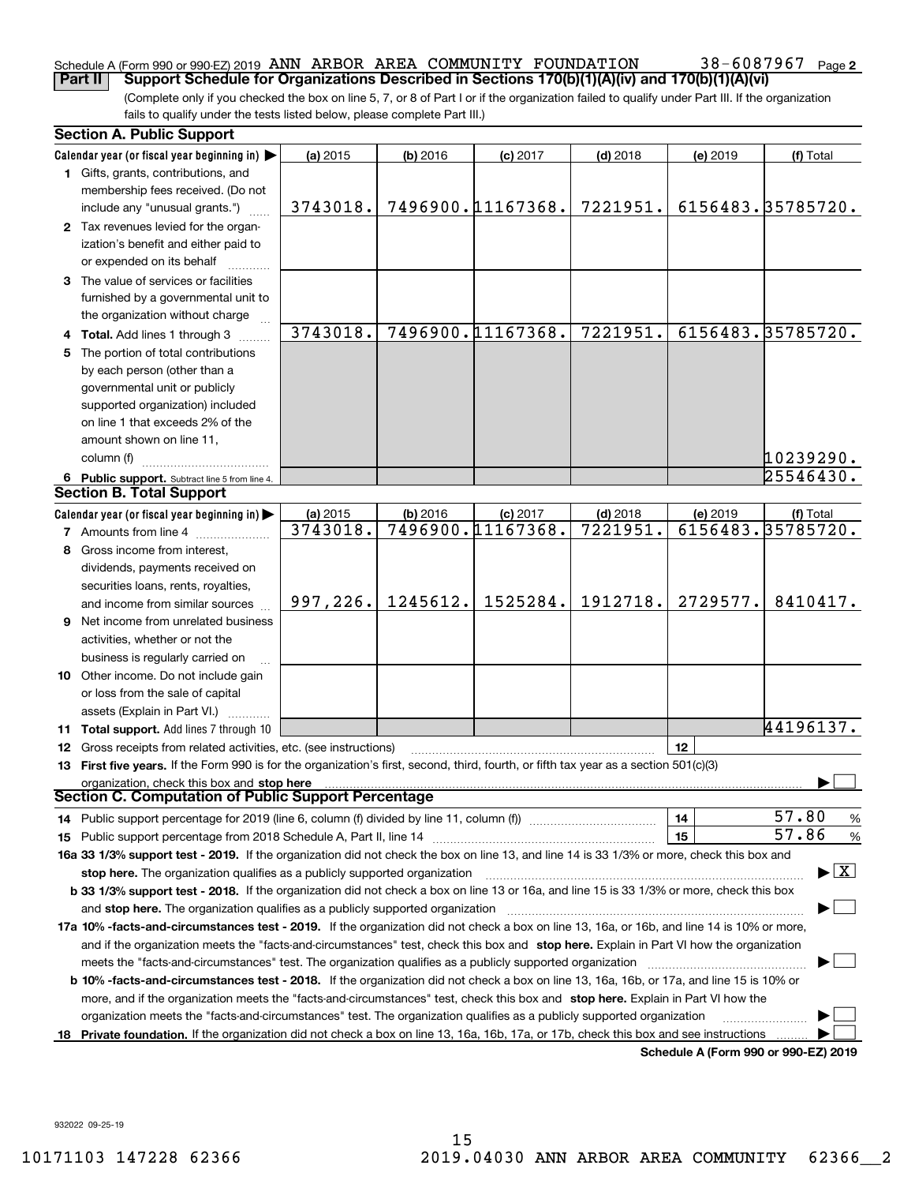## Schedule A (Form 990 or 990-EZ) 2019  $\,$  ANN  $\,$  ARBOR  $\,$  AREA  $\,$  COMMUNITY  $\,$  FOUNDATION  $\,$   $\,$  38  $-$  6087967  $\,$  Page

**2**

(Complete only if you checked the box on line 5, 7, or 8 of Part I or if the organization failed to qualify under Part III. If the organization fails to qualify under the tests listed below, please complete Part III.) **Part II Support Schedule for Organizations Described in Sections 170(b)(1)(A)(iv) and 170(b)(1)(A)(vi)**

| <b>Section A. Public Support</b>                                                                                                                                                                                               |                      |            |                                 |                        |          |                                          |
|--------------------------------------------------------------------------------------------------------------------------------------------------------------------------------------------------------------------------------|----------------------|------------|---------------------------------|------------------------|----------|------------------------------------------|
| Calendar year (or fiscal year beginning in)                                                                                                                                                                                    | (a) 2015             | $(b)$ 2016 | $(c)$ 2017                      | $(d)$ 2018             | (e) 2019 | (f) Total                                |
| 1 Gifts, grants, contributions, and<br>membership fees received. (Do not                                                                                                                                                       |                      |            |                                 |                        |          |                                          |
| include any "unusual grants.")                                                                                                                                                                                                 | 3743018.             |            | 7496900.11167368.               | 7221951.               |          | 6156483.35785720.                        |
| 2 Tax revenues levied for the organ-<br>ization's benefit and either paid to<br>or expended on its behalf                                                                                                                      |                      |            |                                 |                        |          |                                          |
| 3 The value of services or facilities<br>furnished by a governmental unit to                                                                                                                                                   |                      |            |                                 |                        |          |                                          |
| the organization without charge                                                                                                                                                                                                | 3743018.             |            | 7496900.11167368.               | 7221951.               |          | 6156483.35785720.                        |
| 4 Total. Add lines 1 through 3                                                                                                                                                                                                 |                      |            |                                 |                        |          |                                          |
| 5 The portion of total contributions                                                                                                                                                                                           |                      |            |                                 |                        |          |                                          |
| by each person (other than a                                                                                                                                                                                                   |                      |            |                                 |                        |          |                                          |
| governmental unit or publicly                                                                                                                                                                                                  |                      |            |                                 |                        |          |                                          |
| supported organization) included                                                                                                                                                                                               |                      |            |                                 |                        |          |                                          |
| on line 1 that exceeds 2% of the                                                                                                                                                                                               |                      |            |                                 |                        |          |                                          |
| amount shown on line 11,                                                                                                                                                                                                       |                      |            |                                 |                        |          |                                          |
| column (f)                                                                                                                                                                                                                     |                      |            |                                 |                        |          | 10239290.                                |
| 6 Public support. Subtract line 5 from line 4.<br><b>Section B. Total Support</b>                                                                                                                                              |                      |            |                                 |                        |          | 25546430.                                |
|                                                                                                                                                                                                                                |                      |            |                                 |                        |          |                                          |
| Calendar year (or fiscal year beginning in)                                                                                                                                                                                    | (a) 2015<br>3743018. | $(b)$ 2016 | $(c)$ 2017<br>7496900.11167368. | $(d)$ 2018<br>7221951. | (e) 2019 | (f) Total<br>6156483.35785720.           |
| <b>7</b> Amounts from line 4                                                                                                                                                                                                   |                      |            |                                 |                        |          |                                          |
| 8 Gross income from interest,                                                                                                                                                                                                  |                      |            |                                 |                        |          |                                          |
| dividends, payments received on                                                                                                                                                                                                |                      |            |                                 |                        |          |                                          |
| securities loans, rents, royalties,                                                                                                                                                                                            |                      |            | 1525284.                        | 1912718.               |          |                                          |
| and income from similar sources                                                                                                                                                                                                | 997, 226.            | 1245612.   |                                 |                        | 2729577. | 8410417.                                 |
| <b>9</b> Net income from unrelated business                                                                                                                                                                                    |                      |            |                                 |                        |          |                                          |
| activities, whether or not the                                                                                                                                                                                                 |                      |            |                                 |                        |          |                                          |
| business is regularly carried on                                                                                                                                                                                               |                      |            |                                 |                        |          |                                          |
| <b>10</b> Other income. Do not include gain                                                                                                                                                                                    |                      |            |                                 |                        |          |                                          |
| or loss from the sale of capital                                                                                                                                                                                               |                      |            |                                 |                        |          |                                          |
| assets (Explain in Part VI.)                                                                                                                                                                                                   |                      |            |                                 |                        |          |                                          |
| 11 Total support. Add lines 7 through 10                                                                                                                                                                                       |                      |            |                                 |                        |          | 44196137.                                |
| <b>12</b> Gross receipts from related activities, etc. (see instructions)                                                                                                                                                      |                      |            |                                 |                        | 12       |                                          |
| 13 First five years. If the Form 990 is for the organization's first, second, third, fourth, or fifth tax year as a section 501(c)(3)                                                                                          |                      |            |                                 |                        |          |                                          |
| organization, check this box and stop here<br>Section C. Computation of Public Support Percentage                                                                                                                              |                      |            |                                 |                        |          |                                          |
|                                                                                                                                                                                                                                |                      |            |                                 |                        | 14       | 57.80<br>%                               |
|                                                                                                                                                                                                                                |                      |            |                                 |                        | 15       | 57.86<br>$\%$                            |
| 16a 33 1/3% support test - 2019. If the organization did not check the box on line 13, and line 14 is 33 1/3% or more, check this box and                                                                                      |                      |            |                                 |                        |          |                                          |
| stop here. The organization qualifies as a publicly supported organization                                                                                                                                                     |                      |            |                                 |                        |          | $\blacktriangleright$ $\boxed{\text{X}}$ |
| b 33 1/3% support test - 2018. If the organization did not check a box on line 13 or 16a, and line 15 is 33 1/3% or more, check this box                                                                                       |                      |            |                                 |                        |          |                                          |
| and stop here. The organization qualifies as a publicly supported organization manufaction manufacture manufacture manufacture manufacture manufacture manufacture manufacture manufacture manufacture manufacture manufacture |                      |            |                                 |                        |          |                                          |
| 17a 10% -facts-and-circumstances test - 2019. If the organization did not check a box on line 13, 16a, or 16b, and line 14 is 10% or more,                                                                                     |                      |            |                                 |                        |          |                                          |
| and if the organization meets the "facts-and-circumstances" test, check this box and stop here. Explain in Part VI how the organization                                                                                        |                      |            |                                 |                        |          |                                          |
|                                                                                                                                                                                                                                |                      |            |                                 |                        |          |                                          |
| <b>b 10% -facts-and-circumstances test - 2018.</b> If the organization did not check a box on line 13, 16a, 16b, or 17a, and line 15 is 10% or                                                                                 |                      |            |                                 |                        |          |                                          |
| more, and if the organization meets the "facts-and-circumstances" test, check this box and stop here. Explain in Part VI how the                                                                                               |                      |            |                                 |                        |          |                                          |
| organization meets the "facts-and-circumstances" test. The organization qualifies as a publicly supported organization                                                                                                         |                      |            |                                 |                        |          |                                          |
| 18 Private foundation. If the organization did not check a box on line 13, 16a, 16b, 17a, or 17b, check this box and see instructions                                                                                          |                      |            |                                 |                        |          |                                          |
|                                                                                                                                                                                                                                |                      |            |                                 |                        |          | Schedule A (Form 990 or 990-EZ) 2019     |

932022 09-25-19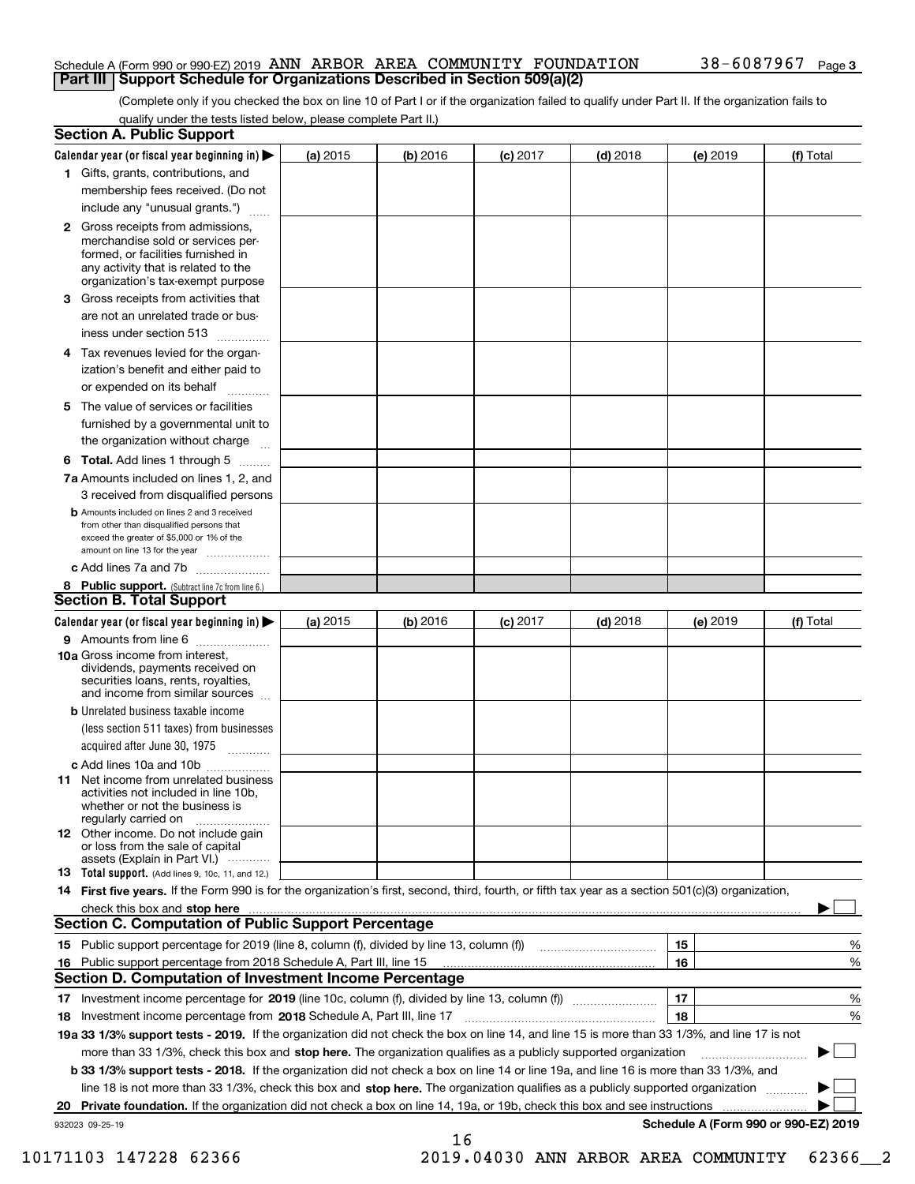#### Schedule A (Form 990 or 990-EZ) 2019  $\,$  ANN  $\,$  ARBOR  $\,$  AREA  $\,$  COMMUNITY  $\,$  FOUNDATION  $\,$   $\,$  38  $-$  6087967  $\,$  Page **Part III Support Schedule for Organizations Described in Section 509(a)(2)**

(Complete only if you checked the box on line 10 of Part I or if the organization failed to qualify under Part II. If the organization fails to qualify under the tests listed below, please complete Part II.)

| <b>Section A. Public Support</b>                                                                                                                                                                                        |            |          |            |            |          |                                      |
|-------------------------------------------------------------------------------------------------------------------------------------------------------------------------------------------------------------------------|------------|----------|------------|------------|----------|--------------------------------------|
| Calendar year (or fiscal year beginning in) $\blacktriangleright$                                                                                                                                                       | (a) 2015   | (b) 2016 | $(c)$ 2017 | $(d)$ 2018 | (e) 2019 | (f) Total                            |
| 1 Gifts, grants, contributions, and                                                                                                                                                                                     |            |          |            |            |          |                                      |
| membership fees received. (Do not                                                                                                                                                                                       |            |          |            |            |          |                                      |
| include any "unusual grants.")                                                                                                                                                                                          |            |          |            |            |          |                                      |
| 2 Gross receipts from admissions,<br>merchandise sold or services per-<br>formed, or facilities furnished in<br>any activity that is related to the<br>organization's tax-exempt purpose                                |            |          |            |            |          |                                      |
| 3 Gross receipts from activities that                                                                                                                                                                                   |            |          |            |            |          |                                      |
| are not an unrelated trade or bus-                                                                                                                                                                                      |            |          |            |            |          |                                      |
| iness under section 513                                                                                                                                                                                                 |            |          |            |            |          |                                      |
| 4 Tax revenues levied for the organ-<br>ization's benefit and either paid to                                                                                                                                            |            |          |            |            |          |                                      |
| or expended on its behalf<br>.                                                                                                                                                                                          |            |          |            |            |          |                                      |
| 5 The value of services or facilities                                                                                                                                                                                   |            |          |            |            |          |                                      |
| furnished by a governmental unit to                                                                                                                                                                                     |            |          |            |            |          |                                      |
| the organization without charge                                                                                                                                                                                         |            |          |            |            |          |                                      |
| <b>6 Total.</b> Add lines 1 through 5                                                                                                                                                                                   |            |          |            |            |          |                                      |
| 7a Amounts included on lines 1, 2, and<br>3 received from disqualified persons                                                                                                                                          |            |          |            |            |          |                                      |
| <b>b</b> Amounts included on lines 2 and 3 received<br>from other than disqualified persons that<br>exceed the greater of \$5,000 or 1% of the<br>amount on line 13 for the year                                        |            |          |            |            |          |                                      |
| c Add lines 7a and 7b                                                                                                                                                                                                   |            |          |            |            |          |                                      |
| 8 Public support. (Subtract line 7c from line 6.)<br><b>Section B. Total Support</b>                                                                                                                                    |            |          |            |            |          |                                      |
| Calendar year (or fiscal year beginning in)                                                                                                                                                                             | (a) $2015$ | (b) 2016 | $(c)$ 2017 | $(d)$ 2018 | (e) 2019 | (f) Total                            |
| 9 Amounts from line 6                                                                                                                                                                                                   |            |          |            |            |          |                                      |
| 10a Gross income from interest,<br>dividends, payments received on<br>securities loans, rents, royalties,<br>and income from similar sources                                                                            |            |          |            |            |          |                                      |
| <b>b</b> Unrelated business taxable income                                                                                                                                                                              |            |          |            |            |          |                                      |
| (less section 511 taxes) from businesses                                                                                                                                                                                |            |          |            |            |          |                                      |
| acquired after June 30, 1975                                                                                                                                                                                            |            |          |            |            |          |                                      |
| c Add lines 10a and 10b                                                                                                                                                                                                 |            |          |            |            |          |                                      |
| <b>11</b> Net income from unrelated business<br>activities not included in line 10b,<br>whether or not the business is<br>regularly carried on                                                                          |            |          |            |            |          |                                      |
| <b>12</b> Other income. Do not include gain<br>or loss from the sale of capital<br>assets (Explain in Part VI.)                                                                                                         |            |          |            |            |          |                                      |
| <b>13 Total support.</b> (Add lines 9, 10c, 11, and 12.)                                                                                                                                                                |            |          |            |            |          |                                      |
| 14 First five years. If the Form 990 is for the organization's first, second, third, fourth, or fifth tax year as a section 501(c)(3) organization,                                                                     |            |          |            |            |          |                                      |
| check this box and stop here measurements and stop here are constructed and stop here are all the state of the<br><b>Section C. Computation of Public Support Percentage</b>                                            |            |          |            |            |          |                                      |
| 15 Public support percentage for 2019 (line 8, column (f), divided by line 13, column (f))                                                                                                                              |            |          |            |            | 15       | %                                    |
| 16 Public support percentage from 2018 Schedule A, Part III, line 15<br><b>Section D. Computation of Investment Income Percentage</b>                                                                                   |            |          |            |            | 16       | %                                    |
|                                                                                                                                                                                                                         |            |          |            |            | 17       |                                      |
| 17 Investment income percentage for 2019 (line 10c, column (f), divided by line 13, column (f))                                                                                                                         |            |          |            |            | 18       | %<br>%                               |
| 18 Investment income percentage from 2018 Schedule A, Part III, line 17<br>19a 33 1/3% support tests - 2019. If the organization did not check the box on line 14, and line 15 is more than 33 1/3%, and line 17 is not |            |          |            |            |          |                                      |
| more than 33 1/3%, check this box and stop here. The organization qualifies as a publicly supported organization                                                                                                        |            |          |            |            |          |                                      |
| <b>b 33 1/3% support tests - 2018.</b> If the organization did not check a box on line 14 or line 19a, and line 16 is more than 33 1/3%, and                                                                            |            |          |            |            |          | ▶                                    |
| line 18 is not more than 33 1/3%, check this box and stop here. The organization qualifies as a publicly supported organization                                                                                         |            |          |            |            |          |                                      |
| 20 Private foundation. If the organization did not check a box on line 14, 19a, or 19b, check this box and see instructions                                                                                             |            |          |            |            |          | .                                    |
| 932023 09-25-19                                                                                                                                                                                                         |            |          |            |            |          | Schedule A (Form 990 or 990-EZ) 2019 |
|                                                                                                                                                                                                                         |            | 16       |            |            |          |                                      |

10171103 147228 62366 2019.04030 ANN ARBOR AREA COMMUNITY 62366\_\_2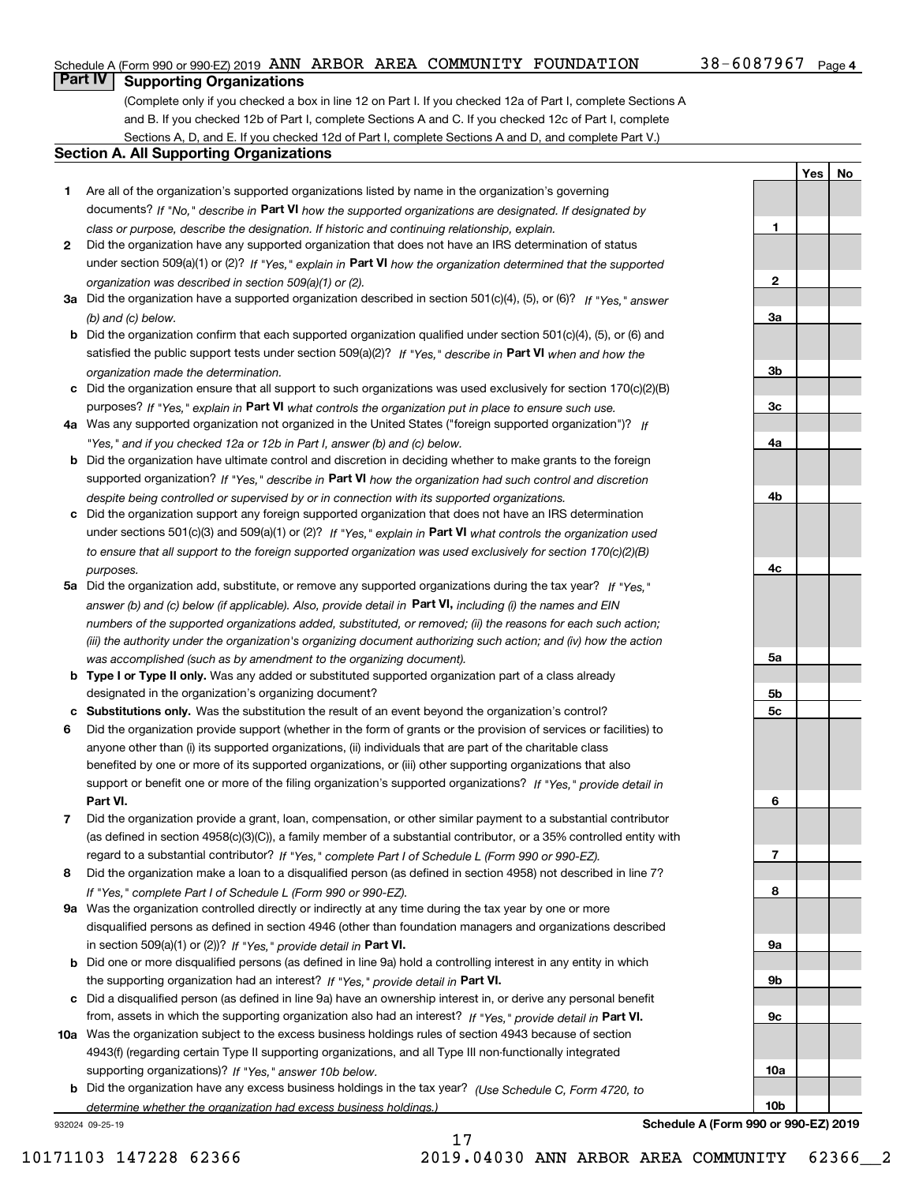#### Schedule A (Form 990 or 990-EZ) 2019  $\,$  ANN  $\,$  ARBOR  $\,$  AREA  $\,$  COMMUNITY  $\,$  FOUNDATION  $\,$   $\,$  38  $-$  6087967  $\,$  Page

**1**

**2**

**3a**

**3b**

**3c**

**4a**

**4b**

**4c**

**5a**

**5b5c**

**6**

**7**

**8**

**9a**

**9b**

**YesNo**

## **Part IV Supporting Organizations**

(Complete only if you checked a box in line 12 on Part I. If you checked 12a of Part I, complete Sections A and B. If you checked 12b of Part I, complete Sections A and C. If you checked 12c of Part I, complete Sections A, D, and E. If you checked 12d of Part I, complete Sections A and D, and complete Part V.)

#### **Section A. All Supporting Organizations**

- **1** Are all of the organization's supported organizations listed by name in the organization's governing documents? If "No," describe in **Part VI** how the supported organizations are designated. If designated by *class or purpose, describe the designation. If historic and continuing relationship, explain.*
- **2** Did the organization have any supported organization that does not have an IRS determination of status under section 509(a)(1) or (2)? If "Yes," explain in Part VI how the organization determined that the supported *organization was described in section 509(a)(1) or (2).*
- **3a** Did the organization have a supported organization described in section 501(c)(4), (5), or (6)? If "Yes," answer *(b) and (c) below.*
- **b** Did the organization confirm that each supported organization qualified under section 501(c)(4), (5), or (6) and satisfied the public support tests under section 509(a)(2)? If "Yes," describe in **Part VI** when and how the *organization made the determination.*
- **c**Did the organization ensure that all support to such organizations was used exclusively for section 170(c)(2)(B) purposes? If "Yes," explain in **Part VI** what controls the organization put in place to ensure such use.
- **4a***If* Was any supported organization not organized in the United States ("foreign supported organization")? *"Yes," and if you checked 12a or 12b in Part I, answer (b) and (c) below.*
- **b** Did the organization have ultimate control and discretion in deciding whether to make grants to the foreign supported organization? If "Yes," describe in **Part VI** how the organization had such control and discretion *despite being controlled or supervised by or in connection with its supported organizations.*
- **c** Did the organization support any foreign supported organization that does not have an IRS determination under sections 501(c)(3) and 509(a)(1) or (2)? If "Yes," explain in **Part VI** what controls the organization used *to ensure that all support to the foreign supported organization was used exclusively for section 170(c)(2)(B) purposes.*
- **5a** Did the organization add, substitute, or remove any supported organizations during the tax year? If "Yes," answer (b) and (c) below (if applicable). Also, provide detail in **Part VI,** including (i) the names and EIN *numbers of the supported organizations added, substituted, or removed; (ii) the reasons for each such action; (iii) the authority under the organization's organizing document authorizing such action; and (iv) how the action was accomplished (such as by amendment to the organizing document).*
- **b** Type I or Type II only. Was any added or substituted supported organization part of a class already designated in the organization's organizing document?
- **cSubstitutions only.**  Was the substitution the result of an event beyond the organization's control?
- **6** Did the organization provide support (whether in the form of grants or the provision of services or facilities) to **Part VI.** *If "Yes," provide detail in* support or benefit one or more of the filing organization's supported organizations? anyone other than (i) its supported organizations, (ii) individuals that are part of the charitable class benefited by one or more of its supported organizations, or (iii) other supporting organizations that also
- **7**Did the organization provide a grant, loan, compensation, or other similar payment to a substantial contributor *If "Yes," complete Part I of Schedule L (Form 990 or 990-EZ).* regard to a substantial contributor? (as defined in section 4958(c)(3)(C)), a family member of a substantial contributor, or a 35% controlled entity with
- **8** Did the organization make a loan to a disqualified person (as defined in section 4958) not described in line 7? *If "Yes," complete Part I of Schedule L (Form 990 or 990-EZ).*
- **9a** Was the organization controlled directly or indirectly at any time during the tax year by one or more in section 509(a)(1) or (2))? If "Yes," *provide detail in* <code>Part VI.</code> disqualified persons as defined in section 4946 (other than foundation managers and organizations described
- **b** Did one or more disqualified persons (as defined in line 9a) hold a controlling interest in any entity in which the supporting organization had an interest? If "Yes," provide detail in P**art VI**.
- **c**Did a disqualified person (as defined in line 9a) have an ownership interest in, or derive any personal benefit from, assets in which the supporting organization also had an interest? If "Yes," provide detail in P**art VI.**
- **10a** Was the organization subject to the excess business holdings rules of section 4943 because of section supporting organizations)? If "Yes," answer 10b below. 4943(f) (regarding certain Type II supporting organizations, and all Type III non-functionally integrated
- **b** Did the organization have any excess business holdings in the tax year? (Use Schedule C, Form 4720, to *determine whether the organization had excess business holdings.)*

932024 09-25-19



17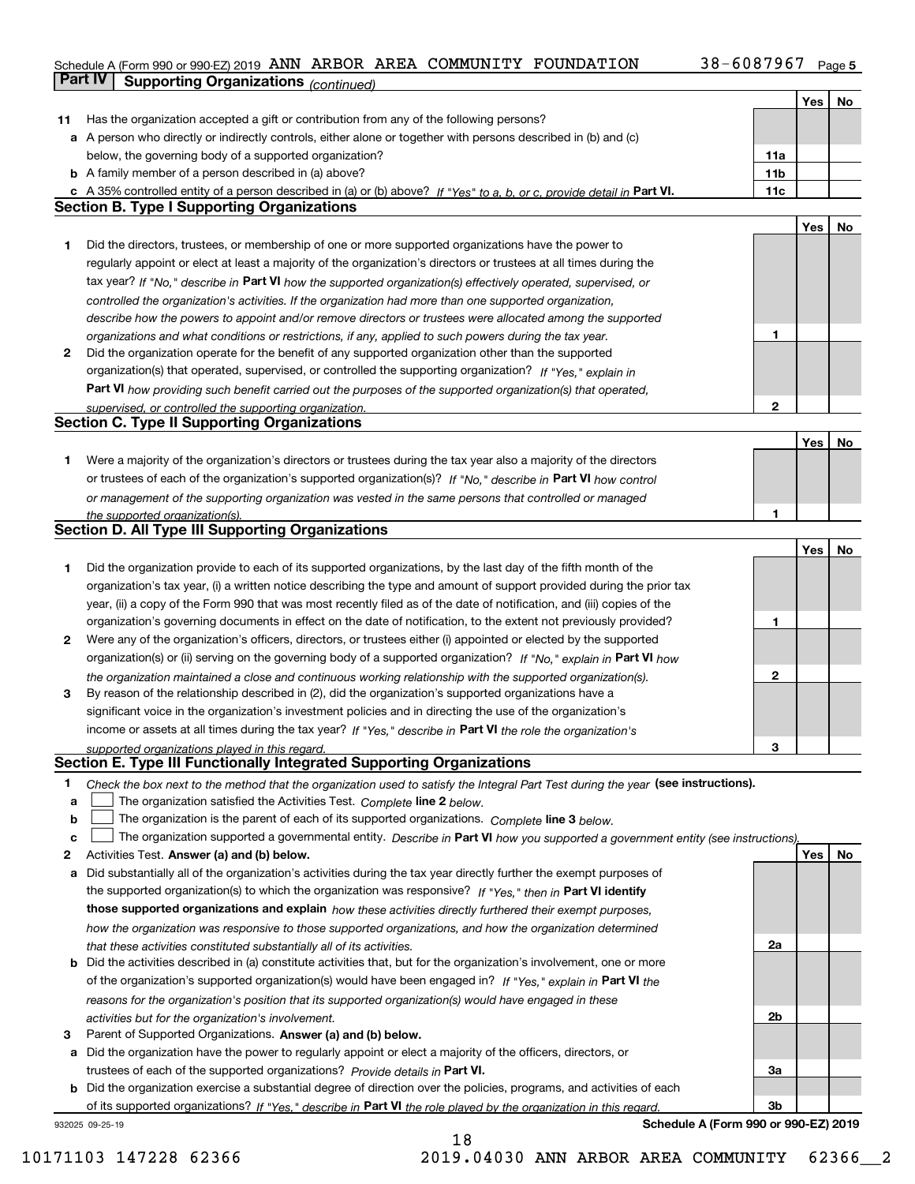#### **5** Schedule A (Form 990 or 990-EZ) 2019 Page ANN ARBOR AREA COMMUNITY FOUNDATION 38-6087967 **Part IV Supporting Organizations** *(continued)*

|    |                                                                                                                                   |                 | Yes | No |
|----|-----------------------------------------------------------------------------------------------------------------------------------|-----------------|-----|----|
| 11 | Has the organization accepted a gift or contribution from any of the following persons?                                           |                 |     |    |
|    | a A person who directly or indirectly controls, either alone or together with persons described in (b) and (c)                    |                 |     |    |
|    | below, the governing body of a supported organization?                                                                            | 11a             |     |    |
|    | <b>b</b> A family member of a person described in (a) above?                                                                      | 11 <sub>b</sub> |     |    |
|    | c A 35% controlled entity of a person described in (a) or (b) above? If "Yes" to a, b, or c, provide detail in Part VI.           | 11c             |     |    |
|    | <b>Section B. Type I Supporting Organizations</b>                                                                                 |                 |     |    |
|    |                                                                                                                                   |                 | Yes | No |
| 1. | Did the directors, trustees, or membership of one or more supported organizations have the power to                               |                 |     |    |
|    | regularly appoint or elect at least a majority of the organization's directors or trustees at all times during the                |                 |     |    |
|    | tax year? If "No," describe in Part VI how the supported organization(s) effectively operated, supervised, or                     |                 |     |    |
|    | controlled the organization's activities. If the organization had more than one supported organization,                           |                 |     |    |
|    | describe how the powers to appoint and/or remove directors or trustees were allocated among the supported                         |                 |     |    |
|    | organizations and what conditions or restrictions, if any, applied to such powers during the tax year.                            | 1               |     |    |
| 2  | Did the organization operate for the benefit of any supported organization other than the supported                               |                 |     |    |
|    | organization(s) that operated, supervised, or controlled the supporting organization? If "Yes," explain in                        |                 |     |    |
|    | Part VI how providing such benefit carried out the purposes of the supported organization(s) that operated,                       |                 |     |    |
|    | supervised, or controlled the supporting organization.                                                                            | 2               |     |    |
|    | <b>Section C. Type II Supporting Organizations</b>                                                                                |                 |     |    |
|    |                                                                                                                                   |                 | Yes | No |
| 1. | Were a majority of the organization's directors or trustees during the tax year also a majority of the directors                  |                 |     |    |
|    | or trustees of each of the organization's supported organization(s)? If "No," describe in Part VI how control                     |                 |     |    |
|    | or management of the supporting organization was vested in the same persons that controlled or managed                            |                 |     |    |
|    | the supported organization(s).<br><b>Section D. All Type III Supporting Organizations</b>                                         | 1               |     |    |
|    |                                                                                                                                   |                 | Yes | No |
| 1. | Did the organization provide to each of its supported organizations, by the last day of the fifth month of the                    |                 |     |    |
|    | organization's tax year, (i) a written notice describing the type and amount of support provided during the prior tax             |                 |     |    |
|    | year, (ii) a copy of the Form 990 that was most recently filed as of the date of notification, and (iii) copies of the            |                 |     |    |
|    | organization's governing documents in effect on the date of notification, to the extent not previously provided?                  | 1               |     |    |
| 2  | Were any of the organization's officers, directors, or trustees either (i) appointed or elected by the supported                  |                 |     |    |
|    | organization(s) or (ii) serving on the governing body of a supported organization? If "No," explain in Part VI how                |                 |     |    |
|    | the organization maintained a close and continuous working relationship with the supported organization(s).                       | 2               |     |    |
| 3  | By reason of the relationship described in (2), did the organization's supported organizations have a                             |                 |     |    |
|    | significant voice in the organization's investment policies and in directing the use of the organization's                        |                 |     |    |
|    | income or assets at all times during the tax year? If "Yes," describe in Part VI the role the organization's                      |                 |     |    |
|    | supported organizations played in this regard.                                                                                    | 3               |     |    |
|    | Section E. Type III Functionally Integrated Supporting Organizations                                                              |                 |     |    |
| 1  | Check the box next to the method that the organization used to satisfy the Integral Part Test during the year (see instructions). |                 |     |    |
| а  | The organization satisfied the Activities Test. Complete line 2 below.                                                            |                 |     |    |
| b  | The organization is the parent of each of its supported organizations. Complete line 3 below.                                     |                 |     |    |
| c  | The organization supported a governmental entity. Describe in Part VI how you supported a government entity (see instructions),   |                 |     |    |
| 2  | Activities Test. Answer (a) and (b) below.                                                                                        |                 | Yes | No |
| а  | Did substantially all of the organization's activities during the tax year directly further the exempt purposes of                |                 |     |    |
|    | the supported organization(s) to which the organization was responsive? If "Yes," then in Part VI identify                        |                 |     |    |
|    | those supported organizations and explain how these activities directly furthered their exempt purposes,                          |                 |     |    |
|    | how the organization was responsive to those supported organizations, and how the organization determined                         |                 |     |    |
|    | that these activities constituted substantially all of its activities.                                                            | 2a              |     |    |
| b  | Did the activities described in (a) constitute activities that, but for the organization's involvement, one or more               |                 |     |    |
|    | of the organization's supported organization(s) would have been engaged in? If "Yes," explain in Part VI the                      |                 |     |    |
|    | reasons for the organization's position that its supported organization(s) would have engaged in these                            |                 |     |    |
|    | activities but for the organization's involvement.                                                                                | 2b              |     |    |
| з  | Parent of Supported Organizations. Answer (a) and (b) below.                                                                      |                 |     |    |
| а  | Did the organization have the power to regularly appoint or elect a majority of the officers, directors, or                       |                 |     |    |
|    | trustees of each of the supported organizations? Provide details in Part VI.                                                      | За              |     |    |
| b  | Did the organization exercise a substantial degree of direction over the policies, programs, and activities of each               |                 |     |    |
|    | of its supported organizations? If "Yes," describe in Part VI the role played by the organization in this regard.                 | 3b              |     |    |

18

932025 09-25-19

**Schedule A (Form 990 or 990-EZ) 2019**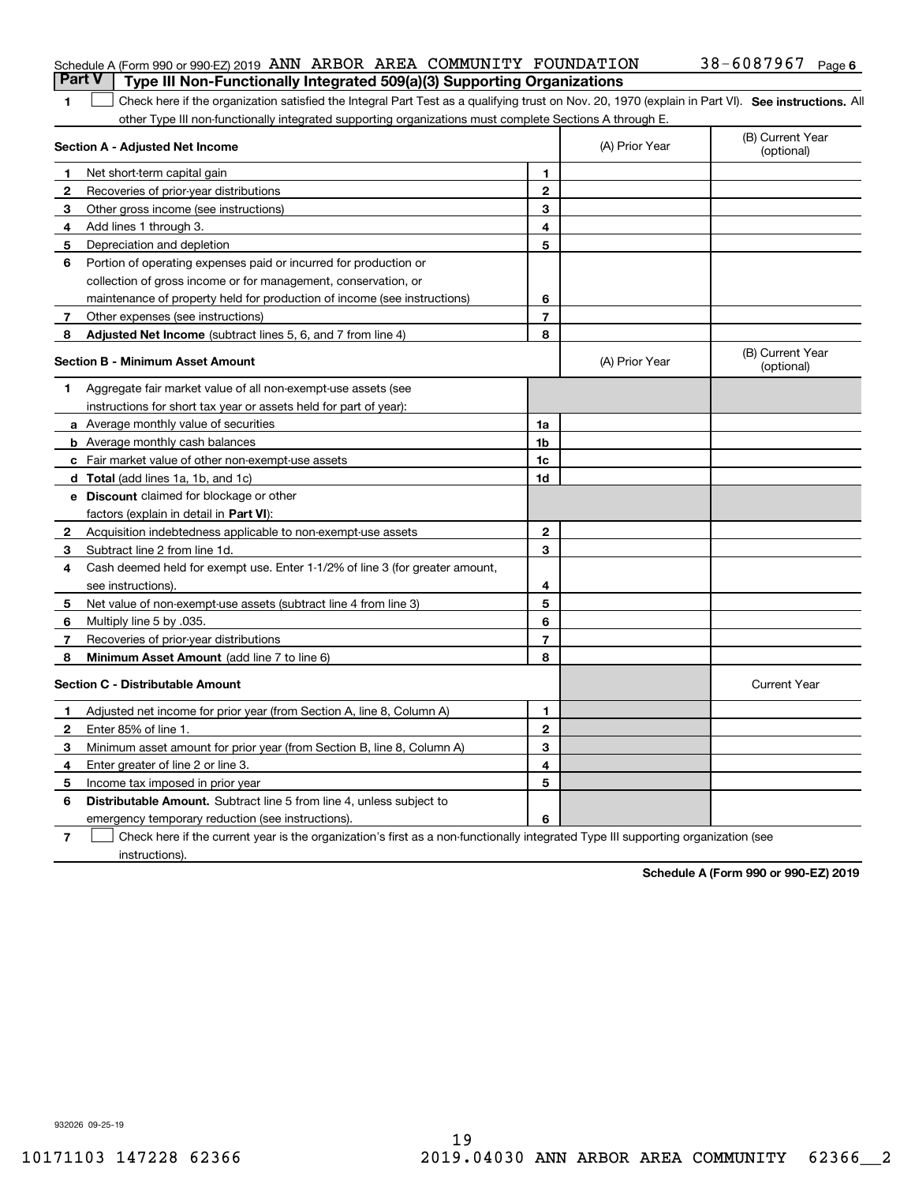| <b>Part V</b> Type III Non-Functionally Integrated 509(a)(3) Supporting Organizations |  |            |        |
|---------------------------------------------------------------------------------------|--|------------|--------|
| Schedule A (Form 990 or 990-EZ) 2019 ANN ARBOR AREA COMMUNITY FOUNDATION              |  | 38-6087967 | Page 6 |

| 1 Check here if the organization satisfied the Integral Part Test as a qualifying trust on Nov. 20, 1970 (explain in Part VI). See instructions. All |  |
|------------------------------------------------------------------------------------------------------------------------------------------------------|--|
| other Type III non-functionally integrated supporting organizations must complete Sections A through E.                                              |  |

|              | Section A - Adjusted Net Income                                              |                | (A) Prior Year | (B) Current Year<br>(optional) |
|--------------|------------------------------------------------------------------------------|----------------|----------------|--------------------------------|
| 1            | Net short-term capital gain                                                  | 1              |                |                                |
| 2            | Recoveries of prior-year distributions                                       | $\overline{2}$ |                |                                |
| 3            | Other gross income (see instructions)                                        | 3              |                |                                |
| 4            | Add lines 1 through 3.                                                       | 4              |                |                                |
| 5            | Depreciation and depletion                                                   | 5              |                |                                |
| 6            | Portion of operating expenses paid or incurred for production or             |                |                |                                |
|              | collection of gross income or for management, conservation, or               |                |                |                                |
|              | maintenance of property held for production of income (see instructions)     | 6              |                |                                |
| 7            | Other expenses (see instructions)                                            | $\overline{7}$ |                |                                |
| 8            | Adjusted Net Income (subtract lines 5, 6, and 7 from line 4)                 | 8              |                |                                |
|              | <b>Section B - Minimum Asset Amount</b>                                      |                | (A) Prior Year | (B) Current Year<br>(optional) |
| 1            | Aggregate fair market value of all non-exempt-use assets (see                |                |                |                                |
|              | instructions for short tax year or assets held for part of year):            |                |                |                                |
|              | a Average monthly value of securities                                        | 1a             |                |                                |
|              | <b>b</b> Average monthly cash balances                                       | 1 <sub>b</sub> |                |                                |
|              | c Fair market value of other non-exempt-use assets                           | 1c             |                |                                |
|              | d Total (add lines 1a, 1b, and 1c)                                           | 1d             |                |                                |
|              | e Discount claimed for blockage or other                                     |                |                |                                |
|              | factors (explain in detail in Part VI):                                      |                |                |                                |
| 2            | Acquisition indebtedness applicable to non-exempt-use assets                 | $\mathbf{2}$   |                |                                |
| 3            | Subtract line 2 from line 1d.                                                | 3              |                |                                |
| 4            | Cash deemed held for exempt use. Enter 1-1/2% of line 3 (for greater amount, |                |                |                                |
|              | see instructions).                                                           | 4              |                |                                |
| 5            | Net value of non-exempt-use assets (subtract line 4 from line 3)             | 5              |                |                                |
| 6            | Multiply line 5 by .035.                                                     | 6              |                |                                |
| 7            | Recoveries of prior-year distributions                                       | 7              |                |                                |
| 8            | Minimum Asset Amount (add line 7 to line 6)                                  | 8              |                |                                |
|              | <b>Section C - Distributable Amount</b>                                      |                |                | <b>Current Year</b>            |
| 1            | Adjusted net income for prior year (from Section A, line 8, Column A)        | 1              |                |                                |
| $\mathbf{2}$ | Enter 85% of line 1                                                          | $\overline{2}$ |                |                                |
| з            | Minimum asset amount for prior year (from Section B, line 8, Column A)       | 3              |                |                                |
| 4            | Enter greater of line 2 or line 3.                                           | 4              |                |                                |
| 5            | Income tax imposed in prior year                                             | 5              |                |                                |
| 6            | Distributable Amount. Subtract line 5 from line 4, unless subject to         |                |                |                                |
|              | emergency temporary reduction (see instructions).                            | 6              |                |                                |
|              |                                                                              |                |                |                                |

**7** Check here if the current year is the organization's first as a non-functionally integrated Type III supporting organization (see instructions).

**Schedule A (Form 990 or 990-EZ) 2019**

932026 09-25-19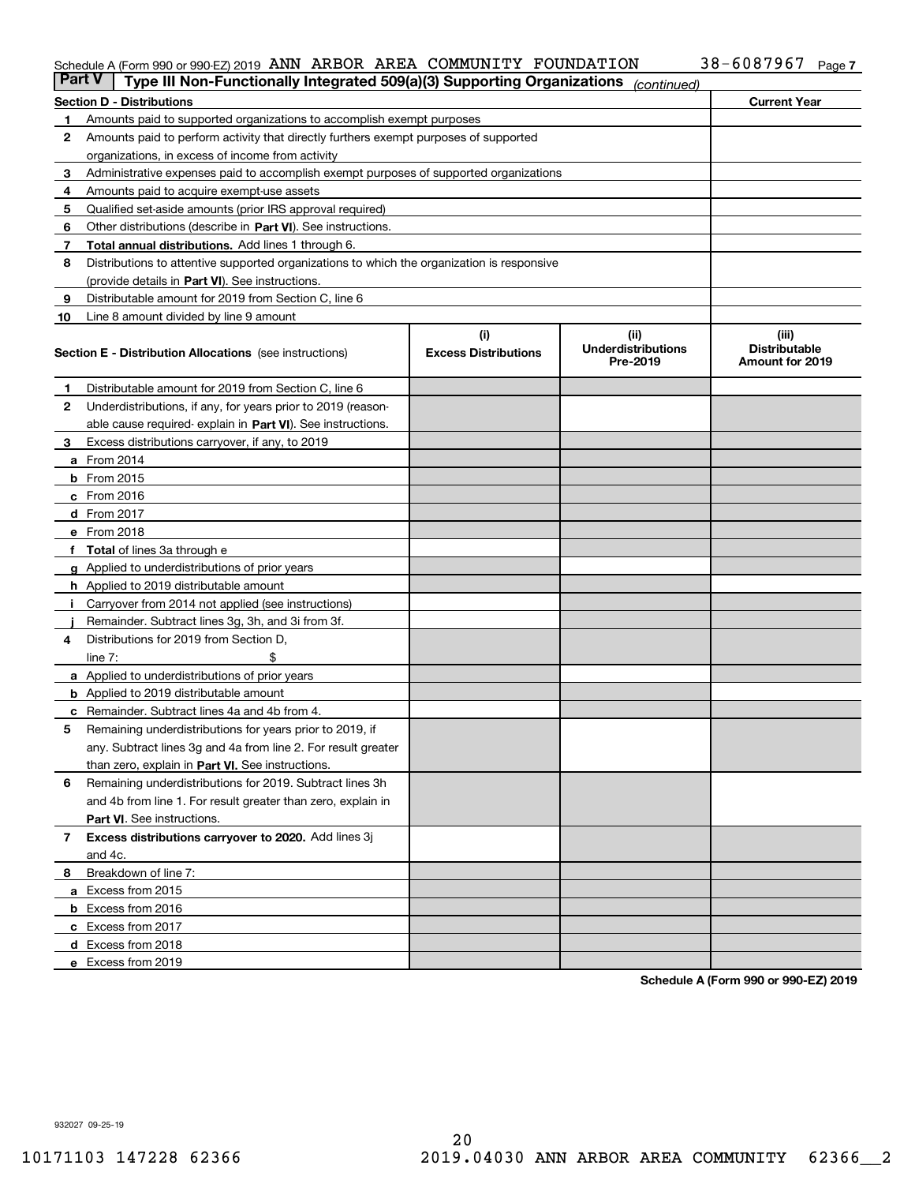#### Schedule A (Form 990 or 990-EZ) 2019 ANN ARBOR AREA COMMUNITY FOUNDATIION 3 8 = 6 U 8 7 9 6 7 Page ANN ARBOR AREA COMMUNITY FOUNDATION 38-6087967

| <b>Part V</b> | Type III Non-Functionally Integrated 509(a)(3) Supporting Organizations                    |                             | (continued)                           |                                         |
|---------------|--------------------------------------------------------------------------------------------|-----------------------------|---------------------------------------|-----------------------------------------|
|               | <b>Section D - Distributions</b>                                                           |                             |                                       | <b>Current Year</b>                     |
| 1             | Amounts paid to supported organizations to accomplish exempt purposes                      |                             |                                       |                                         |
| 2             | Amounts paid to perform activity that directly furthers exempt purposes of supported       |                             |                                       |                                         |
|               | organizations, in excess of income from activity                                           |                             |                                       |                                         |
| 3             | Administrative expenses paid to accomplish exempt purposes of supported organizations      |                             |                                       |                                         |
| 4             | Amounts paid to acquire exempt-use assets                                                  |                             |                                       |                                         |
| 5             | Qualified set-aside amounts (prior IRS approval required)                                  |                             |                                       |                                         |
| 6             | Other distributions (describe in Part VI). See instructions.                               |                             |                                       |                                         |
| 7             | <b>Total annual distributions.</b> Add lines 1 through 6.                                  |                             |                                       |                                         |
| 8             | Distributions to attentive supported organizations to which the organization is responsive |                             |                                       |                                         |
|               | (provide details in Part VI). See instructions.                                            |                             |                                       |                                         |
| 9             | Distributable amount for 2019 from Section C, line 6                                       |                             |                                       |                                         |
| 10            | Line 8 amount divided by line 9 amount                                                     |                             |                                       |                                         |
|               |                                                                                            | (i)                         | (iii)                                 | (iii)                                   |
|               | <b>Section E - Distribution Allocations</b> (see instructions)                             | <b>Excess Distributions</b> | <b>Underdistributions</b><br>Pre-2019 | <b>Distributable</b><br>Amount for 2019 |
| 1             | Distributable amount for 2019 from Section C, line 6                                       |                             |                                       |                                         |
| 2             | Underdistributions, if any, for years prior to 2019 (reason-                               |                             |                                       |                                         |
|               | able cause required- explain in Part VI). See instructions.                                |                             |                                       |                                         |
| З             | Excess distributions carryover, if any, to 2019                                            |                             |                                       |                                         |
|               | <b>a</b> From 2014                                                                         |                             |                                       |                                         |
|               | <b>b</b> From 2015                                                                         |                             |                                       |                                         |
|               | $c$ From 2016                                                                              |                             |                                       |                                         |
|               | d From 2017                                                                                |                             |                                       |                                         |
|               | e From 2018                                                                                |                             |                                       |                                         |
|               | Total of lines 3a through e                                                                |                             |                                       |                                         |
| g             | Applied to underdistributions of prior years                                               |                             |                                       |                                         |
|               | <b>h</b> Applied to 2019 distributable amount                                              |                             |                                       |                                         |
|               | Carryover from 2014 not applied (see instructions)                                         |                             |                                       |                                         |
|               | Remainder. Subtract lines 3g, 3h, and 3i from 3f.                                          |                             |                                       |                                         |
| 4             | Distributions for 2019 from Section D,                                                     |                             |                                       |                                         |
|               | line $7:$                                                                                  |                             |                                       |                                         |
|               | <b>a</b> Applied to underdistributions of prior years                                      |                             |                                       |                                         |
|               | <b>b</b> Applied to 2019 distributable amount                                              |                             |                                       |                                         |
|               | c Remainder. Subtract lines 4a and 4b from 4.                                              |                             |                                       |                                         |
| 5             | Remaining underdistributions for years prior to 2019, if                                   |                             |                                       |                                         |
|               | any. Subtract lines 3g and 4a from line 2. For result greater                              |                             |                                       |                                         |
|               | than zero, explain in Part VI. See instructions.                                           |                             |                                       |                                         |
| 6             | Remaining underdistributions for 2019. Subtract lines 3h                                   |                             |                                       |                                         |
|               | and 4b from line 1. For result greater than zero, explain in                               |                             |                                       |                                         |
|               | Part VI. See instructions.                                                                 |                             |                                       |                                         |
| 7             | Excess distributions carryover to 2020. Add lines 3j                                       |                             |                                       |                                         |
|               | and 4c.                                                                                    |                             |                                       |                                         |
| 8             | Breakdown of line 7:                                                                       |                             |                                       |                                         |
|               | a Excess from 2015                                                                         |                             |                                       |                                         |
|               | <b>b</b> Excess from 2016                                                                  |                             |                                       |                                         |
|               | c Excess from 2017                                                                         |                             |                                       |                                         |
|               | d Excess from 2018                                                                         |                             |                                       |                                         |
|               | e Excess from 2019                                                                         |                             |                                       |                                         |

**Schedule A (Form 990 or 990-EZ) 2019**

932027 09-25-19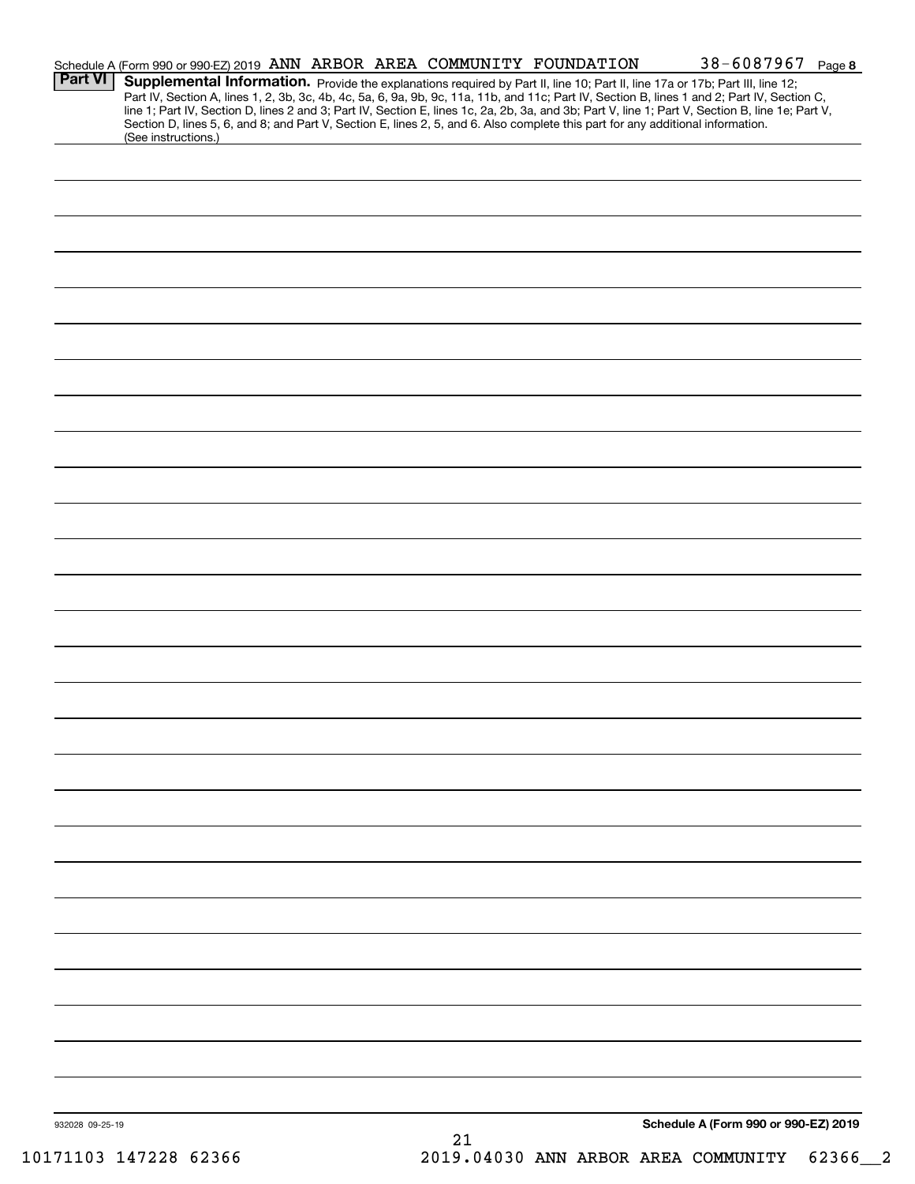| <b>Part VI</b>  | Schedule A (Form 990 or 990-EZ) 2019 ANN ARBOR AREA COMMUNITY FOUNDATION |  |    | 38-6087967 Page 8<br>Supplemental Information. Provide the explanations required by Part II, line 10; Part II, line 17a or 17b; Part III, line 12;<br>Part IV, Section A, lines 1, 2, 3b, 3c, 4b, 4c, 5a, 6, 9a, 9b, 9c, 11a, 11b, and 11c; Part IV, Section B, lines 1 and 2; Part IV, Section C, |  |
|-----------------|--------------------------------------------------------------------------|--|----|----------------------------------------------------------------------------------------------------------------------------------------------------------------------------------------------------------------------------------------------------------------------------------------------------|--|
|                 | (See instructions.)                                                      |  |    | line 1; Part IV, Section D, lines 2 and 3; Part IV, Section E, lines 1c, 2a, 2b, 3a, and 3b; Part V, line 1; Part V, Section B, line 1e; Part V,<br>Section D, lines 5, 6, and 8; and Part V, Section E, lines 2, 5, and 6. Also complete this part for any additional information.                |  |
|                 |                                                                          |  |    |                                                                                                                                                                                                                                                                                                    |  |
|                 |                                                                          |  |    |                                                                                                                                                                                                                                                                                                    |  |
|                 |                                                                          |  |    |                                                                                                                                                                                                                                                                                                    |  |
|                 |                                                                          |  |    |                                                                                                                                                                                                                                                                                                    |  |
|                 |                                                                          |  |    |                                                                                                                                                                                                                                                                                                    |  |
|                 |                                                                          |  |    |                                                                                                                                                                                                                                                                                                    |  |
|                 |                                                                          |  |    |                                                                                                                                                                                                                                                                                                    |  |
|                 |                                                                          |  |    |                                                                                                                                                                                                                                                                                                    |  |
|                 |                                                                          |  |    |                                                                                                                                                                                                                                                                                                    |  |
|                 |                                                                          |  |    |                                                                                                                                                                                                                                                                                                    |  |
|                 |                                                                          |  |    |                                                                                                                                                                                                                                                                                                    |  |
|                 |                                                                          |  |    |                                                                                                                                                                                                                                                                                                    |  |
|                 |                                                                          |  |    |                                                                                                                                                                                                                                                                                                    |  |
|                 |                                                                          |  |    |                                                                                                                                                                                                                                                                                                    |  |
|                 |                                                                          |  |    |                                                                                                                                                                                                                                                                                                    |  |
|                 |                                                                          |  |    |                                                                                                                                                                                                                                                                                                    |  |
|                 |                                                                          |  |    |                                                                                                                                                                                                                                                                                                    |  |
|                 |                                                                          |  |    |                                                                                                                                                                                                                                                                                                    |  |
|                 |                                                                          |  |    |                                                                                                                                                                                                                                                                                                    |  |
|                 |                                                                          |  |    |                                                                                                                                                                                                                                                                                                    |  |
|                 |                                                                          |  |    |                                                                                                                                                                                                                                                                                                    |  |
|                 |                                                                          |  |    |                                                                                                                                                                                                                                                                                                    |  |
|                 |                                                                          |  |    |                                                                                                                                                                                                                                                                                                    |  |
|                 |                                                                          |  |    |                                                                                                                                                                                                                                                                                                    |  |
|                 |                                                                          |  |    |                                                                                                                                                                                                                                                                                                    |  |
|                 |                                                                          |  |    |                                                                                                                                                                                                                                                                                                    |  |
| 932028 09-25-19 |                                                                          |  | 21 | Schedule A (Form 990 or 990-EZ) 2019                                                                                                                                                                                                                                                               |  |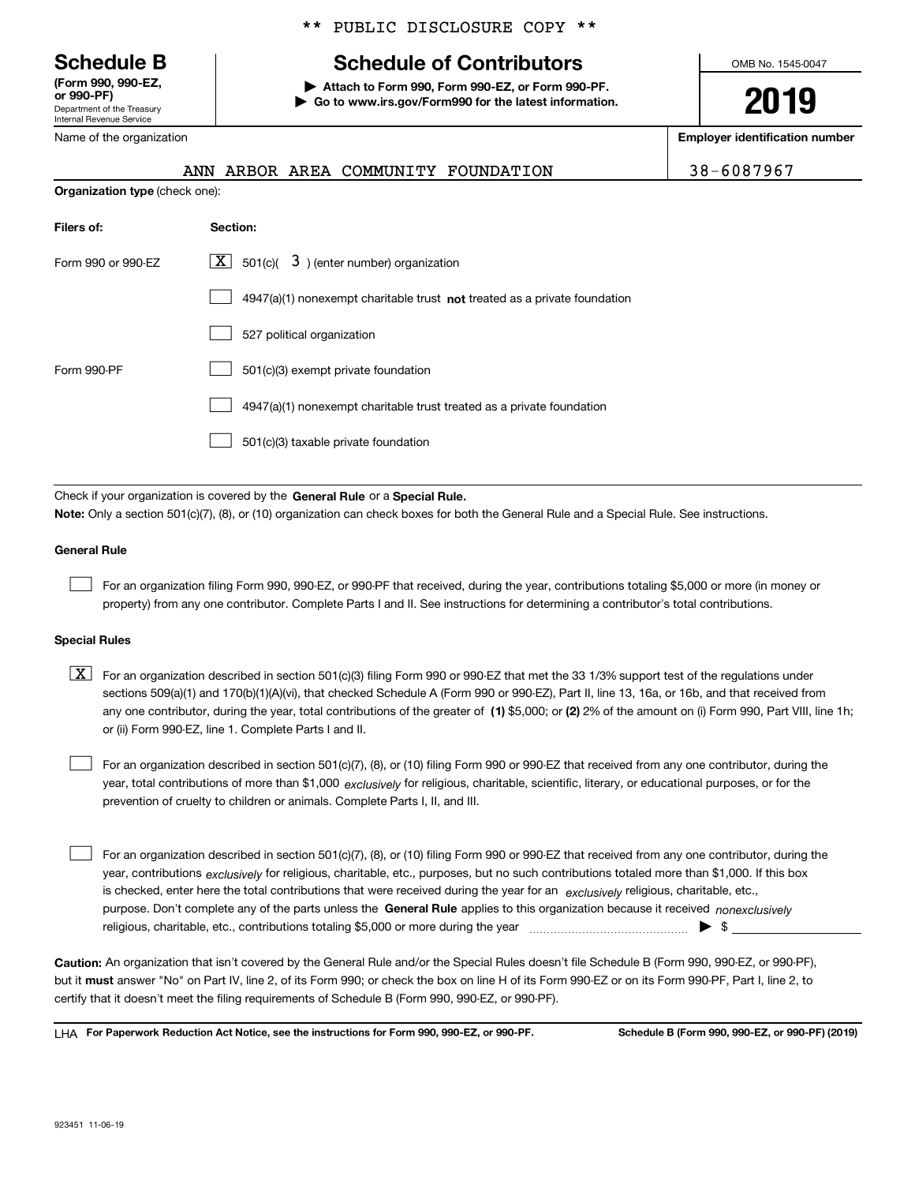Department of the Treasury Internal Revenue Service **(Form 990, 990-EZ, or 990-PF)**

Name of the organization

### \*\* PUBLIC DISCLOSURE COPY \*\*

## **Schedule B Schedule of Contributors**

**| Attach to Form 990, Form 990-EZ, or Form 990-PF. | Go to www.irs.gov/Form990 for the latest information.** OMB No. 1545-0047

**2019**

**Employer identification number**

|--|

|                                       |  | ANN ARBOR AREA COMMUNITY FOUNDATION | 38-6087967 |
|---------------------------------------|--|-------------------------------------|------------|
| <b>Organization type</b> (check one): |  |                                     |            |

| Filers of:         | Section:                                                                    |  |  |  |  |  |  |
|--------------------|-----------------------------------------------------------------------------|--|--|--|--|--|--|
| Form 990 or 990-EZ | $X$ 501(c)( 3) (enter number) organization                                  |  |  |  |  |  |  |
|                    | $4947(a)(1)$ nonexempt charitable trust not treated as a private foundation |  |  |  |  |  |  |
|                    | 527 political organization                                                  |  |  |  |  |  |  |
| Form 990-PF        | 501(c)(3) exempt private foundation                                         |  |  |  |  |  |  |
|                    | 4947(a)(1) nonexempt charitable trust treated as a private foundation       |  |  |  |  |  |  |
|                    | 501(c)(3) taxable private foundation                                        |  |  |  |  |  |  |

Check if your organization is covered by the **General Rule** or a **Special Rule. Note:**  Only a section 501(c)(7), (8), or (10) organization can check boxes for both the General Rule and a Special Rule. See instructions.

#### **General Rule**

 $\mathcal{L}^{\text{max}}$ 

For an organization filing Form 990, 990-EZ, or 990-PF that received, during the year, contributions totaling \$5,000 or more (in money or property) from any one contributor. Complete Parts I and II. See instructions for determining a contributor's total contributions.

#### **Special Rules**

any one contributor, during the year, total contributions of the greater of  $\,$  (1) \$5,000; or **(2)** 2% of the amount on (i) Form 990, Part VIII, line 1h;  $\boxed{\textbf{X}}$  For an organization described in section 501(c)(3) filing Form 990 or 990-EZ that met the 33 1/3% support test of the regulations under sections 509(a)(1) and 170(b)(1)(A)(vi), that checked Schedule A (Form 990 or 990-EZ), Part II, line 13, 16a, or 16b, and that received from or (ii) Form 990-EZ, line 1. Complete Parts I and II.

year, total contributions of more than \$1,000 *exclusively* for religious, charitable, scientific, literary, or educational purposes, or for the For an organization described in section 501(c)(7), (8), or (10) filing Form 990 or 990-EZ that received from any one contributor, during the prevention of cruelty to children or animals. Complete Parts I, II, and III.  $\mathcal{L}^{\text{max}}$ 

purpose. Don't complete any of the parts unless the **General Rule** applies to this organization because it received *nonexclusively* year, contributions <sub>exclusively</sub> for religious, charitable, etc., purposes, but no such contributions totaled more than \$1,000. If this box is checked, enter here the total contributions that were received during the year for an  $\;$ exclusively religious, charitable, etc., For an organization described in section 501(c)(7), (8), or (10) filing Form 990 or 990-EZ that received from any one contributor, during the religious, charitable, etc., contributions totaling \$5,000 or more during the year  $\Box$ — $\Box$   $\Box$  $\mathcal{L}^{\text{max}}$ 

**Caution:**  An organization that isn't covered by the General Rule and/or the Special Rules doesn't file Schedule B (Form 990, 990-EZ, or 990-PF),  **must** but it answer "No" on Part IV, line 2, of its Form 990; or check the box on line H of its Form 990-EZ or on its Form 990-PF, Part I, line 2, to certify that it doesn't meet the filing requirements of Schedule B (Form 990, 990-EZ, or 990-PF).

**For Paperwork Reduction Act Notice, see the instructions for Form 990, 990-EZ, or 990-PF. Schedule B (Form 990, 990-EZ, or 990-PF) (2019)** LHA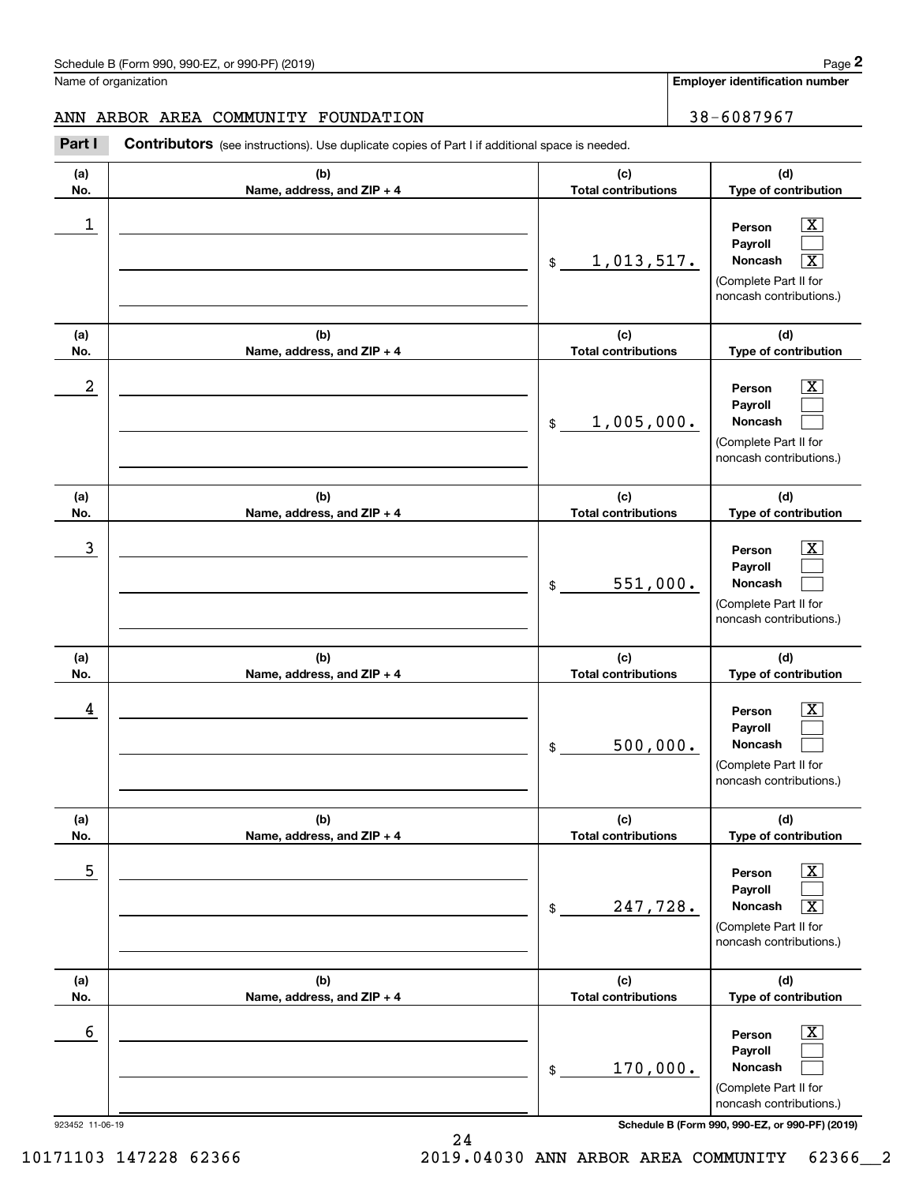$|X|$  $\mathcal{L}^{\text{max}}$  $\boxed{\text{X}}$ 

 $\boxed{\text{X}}$  $\mathcal{L}^{\text{max}}$  $\mathcal{L}^{\text{max}}$ 

 $|X|$  $\mathcal{L}^{\text{max}}$  $\mathcal{L}^{\text{max}}$ 

 $\boxed{\text{X}}$  $\mathcal{L}^{\text{max}}$  $\mathcal{L}^{\text{max}}$ 

 $\boxed{\text{X}}$  $\mathcal{L}^{\text{max}}$  $\sqrt{X}$ 

 $\boxed{\text{X}}$  $\mathcal{L}^{\text{max}}$  $\mathcal{L}^{\text{max}}$ 

**Employer identification number**

**(a)No.(b)Name, address, and ZIP + 4 (c)Total contributions (d)Type of contribution PersonPayrollNoncash (a)No.(b)Name, address, and ZIP + 4 (c)Total contributions (d)Type of contribution PersonPayrollNoncash (a)No.(b)Name, address, and ZIP + 4 (c)Total contributions (d)Type of contribution PersonPayrollNoncash (a) No.(b) Name, address, and ZIP + 4 (c) Total contributions (d) Type of contribution PersonPayrollNoncash (a) No.(b) Name, address, and ZIP + 4 (c) Total contributions (d) Type of contribution PersonPayrollNoncash (a) No.(b)Name, address, and ZIP + 4 (c) Total contributions (d)Type of contribution PersonPayrollNoncash** Schedule B (Form 990, 990-EZ, or 990-PF) (2019) **Page 2** Page 1 and 2011 **Page 2** Page 2 **Page 2** Page 1 and 2011 **Page 2** Name of organization **Contributors** (see instructions). Use duplicate copies of Part I if additional space is needed. \$(Complete Part II for noncash contributions.) \$(Complete Part II for noncash contributions.) \$(Complete Part II for noncash contributions.) \$(Complete Part II for noncash contributions.) \$(Complete Part II for noncash contributions.) \$Chedule B (Form 990, 990-EZ, or 990-PF) (2019)<br>Iame of organization<br>**2Part I 2Part I Contributors** (see instructions). Use duplicate copies of Part I if additional space is needed.  $\begin{array}{c|c|c|c|c|c} 1 & \hspace{1.5cm} & \hspace{1.5cm} & \hspace{1.5cm} & \hspace{1.5cm} & \hspace{1.5cm} & \hspace{1.5cm} & \hspace{1.5cm} & \hspace{1.5cm} & \hspace{1.5cm} & \hspace{1.5cm} & \hspace{1.5cm} & \hspace{1.5cm} & \hspace{1.5cm} & \hspace{1.5cm} & \hspace{1.5cm} & \hspace{1.5cm} & \hspace{1.5cm} & \hspace{1.5cm} & \hspace{1.5cm} & \hspace{1.5cm} &$ <u>1,013,517.</u>  $2$  | Person  $\overline{\text{X}}$ 1,005,000.  $\overline{3}$  | Person  $\overline{X}$ 551,000.  $4$  | Person  $\overline{\text{X}}$ 500,000.  $\sim$  5 | Person X 247,728. X  $\sim$  6 | Person X 170,000. ANN ARBOR AREA COMMUNITY FOUNDATION 38-6087967

923452 11-06-19 **Schedule B (Form 990, 990-EZ, or 990-PF) (2019)**

(Complete Part II for noncash contributions.)

24

10171103 147228 62366 2019.04030 ANN ARBOR AREA COMMUNITY 62366\_\_2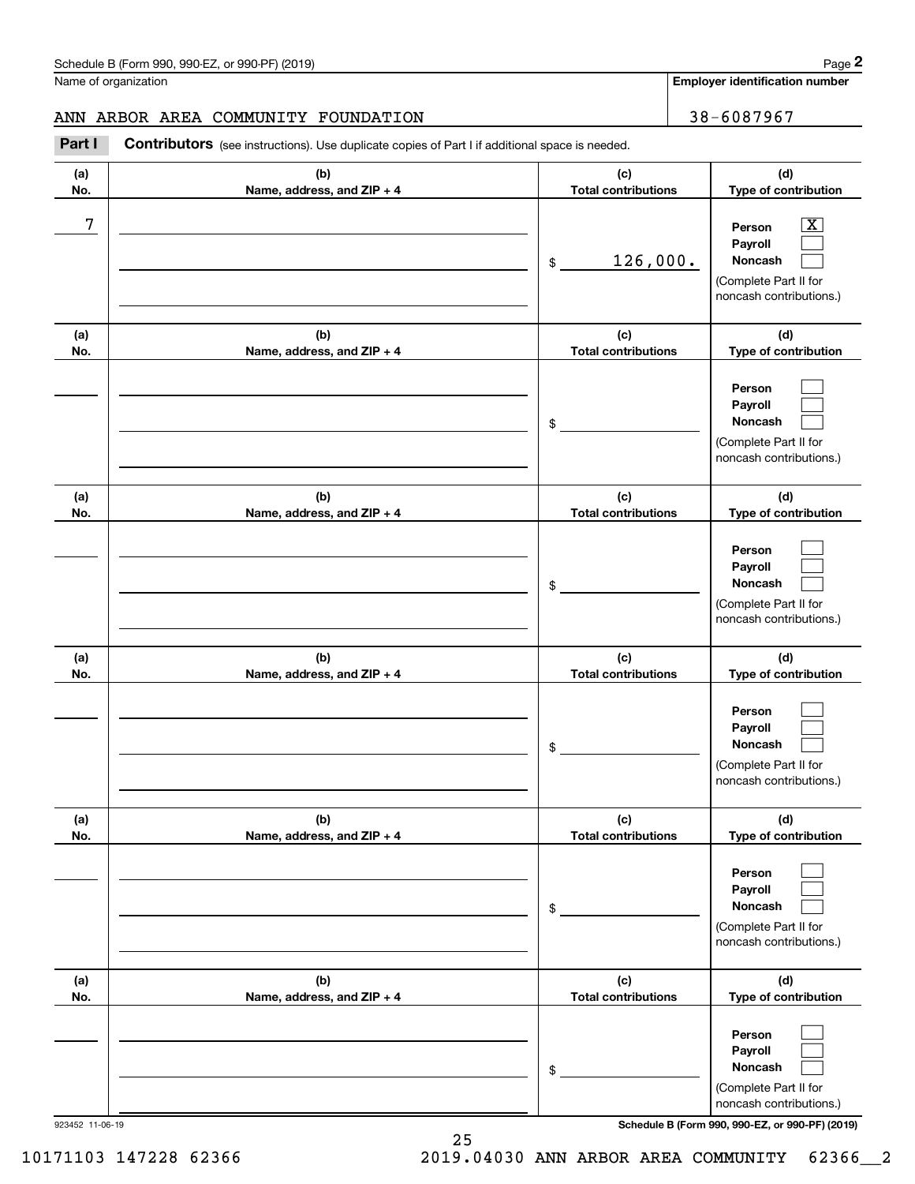**Employer identification number**

#### ANN ARBOR AREA COMMUNITY FOUNDATION | 38-6087967

Contributors (see instructions). Use duplicate copies of Part I if additional space is needed. Chedule B (Form 990, 990-EZ, or 990-PF) (2019)<br>Iame of organization<br>**2Part I 2Part I Contributors** (see instructions). Use duplicate copies of Part I if additional space is needed.

| (a)<br>No. | (b)<br>Name, address, and ZIP + 4 | (c)<br><b>Total contributions</b>   | (d)<br>Type of contribution                                                                            |
|------------|-----------------------------------|-------------------------------------|--------------------------------------------------------------------------------------------------------|
| 7          |                                   | 126,000.<br>$$\tilde{\phantom{a}}$$ | $\boxed{\text{X}}$<br>Person<br>Payroll<br>Noncash<br>(Complete Part II for<br>noncash contributions.) |
| (a)<br>No. | (b)<br>Name, address, and ZIP + 4 | (c)<br><b>Total contributions</b>   | (d)<br>Type of contribution                                                                            |
|            |                                   | \$                                  | Person<br>Payroll<br>Noncash<br>(Complete Part II for<br>noncash contributions.)                       |
| (a)<br>No. | (b)<br>Name, address, and ZIP + 4 | (c)<br><b>Total contributions</b>   | (d)<br>Type of contribution                                                                            |
|            |                                   | \$                                  | Person<br>Payroll<br>Noncash<br>(Complete Part II for<br>noncash contributions.)                       |
| (a)<br>No. | (b)<br>Name, address, and ZIP + 4 | (c)<br><b>Total contributions</b>   | (d)<br>Type of contribution                                                                            |
|            |                                   | \$                                  | Person<br>Payroll<br>Noncash<br>(Complete Part II for<br>noncash contributions.)                       |
| (a)<br>No. | (b)<br>Name, address, and ZIP + 4 | (c)<br><b>Total contributions</b>   | (d)<br>Type of contribution                                                                            |
|            |                                   | $\,$                                | Person<br>Payroll<br>Noncash<br>(Complete Part II for<br>noncash contributions.)                       |
| (a)<br>No. | (b)<br>Name, address, and ZIP + 4 | (c)<br><b>Total contributions</b>   | (d)<br>Type of contribution                                                                            |
|            |                                   | $\,$                                | Person<br>Payroll<br>Noncash<br>(Complete Part II for<br>noncash contributions.)                       |

923452 11-06-19 **Schedule B (Form 990, 990-EZ, or 990-PF) (2019)**

10171103 147228 62366 2019.04030 ANN ARBOR AREA COMMUNITY 62366\_\_2

25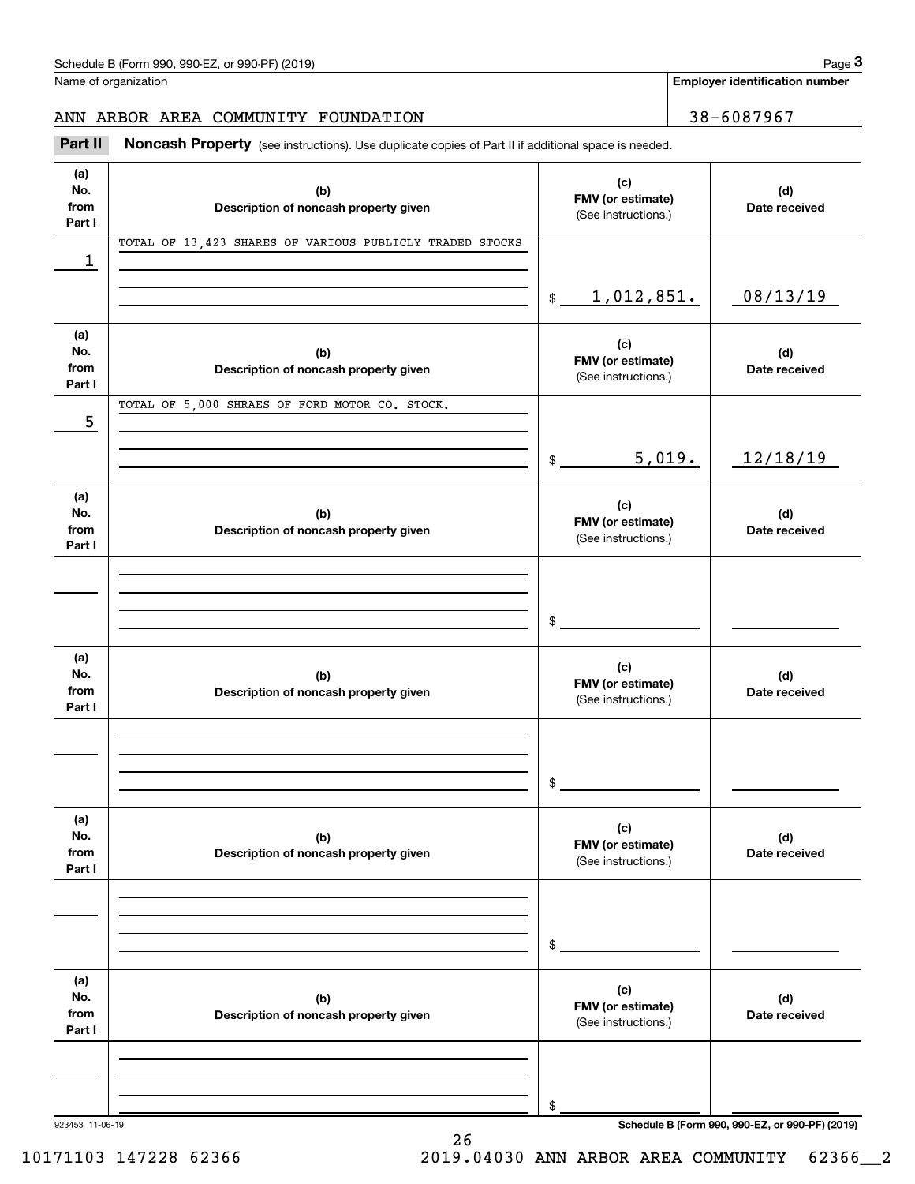Name of organization

**Employer identification number**

### ANN ARBOR AREA COMMUNITY FOUNDATION | 38-6087967

Chedule B (Form 990, 990-EZ, or 990-PF) (2019)<br> **2019** alame of organization<br> **3Part II Noncash Property** (see instructions). Use duplicate copies of Part II if additional space is needed.

| (a)<br>No.<br>from<br>Part I | (b)<br>Description of noncash property given             | (c)<br>FMV (or estimate)<br>(See instructions.) | (d)<br>Date received                            |
|------------------------------|----------------------------------------------------------|-------------------------------------------------|-------------------------------------------------|
| 1                            | TOTAL OF 13,423 SHARES OF VARIOUS PUBLICLY TRADED STOCKS |                                                 |                                                 |
|                              |                                                          | 1,012,851.<br>$\frac{1}{2}$                     | 08/13/19                                        |
| (a)<br>No.<br>from<br>Part I | (b)<br>Description of noncash property given             | (c)<br>FMV (or estimate)<br>(See instructions.) | (d)<br>Date received                            |
| 5                            | TOTAL OF 5,000 SHRAES OF FORD MOTOR CO. STOCK.           |                                                 |                                                 |
|                              |                                                          | 5,019.<br>$\frac{1}{2}$                         | 12/18/19                                        |
| (a)<br>No.<br>from<br>Part I | (b)<br>Description of noncash property given             | (c)<br>FMV (or estimate)<br>(See instructions.) | (d)<br>Date received                            |
|                              |                                                          | \$                                              |                                                 |
| (a)<br>No.<br>from<br>Part I | (b)<br>Description of noncash property given             | (c)<br>FMV (or estimate)<br>(See instructions.) | (d)<br>Date received                            |
|                              |                                                          | \$                                              |                                                 |
| (a)<br>No.<br>from<br>Part I | (b)<br>Description of noncash property given             | (c)<br>FMV (or estimate)<br>(See instructions.) | (d)<br>Date received                            |
|                              |                                                          | \$                                              |                                                 |
| (a)<br>No.<br>from<br>Part I | (b)<br>Description of noncash property given             | (c)<br>FMV (or estimate)<br>(See instructions.) | (d)<br>Date received                            |
| 923453 11-06-19              |                                                          | \$                                              | Schedule B (Form 990, 990-EZ, or 990-PF) (2019) |

26

10171103 147228 62366 2019.04030 ANN ARBOR AREA COMMUNITY 62366\_\_2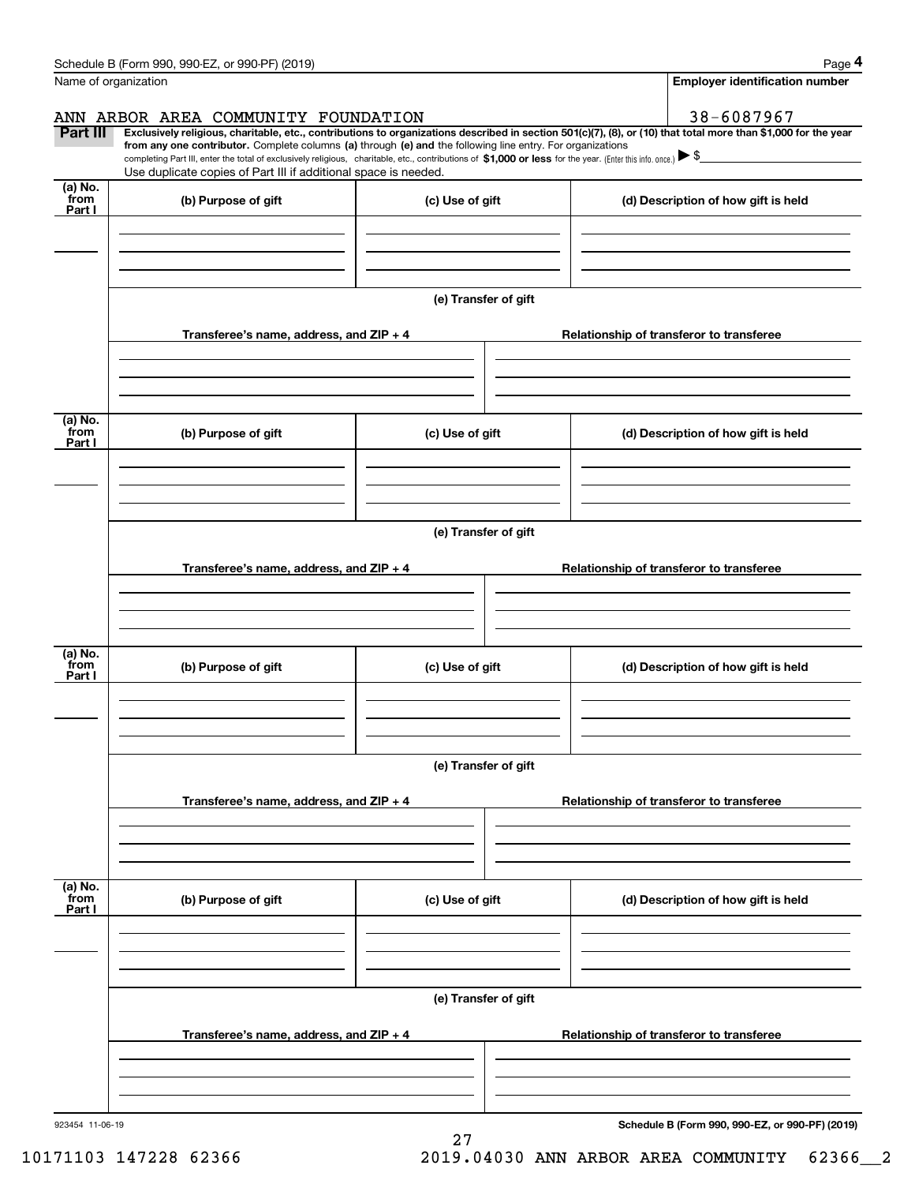|                 | Schedule B (Form 990, 990-EZ, or 990-PF) (2019)                                                                                                                                                                                                                              |                      |  |  | Page 4                                          |  |  |
|-----------------|------------------------------------------------------------------------------------------------------------------------------------------------------------------------------------------------------------------------------------------------------------------------------|----------------------|--|--|-------------------------------------------------|--|--|
|                 | Name of organization                                                                                                                                                                                                                                                         |                      |  |  | <b>Employer identification number</b>           |  |  |
|                 | ANN ARBOR AREA COMMUNITY FOUNDATION                                                                                                                                                                                                                                          |                      |  |  | 38-6087967                                      |  |  |
| Part III        | Exclusively religious, charitable, etc., contributions to organizations described in section 501(c)(7), (8), or (10) that total more than \$1,000 for the year<br>from any one contributor. Complete columns (a) through (e) and the following line entry. For organizations |                      |  |  |                                                 |  |  |
|                 | completing Part III, enter the total of exclusively religious, charitable, etc., contributions of \$1,000 or less for the year. (Enter this info. once.) $\blacktriangleright$ \$<br>Use duplicate copies of Part III if additional space is needed.                         |                      |  |  |                                                 |  |  |
| (a) No.         |                                                                                                                                                                                                                                                                              |                      |  |  |                                                 |  |  |
| from<br>Part I  | (b) Purpose of gift                                                                                                                                                                                                                                                          | (c) Use of gift      |  |  | (d) Description of how gift is held             |  |  |
|                 |                                                                                                                                                                                                                                                                              |                      |  |  |                                                 |  |  |
|                 |                                                                                                                                                                                                                                                                              |                      |  |  |                                                 |  |  |
|                 |                                                                                                                                                                                                                                                                              |                      |  |  |                                                 |  |  |
|                 |                                                                                                                                                                                                                                                                              | (e) Transfer of gift |  |  |                                                 |  |  |
|                 | Transferee's name, address, and ZIP + 4                                                                                                                                                                                                                                      |                      |  |  | Relationship of transferor to transferee        |  |  |
|                 |                                                                                                                                                                                                                                                                              |                      |  |  |                                                 |  |  |
|                 |                                                                                                                                                                                                                                                                              |                      |  |  |                                                 |  |  |
|                 |                                                                                                                                                                                                                                                                              |                      |  |  |                                                 |  |  |
| (a) No.<br>from |                                                                                                                                                                                                                                                                              |                      |  |  |                                                 |  |  |
| Part I          | (b) Purpose of gift                                                                                                                                                                                                                                                          | (c) Use of gift      |  |  | (d) Description of how gift is held             |  |  |
|                 |                                                                                                                                                                                                                                                                              |                      |  |  |                                                 |  |  |
|                 |                                                                                                                                                                                                                                                                              |                      |  |  |                                                 |  |  |
|                 |                                                                                                                                                                                                                                                                              |                      |  |  |                                                 |  |  |
|                 |                                                                                                                                                                                                                                                                              | (e) Transfer of gift |  |  |                                                 |  |  |
|                 | Transferee's name, address, and ZIP + 4                                                                                                                                                                                                                                      |                      |  |  | Relationship of transferor to transferee        |  |  |
|                 |                                                                                                                                                                                                                                                                              |                      |  |  |                                                 |  |  |
|                 |                                                                                                                                                                                                                                                                              |                      |  |  |                                                 |  |  |
|                 |                                                                                                                                                                                                                                                                              |                      |  |  |                                                 |  |  |
| (a) No.<br>from | (b) Purpose of gift                                                                                                                                                                                                                                                          | (c) Use of gift      |  |  | (d) Description of how gift is held             |  |  |
| Part I          |                                                                                                                                                                                                                                                                              |                      |  |  |                                                 |  |  |
|                 |                                                                                                                                                                                                                                                                              |                      |  |  |                                                 |  |  |
|                 |                                                                                                                                                                                                                                                                              |                      |  |  |                                                 |  |  |
|                 | (e) Transfer of gift                                                                                                                                                                                                                                                         |                      |  |  |                                                 |  |  |
|                 |                                                                                                                                                                                                                                                                              |                      |  |  |                                                 |  |  |
|                 | Transferee's name, address, and $ZIP + 4$                                                                                                                                                                                                                                    |                      |  |  | Relationship of transferor to transferee        |  |  |
|                 |                                                                                                                                                                                                                                                                              |                      |  |  |                                                 |  |  |
|                 |                                                                                                                                                                                                                                                                              |                      |  |  |                                                 |  |  |
| (a) No.         |                                                                                                                                                                                                                                                                              |                      |  |  |                                                 |  |  |
| `from<br>Part I | (b) Purpose of gift                                                                                                                                                                                                                                                          | (c) Use of gift      |  |  | (d) Description of how gift is held             |  |  |
|                 |                                                                                                                                                                                                                                                                              |                      |  |  |                                                 |  |  |
|                 |                                                                                                                                                                                                                                                                              |                      |  |  |                                                 |  |  |
|                 |                                                                                                                                                                                                                                                                              |                      |  |  |                                                 |  |  |
|                 |                                                                                                                                                                                                                                                                              | (e) Transfer of gift |  |  |                                                 |  |  |
|                 |                                                                                                                                                                                                                                                                              |                      |  |  |                                                 |  |  |
|                 | Transferee's name, address, and $ZIP + 4$                                                                                                                                                                                                                                    |                      |  |  | Relationship of transferor to transferee        |  |  |
|                 |                                                                                                                                                                                                                                                                              |                      |  |  |                                                 |  |  |
|                 |                                                                                                                                                                                                                                                                              |                      |  |  |                                                 |  |  |
| 923454 11-06-19 |                                                                                                                                                                                                                                                                              |                      |  |  | Schedule B (Form 990, 990-EZ, or 990-PF) (2019) |  |  |

**Schedule B (Form 990, 990-EZ, or 990-PF) (2019)**

27

 <sup>10171103 147228 62366 2019.04030</sup> ANN ARBOR AREA COMMUNITY 62366\_\_2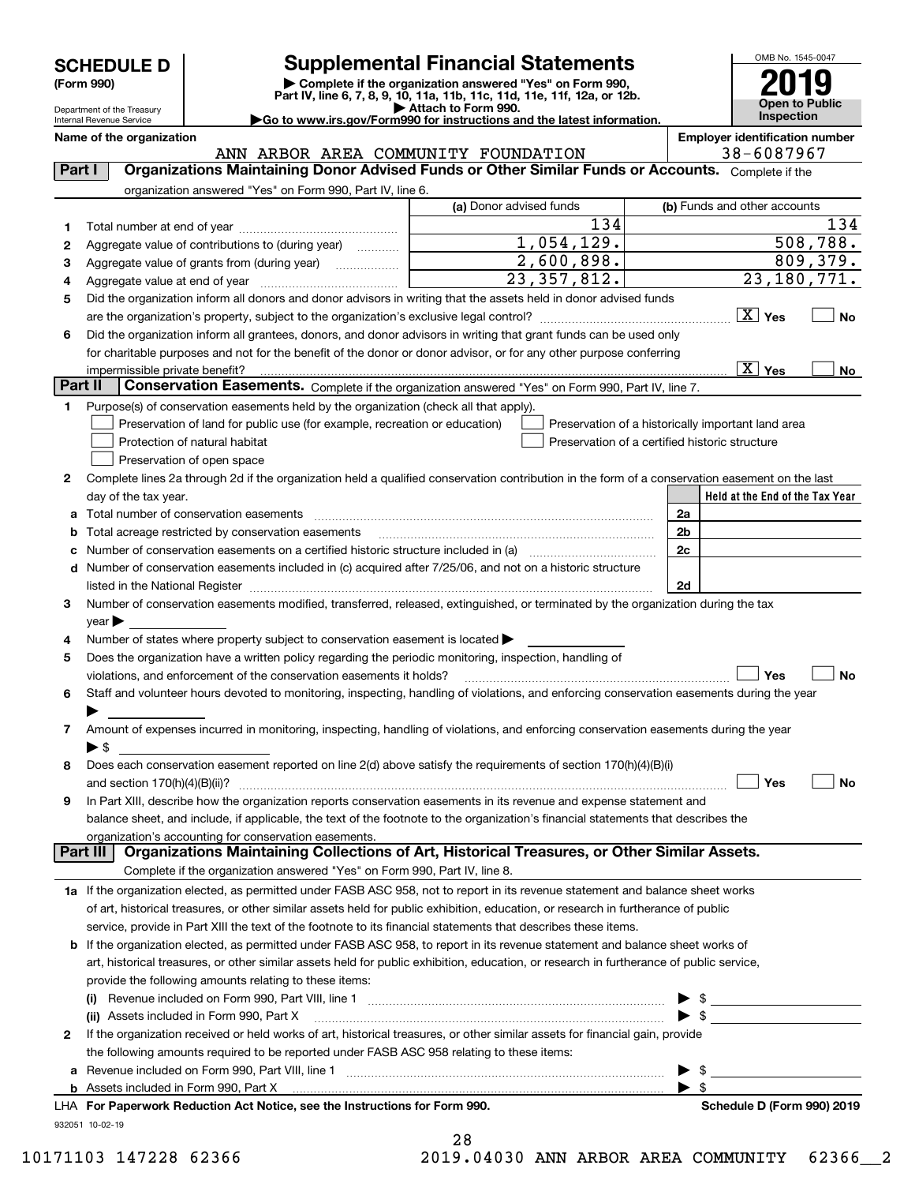| <b>SCHEDULE D</b> |  |  |
|-------------------|--|--|
|-------------------|--|--|

Department of the Treasury Internal Revenue Service

## **Supplemental Financial Statements**

(Form 990)<br>
Pepartment of the Treasury<br>
Department of the Treasury<br>
Department of the Treasury<br>
Department of the Treasury<br> **Co to www.irs.gov/Form990 for instructions and the latest information.**<br> **Co to www.irs.gov/Form9** 

OMB No. 1545-0047 **Open to Public Inspection2019**

| Internal Revenue Service | $\blacktriangleright$ Go to www.irs.gov/Form990 for instructions and the latest information. | <b>Inspection</b>                     |
|--------------------------|----------------------------------------------------------------------------------------------|---------------------------------------|
| Name of the organization |                                                                                              | <b>Employer identification number</b> |

932051 10-02-19 **Held at the End of the Tax Year** (a) Donor advised funds **123456X** Yes  $\Box$  **No Yes No 12**Complete lines 2a through 2d if the organization held a qualified conservation contribution in the form of a conservation easement on the last **3456789abc** Number of conservation easements on a certified historic structure included in (a) www.communically **d2a2b2c2dYes No Yes No 1a** If the organization elected, as permitted under FASB ASC 958, not to report in its revenue statement and balance sheet works **2b** If the organization elected, as permitted under FASB ASC 958, to report in its revenue statement and balance sheet works of **(i)** Revenue included on Form 990, Part VIII, line 1 ~~~~~~~~~~~~~~~~~~~~~~~~~~~~ | \$ **(ii)** Assets included in Form 990, Part X ~~~~~~~~~~~~~~~~~~~~~~~~~~~~~~~~~ | \$ **a**Revenue included on Form 990, Part VIII, line 1 ~~~~~~~~~~~~~~~~~~~~~~~~~~~~~~**bFor Paperwork Reduction Act Notice, see the Instructions for Form 990. Schedule D (Form 990) 2019** LHA<code>Part I</code>  $|$   $|$  Organizations Maintaining Donor Advised Funds or Other Similar Funds or Accounts.  $\,$  <code>Complete</code> if the organization answered "Yes" on Form 990, Part IV, line 6. (b) Funds and other accounts Total number at end of year ~~~~~~~~~~~~~~~Aggregate value of contributions to (during year)  $\quad \quad \ldots \ldots \ldots$ Aggregate value of grants from (during year) www.commun Aggregate value at end of year ~~~~~~~~~~~~~ Did the organization inform all donors and donor advisors in writing that the assets held in donor advised funds are the organization's property, subject to the organization's exclusive legal control? ~~~~~~~~~~~~~~~~~~ Did the organization inform all grantees, donors, and donor advisors in writing that grant funds can be used only for charitable purposes and not for the benefit of the donor or donor advisor, or for any other purpose conferring impermissible private benefit? **Part II | Conservation Easements.** Complete if the organization answered "Yes" on Form 990, Part IV, line 7. Purpose(s) of conservation easements held by the organization (check all that apply). Preservation of land for public use (for example, recreation or education) **Protection of natural habitat Example 2014** Preservation of open space Preservation of a historically important land area Preservation of a certified historic structure day of the tax year. Total number of conservation easements ~~~~~~~~~~~~~~~~~~~~~~~~~~~~~~~~Total acreage restricted by conservation easements ~~~~~~~~~~~~~~~~~~~~~~~~~~Number of conservation easements included in (c) acquired after 7/25/06, and not on a historic structure listed in the National Register ~~~~~~~~~~~~~~~~~~~~~~~~~~~~~~~~~~~~~~ Number of conservation easements modified, transferred, released, extinguished, or terminated by the organization during the tax  $vear \blacktriangleright$ Number of states where property subject to conservation easement is located  $\blacktriangleright$ Does the organization have a written policy regarding the periodic monitoring, inspection, handling of violations, and enforcement of the conservation easements it holds?  $\Box$   $\Box$   $\Box$   $\Box$ Staff and volunteer hours devoted to monitoring, inspecting, handling of violations, and enforcing conservation easements during the year  $\blacktriangleright$ Amount of expenses incurred in monitoring, inspecting, handling of violations, and enforcing conservation easements during the year  $\blacktriangleright$  \$ Does each conservation easement reported on line 2(d) above satisfy the requirements of section 170(h)(4)(B)(i) and section 170(h)(4)(B)(ii)? ~~~~~~~~~~~~~~~~~~~~~~~~~~~~~~~~~~~~~~~~~~~~~~ In Part XIII, describe how the organization reports conservation easements in its revenue and expense statement and balance sheet, and include, if applicable, the text of the footnote to the organization's financial statements that describes the organization's accounting for conservation easements. Complete if the organization answered "Yes" on Form 990, Part IV, line 8. of art, historical treasures, or other similar assets held for public exhibition, education, or research in furtherance of public service, provide in Part XIII the text of the footnote to its financial statements that describes these items. art, historical treasures, or other similar assets held for public exhibition, education, or research in furtherance of public service, provide the following amounts relating to these items: If the organization received or held works of art, historical treasures, or other similar assets for financial gain, provide the following amounts required to be reported under FASB ASC 958 relating to these items: Assets included in Form 990, Part X  $\blacktriangleright$  \$  $\ldots$   $\blacktriangleright$  \$ **Part III Organizations Maintaining Collections of Art, Historical Treasures, or Other Similar Assets.**  $\boxed{\text{X}}$  $\overline{X}$  Yes  $\overline{X}$  $\mathcal{L}^{\text{max}}$  $\mathcal{L}^{\text{max}}$  $\mathcal{L}^{\text{max}}$ 134 134  $1,054,129.$  508,788. 2,600,898. 23,357,812. 809,379. 23,180,771. X ANN ARBOR AREA COMMUNITY FOUNDATION 38-6087967 28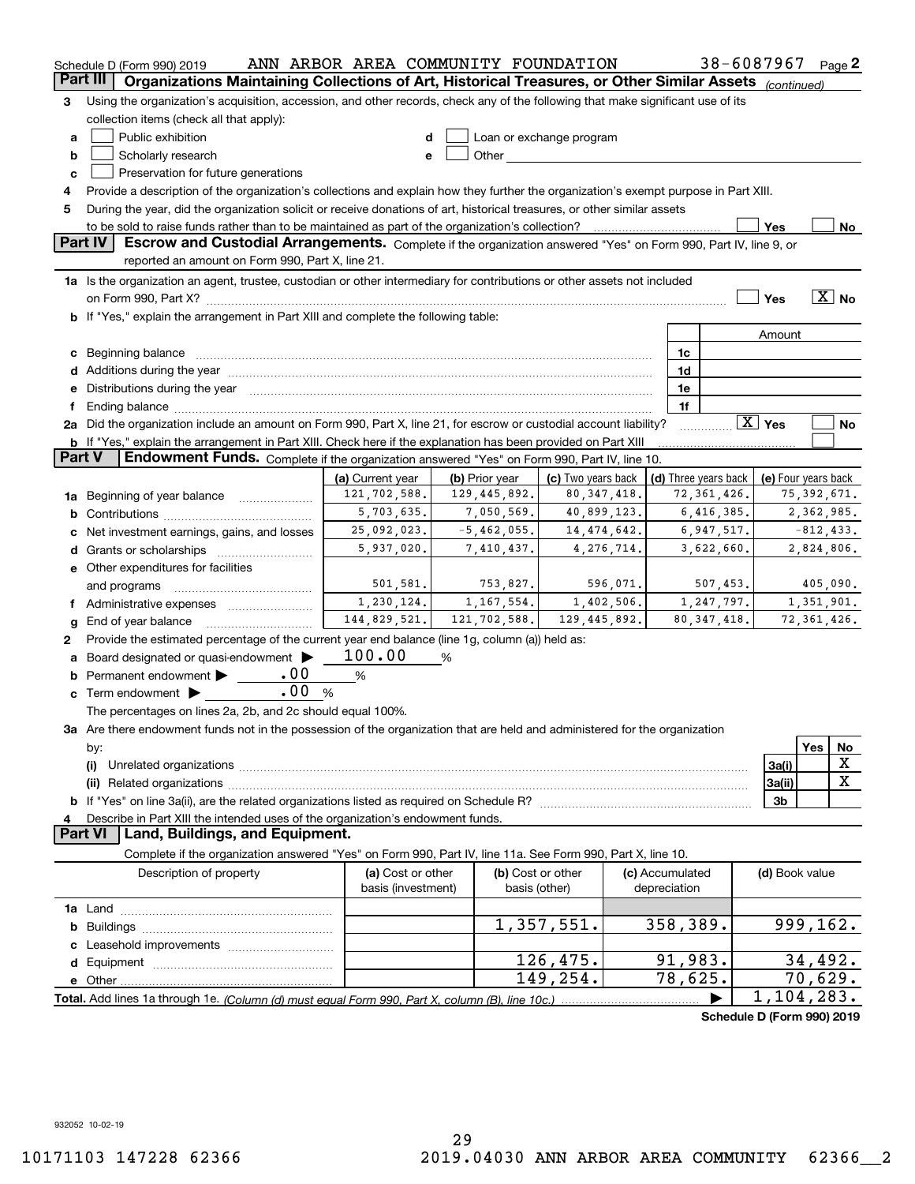|               | Schedule D (Form 990) 2019                                                                                                                                                                                                           | ANN ARBOR AREA COMMUNITY FOUNDATION |                |               |                                                                                                                                                                                                                                |                 |              | 38-6087967                 |                        |     | Page 2                   |
|---------------|--------------------------------------------------------------------------------------------------------------------------------------------------------------------------------------------------------------------------------------|-------------------------------------|----------------|---------------|--------------------------------------------------------------------------------------------------------------------------------------------------------------------------------------------------------------------------------|-----------------|--------------|----------------------------|------------------------|-----|--------------------------|
| Part III      | Organizations Maintaining Collections of Art, Historical Treasures, or Other Similar Assets (continued)                                                                                                                              |                                     |                |               |                                                                                                                                                                                                                                |                 |              |                            |                        |     |                          |
| 3             | Using the organization's acquisition, accession, and other records, check any of the following that make significant use of its                                                                                                      |                                     |                |               |                                                                                                                                                                                                                                |                 |              |                            |                        |     |                          |
|               | collection items (check all that apply):                                                                                                                                                                                             |                                     |                |               |                                                                                                                                                                                                                                |                 |              |                            |                        |     |                          |
| a             | Public exhibition                                                                                                                                                                                                                    | d                                   |                |               | Loan or exchange program                                                                                                                                                                                                       |                 |              |                            |                        |     |                          |
| b             | Scholarly research                                                                                                                                                                                                                   | е                                   |                |               | Other the contract of the contract of the contract of the contract of the contract of the contract of the contract of the contract of the contract of the contract of the contract of the contract of the contract of the cont |                 |              |                            |                        |     |                          |
| c             | Preservation for future generations                                                                                                                                                                                                  |                                     |                |               |                                                                                                                                                                                                                                |                 |              |                            |                        |     |                          |
| 4             | Provide a description of the organization's collections and explain how they further the organization's exempt purpose in Part XIII.                                                                                                 |                                     |                |               |                                                                                                                                                                                                                                |                 |              |                            |                        |     |                          |
| 5             | During the year, did the organization solicit or receive donations of art, historical treasures, or other similar assets                                                                                                             |                                     |                |               |                                                                                                                                                                                                                                |                 |              |                            |                        |     |                          |
|               |                                                                                                                                                                                                                                      |                                     |                |               |                                                                                                                                                                                                                                |                 |              |                            | Yes                    |     | No                       |
|               | Part IV<br>Escrow and Custodial Arrangements. Complete if the organization answered "Yes" on Form 990, Part IV, line 9, or                                                                                                           |                                     |                |               |                                                                                                                                                                                                                                |                 |              |                            |                        |     |                          |
|               | reported an amount on Form 990, Part X, line 21.                                                                                                                                                                                     |                                     |                |               |                                                                                                                                                                                                                                |                 |              |                            |                        |     |                          |
|               | 1a Is the organization an agent, trustee, custodian or other intermediary for contributions or other assets not included                                                                                                             |                                     |                |               |                                                                                                                                                                                                                                |                 |              |                            |                        |     |                          |
|               |                                                                                                                                                                                                                                      |                                     |                |               |                                                                                                                                                                                                                                |                 |              |                            | Yes                    |     | $\overline{\text{X}}$ No |
|               | b If "Yes," explain the arrangement in Part XIII and complete the following table:                                                                                                                                                   |                                     |                |               |                                                                                                                                                                                                                                |                 |              |                            |                        |     |                          |
|               |                                                                                                                                                                                                                                      |                                     |                |               |                                                                                                                                                                                                                                |                 |              |                            | Amount                 |     |                          |
|               |                                                                                                                                                                                                                                      |                                     |                |               |                                                                                                                                                                                                                                |                 |              |                            |                        |     |                          |
| c             | Beginning balance <b>contract to the contract of the contract of the contract of the contract of the contract of the contract of the contract of the contract of the contract of the contract of the contract of the contract of</b> |                                     |                |               |                                                                                                                                                                                                                                |                 | 1c<br>1d     |                            |                        |     |                          |
|               | Additions during the year manufactured and an account of the state of the state of the state of the state of the state of the state of the state of the state of the state of the state of the state of the state of the state<br>d  |                                     |                |               |                                                                                                                                                                                                                                |                 |              |                            |                        |     |                          |
|               | Distributions during the year manufactured and continuum and contact the year manufactured and contact the year<br>е                                                                                                                 |                                     |                |               |                                                                                                                                                                                                                                |                 | 1e           |                            |                        |     |                          |
|               | 1f<br>f<br>2a Did the organization include an amount on Form 990, Part X, line 21, for escrow or custodial account liability?                                                                                                        |                                     |                |               |                                                                                                                                                                                                                                |                 |              |                            | $\boxed{\text{X}}$ Yes |     |                          |
|               |                                                                                                                                                                                                                                      |                                     |                |               |                                                                                                                                                                                                                                |                 |              |                            |                        |     | No                       |
| <b>Part V</b> | <b>b</b> If "Yes," explain the arrangement in Part XIII. Check here if the explanation has been provided on Part XIII                                                                                                                |                                     |                |               |                                                                                                                                                                                                                                |                 |              |                            |                        |     |                          |
|               | <b>Endowment Funds.</b> Complete if the organization answered "Yes" on Form 990, Part IV, line 10.                                                                                                                                   |                                     |                |               |                                                                                                                                                                                                                                |                 |              |                            |                        |     |                          |
|               |                                                                                                                                                                                                                                      | (a) Current year                    | (b) Prior year |               | (c) Two years back                                                                                                                                                                                                             |                 |              | (d) Three years back       | (e) Four years back    |     |                          |
| 1a            | Beginning of year balance <i>manumman</i>                                                                                                                                                                                            | 121,702,588.                        |                | 129,445,892.  | 80, 347, 418.                                                                                                                                                                                                                  |                 |              | 72, 361, 426.              |                        |     | 75, 392, 671.            |
| b             |                                                                                                                                                                                                                                      | 5,703,635.                          |                | 7,050,569.    | 40,899,123.                                                                                                                                                                                                                    |                 |              | 6,416,385.                 |                        |     | 2,362,985.               |
|               | Net investment earnings, gains, and losses                                                                                                                                                                                           | 25,092,023.                         |                | $-5,462,055.$ | 14, 474, 642.                                                                                                                                                                                                                  |                 | 6,947,517.   |                            |                        |     | $-812, 433.$             |
| d             |                                                                                                                                                                                                                                      | 5,937,020.                          |                | 7,410,437.    |                                                                                                                                                                                                                                | 4,276,714.      |              | 3,622,660.                 |                        |     | 2,824,806.               |
|               | e Other expenditures for facilities                                                                                                                                                                                                  |                                     |                |               |                                                                                                                                                                                                                                |                 |              |                            |                        |     |                          |
|               | and programs                                                                                                                                                                                                                         | 501,581.                            |                | 753,827.      |                                                                                                                                                                                                                                | 596,071.        |              | 507,453.                   |                        |     | 405,090.                 |
|               | f Administrative expenses <i></i>                                                                                                                                                                                                    | 1,230,124.                          |                | 1, 167, 554.  |                                                                                                                                                                                                                                | 1,402,506.      |              | 1,247,797.                 |                        |     | 1,351,901.               |
| g             | End of year balance                                                                                                                                                                                                                  | 144,829,521.                        |                | 121,702,588.  | 129,445,892.                                                                                                                                                                                                                   |                 |              | 80, 347, 418.              |                        |     | 72, 361, 426.            |
| 2             | Provide the estimated percentage of the current year end balance (line 1g, column (a)) held as:                                                                                                                                      |                                     |                |               |                                                                                                                                                                                                                                |                 |              |                            |                        |     |                          |
|               | Board designated or quasi-endowment                                                                                                                                                                                                  | 100.00                              | %              |               |                                                                                                                                                                                                                                |                 |              |                            |                        |     |                          |
|               | .00<br>Permanent endowment >                                                                                                                                                                                                         | %                                   |                |               |                                                                                                                                                                                                                                |                 |              |                            |                        |     |                          |
| c             | .00<br>Term endowment $\blacktriangleright$                                                                                                                                                                                          | %                                   |                |               |                                                                                                                                                                                                                                |                 |              |                            |                        |     |                          |
|               | The percentages on lines 2a, 2b, and 2c should equal 100%.                                                                                                                                                                           |                                     |                |               |                                                                                                                                                                                                                                |                 |              |                            |                        |     |                          |
|               | 3a Are there endowment funds not in the possession of the organization that are held and administered for the organization                                                                                                           |                                     |                |               |                                                                                                                                                                                                                                |                 |              |                            |                        |     |                          |
|               | by:                                                                                                                                                                                                                                  |                                     |                |               |                                                                                                                                                                                                                                |                 |              |                            |                        | Yes | No                       |
|               | (i)                                                                                                                                                                                                                                  |                                     |                |               |                                                                                                                                                                                                                                |                 |              |                            | 3a(i)                  |     | X                        |
|               |                                                                                                                                                                                                                                      |                                     |                |               |                                                                                                                                                                                                                                |                 |              |                            | 3a(ii)                 |     | $\mathbf x$              |
|               |                                                                                                                                                                                                                                      |                                     |                |               |                                                                                                                                                                                                                                |                 |              |                            | 3 <sub>b</sub>         |     |                          |
|               | Describe in Part XIII the intended uses of the organization's endowment funds.                                                                                                                                                       |                                     |                |               |                                                                                                                                                                                                                                |                 |              |                            |                        |     |                          |
|               | <b>Part VI</b><br>Land, Buildings, and Equipment.                                                                                                                                                                                    |                                     |                |               |                                                                                                                                                                                                                                |                 |              |                            |                        |     |                          |
|               | Complete if the organization answered "Yes" on Form 990, Part IV, line 11a. See Form 990, Part X, line 10.                                                                                                                           |                                     |                |               |                                                                                                                                                                                                                                |                 |              |                            |                        |     |                          |
|               | Description of property                                                                                                                                                                                                              | (a) Cost or other                   |                |               | (b) Cost or other                                                                                                                                                                                                              | (c) Accumulated |              |                            | (d) Book value         |     |                          |
|               |                                                                                                                                                                                                                                      | basis (investment)                  |                |               | basis (other)                                                                                                                                                                                                                  |                 | depreciation |                            |                        |     |                          |
|               |                                                                                                                                                                                                                                      |                                     |                |               |                                                                                                                                                                                                                                |                 |              |                            |                        |     |                          |
|               |                                                                                                                                                                                                                                      |                                     |                |               | 1,357,551.                                                                                                                                                                                                                     |                 | 358,389.     |                            | 999, 162.              |     |                          |
| b             |                                                                                                                                                                                                                                      |                                     |                |               |                                                                                                                                                                                                                                |                 |              |                            |                        |     |                          |
|               |                                                                                                                                                                                                                                      |                                     |                |               | 126,475.                                                                                                                                                                                                                       |                 | 91,983.      |                            |                        |     | 34,492.                  |
|               |                                                                                                                                                                                                                                      |                                     |                |               |                                                                                                                                                                                                                                |                 |              |                            |                        |     |                          |
|               |                                                                                                                                                                                                                                      |                                     |                |               | 149,254.                                                                                                                                                                                                                       |                 | 78,625.      |                            |                        |     | 70,629.                  |
|               | Total. Add lines 1a through 1e. (Column (d) must equal Form 990. Part X. column (B). line 10c.)                                                                                                                                      |                                     |                |               |                                                                                                                                                                                                                                |                 |              |                            | 1,104,283.             |     |                          |
|               |                                                                                                                                                                                                                                      |                                     |                |               |                                                                                                                                                                                                                                |                 |              | Schedule D (Form 990) 2019 |                        |     |                          |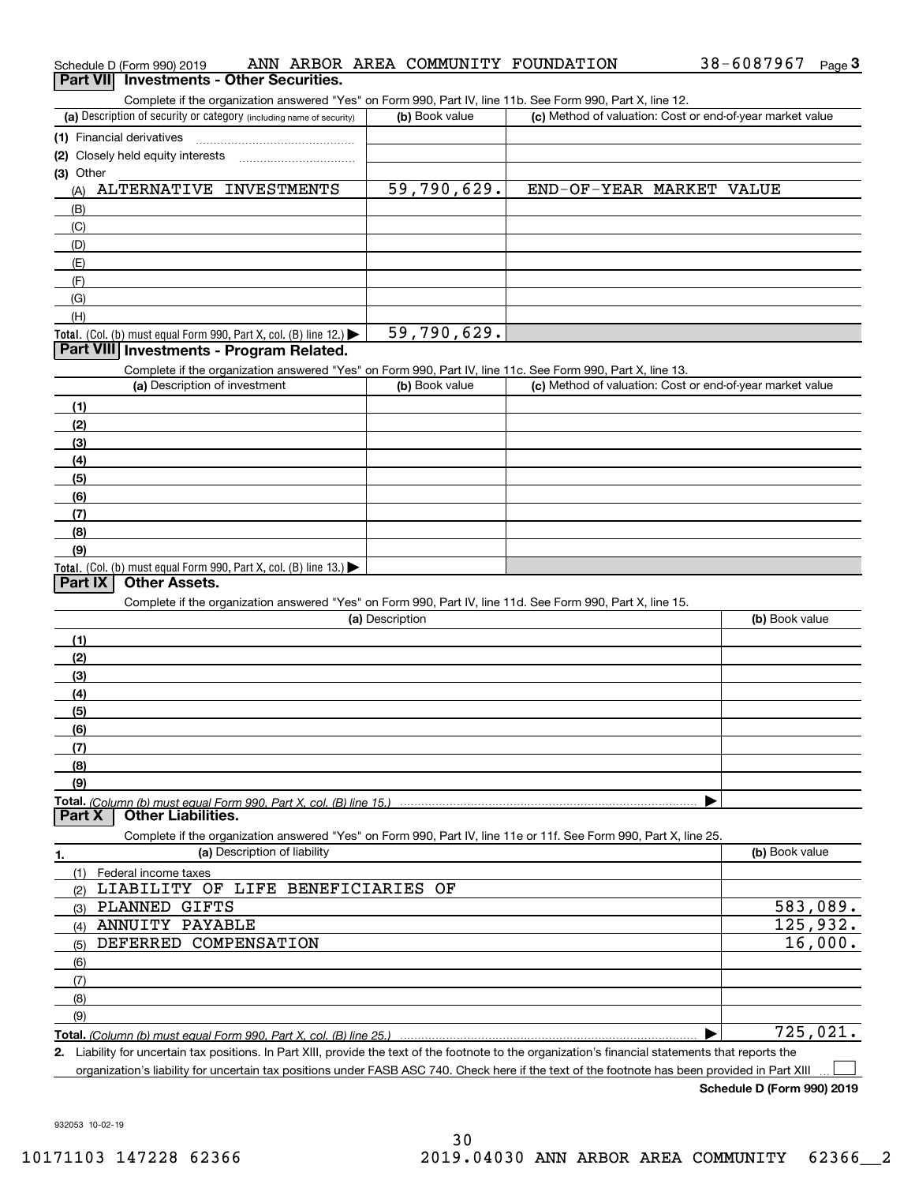| ANN ARBOR AREA COMMUNITY FOUNDATION<br>Schedule D (Form 990) 2019                                                 | 38-6087967<br>$Page$ <sup>3</sup>                         |
|-------------------------------------------------------------------------------------------------------------------|-----------------------------------------------------------|
| Part VII Investments - Other Securities.                                                                          |                                                           |
| Complete if the organization answered "Yes" on Form 990, Part IV, line 11b. See Form 990, Part X, line 12.        |                                                           |
| (a) Description of security or category (including name of security)<br>(b) Book value                            | (c) Method of valuation: Cost or end-of-year market value |
| (1) Financial derivatives                                                                                         |                                                           |
| (2) Closely held equity interests                                                                                 |                                                           |
| (3) Other                                                                                                         |                                                           |
| ALTERNATIVE INVESTMENTS<br>59,790,629.<br>(A)                                                                     | END-OF-YEAR MARKET VALUE                                  |
| (B)                                                                                                               |                                                           |
| (C)                                                                                                               |                                                           |
| (D)                                                                                                               |                                                           |
| (E)                                                                                                               |                                                           |
| (F)<br>(G)                                                                                                        |                                                           |
| (H)                                                                                                               |                                                           |
| 59,790,629.<br>Total. (Col. (b) must equal Form 990, Part X, col. (B) line 12.)                                   |                                                           |
| Part VIII Investments - Program Related.                                                                          |                                                           |
| Complete if the organization answered "Yes" on Form 990, Part IV, line 11c. See Form 990, Part X, line 13.        |                                                           |
| (a) Description of investment<br>(b) Book value                                                                   | (c) Method of valuation: Cost or end-of-year market value |
| (1)                                                                                                               |                                                           |
| (2)                                                                                                               |                                                           |
| (3)                                                                                                               |                                                           |
| (4)                                                                                                               |                                                           |
| (5)                                                                                                               |                                                           |
| (6)                                                                                                               |                                                           |
| (7)                                                                                                               |                                                           |
| (8)                                                                                                               |                                                           |
| (9)                                                                                                               |                                                           |
| Total. (Col. (b) must equal Form 990, Part X, col. (B) line 13.)                                                  |                                                           |
| <b>Other Assets.</b><br>Part IX                                                                                   |                                                           |
| Complete if the organization answered "Yes" on Form 990, Part IV, line 11d. See Form 990, Part X, line 15.        |                                                           |
| (a) Description                                                                                                   | (b) Book value                                            |
| (1)                                                                                                               |                                                           |
| (2)                                                                                                               |                                                           |
| (3)                                                                                                               |                                                           |
| (4)                                                                                                               |                                                           |
| (5)<br>(6)                                                                                                        |                                                           |
| (7)                                                                                                               |                                                           |
| (8)                                                                                                               |                                                           |
| (9)                                                                                                               |                                                           |
| <b>Other Liabilities.</b><br>Part X                                                                               |                                                           |
| Complete if the organization answered "Yes" on Form 990, Part IV, line 11e or 11f. See Form 990, Part X, line 25. |                                                           |
| (a) Description of liability<br>1.                                                                                | (b) Book value                                            |
| (1)<br>Federal income taxes                                                                                       |                                                           |
| LIABILITY OF LIFE BENEFICIARIES OF<br>(2)                                                                         |                                                           |
| PLANNED GIFTS<br>(3)                                                                                              | 583,089.                                                  |
| ANNUITY PAYABLE<br>(4)                                                                                            | 125,932.                                                  |
| DEFERRED COMPENSATION<br>(5)                                                                                      |                                                           |
|                                                                                                                   | 16,000.                                                   |
|                                                                                                                   |                                                           |
| (6)<br>(7)                                                                                                        |                                                           |
| (8)                                                                                                               |                                                           |
| (9)                                                                                                               | 725,021.                                                  |

**2.** Liability for uncertain tax positions. In Part XIII, provide the text of the footnote to the organization's financial statements that reports the organization's liability for uncertain tax positions under FASB ASC 740. Check here if the text of the footnote has been provided in Part XIII

**Schedule D (Form 990) 2019**

38-6087967 Page 3

 $\mathcal{L}^{\text{max}}$ 

932053 10-02-19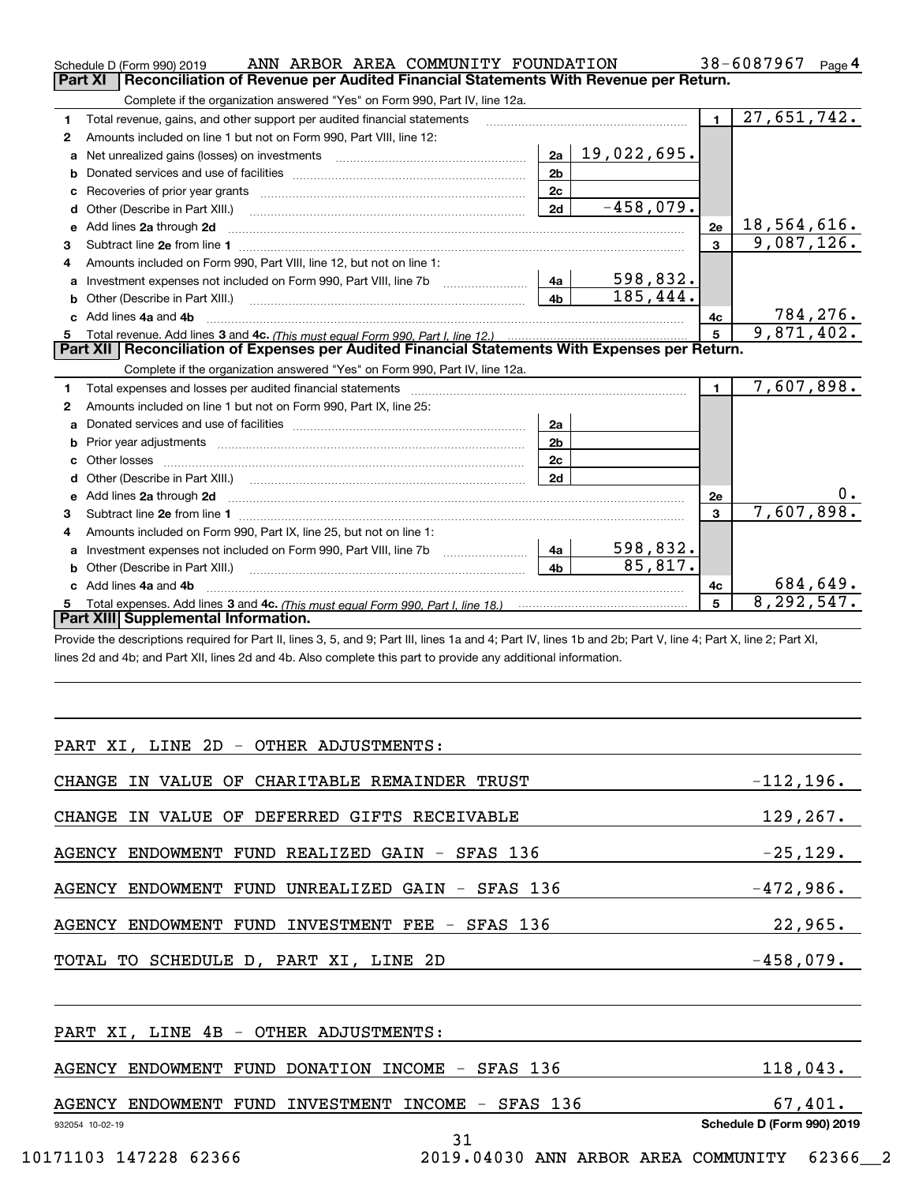|    | ANN ARBOR AREA COMMUNITY FOUNDATION<br>Schedule D (Form 990) 2019                                                                                                                                                              |                |             |                         | 38-6087967<br>Page $4$    |
|----|--------------------------------------------------------------------------------------------------------------------------------------------------------------------------------------------------------------------------------|----------------|-------------|-------------------------|---------------------------|
|    | Reconciliation of Revenue per Audited Financial Statements With Revenue per Return.<br>Part XI                                                                                                                                 |                |             |                         |                           |
|    | Complete if the organization answered "Yes" on Form 990, Part IV, line 12a.                                                                                                                                                    |                |             |                         |                           |
| 1  | Total revenue, gains, and other support per audited financial statements                                                                                                                                                       |                |             | $\blacksquare$          | $\overline{27,651,742}$ . |
| 2  | Amounts included on line 1 but not on Form 990, Part VIII, line 12:                                                                                                                                                            |                |             |                         |                           |
| a  |                                                                                                                                                                                                                                | 2a             | 19,022,695. |                         |                           |
| b  |                                                                                                                                                                                                                                | 2 <sub>b</sub> |             |                         |                           |
| c  | Recoveries of prior year grants [111] Recoveries of prior year grants [11] Masseum Marchantel Marchantel March                                                                                                                 | 2c             |             |                         |                           |
| d  |                                                                                                                                                                                                                                | 2d             | $-458,079.$ |                         |                           |
| е  | Add lines 2a through 2d                                                                                                                                                                                                        |                |             | 2e                      | 18,564,616.               |
| 3  |                                                                                                                                                                                                                                |                |             | $\overline{\mathbf{3}}$ | 9,087,126.                |
| 4  | Amounts included on Form 990, Part VIII, line 12, but not on line 1:                                                                                                                                                           |                |             |                         |                           |
|    |                                                                                                                                                                                                                                | - 4a           | 598,832.    |                         |                           |
| b  |                                                                                                                                                                                                                                | 4 <sub>b</sub> | 185,444.    |                         |                           |
| C. | Add lines 4a and 4b                                                                                                                                                                                                            |                |             | 4с                      | 784, 276.                 |
| 5  |                                                                                                                                                                                                                                |                |             | $5\overline{5}$         | 9,871,402.                |
|    | Part XII   Reconciliation of Expenses per Audited Financial Statements With Expenses per Return.                                                                                                                               |                |             |                         |                           |
|    | Complete if the organization answered "Yes" on Form 990, Part IV, line 12a.                                                                                                                                                    |                |             |                         |                           |
| 1  | Total expenses and losses per audited financial statements [11] [12] manuscription and contract the statements [13] manuscription and the statements [13] manuscription and the statements and the statements and the statemen |                |             | $\blacksquare$          | 7,607,898.                |
| 2  | Amounts included on line 1 but not on Form 990, Part IX, line 25:                                                                                                                                                              |                |             |                         |                           |
| a  |                                                                                                                                                                                                                                | 2a             |             |                         |                           |
| b  |                                                                                                                                                                                                                                | 2 <sub>b</sub> |             |                         |                           |
| c. |                                                                                                                                                                                                                                | 2c             |             |                         |                           |
|    |                                                                                                                                                                                                                                | 2d             |             |                         |                           |
|    |                                                                                                                                                                                                                                |                |             | 2e                      | 0.                        |
| 3  |                                                                                                                                                                                                                                |                |             | 3                       | 7,607,898.                |
| 4  | Amounts included on Form 990, Part IX, line 25, but not on line 1:                                                                                                                                                             |                |             |                         |                           |
| a  | Investment expenses not included on Form 990, Part VIII, line 7b [1000000000000000000000000000000000                                                                                                                           | 4a             | 598,832.    |                         |                           |
|    |                                                                                                                                                                                                                                | 4 <sub>b</sub> | 85,817.     |                         |                           |
|    | Add lines 4a and 4b                                                                                                                                                                                                            |                |             | 4с                      | 684,649.                  |
|    |                                                                                                                                                                                                                                |                |             | 5                       | 8, 292, 547.              |
|    | Part XIII Supplemental Information.                                                                                                                                                                                            |                |             |                         |                           |

Provide the descriptions required for Part II, lines 3, 5, and 9; Part III, lines 1a and 4; Part IV, lines 1b and 2b; Part V, line 4; Part X, line 2; Part XI, lines 2d and 4b; and Part XII, lines 2d and 4b. Also complete this part to provide any additional information.

| PART XI, LINE 2D - OTHER ADJUSTMENTS:                        |                            |
|--------------------------------------------------------------|----------------------------|
| CHANGE IN VALUE OF CHARITABLE REMAINDER TRUST                | $-112, 196.$               |
| CHANGE IN VALUE OF DEFERRED GIFTS RECEIVABLE                 | 129, 267.                  |
| AGENCY ENDOWMENT FUND REALIZED GAIN - SFAS 136               | $-25, 129.$                |
| AGENCY ENDOWMENT FUND UNREALIZED GAIN - SFAS 136             | $-472,986.$                |
| AGENCY ENDOWMENT FUND INVESTMENT FEE - SFAS 136              | 22,965.                    |
| TOTAL TO SCHEDULE D, PART XI, LINE 2D                        | $-458,079.$                |
| PART XI, LINE 4B - OTHER ADJUSTMENTS:                        |                            |
| AGENCY ENDOWMENT FUND DONATION INCOME - SFAS 136             | 118,043.                   |
| AGENCY ENDOWMENT FUND INVESTMENT INCOME - SFAS 136           | 67,401.                    |
| 932054 10-02-19<br>31                                        | Schedule D (Form 990) 2019 |
| 10171103 147228 62366<br>2019.04030 ANN ARBOR AREA COMMUNITY | 62366 2                    |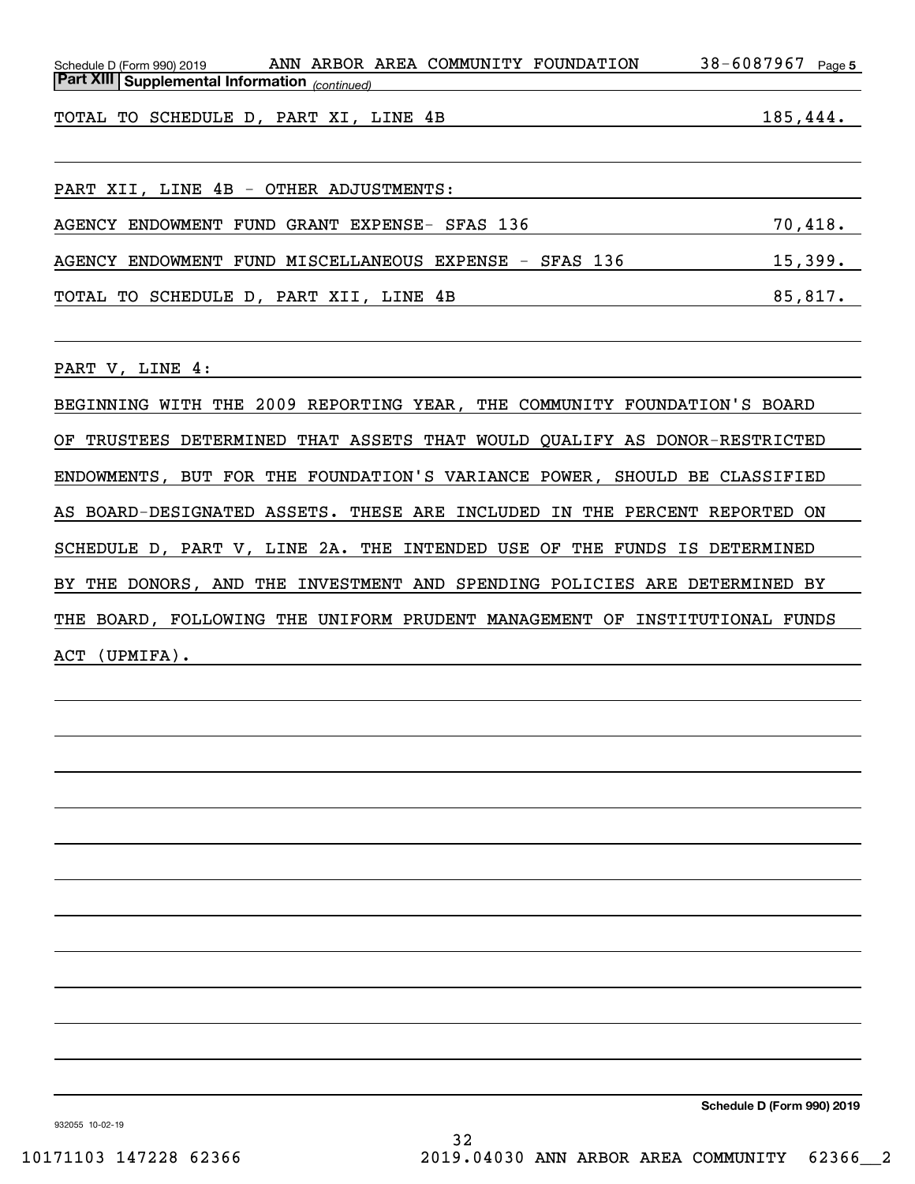Schedule D (Form 990) 2019 ANN ARBOR AREA COMMUNITY FOUNDATION 38-6087967 page 5 *(continued)* **Part XIII Supplemental Information** 

TOTAL TO SCHEDULE D, PART XI, LINE 4B 185,444.

PART XII, LINE 4B - OTHER ADJUSTMENTS: AGENCY ENDOWMENT FUND GRANT EXPENSE- SFAS 136 70,418. AGENCY ENDOWMENT FUND MISCELLANEOUS EXPENSE - SFAS 136 15,399. TOTAL TO SCHEDULE D, PART XII, LINE 4B 85,817.

PART V, LINE 4:

BEGINNING WITH THE 2009 REPORTING YEAR, THE COMMUNITY FOUNDATION'S BOARD OF TRUSTEES DETERMINED THAT ASSETS THAT WOULD QUALIFY AS DONOR-RESTRICTED ENDOWMENTS, BUT FOR THE FOUNDATION'S VARIANCE POWER, SHOULD BE CLASSIFIED AS BOARD-DESIGNATED ASSETS. THESE ARE INCLUDED IN THE PERCENT REPORTED ON SCHEDULE D, PART V, LINE 2A. THE INTENDED USE OF THE FUNDS IS DETERMINED BY THE DONORS, AND THE INVESTMENT AND SPENDING POLICIES ARE DETERMINED BY THE BOARD, FOLLOWING THE UNIFORM PRUDENT MANAGEMENT OF INSTITUTIONAL FUNDS ACT (UPMIFA).

**Schedule D (Form 990) 2019**

932055 10-02-19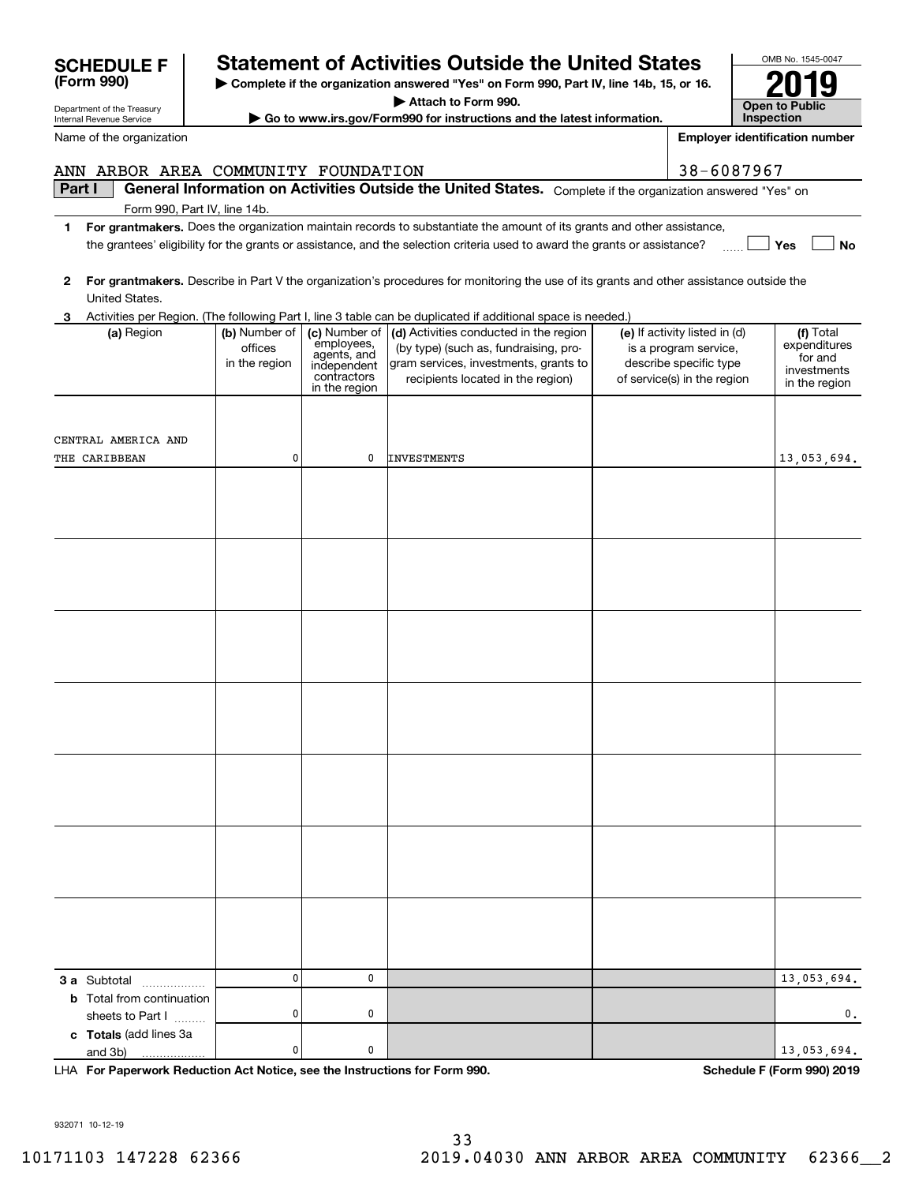| LHA For Paperwork Reduction Act Notice, see the Instructions for Form 990. |  |                                     |  | <b>Schedule F (Form 990) 2019</b> |         |  |  |
|----------------------------------------------------------------------------|--|-------------------------------------|--|-----------------------------------|---------|--|--|
| 932071 10-12-19                                                            |  | 33                                  |  |                                   |         |  |  |
| 10171103 147228 62366                                                      |  | 2019.04030 ANN ARBOR AREA COMMUNITY |  |                                   | 62366 2 |  |  |

|                                  |           | contractors<br>in the region | recipients located in the region) | of service(s) in the region | <b>ILLACOLLITICITIES</b><br>in the region |
|----------------------------------|-----------|------------------------------|-----------------------------------|-----------------------------|-------------------------------------------|
|                                  |           |                              |                                   |                             |                                           |
| CENTRAL AMERICA AND              |           |                              |                                   |                             |                                           |
| THE CARIBBEAN                    | 0         | $\pmb{0}$                    | INVESTMENTS                       |                             | 13,053,694.                               |
|                                  |           |                              |                                   |                             |                                           |
|                                  |           |                              |                                   |                             |                                           |
|                                  |           |                              |                                   |                             |                                           |
|                                  |           |                              |                                   |                             |                                           |
|                                  |           |                              |                                   |                             |                                           |
|                                  |           |                              |                                   |                             |                                           |
|                                  |           |                              |                                   |                             |                                           |
|                                  |           |                              |                                   |                             |                                           |
|                                  |           |                              |                                   |                             |                                           |
|                                  |           |                              |                                   |                             |                                           |
|                                  |           |                              |                                   |                             |                                           |
|                                  |           |                              |                                   |                             |                                           |
|                                  |           |                              |                                   |                             |                                           |
|                                  |           |                              |                                   |                             |                                           |
|                                  |           |                              |                                   |                             |                                           |
|                                  |           |                              |                                   |                             |                                           |
|                                  |           |                              |                                   |                             |                                           |
|                                  |           |                              |                                   |                             |                                           |
|                                  |           |                              |                                   |                             |                                           |
|                                  |           |                              |                                   |                             |                                           |
|                                  |           |                              |                                   |                             |                                           |
|                                  |           |                              |                                   |                             |                                           |
|                                  |           |                              |                                   |                             |                                           |
|                                  |           |                              |                                   |                             |                                           |
|                                  |           |                              |                                   |                             |                                           |
|                                  |           |                              |                                   |                             |                                           |
|                                  |           |                              |                                   |                             |                                           |
| <b>3 a</b> Subtotal              | $\pmb{0}$ | 0                            |                                   |                             | 13,053,694.                               |
| <b>b</b> Total from continuation |           |                              |                                   |                             |                                           |
| sheets to Part I                 | $\pmb{0}$ | 0                            |                                   |                             | $\mathbf 0$ .                             |
| c Totals (add lines 3a           |           |                              |                                   |                             |                                           |
| and $3b)$                        | $\pmb{0}$ | $\pmb{0}$                    |                                   |                             | 13,053,694.                               |

**3** Activities per Region. (The following Part I, line 3 table can be duplicated if additional space is needed.) United States.

> employees, agents, and independentcontractors

| Part I | <b>General Information on Activities Outside the United States.</b> Complete if the organization answered "Yes" or |  |  |
|--------|--------------------------------------------------------------------------------------------------------------------|--|--|
|        | Form 990, Part IV, line 14b.                                                                                       |  |  |

- **1For grantmakers.**  Does the organization maintain records to substantiate the amount of its grants and other assistance, **Yes** the grantees' eligibility for the grants or assistance, and the selection criteria used to award the grants or assistance?
- **2For grantmakers.**  Describe in Part V the organization's procedures for monitoring the use of its grants and other assistance outside the

**(a)** Region  $\begin{pmatrix} \mathbf{b} \end{pmatrix}$  Number of  $\begin{pmatrix} \mathbf{c} \end{pmatrix}$  Activities conducted in the region  $\begin{pmatrix} \mathbf{e} \end{pmatrix}$  If activity listed in (d)  $\begin{pmatrix} \mathbf{f} \end{pmatrix}$ 

(by type) (such as, fundraising, program services, investments, grants to

| Name of the organization |  |                                     | <b>Emplover identific</b> |
|--------------------------|--|-------------------------------------|---------------------------|
|                          |  | ANN ARBOR AREA COMMUNITY FOUNDATION | 38-6087967                |

(a) Region (b) Number of

officesin the region

Department of the Treasury Internal Revenue Service

**SCHEDULE F** 

**(Form 990)**

|  | Statement of Activities Outside the United States |  |  |  |
|--|---------------------------------------------------|--|--|--|
|  |                                                   |  |  |  |
|  |                                                   |  |  |  |

**| Complete if the organization answered "Yes" on Form 990, Part IV, line 14b, 15, or 16. | Attach to Form 990.**

**| Go to www.irs.gov/Form990 for instructions and the latest information.**

 $0047$ **Open to Public Inspection2019**

**No**

Total expenditures for and investments

**Employer identification number**

(e) If activity listed in (d) is a program service, describe specific type

| OMB No. 1545- |
|---------------|
|               |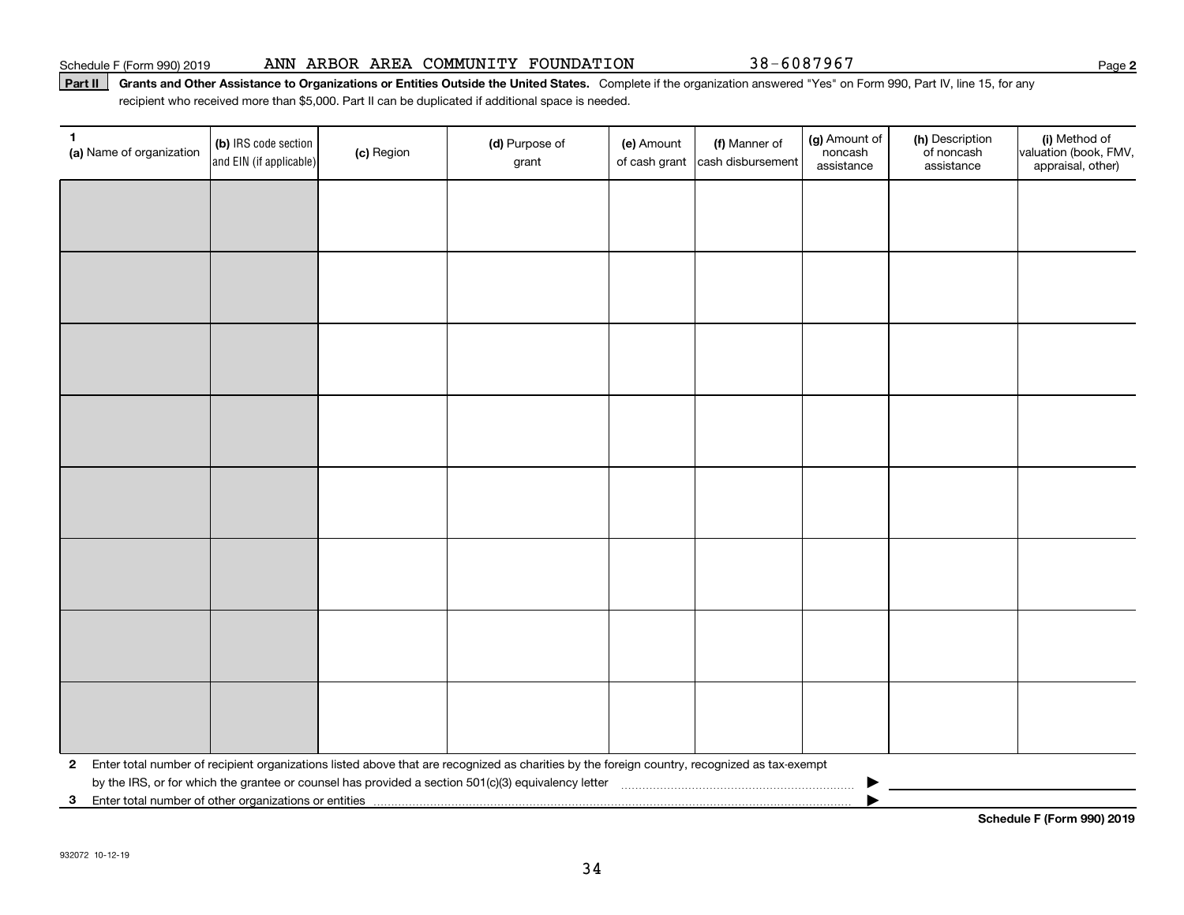#### Schedule F (Form 990) 2019 Page ANN ARBOR AREA COMMUNITY FOUNDATION 38-6087967

#### Part II | Grants and Other Assistance to Organizations or Entities Outside the United States. Complete if the organization answered "Yes" on Form 990, Part IV, line 15, for any recipient who received more than \$5,000. Part II can be duplicated if additional space is needed.

| 1<br>(a) Name of organization                           | (b) IRS code section<br>and EIN (if applicable) | (c) Region | (d) Purpose of<br>grant                                                                                                                      | (e) Amount<br>of cash grant | (f) Manner of<br>cash disbursement | (g) Amount of<br>noncash<br>assistance | (h) Description<br>of noncash<br>assistance | (i) Method of<br>valuation (book, FMV,<br>appraisal, other) |
|---------------------------------------------------------|-------------------------------------------------|------------|----------------------------------------------------------------------------------------------------------------------------------------------|-----------------------------|------------------------------------|----------------------------------------|---------------------------------------------|-------------------------------------------------------------|
|                                                         |                                                 |            |                                                                                                                                              |                             |                                    |                                        |                                             |                                                             |
|                                                         |                                                 |            |                                                                                                                                              |                             |                                    |                                        |                                             |                                                             |
|                                                         |                                                 |            |                                                                                                                                              |                             |                                    |                                        |                                             |                                                             |
|                                                         |                                                 |            |                                                                                                                                              |                             |                                    |                                        |                                             |                                                             |
|                                                         |                                                 |            |                                                                                                                                              |                             |                                    |                                        |                                             |                                                             |
|                                                         |                                                 |            |                                                                                                                                              |                             |                                    |                                        |                                             |                                                             |
|                                                         |                                                 |            |                                                                                                                                              |                             |                                    |                                        |                                             |                                                             |
|                                                         |                                                 |            |                                                                                                                                              |                             |                                    |                                        |                                             |                                                             |
|                                                         |                                                 |            |                                                                                                                                              |                             |                                    |                                        |                                             |                                                             |
|                                                         |                                                 |            |                                                                                                                                              |                             |                                    |                                        |                                             |                                                             |
|                                                         |                                                 |            |                                                                                                                                              |                             |                                    |                                        |                                             |                                                             |
|                                                         |                                                 |            |                                                                                                                                              |                             |                                    |                                        |                                             |                                                             |
|                                                         |                                                 |            |                                                                                                                                              |                             |                                    |                                        |                                             |                                                             |
|                                                         |                                                 |            |                                                                                                                                              |                             |                                    |                                        |                                             |                                                             |
|                                                         |                                                 |            |                                                                                                                                              |                             |                                    |                                        |                                             |                                                             |
|                                                         |                                                 |            |                                                                                                                                              |                             |                                    |                                        |                                             |                                                             |
| $\mathbf{2}$                                            |                                                 |            | Enter total number of recipient organizations listed above that are recognized as charities by the foreign country, recognized as tax-exempt |                             |                                    |                                        |                                             |                                                             |
| 3 Enter total number of other organizations or entities |                                                 |            |                                                                                                                                              |                             |                                    |                                        |                                             |                                                             |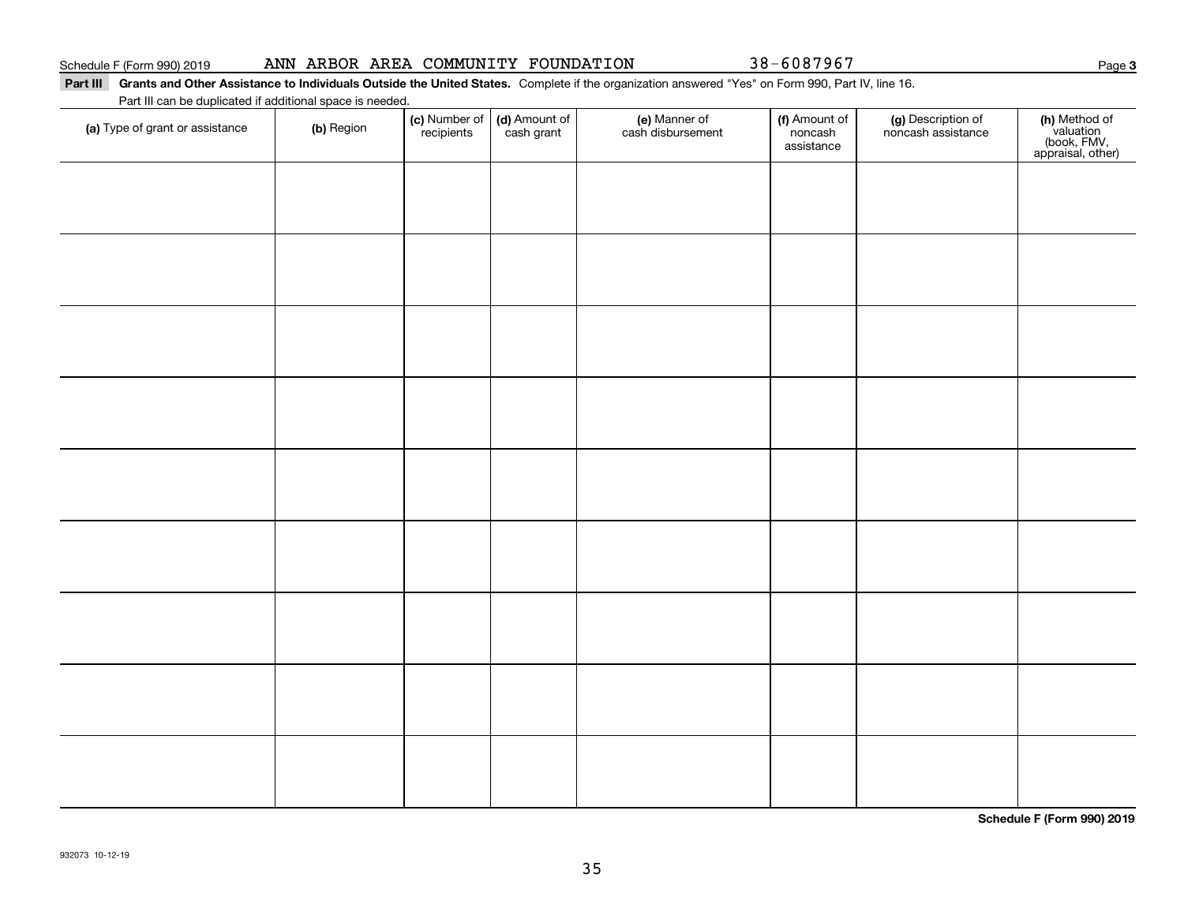### Part III Grants and Other Assistance to Individuals Outside the United States. Complete if the organization answered "Yes" on Form 990, Part IV, line 16.

Part III can be duplicated if additional space is needed.

| (a) Type of grant or assistance | (b) Region | (c) Number of<br>recipients | (d) Amount of | (e) Manner of<br>cash disbursement | (f) Amount of<br>noncash<br>assistance | (g) Description of<br>noncash assistance | (h) Method of<br>valuation<br>(book, FMV,<br>appraisal, other) |
|---------------------------------|------------|-----------------------------|---------------|------------------------------------|----------------------------------------|------------------------------------------|----------------------------------------------------------------|
|                                 |            |                             |               |                                    |                                        |                                          |                                                                |
|                                 |            |                             |               |                                    |                                        |                                          |                                                                |
|                                 |            |                             |               |                                    |                                        |                                          |                                                                |
|                                 |            |                             |               |                                    |                                        |                                          |                                                                |
|                                 |            |                             |               |                                    |                                        |                                          |                                                                |
|                                 |            |                             |               |                                    |                                        |                                          |                                                                |
|                                 |            |                             |               |                                    |                                        |                                          |                                                                |
|                                 |            |                             |               |                                    |                                        |                                          |                                                                |
|                                 |            |                             |               |                                    |                                        |                                          |                                                                |
|                                 |            |                             |               |                                    |                                        |                                          |                                                                |
|                                 |            |                             |               |                                    |                                        |                                          |                                                                |
|                                 |            |                             |               |                                    |                                        |                                          |                                                                |
|                                 |            |                             |               |                                    |                                        |                                          |                                                                |
|                                 |            |                             |               |                                    |                                        |                                          |                                                                |
|                                 |            |                             |               |                                    |                                        |                                          |                                                                |

**Schedule F (Form 990) 2019**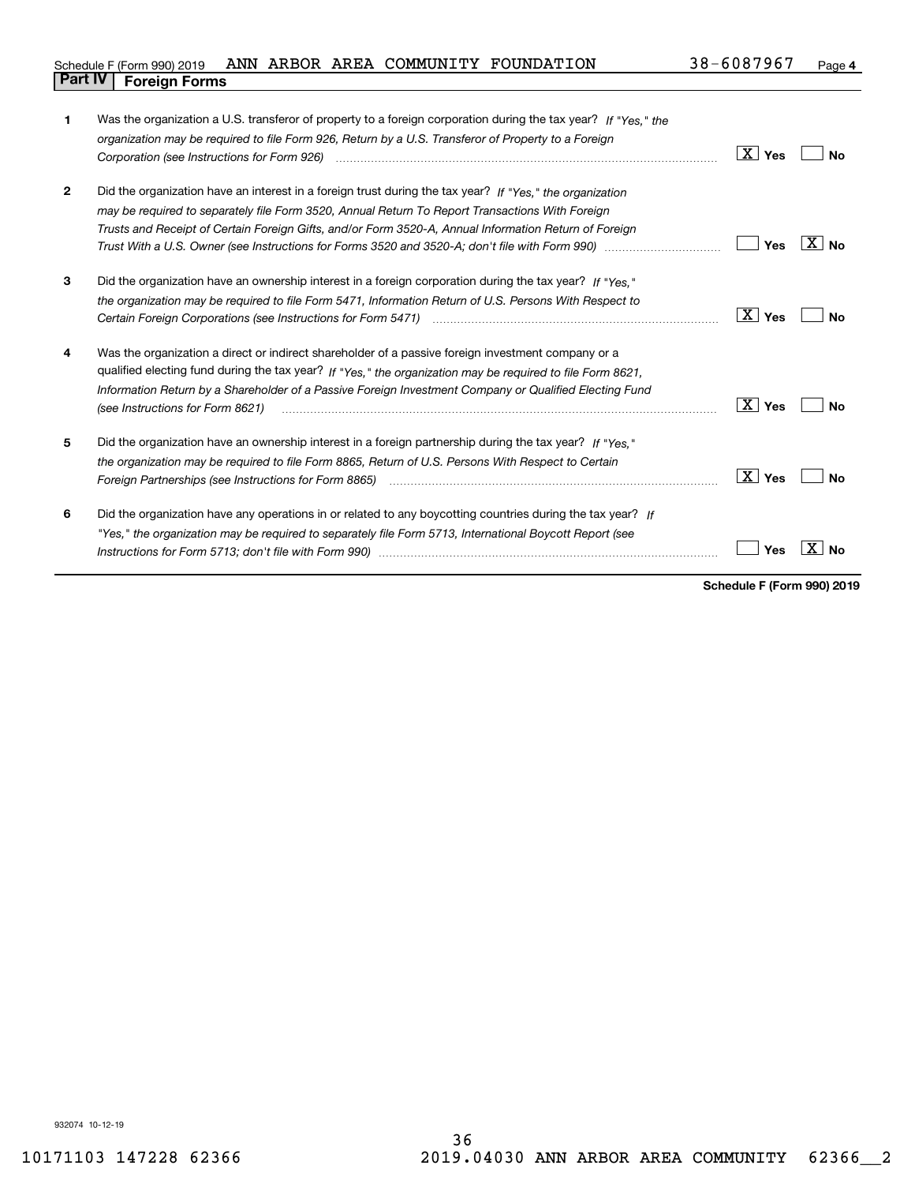| Schedule F (Form 990) 2019     |  |  | ANN ARBOR AREA COMMUNITY FOUNDATION | 38-6087967 | Page |
|--------------------------------|--|--|-------------------------------------|------------|------|
| <b>Part IV   Foreign Forms</b> |  |  |                                     |            |      |

| 1              | Was the organization a U.S. transferor of property to a foreign corporation during the tax year? If "Yes." the<br>organization may be required to file Form 926, Return by a U.S. Transferor of Property to a Foreign                                                                                                                                                                                                                     | $\boxed{\text{X}}$ Yes | No      |
|----------------|-------------------------------------------------------------------------------------------------------------------------------------------------------------------------------------------------------------------------------------------------------------------------------------------------------------------------------------------------------------------------------------------------------------------------------------------|------------------------|---------|
| $\overline{2}$ | Did the organization have an interest in a foreign trust during the tax year? If "Yes." the organization<br>may be required to separately file Form 3520, Annual Return To Report Transactions With Foreign<br>Trusts and Receipt of Certain Foreign Gifts, and/or Form 3520-A, Annual Information Return of Foreign<br>Trust With a U.S. Owner (see Instructions for Forms 3520 and 3520-A; don't file with Form 990) manu-communication | Yes                    | $X $ No |
| 3              | Did the organization have an ownership interest in a foreign corporation during the tax year? If "Yes,"<br>the organization may be required to file Form 5471, Information Return of U.S. Persons With Respect to                                                                                                                                                                                                                         | ∣ X ∣ Yes              | No      |
| 4              | Was the organization a direct or indirect shareholder of a passive foreign investment company or a<br>qualified electing fund during the tax year? If "Yes," the organization may be required to file Form 8621,<br>Information Return by a Shareholder of a Passive Foreign Investment Company or Qualified Electing Fund<br>(see Instructions for Form 8621)                                                                            | ∣X ∣ γes               | Nο      |
| 5              | Did the organization have an ownership interest in a foreign partnership during the tax year? If "Yes."<br>the organization may be required to file Form 8865, Return of U.S. Persons With Respect to Certain                                                                                                                                                                                                                             | $\vert X \vert$ Yes    | Nο      |
| 6              | Did the organization have any operations in or related to any boycotting countries during the tax year? If<br>"Yes," the organization may be required to separately file Form 5713, International Boycott Report (see                                                                                                                                                                                                                     | Yes                    | No      |

**Schedule F (Form 990) 2019**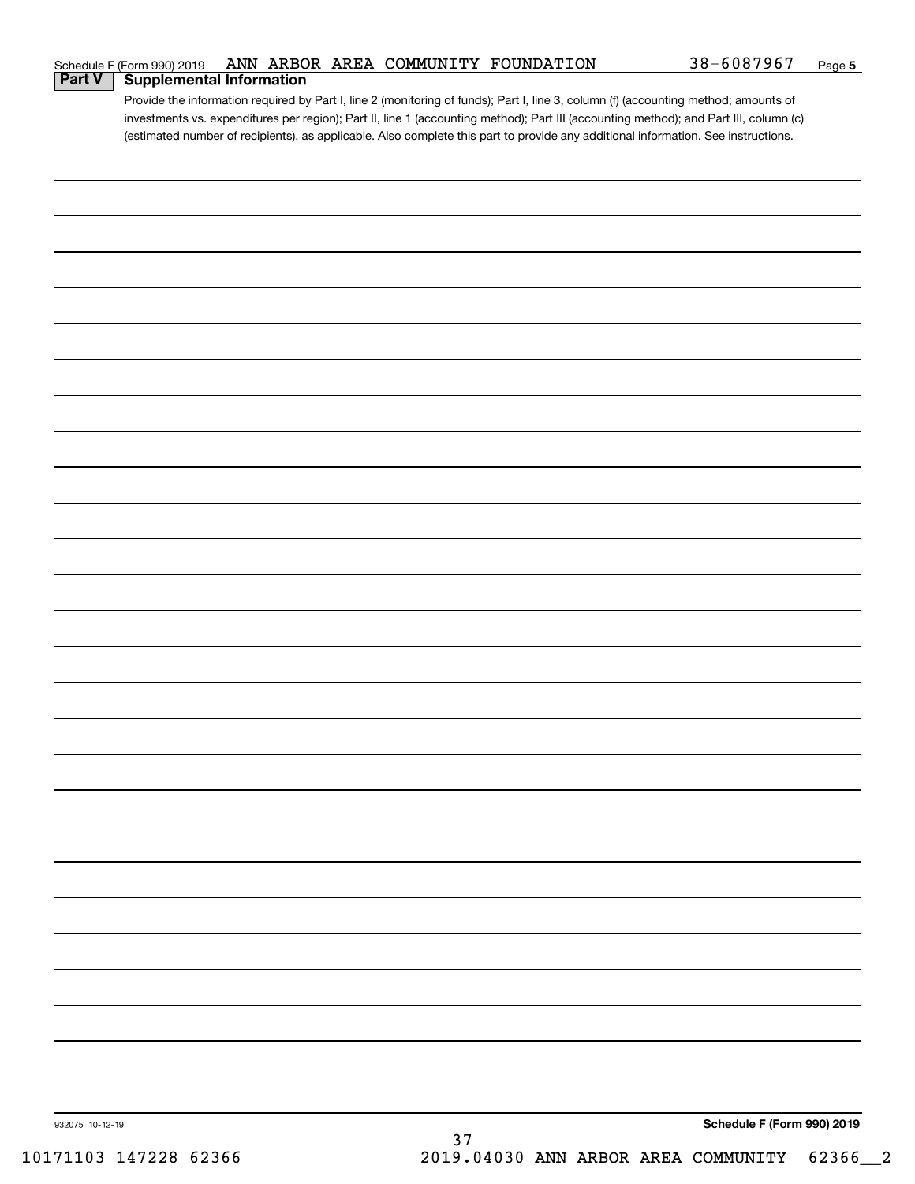|                 | Schedule F (Form 990) 2019      |  |    | ANN ARBOR AREA COMMUNITY FOUNDATION | 38-6087967                                                                                                                            | Page 5 |
|-----------------|---------------------------------|--|----|-------------------------------------|---------------------------------------------------------------------------------------------------------------------------------------|--------|
| <b>Part V</b>   | <b>Supplemental Information</b> |  |    |                                     |                                                                                                                                       |        |
|                 |                                 |  |    |                                     | Provide the information required by Part I, line 2 (monitoring of funds); Part I, line 3, column (f) (accounting method; amounts of   |        |
|                 |                                 |  |    |                                     | investments vs. expenditures per region); Part II, line 1 (accounting method); Part III (accounting method); and Part III, column (c) |        |
|                 |                                 |  |    |                                     | (estimated number of recipients), as applicable. Also complete this part to provide any additional information. See instructions.     |        |
|                 |                                 |  |    |                                     |                                                                                                                                       |        |
|                 |                                 |  |    |                                     |                                                                                                                                       |        |
|                 |                                 |  |    |                                     |                                                                                                                                       |        |
|                 |                                 |  |    |                                     |                                                                                                                                       |        |
|                 |                                 |  |    |                                     |                                                                                                                                       |        |
|                 |                                 |  |    |                                     |                                                                                                                                       |        |
|                 |                                 |  |    |                                     |                                                                                                                                       |        |
|                 |                                 |  |    |                                     |                                                                                                                                       |        |
|                 |                                 |  |    |                                     |                                                                                                                                       |        |
|                 |                                 |  |    |                                     |                                                                                                                                       |        |
|                 |                                 |  |    |                                     |                                                                                                                                       |        |
|                 |                                 |  |    |                                     |                                                                                                                                       |        |
|                 |                                 |  |    |                                     |                                                                                                                                       |        |
|                 |                                 |  |    |                                     |                                                                                                                                       |        |
|                 |                                 |  |    |                                     |                                                                                                                                       |        |
|                 |                                 |  |    |                                     |                                                                                                                                       |        |
|                 |                                 |  |    |                                     |                                                                                                                                       |        |
|                 |                                 |  |    |                                     |                                                                                                                                       |        |
|                 |                                 |  |    |                                     |                                                                                                                                       |        |
|                 |                                 |  |    |                                     |                                                                                                                                       |        |
|                 |                                 |  |    |                                     |                                                                                                                                       |        |
|                 |                                 |  |    |                                     |                                                                                                                                       |        |
|                 |                                 |  |    |                                     |                                                                                                                                       |        |
|                 |                                 |  |    |                                     |                                                                                                                                       |        |
|                 |                                 |  |    |                                     |                                                                                                                                       |        |
|                 |                                 |  |    |                                     |                                                                                                                                       |        |
|                 |                                 |  |    |                                     |                                                                                                                                       |        |
|                 |                                 |  |    |                                     |                                                                                                                                       |        |
|                 |                                 |  |    |                                     |                                                                                                                                       |        |
|                 |                                 |  |    |                                     |                                                                                                                                       |        |
|                 |                                 |  |    |                                     |                                                                                                                                       |        |
|                 |                                 |  |    |                                     |                                                                                                                                       |        |
|                 |                                 |  |    |                                     |                                                                                                                                       |        |
|                 |                                 |  |    |                                     |                                                                                                                                       |        |
|                 |                                 |  |    |                                     |                                                                                                                                       |        |
|                 |                                 |  |    |                                     |                                                                                                                                       |        |
|                 |                                 |  |    |                                     |                                                                                                                                       |        |
|                 |                                 |  |    |                                     |                                                                                                                                       |        |
|                 |                                 |  |    |                                     |                                                                                                                                       |        |
|                 |                                 |  |    |                                     |                                                                                                                                       |        |
|                 |                                 |  |    |                                     |                                                                                                                                       |        |
|                 |                                 |  |    |                                     |                                                                                                                                       |        |
|                 |                                 |  |    |                                     |                                                                                                                                       |        |
|                 |                                 |  |    |                                     |                                                                                                                                       |        |
|                 |                                 |  |    |                                     |                                                                                                                                       |        |
|                 |                                 |  |    |                                     |                                                                                                                                       |        |
|                 |                                 |  |    |                                     |                                                                                                                                       |        |
|                 |                                 |  |    |                                     |                                                                                                                                       |        |
|                 |                                 |  |    |                                     |                                                                                                                                       |        |
|                 |                                 |  |    |                                     |                                                                                                                                       |        |
| 932075 10-12-19 |                                 |  |    |                                     | Schedule F (Form 990) 2019                                                                                                            |        |
|                 |                                 |  | 37 |                                     |                                                                                                                                       |        |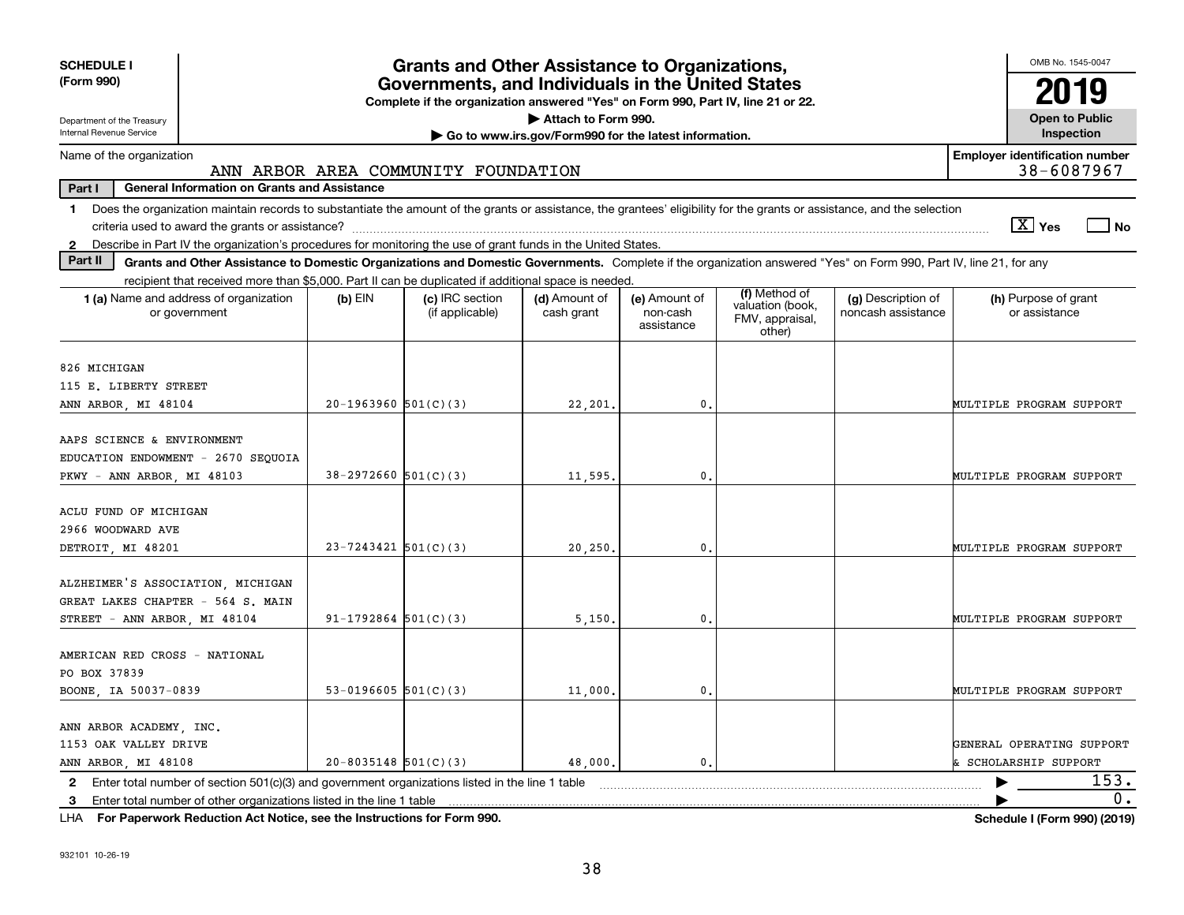| <b>SCHEDULE I</b><br>(Form 990)                                                                                                                                                         |                          | <b>Grants and Other Assistance to Organizations,</b><br>Governments, and Individuals in the United States<br>Complete if the organization answered "Yes" on Form 990, Part IV, line 21 or 22. |                                                       |                                         |                                               |                                          | OMB No. 1545-0047<br>019                         |
|-----------------------------------------------------------------------------------------------------------------------------------------------------------------------------------------|--------------------------|-----------------------------------------------------------------------------------------------------------------------------------------------------------------------------------------------|-------------------------------------------------------|-----------------------------------------|-----------------------------------------------|------------------------------------------|--------------------------------------------------|
| Department of the Treasury<br>Internal Revenue Service                                                                                                                                  |                          |                                                                                                                                                                                               | Attach to Form 990.                                   |                                         |                                               |                                          | <b>Open to Public</b><br>Inspection              |
| Name of the organization                                                                                                                                                                |                          |                                                                                                                                                                                               | Go to www.irs.gov/Form990 for the latest information. |                                         |                                               |                                          | <b>Employer identification number</b>            |
| <b>General Information on Grants and Assistance</b><br>Part I                                                                                                                           |                          | ANN ARBOR AREA COMMUNITY FOUNDATION                                                                                                                                                           |                                                       |                                         |                                               |                                          | 38-6087967                                       |
| Does the organization maintain records to substantiate the amount of the grants or assistance, the grantees' eligibility for the grants or assistance, and the selection<br>$\mathbf 1$ |                          |                                                                                                                                                                                               |                                                       |                                         |                                               |                                          | $\sqrt{X}$ Yes<br>∣ No                           |
| 2 Describe in Part IV the organization's procedures for monitoring the use of grant funds in the United States.                                                                         |                          |                                                                                                                                                                                               |                                                       |                                         |                                               |                                          |                                                  |
| Part II<br>Grants and Other Assistance to Domestic Organizations and Domestic Governments. Complete if the organization answered "Yes" on Form 990, Part IV, line 21, for any           |                          |                                                                                                                                                                                               |                                                       |                                         |                                               |                                          |                                                  |
| recipient that received more than \$5,000. Part II can be duplicated if additional space is needed.                                                                                     |                          |                                                                                                                                                                                               |                                                       |                                         | (f) Method of                                 |                                          |                                                  |
| 1 (a) Name and address of organization<br>or government                                                                                                                                 | $(b)$ EIN                | (c) IRC section<br>(if applicable)                                                                                                                                                            | (d) Amount of<br>cash grant                           | (e) Amount of<br>non-cash<br>assistance | valuation (book,<br>FMV, appraisal,<br>other) | (g) Description of<br>noncash assistance | (h) Purpose of grant<br>or assistance            |
| 826 MICHIGAN<br>115 E. LIBERTY STREET                                                                                                                                                   |                          |                                                                                                                                                                                               |                                                       |                                         |                                               |                                          |                                                  |
| ANN ARBOR, MI 48104                                                                                                                                                                     | $20-1963960$ $501(C)(3)$ |                                                                                                                                                                                               | 22,201.                                               | $\mathbf{0}$ .                          |                                               |                                          | MULTIPLE PROGRAM SUPPORT                         |
| AAPS SCIENCE & ENVIRONMENT<br>EDUCATION ENDOWMENT - 2670 SEOUOIA<br>PKWY - ANN ARBOR, MI 48103                                                                                          | $38-2972660$ 501(C)(3)   |                                                                                                                                                                                               | 11,595.                                               | $\mathbf{0}$ .                          |                                               |                                          | MULTIPLE PROGRAM SUPPORT                         |
| ACLU FUND OF MICHIGAN<br>2966 WOODWARD AVE<br>DETROIT, MI 48201                                                                                                                         | $23 - 7243421$ 501(C)(3) |                                                                                                                                                                                               | 20,250.                                               | $\mathbf{0}$ .                          |                                               |                                          | MULTIPLE PROGRAM SUPPORT                         |
| ALZHEIMER'S ASSOCIATION, MICHIGAN<br>GREAT LAKES CHAPTER - 564 S. MAIN<br>STREET - ANN ARBOR, MI 48104                                                                                  | $91 - 1792864$ 501(C)(3) |                                                                                                                                                                                               | 5,150.                                                | $\mathbf{0}$ .                          |                                               |                                          | MULTIPLE PROGRAM SUPPORT                         |
| AMERICAN RED CROSS - NATIONAL<br>PO BOX 37839<br>BOONE, IA 50037-0839                                                                                                                   | 53-0196605 $501(C)(3)$   |                                                                                                                                                                                               | 11,000                                                | $\mathbf{0}$ .                          |                                               |                                          | MULTIPLE PROGRAM SUPPORT                         |
| ANN ARBOR ACADEMY, INC.<br>1153 OAK VALLEY DRIVE<br>ANN ARBOR, MI 48108                                                                                                                 | $20 - 8035148$ 501(C)(3) |                                                                                                                                                                                               | 48,000,                                               | $\mathbf{0}$ .                          |                                               |                                          | GENERAL OPERATING SUPPORT<br>SCHOLARSHIP SUPPORT |
| Enter total number of section $501(c)(3)$ and government organizations listed in the line 1 table<br>$\mathbf{2}$                                                                       |                          |                                                                                                                                                                                               |                                                       |                                         |                                               |                                          | 153.                                             |
| Enter total number of other organizations listed in the line 1 table<br>3                                                                                                               |                          |                                                                                                                                                                                               |                                                       |                                         |                                               |                                          | 0.                                               |

**For Paperwork Reduction Act Notice, see the Instructions for Form 990. Schedule I (Form 990) (2019)** LHA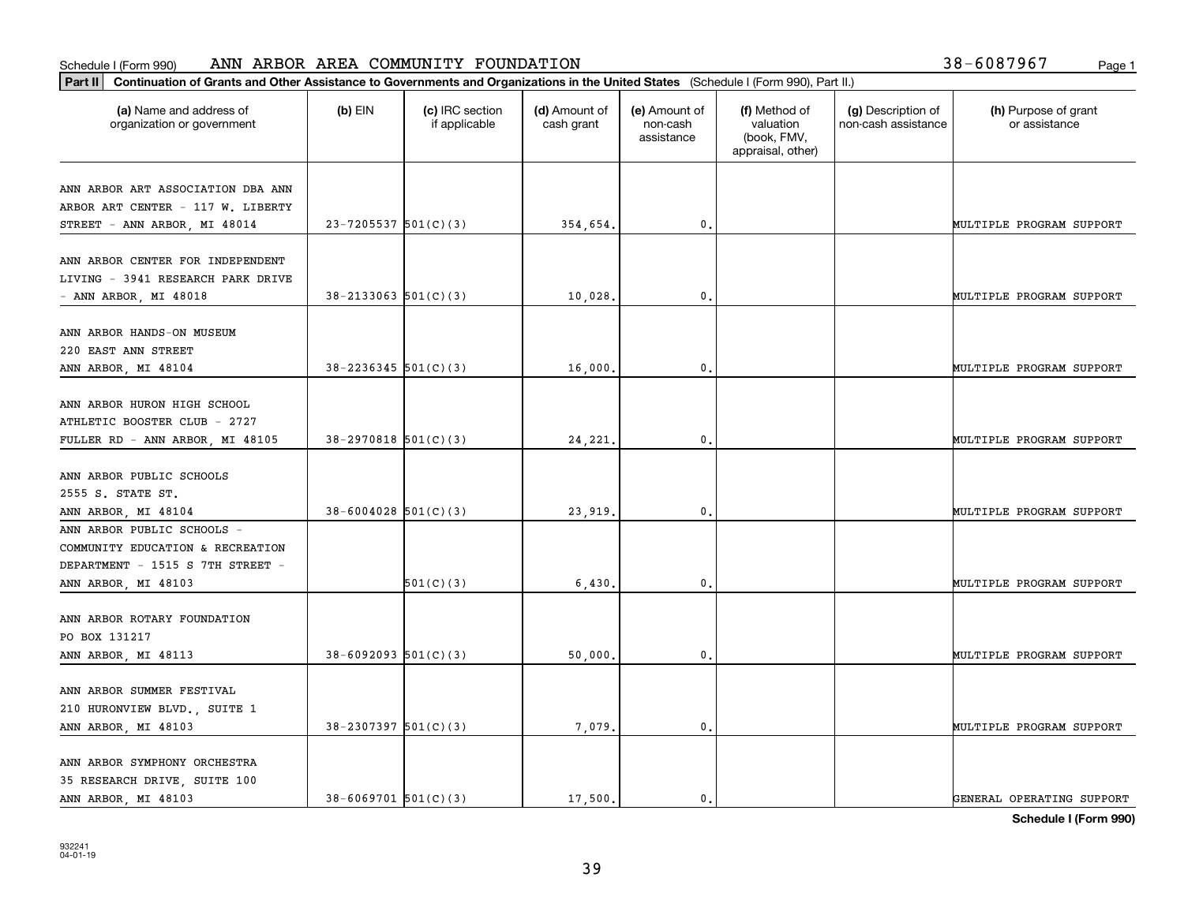### **Part II Continuation of Grants and Other Assistance to Governments and Organization of Grants and Other Assistance to Governments and Organizations of Cranization of Grants and Organizations of Grants and Organizations** Schedule I (Form 990) ANN ARBOR AREA COMMUNITY FOUNDATION Page 1

| 38-6087967<br>Page: |  |  |
|---------------------|--|--|
|---------------------|--|--|

| Continuation of Grants and Other Assistance to Governments and Organizations in the United States (Schedule I (Form 990), Part II.)<br>Part II |                            |                                  |                             |                                         |                                                                |                                           |                                       |
|------------------------------------------------------------------------------------------------------------------------------------------------|----------------------------|----------------------------------|-----------------------------|-----------------------------------------|----------------------------------------------------------------|-------------------------------------------|---------------------------------------|
| (a) Name and address of<br>organization or government                                                                                          | (b) EIN                    | (c) IRC section<br>if applicable | (d) Amount of<br>cash grant | (e) Amount of<br>non-cash<br>assistance | (f) Method of<br>valuation<br>(book, FMV,<br>appraisal, other) | (g) Description of<br>non-cash assistance | (h) Purpose of grant<br>or assistance |
| ANN ARBOR ART ASSOCIATION DBA ANN<br>ARBOR ART CENTER - 117 W. LIBERTY<br>STREET - ANN ARBOR, MI 48014                                         | $23 - 7205537$ 501(C)(3)   |                                  | 354,654.                    | $^{\circ}$ .                            |                                                                |                                           | MULTIPLE PROGRAM SUPPORT              |
| ANN ARBOR CENTER FOR INDEPENDENT<br>LIVING - 3941 RESEARCH PARK DRIVE<br>- ANN ARBOR, MI 48018                                                 | $38 - 2133063$ $501(C)(3)$ |                                  | 10,028.                     | 0.                                      |                                                                |                                           | MULTIPLE PROGRAM SUPPORT              |
| ANN ARBOR HANDS-ON MUSEUM<br>220 EAST ANN STREET<br>ANN ARBOR, MI 48104                                                                        | $38 - 2236345$ 501(C)(3)   |                                  | 16,000                      | 0.                                      |                                                                |                                           | MULTIPLE PROGRAM SUPPORT              |
| ANN ARBOR HURON HIGH SCHOOL<br>ATHLETIC BOOSTER CLUB - 2727<br>FULLER RD - ANN ARBOR, MI 48105                                                 | $38-2970818$ 501(C)(3)     |                                  | 24,221.                     | $^{\circ}$ .                            |                                                                |                                           | MULTIPLE PROGRAM SUPPORT              |
| ANN ARBOR PUBLIC SCHOOLS<br>2555 S. STATE ST.<br>ANN ARBOR, MI 48104                                                                           | $38 - 6004028$ 501(C)(3)   |                                  | 23,919.                     | 0.                                      |                                                                |                                           | MULTIPLE PROGRAM SUPPORT              |
| ANN ARBOR PUBLIC SCHOOLS -<br>COMMUNITY EDUCATION & RECREATION<br>DEPARTMENT - 1515 S 7TH STREET -<br>ANN ARBOR, MI 48103                      |                            | 501(C)(3)                        | 6,430                       | $\mathbf{0}$                            |                                                                |                                           | MULTIPLE PROGRAM SUPPORT              |
| ANN ARBOR ROTARY FOUNDATION<br>PO BOX 131217<br>ANN ARBOR, MI 48113                                                                            | $38 - 6092093$ $501(C)(3)$ |                                  | 50,000.                     | $^{\circ}$ .                            |                                                                |                                           | MULTIPLE PROGRAM SUPPORT              |
| ANN ARBOR SUMMER FESTIVAL<br>210 HURONVIEW BLVD., SUITE 1<br>ANN ARBOR, MI 48103                                                               | $38 - 2307397$ 501(C)(3)   |                                  | 7,079.                      | $\mathbf{0}$ .                          |                                                                |                                           | MULTIPLE PROGRAM SUPPORT              |
| ANN ARBOR SYMPHONY ORCHESTRA<br>35 RESEARCH DRIVE, SUITE 100<br>ANN ARBOR, MI 48103                                                            | $38 - 6069701$ 501(C)(3)   |                                  | 17,500.                     | $\mathfrak{o}$ .                        |                                                                |                                           | GENERAL OPERATING SUPPORT             |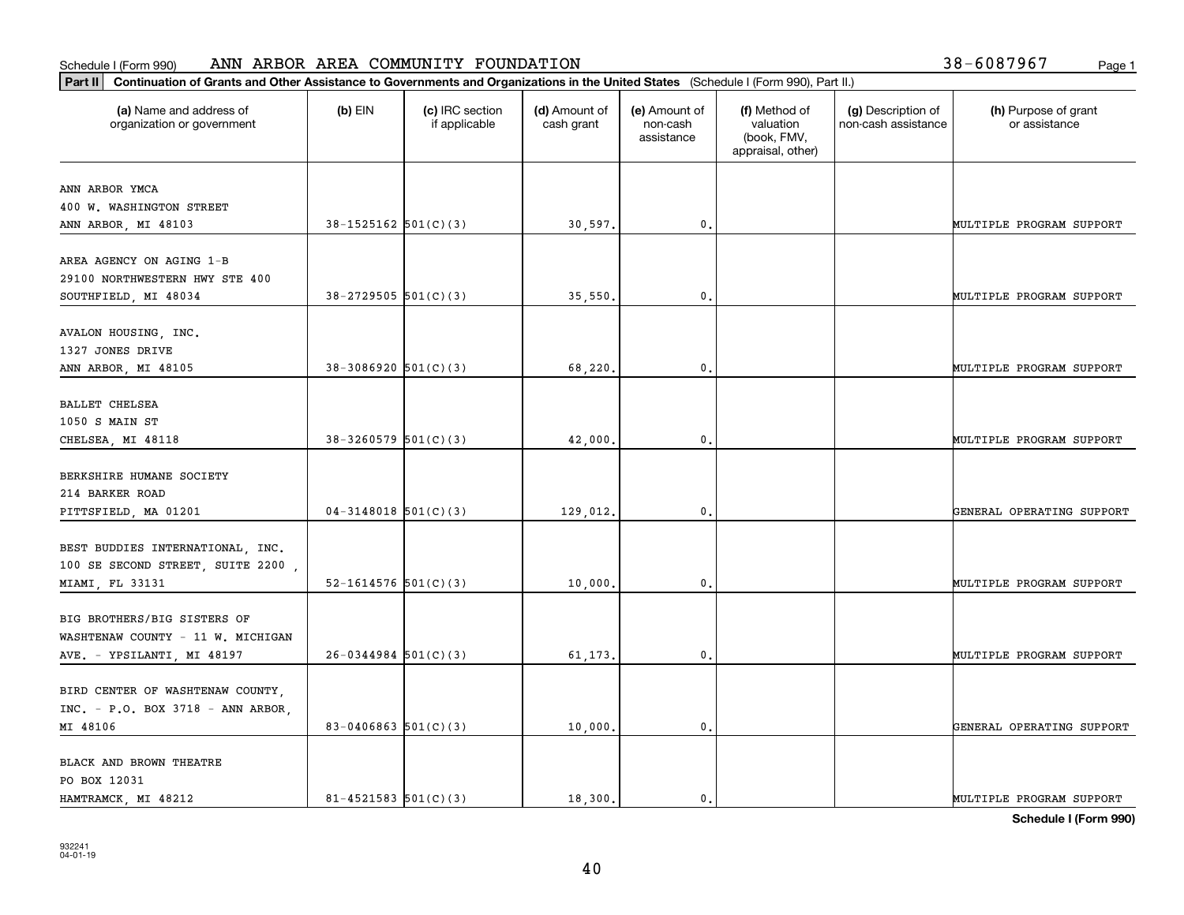| Part II   Continuation of Grants and Other Assistance to Governments and Organizations in the United States (Schedule I (Form 990), Part II.) |                            |                                  |                             |                                         |                                                                |                                           |                                       |
|-----------------------------------------------------------------------------------------------------------------------------------------------|----------------------------|----------------------------------|-----------------------------|-----------------------------------------|----------------------------------------------------------------|-------------------------------------------|---------------------------------------|
| (a) Name and address of<br>organization or government                                                                                         | $(b)$ EIN                  | (c) IRC section<br>if applicable | (d) Amount of<br>cash grant | (e) Amount of<br>non-cash<br>assistance | (f) Method of<br>valuation<br>(book, FMV,<br>appraisal, other) | (g) Description of<br>non-cash assistance | (h) Purpose of grant<br>or assistance |
|                                                                                                                                               |                            |                                  |                             |                                         |                                                                |                                           |                                       |
| ANN ARBOR YMCA<br>400 W. WASHINGTON STREET                                                                                                    |                            |                                  |                             |                                         |                                                                |                                           |                                       |
| ANN ARBOR, MI 48103                                                                                                                           | $38-1525162$ $501(C)(3)$   |                                  | 30,597.                     | 0.                                      |                                                                |                                           | MULTIPLE PROGRAM SUPPORT              |
|                                                                                                                                               |                            |                                  |                             |                                         |                                                                |                                           |                                       |
| AREA AGENCY ON AGING 1-B                                                                                                                      |                            |                                  |                             |                                         |                                                                |                                           |                                       |
| 29100 NORTHWESTERN HWY STE 400                                                                                                                |                            |                                  |                             |                                         |                                                                |                                           |                                       |
| SOUTHFIELD, MI 48034                                                                                                                          | $38 - 2729505$ 501(C)(3)   |                                  | 35,550                      | $\mathfrak{o}$ .                        |                                                                |                                           | MULTIPLE PROGRAM SUPPORT              |
|                                                                                                                                               |                            |                                  |                             |                                         |                                                                |                                           |                                       |
| AVALON HOUSING, INC.                                                                                                                          |                            |                                  |                             |                                         |                                                                |                                           |                                       |
| 1327 JONES DRIVE                                                                                                                              |                            |                                  |                             |                                         |                                                                |                                           |                                       |
| ANN ARBOR, MI 48105                                                                                                                           | $38-3086920$ $501(C)(3)$   |                                  | 68,220,                     | $\mathfrak{o}$ .                        |                                                                |                                           | MULTIPLE PROGRAM SUPPORT              |
|                                                                                                                                               |                            |                                  |                             |                                         |                                                                |                                           |                                       |
| <b>BALLET CHELSEA</b>                                                                                                                         |                            |                                  |                             |                                         |                                                                |                                           |                                       |
| 1050 S MAIN ST                                                                                                                                |                            |                                  |                             |                                         |                                                                |                                           |                                       |
| CHELSEA, MI 48118                                                                                                                             | $38 - 3260579$ 501(C)(3)   |                                  | 42,000.                     | 0.                                      |                                                                |                                           | MULTIPLE PROGRAM SUPPORT              |
| BERKSHIRE HUMANE SOCIETY                                                                                                                      |                            |                                  |                             |                                         |                                                                |                                           |                                       |
| 214 BARKER ROAD                                                                                                                               |                            |                                  |                             |                                         |                                                                |                                           |                                       |
| PITTSFIELD, MA 01201                                                                                                                          | $04-3148018$ 501(C)(3)     |                                  | 129,012.                    | $\mathbf{0}$                            |                                                                |                                           | GENERAL OPERATING SUPPORT             |
|                                                                                                                                               |                            |                                  |                             |                                         |                                                                |                                           |                                       |
| BEST BUDDIES INTERNATIONAL, INC.                                                                                                              |                            |                                  |                             |                                         |                                                                |                                           |                                       |
| 100 SE SECOND STREET, SUITE 2200,                                                                                                             |                            |                                  |                             |                                         |                                                                |                                           |                                       |
| MIAMI, FL 33131                                                                                                                               | 52-1614576 $501(C)(3)$     |                                  | 10,000.                     | 0.                                      |                                                                |                                           | MULTIPLE PROGRAM SUPPORT              |
|                                                                                                                                               |                            |                                  |                             |                                         |                                                                |                                           |                                       |
| BIG BROTHERS/BIG SISTERS OF                                                                                                                   |                            |                                  |                             |                                         |                                                                |                                           |                                       |
| WASHTENAW COUNTY - 11 W. MICHIGAN                                                                                                             |                            |                                  |                             |                                         |                                                                |                                           |                                       |
| AVE. - YPSILANTI, MI 48197                                                                                                                    | $26-0344984$ 501(C)(3)     |                                  | 61,173.                     | $\mathbf{0}$ .                          |                                                                |                                           | MULTIPLE PROGRAM SUPPORT              |
|                                                                                                                                               |                            |                                  |                             |                                         |                                                                |                                           |                                       |
| BIRD CENTER OF WASHTENAW COUNTY,                                                                                                              |                            |                                  |                             |                                         |                                                                |                                           |                                       |
| INC. - P.O. BOX 3718 - ANN ARBOR,                                                                                                             |                            |                                  |                             |                                         |                                                                |                                           |                                       |
| MI 48106                                                                                                                                      | 83-0406863 $501(C)(3)$     |                                  | 10,000.                     | $\mathbf 0$ .                           |                                                                |                                           | GENERAL OPERATING SUPPORT             |
|                                                                                                                                               |                            |                                  |                             |                                         |                                                                |                                           |                                       |
| BLACK AND BROWN THEATRE                                                                                                                       |                            |                                  |                             |                                         |                                                                |                                           |                                       |
| PO BOX 12031<br>HAMTRAMCK, MI 48212                                                                                                           | $81 - 4521583$ $501(C)(3)$ |                                  | 18,300.                     | $\mathbf{0}$ .                          |                                                                |                                           | MULTIPLE PROGRAM SUPPORT              |
|                                                                                                                                               |                            |                                  |                             |                                         |                                                                |                                           |                                       |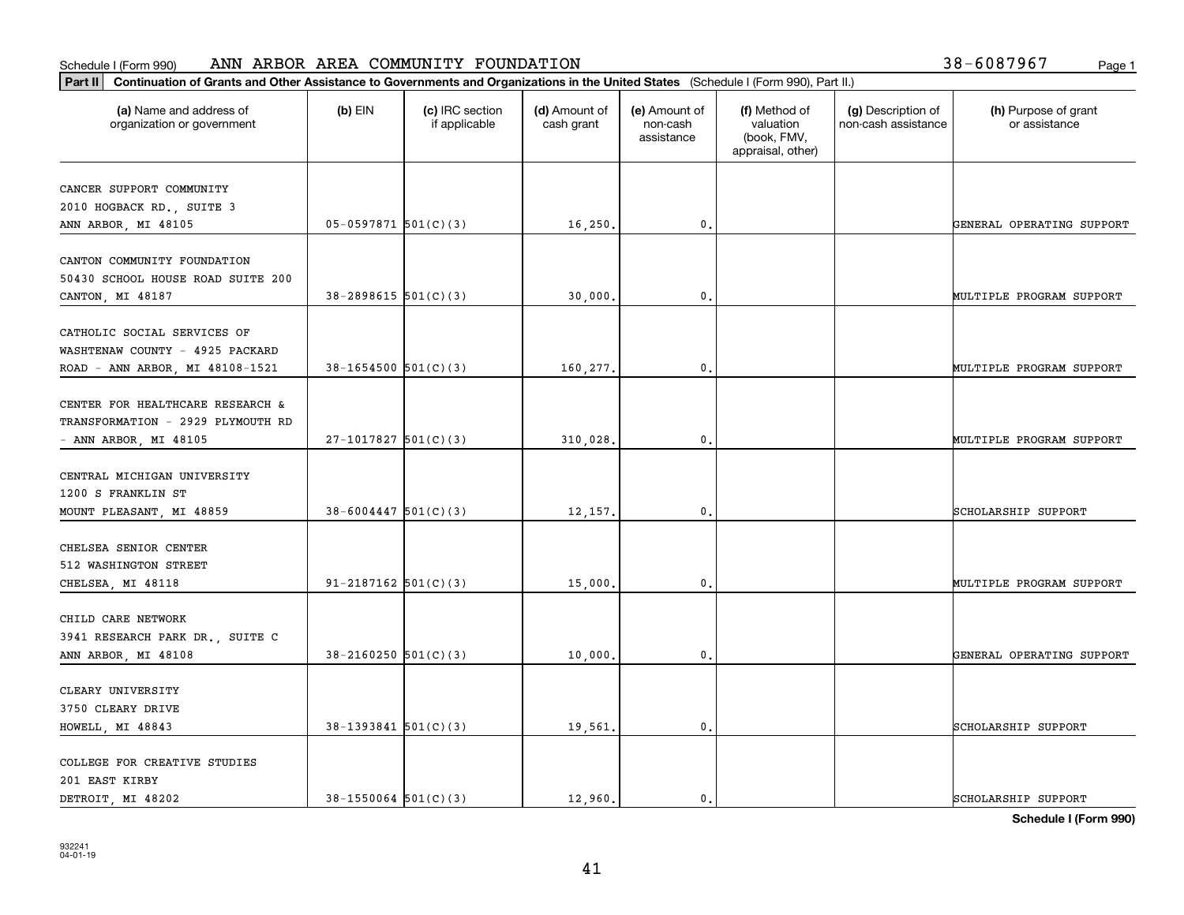| Part II   Continuation of Grants and Other Assistance to Governments and Organizations in the United States (Schedule I (Form 990), Part II.) |                          |                                  |                             |                                         |                                                                |                                           |                                       |
|-----------------------------------------------------------------------------------------------------------------------------------------------|--------------------------|----------------------------------|-----------------------------|-----------------------------------------|----------------------------------------------------------------|-------------------------------------------|---------------------------------------|
| (a) Name and address of<br>organization or government                                                                                         | $(b)$ EIN                | (c) IRC section<br>if applicable | (d) Amount of<br>cash grant | (e) Amount of<br>non-cash<br>assistance | (f) Method of<br>valuation<br>(book, FMV,<br>appraisal, other) | (g) Description of<br>non-cash assistance | (h) Purpose of grant<br>or assistance |
|                                                                                                                                               |                          |                                  |                             |                                         |                                                                |                                           |                                       |
| CANCER SUPPORT COMMUNITY<br>2010 HOGBACK RD., SUITE 3                                                                                         |                          |                                  |                             |                                         |                                                                |                                           |                                       |
| ANN ARBOR, MI 48105                                                                                                                           | $05 - 0597871$ 501(C)(3) |                                  | 16, 250.                    | 0.                                      |                                                                |                                           | GENERAL OPERATING SUPPORT             |
| CANTON COMMUNITY FOUNDATION<br>50430 SCHOOL HOUSE ROAD SUITE 200                                                                              |                          |                                  |                             |                                         |                                                                |                                           |                                       |
| CANTON, MI 48187                                                                                                                              | $38 - 2898615$ 501(C)(3) |                                  | 30,000.                     | $\mathbf{0}$ .                          |                                                                |                                           | MULTIPLE PROGRAM SUPPORT              |
| CATHOLIC SOCIAL SERVICES OF<br>WASHTENAW COUNTY - 4925 PACKARD<br>ROAD - ANN ARBOR, MI 48108-1521                                             | $38 - 1654500$ 501(C)(3) |                                  | 160,277.                    | $\mathbf{0}$ .                          |                                                                |                                           | MULTIPLE PROGRAM SUPPORT              |
| CENTER FOR HEALTHCARE RESEARCH &<br>TRANSFORMATION - 2929 PLYMOUTH RD<br>- ANN ARBOR, MI 48105                                                | $27-1017827$ 501(C)(3)   |                                  | 310,028.                    | 0.                                      |                                                                |                                           | MULTIPLE PROGRAM SUPPORT              |
| CENTRAL MICHIGAN UNIVERSITY<br>1200 S FRANKLIN ST<br>MOUNT PLEASANT, MI 48859                                                                 | $38 - 6004447$ 501(C)(3) |                                  | 12,157.                     | $\mathbf{0}$                            |                                                                |                                           | SCHOLARSHIP SUPPORT                   |
| CHELSEA SENIOR CENTER<br>512 WASHINGTON STREET<br>CHELSEA, MI 48118                                                                           | 91-2187162 $501(C)(3)$   |                                  | 15,000.                     | 0.                                      |                                                                |                                           | MULTIPLE PROGRAM SUPPORT              |
| CHILD CARE NETWORK<br>3941 RESEARCH PARK DR., SUITE C<br>ANN ARBOR, MI 48108                                                                  | $38 - 2160250$ 501(C)(3) |                                  | 10,000,                     | $\mathfrak{o}$ .                        |                                                                |                                           | GENERAL OPERATING SUPPORT             |
| CLEARY UNIVERSITY<br>3750 CLEARY DRIVE<br>HOWELL, MI 48843                                                                                    | $38-1393841$ $501(C)(3)$ |                                  | 19,561.                     | $\mathbf{0}$ .                          |                                                                |                                           | SCHOLARSHIP SUPPORT                   |
| COLLEGE FOR CREATIVE STUDIES<br>201 EAST KIRBY<br>DETROIT, MI 48202                                                                           | $38 - 1550064$ 501(C)(3) |                                  | 12,960.                     | $\mathbf{0}$ .                          |                                                                |                                           | SCHOLARSHIP SUPPORT                   |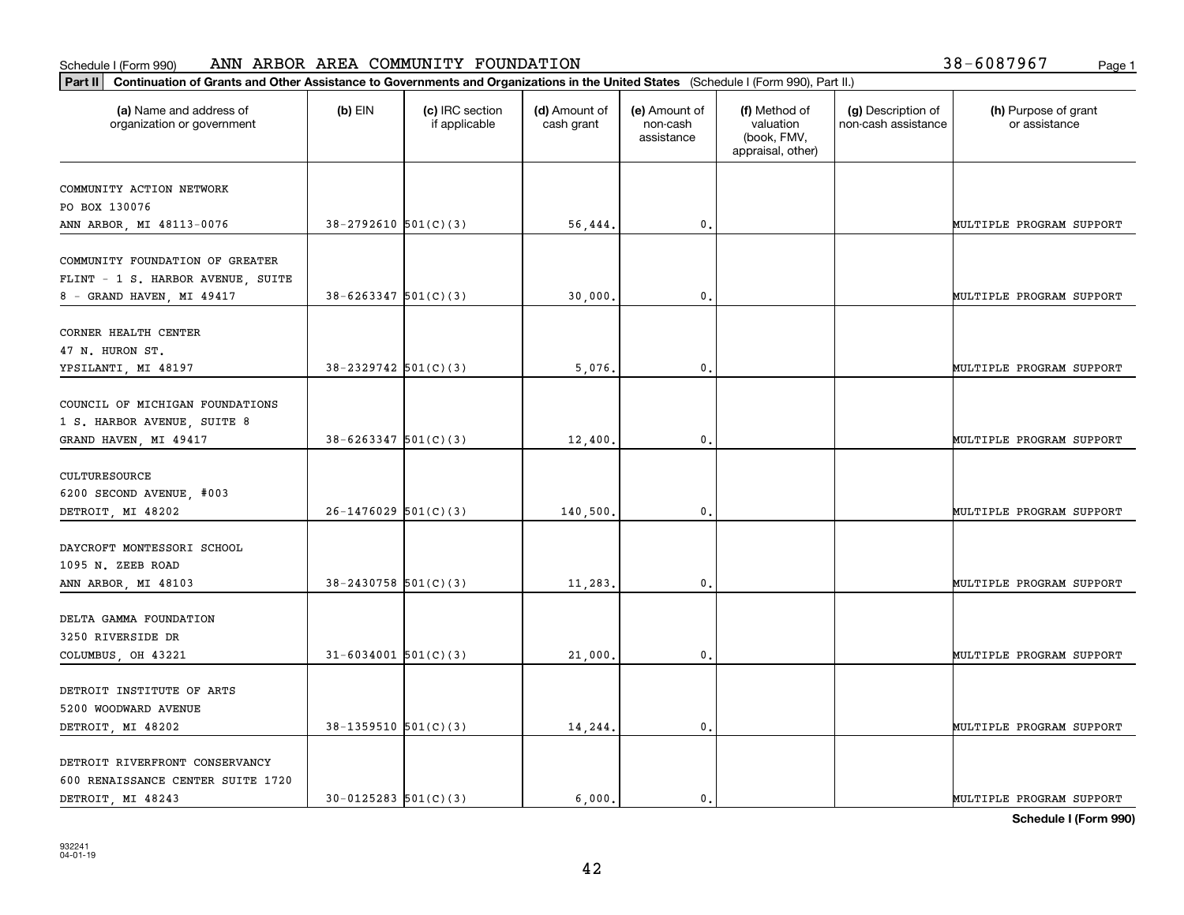| Part II   Continuation of Grants and Other Assistance to Governments and Organizations in the United States (Schedule I (Form 990), Part II.) |                            |                                  |                             |                                         |                                                                |                                           |                                       |
|-----------------------------------------------------------------------------------------------------------------------------------------------|----------------------------|----------------------------------|-----------------------------|-----------------------------------------|----------------------------------------------------------------|-------------------------------------------|---------------------------------------|
| (a) Name and address of<br>organization or government                                                                                         | $(b)$ EIN                  | (c) IRC section<br>if applicable | (d) Amount of<br>cash grant | (e) Amount of<br>non-cash<br>assistance | (f) Method of<br>valuation<br>(book, FMV,<br>appraisal, other) | (g) Description of<br>non-cash assistance | (h) Purpose of grant<br>or assistance |
| COMMUNITY ACTION NETWORK                                                                                                                      |                            |                                  |                             |                                         |                                                                |                                           |                                       |
| PO BOX 130076                                                                                                                                 |                            |                                  |                             |                                         |                                                                |                                           |                                       |
| ANN ARBOR, MI 48113-0076                                                                                                                      | $38-2792610$ $501(C)(3)$   |                                  | 56,444.                     | $\mathfrak{o}$ .                        |                                                                |                                           | MULTIPLE PROGRAM SUPPORT              |
|                                                                                                                                               |                            |                                  |                             |                                         |                                                                |                                           |                                       |
| COMMUNITY FOUNDATION OF GREATER                                                                                                               |                            |                                  |                             |                                         |                                                                |                                           |                                       |
| FLINT - 1 S. HARBOR AVENUE, SUITE                                                                                                             |                            |                                  |                             |                                         |                                                                |                                           |                                       |
| 8 - GRAND HAVEN, MI 49417                                                                                                                     | $38 - 6263347$ $501(C)(3)$ |                                  | 30,000.                     | 0.                                      |                                                                |                                           | MULTIPLE PROGRAM SUPPORT              |
| CORNER HEALTH CENTER                                                                                                                          |                            |                                  |                             |                                         |                                                                |                                           |                                       |
| 47 N. HURON ST.                                                                                                                               |                            |                                  |                             |                                         |                                                                |                                           |                                       |
| YPSILANTI, MI 48197                                                                                                                           | $38 - 2329742$ 501(C)(3)   |                                  | 5,076,                      | $\mathbf{0}$ .                          |                                                                |                                           | MULTIPLE PROGRAM SUPPORT              |
|                                                                                                                                               |                            |                                  |                             |                                         |                                                                |                                           |                                       |
| COUNCIL OF MICHIGAN FOUNDATIONS                                                                                                               |                            |                                  |                             |                                         |                                                                |                                           |                                       |
| 1 S. HARBOR AVENUE, SUITE 8                                                                                                                   |                            |                                  |                             |                                         |                                                                |                                           |                                       |
| GRAND HAVEN, MI 49417                                                                                                                         | $38 - 6263347$ 501(C)(3)   |                                  | 12,400.                     | 0.                                      |                                                                |                                           | MULTIPLE PROGRAM SUPPORT              |
|                                                                                                                                               |                            |                                  |                             |                                         |                                                                |                                           |                                       |
| CULTURESOURCE                                                                                                                                 |                            |                                  |                             |                                         |                                                                |                                           |                                       |
| 6200 SECOND AVENUE, #003                                                                                                                      |                            |                                  |                             |                                         |                                                                |                                           |                                       |
| DETROIT, MI 48202                                                                                                                             | $26-1476029$ 501(C)(3)     |                                  | 140,500.                    | $\mathbf{0}$                            |                                                                |                                           | MULTIPLE PROGRAM SUPPORT              |
| DAYCROFT MONTESSORI SCHOOL                                                                                                                    |                            |                                  |                             |                                         |                                                                |                                           |                                       |
| 1095 N. ZEEB ROAD                                                                                                                             |                            |                                  |                             |                                         |                                                                |                                           |                                       |
| ANN ARBOR, MI 48103                                                                                                                           | $38 - 2430758$ $501(C)(3)$ |                                  | 11,283.                     | $\mathfrak{o}$ .                        |                                                                |                                           | MULTIPLE PROGRAM SUPPORT              |
|                                                                                                                                               |                            |                                  |                             |                                         |                                                                |                                           |                                       |
| DELTA GAMMA FOUNDATION                                                                                                                        |                            |                                  |                             |                                         |                                                                |                                           |                                       |
| 3250 RIVERSIDE DR                                                                                                                             |                            |                                  |                             |                                         |                                                                |                                           |                                       |
| COLUMBUS, OH 43221                                                                                                                            | $31 - 6034001$ $501(C)(3)$ |                                  | 21,000.                     | $\mathfrak{o}$ .                        |                                                                |                                           | MULTIPLE PROGRAM SUPPORT              |
|                                                                                                                                               |                            |                                  |                             |                                         |                                                                |                                           |                                       |
| DETROIT INSTITUTE OF ARTS                                                                                                                     |                            |                                  |                             |                                         |                                                                |                                           |                                       |
| 5200 WOODWARD AVENUE                                                                                                                          |                            |                                  |                             |                                         |                                                                |                                           |                                       |
| DETROIT, MI 48202                                                                                                                             | $38-1359510$ $501(C)(3)$   |                                  | 14,244.                     | $\mathfrak o$ .                         |                                                                |                                           | MULTIPLE PROGRAM SUPPORT              |
| DETROIT RIVERFRONT CONSERVANCY                                                                                                                |                            |                                  |                             |                                         |                                                                |                                           |                                       |
| 600 RENAISSANCE CENTER SUITE 1720                                                                                                             |                            |                                  |                             |                                         |                                                                |                                           |                                       |
| DETROIT, MI 48243                                                                                                                             | $30 - 0125283$ $501(C)(3)$ |                                  | 6.000.                      | $\mathfrak{o}$ .                        |                                                                |                                           | MULTIPLE PROGRAM SUPPORT              |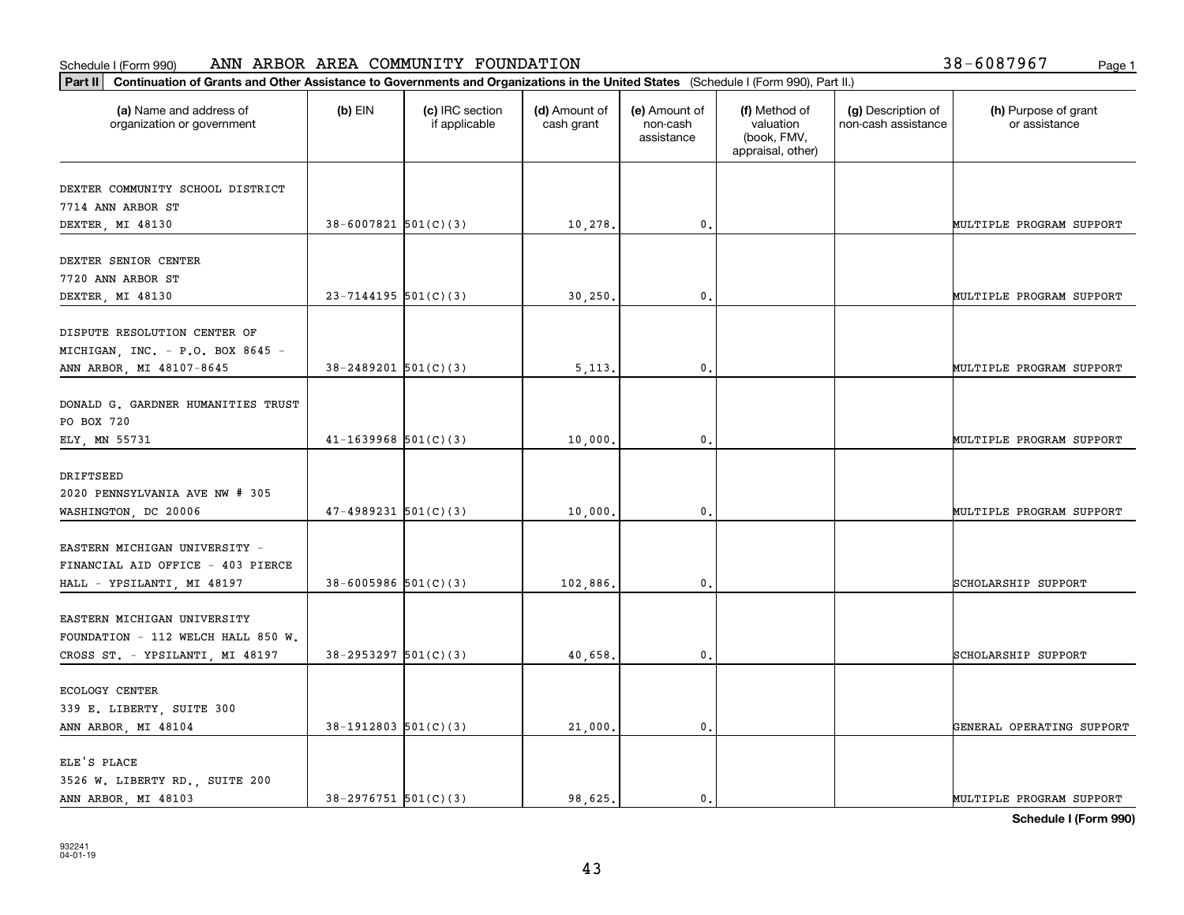| Part II   Continuation of Grants and Other Assistance to Governments and Organizations in the United States (Schedule I (Form 990), Part II.) |                            |                                  |                             |                                         |                                                                |                                           |                                       |
|-----------------------------------------------------------------------------------------------------------------------------------------------|----------------------------|----------------------------------|-----------------------------|-----------------------------------------|----------------------------------------------------------------|-------------------------------------------|---------------------------------------|
| (a) Name and address of<br>organization or government                                                                                         | $(b)$ EIN                  | (c) IRC section<br>if applicable | (d) Amount of<br>cash grant | (e) Amount of<br>non-cash<br>assistance | (f) Method of<br>valuation<br>(book, FMV,<br>appraisal, other) | (g) Description of<br>non-cash assistance | (h) Purpose of grant<br>or assistance |
| DEXTER COMMUNITY SCHOOL DISTRICT                                                                                                              |                            |                                  |                             |                                         |                                                                |                                           |                                       |
| 7714 ANN ARBOR ST                                                                                                                             |                            |                                  |                             |                                         |                                                                |                                           |                                       |
| DEXTER, MI 48130                                                                                                                              | $38 - 6007821$ 501(C)(3)   |                                  | 10,278.                     | $^{\circ}$ .                            |                                                                |                                           | MULTIPLE PROGRAM SUPPORT              |
| DEXTER SENIOR CENTER                                                                                                                          |                            |                                  |                             |                                         |                                                                |                                           |                                       |
| 7720 ANN ARBOR ST                                                                                                                             |                            |                                  |                             |                                         |                                                                |                                           |                                       |
| DEXTER, MI 48130                                                                                                                              | $23 - 7144195$ 501(C)(3)   |                                  | 30,250                      | 0.                                      |                                                                |                                           | MULTIPLE PROGRAM SUPPORT              |
|                                                                                                                                               |                            |                                  |                             |                                         |                                                                |                                           |                                       |
| DISPUTE RESOLUTION CENTER OF<br>MICHIGAN, INC. - P.O. BOX 8645 -                                                                              |                            |                                  |                             |                                         |                                                                |                                           |                                       |
| ANN ARBOR, MI 48107-8645                                                                                                                      | $38 - 2489201$ 501(C)(3)   |                                  | 5,113,                      | $\mathfrak{o}$ .                        |                                                                |                                           | MULTIPLE PROGRAM SUPPORT              |
|                                                                                                                                               |                            |                                  |                             |                                         |                                                                |                                           |                                       |
| DONALD G. GARDNER HUMANITIES TRUST                                                                                                            |                            |                                  |                             |                                         |                                                                |                                           |                                       |
| PO BOX 720                                                                                                                                    |                            |                                  |                             |                                         |                                                                |                                           |                                       |
| ELY, MN 55731                                                                                                                                 | $41 - 1639968$ 501(C)(3)   |                                  | 10,000.                     | 0.                                      |                                                                |                                           | MULTIPLE PROGRAM SUPPORT              |
| DRIFTSEED                                                                                                                                     |                            |                                  |                             |                                         |                                                                |                                           |                                       |
| 2020 PENNSYLVANIA AVE NW # 305                                                                                                                |                            |                                  |                             |                                         |                                                                |                                           |                                       |
| WASHINGTON, DC 20006                                                                                                                          | $47-4989231$ $501(C)(3)$   |                                  | 10,000                      | $\mathbf{0}$                            |                                                                |                                           | MULTIPLE PROGRAM SUPPORT              |
|                                                                                                                                               |                            |                                  |                             |                                         |                                                                |                                           |                                       |
| EASTERN MICHIGAN UNIVERSITY -                                                                                                                 |                            |                                  |                             |                                         |                                                                |                                           |                                       |
| FINANCIAL AID OFFICE - 403 PIERCE                                                                                                             |                            |                                  |                             |                                         |                                                                |                                           |                                       |
| HALL - YPSILANTI, MI 48197                                                                                                                    | $38 - 6005986$ $501(C)(3)$ |                                  | 102,886.                    | 0.                                      |                                                                |                                           | SCHOLARSHIP SUPPORT                   |
| EASTERN MICHIGAN UNIVERSITY                                                                                                                   |                            |                                  |                             |                                         |                                                                |                                           |                                       |
| FOUNDATION - 112 WELCH HALL 850 W.                                                                                                            |                            |                                  |                             |                                         |                                                                |                                           |                                       |
| CROSS ST. - YPSILANTI, MI 48197                                                                                                               | $38 - 2953297$ $501(C)(3)$ |                                  | 40,658.                     | $\mathbf{0}$ .                          |                                                                |                                           | SCHOLARSHIP SUPPORT                   |
|                                                                                                                                               |                            |                                  |                             |                                         |                                                                |                                           |                                       |
| <b>ECOLOGY CENTER</b>                                                                                                                         |                            |                                  |                             |                                         |                                                                |                                           |                                       |
| 339 E. LIBERTY, SUITE 300                                                                                                                     |                            |                                  |                             |                                         |                                                                |                                           |                                       |
| ANN ARBOR, MI 48104                                                                                                                           | $38-1912803$ $501(C)(3)$   |                                  | 21,000.                     | $\mathfrak{o}$ .                        |                                                                |                                           | GENERAL OPERATING SUPPORT             |
| ELE'S PLACE                                                                                                                                   |                            |                                  |                             |                                         |                                                                |                                           |                                       |
| 3526 W. LIBERTY RD., SUITE 200                                                                                                                |                            |                                  |                             |                                         |                                                                |                                           |                                       |
| ANN ARBOR, MI 48103                                                                                                                           | $38-2976751$ $501(C)(3)$   |                                  | 98.625.                     | $\mathbf{0}$ .                          |                                                                |                                           | MULTIPLE PROGRAM SUPPORT              |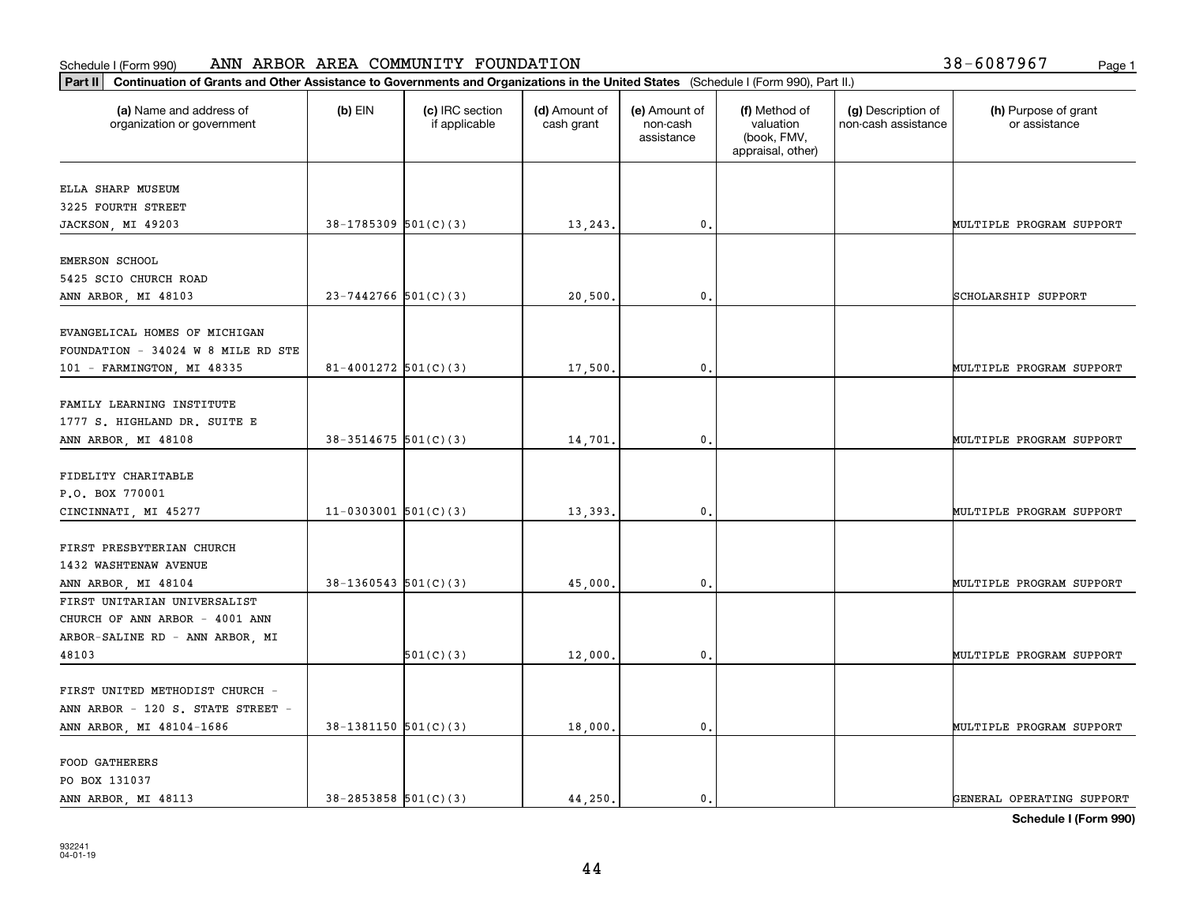| Part II   Continuation of Grants and Other Assistance to Governments and Organizations in the United States (Schedule I (Form 990), Part II.) |                            |                                  |                             |                                         |                                                                |                                           |                                       |
|-----------------------------------------------------------------------------------------------------------------------------------------------|----------------------------|----------------------------------|-----------------------------|-----------------------------------------|----------------------------------------------------------------|-------------------------------------------|---------------------------------------|
| (a) Name and address of<br>organization or government                                                                                         | $(b)$ EIN                  | (c) IRC section<br>if applicable | (d) Amount of<br>cash grant | (e) Amount of<br>non-cash<br>assistance | (f) Method of<br>valuation<br>(book, FMV,<br>appraisal, other) | (g) Description of<br>non-cash assistance | (h) Purpose of grant<br>or assistance |
| ELLA SHARP MUSEUM                                                                                                                             |                            |                                  |                             |                                         |                                                                |                                           |                                       |
| 3225 FOURTH STREET                                                                                                                            |                            |                                  |                             |                                         |                                                                |                                           |                                       |
| JACKSON, MI 49203                                                                                                                             | $38-1785309$ $501(C)(3)$   |                                  | 13,243.                     | 0.                                      |                                                                |                                           | MULTIPLE PROGRAM SUPPORT              |
| EMERSON SCHOOL                                                                                                                                |                            |                                  |                             |                                         |                                                                |                                           |                                       |
| 5425 SCIO CHURCH ROAD                                                                                                                         |                            |                                  |                             |                                         |                                                                |                                           |                                       |
| ANN ARBOR, MI 48103                                                                                                                           | $23 - 7442766$ 501(C)(3)   |                                  | 20,500                      | $\mathbf{0}$ .                          |                                                                |                                           | SCHOLARSHIP SUPPORT                   |
|                                                                                                                                               |                            |                                  |                             |                                         |                                                                |                                           |                                       |
| EVANGELICAL HOMES OF MICHIGAN                                                                                                                 |                            |                                  |                             |                                         |                                                                |                                           |                                       |
| FOUNDATION - 34024 W 8 MILE RD STE                                                                                                            |                            |                                  |                             |                                         |                                                                |                                           |                                       |
| 101 - FARMINGTON, MI 48335                                                                                                                    | $81 - 4001272$ 501(C)(3)   |                                  | 17,500.                     | $\mathbf{0}$ .                          |                                                                |                                           | MULTIPLE PROGRAM SUPPORT              |
| FAMILY LEARNING INSTITUTE                                                                                                                     |                            |                                  |                             |                                         |                                                                |                                           |                                       |
| 1777 S. HIGHLAND DR. SUITE E                                                                                                                  |                            |                                  |                             |                                         |                                                                |                                           |                                       |
| ANN ARBOR, MI 48108                                                                                                                           | $38-3514675$ 501(C)(3)     |                                  | 14,701                      | 0.                                      |                                                                |                                           | MULTIPLE PROGRAM SUPPORT              |
|                                                                                                                                               |                            |                                  |                             |                                         |                                                                |                                           |                                       |
| FIDELITY CHARITABLE                                                                                                                           |                            |                                  |                             |                                         |                                                                |                                           |                                       |
| P.O. BOX 770001                                                                                                                               |                            |                                  |                             |                                         |                                                                |                                           |                                       |
| CINCINNATI, MI 45277                                                                                                                          | $11-0303001$ 501(C)(3)     |                                  | 13,393.                     | $\mathbf{0}$                            |                                                                |                                           | MULTIPLE PROGRAM SUPPORT              |
|                                                                                                                                               |                            |                                  |                             |                                         |                                                                |                                           |                                       |
| FIRST PRESBYTERIAN CHURCH                                                                                                                     |                            |                                  |                             |                                         |                                                                |                                           |                                       |
| 1432 WASHTENAW AVENUE                                                                                                                         |                            |                                  |                             |                                         |                                                                |                                           |                                       |
| ANN ARBOR, MI 48104                                                                                                                           | $38-1360543$ $501(C)(3)$   |                                  | 45,000                      | 0.                                      |                                                                |                                           | MULTIPLE PROGRAM SUPPORT              |
| FIRST UNITARIAN UNIVERSALIST                                                                                                                  |                            |                                  |                             |                                         |                                                                |                                           |                                       |
| CHURCH OF ANN ARBOR - 4001 ANN                                                                                                                |                            |                                  |                             |                                         |                                                                |                                           |                                       |
| ARBOR-SALINE RD - ANN ARBOR, MI                                                                                                               |                            |                                  |                             |                                         |                                                                |                                           |                                       |
| 48103                                                                                                                                         |                            | 501(C)(3)                        | 12,000,                     | $\mathfrak{o}$ .                        |                                                                |                                           | MULTIPLE PROGRAM SUPPORT              |
| FIRST UNITED METHODIST CHURCH -                                                                                                               |                            |                                  |                             |                                         |                                                                |                                           |                                       |
| ANN ARBOR - 120 S. STATE STREET -                                                                                                             |                            |                                  |                             |                                         |                                                                |                                           |                                       |
| ANN ARBOR, MI 48104-1686                                                                                                                      | $38-1381150$ $501(C)(3)$   |                                  | 18,000.                     | $\mathbf{0}$ .                          |                                                                |                                           | MULTIPLE PROGRAM SUPPORT              |
|                                                                                                                                               |                            |                                  |                             |                                         |                                                                |                                           |                                       |
| <b>FOOD GATHERERS</b>                                                                                                                         |                            |                                  |                             |                                         |                                                                |                                           |                                       |
| PO BOX 131037                                                                                                                                 |                            |                                  |                             |                                         |                                                                |                                           |                                       |
| ANN ARBOR, MI 48113                                                                                                                           | $38 - 2853858$ $501(C)(3)$ |                                  | 44,250.                     | 0.                                      |                                                                |                                           | GENERAL OPERATING SUPPORT             |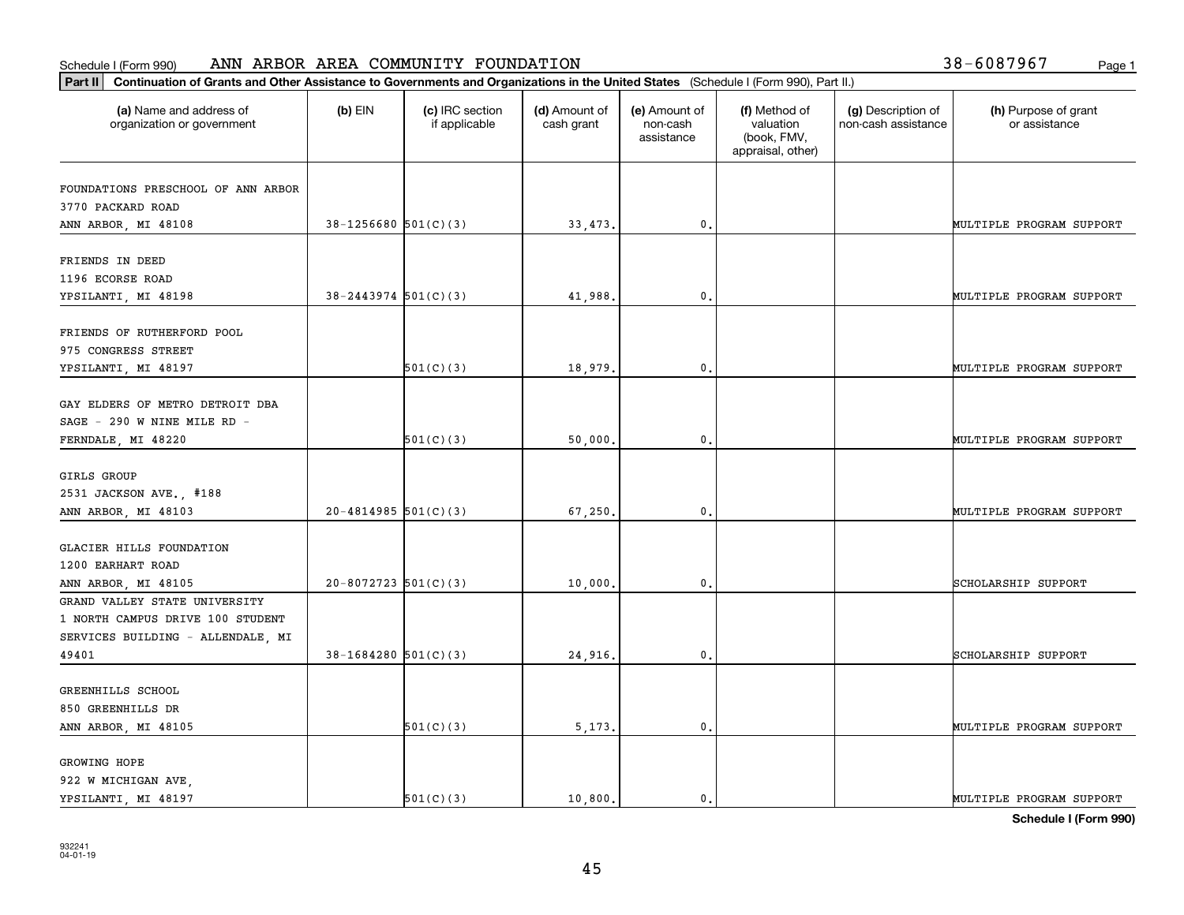| Part II   Continuation of Grants and Other Assistance to Governments and Organizations in the United States (Schedule I (Form 990), Part II.) |                          |                                  |                             |                                         |                                                                |                                           |                                       |
|-----------------------------------------------------------------------------------------------------------------------------------------------|--------------------------|----------------------------------|-----------------------------|-----------------------------------------|----------------------------------------------------------------|-------------------------------------------|---------------------------------------|
| (a) Name and address of<br>organization or government                                                                                         | $(b)$ EIN                | (c) IRC section<br>if applicable | (d) Amount of<br>cash grant | (e) Amount of<br>non-cash<br>assistance | (f) Method of<br>valuation<br>(book, FMV,<br>appraisal, other) | (g) Description of<br>non-cash assistance | (h) Purpose of grant<br>or assistance |
| FOUNDATIONS PRESCHOOL OF ANN ARBOR                                                                                                            |                          |                                  |                             |                                         |                                                                |                                           |                                       |
| 3770 PACKARD ROAD                                                                                                                             |                          |                                  |                             |                                         |                                                                |                                           |                                       |
| ANN ARBOR, MI 48108                                                                                                                           | $38-1256680$ 501(C)(3)   |                                  | 33, 473.                    | 0.                                      |                                                                |                                           | MULTIPLE PROGRAM SUPPORT              |
|                                                                                                                                               |                          |                                  |                             |                                         |                                                                |                                           |                                       |
| FRIENDS IN DEED                                                                                                                               |                          |                                  |                             |                                         |                                                                |                                           |                                       |
| 1196 ECORSE ROAD                                                                                                                              |                          |                                  |                             |                                         |                                                                |                                           |                                       |
| YPSILANTI, MI 48198                                                                                                                           | $38 - 2443974$ 501(C)(3) |                                  | 41,988.                     | 0.                                      |                                                                |                                           | MULTIPLE PROGRAM SUPPORT              |
|                                                                                                                                               |                          |                                  |                             |                                         |                                                                |                                           |                                       |
| FRIENDS OF RUTHERFORD POOL                                                                                                                    |                          |                                  |                             |                                         |                                                                |                                           |                                       |
| 975 CONGRESS STREET                                                                                                                           |                          |                                  |                             |                                         |                                                                |                                           |                                       |
| YPSILANTI, MI 48197                                                                                                                           |                          | 501(C)(3)                        | 18,979.                     | $\mathbf{0}$ .                          |                                                                |                                           | MULTIPLE PROGRAM SUPPORT              |
| GAY ELDERS OF METRO DETROIT DBA                                                                                                               |                          |                                  |                             |                                         |                                                                |                                           |                                       |
| SAGE - 290 W NINE MILE RD -                                                                                                                   |                          |                                  |                             |                                         |                                                                |                                           |                                       |
| FERNDALE, MI 48220                                                                                                                            |                          | 501(C)(3)                        | 50,000.                     | $\mathfrak{o}$ .                        |                                                                |                                           | MULTIPLE PROGRAM SUPPORT              |
|                                                                                                                                               |                          |                                  |                             |                                         |                                                                |                                           |                                       |
| GIRLS GROUP                                                                                                                                   |                          |                                  |                             |                                         |                                                                |                                           |                                       |
| 2531 JACKSON AVE., #188                                                                                                                       |                          |                                  |                             |                                         |                                                                |                                           |                                       |
| ANN ARBOR, MI 48103                                                                                                                           | $20 - 4814985$ 501(C)(3) |                                  | 67,250.                     | 0.                                      |                                                                |                                           | MULTIPLE PROGRAM SUPPORT              |
|                                                                                                                                               |                          |                                  |                             |                                         |                                                                |                                           |                                       |
| GLACIER HILLS FOUNDATION                                                                                                                      |                          |                                  |                             |                                         |                                                                |                                           |                                       |
| 1200 EARHART ROAD                                                                                                                             |                          |                                  |                             |                                         |                                                                |                                           |                                       |
| ANN ARBOR, MI 48105                                                                                                                           | $20 - 8072723$ 501(C)(3) |                                  | 10,000.                     | 0.                                      |                                                                |                                           | SCHOLARSHIP SUPPORT                   |
| GRAND VALLEY STATE UNIVERSITY                                                                                                                 |                          |                                  |                             |                                         |                                                                |                                           |                                       |
| 1 NORTH CAMPUS DRIVE 100 STUDENT                                                                                                              |                          |                                  |                             |                                         |                                                                |                                           |                                       |
| SERVICES BUILDING - ALLENDALE, MI                                                                                                             |                          |                                  |                             |                                         |                                                                |                                           |                                       |
| 49401                                                                                                                                         | $38-1684280$ 501(C)(3)   |                                  | 24,916.                     | $\mathbf{0}$ .                          |                                                                |                                           | SCHOLARSHIP SUPPORT                   |
| GREENHILLS SCHOOL                                                                                                                             |                          |                                  |                             |                                         |                                                                |                                           |                                       |
| 850 GREENHILLS DR                                                                                                                             |                          |                                  |                             |                                         |                                                                |                                           |                                       |
| ANN ARBOR, MI 48105                                                                                                                           |                          | 501(C)(3)                        | 5, 173.                     | 0.                                      |                                                                |                                           | MULTIPLE PROGRAM SUPPORT              |
|                                                                                                                                               |                          |                                  |                             |                                         |                                                                |                                           |                                       |
| GROWING HOPE                                                                                                                                  |                          |                                  |                             |                                         |                                                                |                                           |                                       |
| 922 W MICHIGAN AVE,                                                                                                                           |                          |                                  |                             |                                         |                                                                |                                           |                                       |
| YPSILANTI, MI 48197                                                                                                                           |                          | 501(C)(3)                        | 10,800.                     | $\mathfrak{o}$ .                        |                                                                |                                           | MULTIPLE PROGRAM SUPPORT              |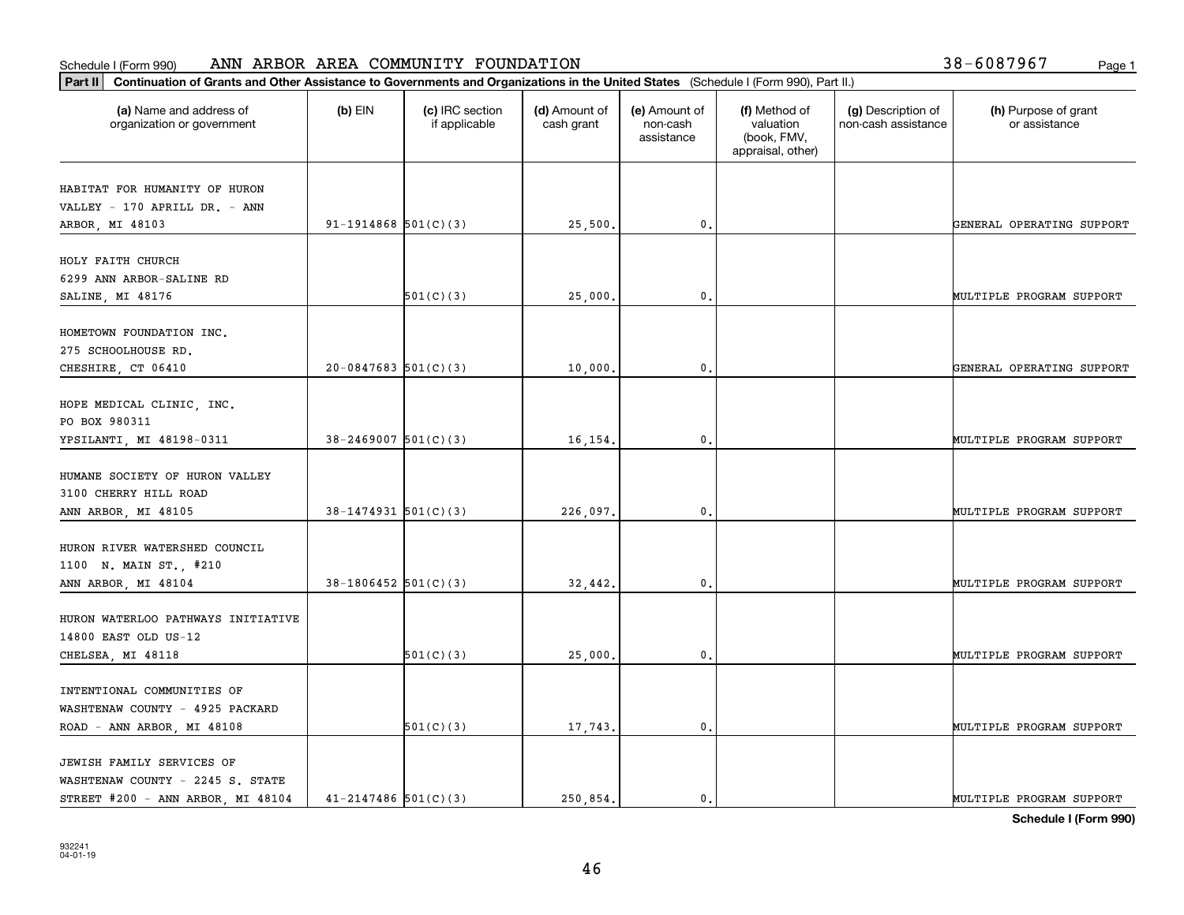| (a) Name and address of<br>organization or government | $(b)$ EIN                | (c) IRC section<br>if applicable | (d) Amount of<br>cash grant | (e) Amount of<br>non-cash<br>assistance | (f) Method of<br>valuation<br>(book, FMV,<br>appraisal, other) | (g) Description of<br>non-cash assistance | (h) Purpose of grant<br>or assistance |
|-------------------------------------------------------|--------------------------|----------------------------------|-----------------------------|-----------------------------------------|----------------------------------------------------------------|-------------------------------------------|---------------------------------------|
| HABITAT FOR HUMANITY OF HURON                         |                          |                                  |                             |                                         |                                                                |                                           |                                       |
| VALLEY - 170 APRILL DR. - ANN                         |                          |                                  |                             |                                         |                                                                |                                           |                                       |
| ARBOR, MI 48103                                       | $91-1914868$ $501(C)(3)$ |                                  | 25,500.                     | 0.                                      |                                                                |                                           | GENERAL OPERATING SUPPORT             |
| HOLY FAITH CHURCH                                     |                          |                                  |                             |                                         |                                                                |                                           |                                       |
| 6299 ANN ARBOR-SALINE RD                              |                          |                                  |                             |                                         |                                                                |                                           |                                       |
| SALINE, MI 48176                                      |                          | 501(C)(3)                        | 25,000.                     | 0.                                      |                                                                |                                           | MULTIPLE PROGRAM SUPPORT              |
| HOMETOWN FOUNDATION INC.                              |                          |                                  |                             |                                         |                                                                |                                           |                                       |
| 275 SCHOOLHOUSE RD.                                   |                          |                                  |                             |                                         |                                                                |                                           |                                       |
| CHESHIRE, CT 06410                                    | $20-0847683$ 501(C)(3)   |                                  | 10,000.                     | 0.                                      |                                                                |                                           | GENERAL OPERATING SUPPORT             |
|                                                       |                          |                                  |                             |                                         |                                                                |                                           |                                       |
| HOPE MEDICAL CLINIC, INC.                             |                          |                                  |                             |                                         |                                                                |                                           |                                       |
| PO BOX 980311                                         |                          |                                  |                             |                                         |                                                                |                                           |                                       |
| YPSILANTI, MI 48198-0311                              | $38 - 2469007$ 501(C)(3) |                                  | 16,154.                     | 0.                                      |                                                                |                                           | MULTIPLE PROGRAM SUPPORT              |
| HUMANE SOCIETY OF HURON VALLEY                        |                          |                                  |                             |                                         |                                                                |                                           |                                       |
| 3100 CHERRY HILL ROAD                                 |                          |                                  |                             |                                         |                                                                |                                           |                                       |
| ANN ARBOR, MI 48105                                   | $38-1474931$ 501(C)(3)   |                                  | 226,097.                    | $\mathbf{0}$                            |                                                                |                                           | MULTIPLE PROGRAM SUPPORT              |
|                                                       |                          |                                  |                             |                                         |                                                                |                                           |                                       |
| HURON RIVER WATERSHED COUNCIL                         |                          |                                  |                             |                                         |                                                                |                                           |                                       |
| 1100 N. MAIN ST., #210                                |                          |                                  |                             |                                         |                                                                |                                           |                                       |
| ANN ARBOR, MI 48104                                   | $38-1806452$ 501(C)(3)   |                                  | 32,442.                     | 0.                                      |                                                                |                                           | MULTIPLE PROGRAM SUPPORT              |
| HURON WATERLOO PATHWAYS INITIATIVE                    |                          |                                  |                             |                                         |                                                                |                                           |                                       |
| 14800 EAST OLD US-12                                  |                          |                                  |                             |                                         |                                                                |                                           |                                       |
| CHELSEA, MI 48118                                     |                          | 501(C)(3)                        | 25,000.                     | 0.                                      |                                                                |                                           | MULTIPLE PROGRAM SUPPORT              |
|                                                       |                          |                                  |                             |                                         |                                                                |                                           |                                       |
| INTENTIONAL COMMUNITIES OF                            |                          |                                  |                             |                                         |                                                                |                                           |                                       |
| WASHTENAW COUNTY - 4925 PACKARD                       |                          |                                  |                             |                                         |                                                                |                                           |                                       |
| ROAD - ANN ARBOR, MI 48108                            |                          | 501(C)(3)                        | 17,743.                     | $\mathbf{0}$ .                          |                                                                |                                           | MULTIPLE PROGRAM SUPPORT              |
|                                                       |                          |                                  |                             |                                         |                                                                |                                           |                                       |
| JEWISH FAMILY SERVICES OF                             |                          |                                  |                             |                                         |                                                                |                                           |                                       |
| WASHTENAW COUNTY - 2245 S. STATE                      |                          |                                  |                             |                                         |                                                                |                                           | MULTIPLE PROGRAM SUPPORT              |
| STREET #200 - ANN ARBOR, MI 48104                     | $41 - 2147486$ 501(C)(3) |                                  | 250.854.                    | $\mathbf{0}$ .                          |                                                                |                                           |                                       |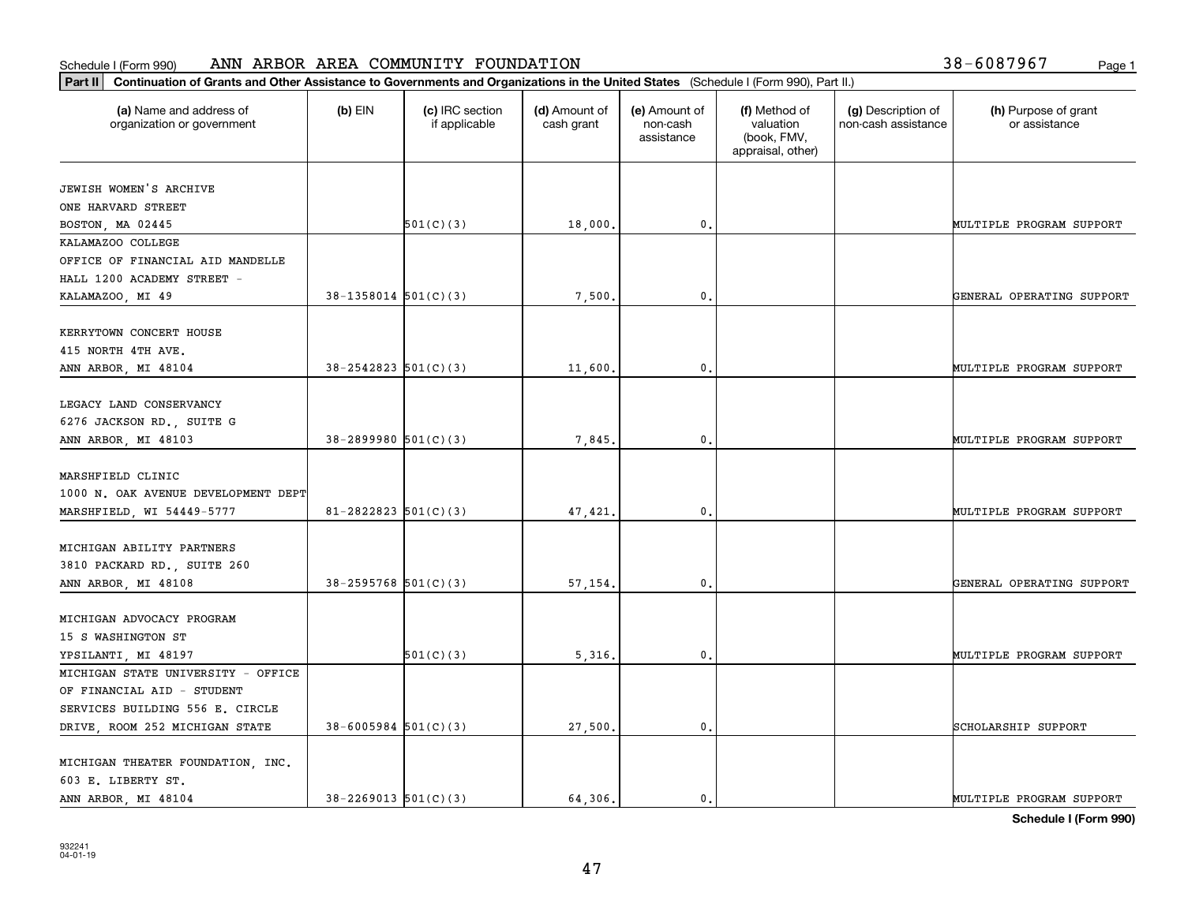### **Part II Continuation of Grants and Other AREA COMMUNITY FOR**<br>**Part II** Continuation of Grants and Other Assistance to Governments and Organizations Schedule I (Form 990) ANN ARBOR AREA COMMUNITY FOUNDATION Page 1

| 38-6087967 | Page 1 |  |
|------------|--------|--|
|------------|--------|--|

| Continuation of Grants and Other Assistance to Governments and Organizations in the United States (Schedule I (Form 990), Part II.)<br>Part II                                                                                                                                                  |                                       |
|-------------------------------------------------------------------------------------------------------------------------------------------------------------------------------------------------------------------------------------------------------------------------------------------------|---------------------------------------|
| $(b)$ EIN<br>(d) Amount of<br>(a) Name and address of<br>(c) IRC section<br>(e) Amount of<br>(f) Method of<br>(g) Description of<br>if applicable<br>cash grant<br>valuation<br>non-cash assistance<br>organization or government<br>non-cash<br>(book, FMV,<br>assistance<br>appraisal, other) | (h) Purpose of grant<br>or assistance |
| JEWISH WOMEN'S ARCHIVE                                                                                                                                                                                                                                                                          |                                       |
|                                                                                                                                                                                                                                                                                                 |                                       |
| ONE HARVARD STREET                                                                                                                                                                                                                                                                              |                                       |
| 501(C)(3)<br>18,000.<br>$\mathfrak{o}$ .<br>BOSTON, MA 02445<br>MULTIPLE PROGRAM SUPPORT                                                                                                                                                                                                        |                                       |
| KALAMAZOO COLLEGE                                                                                                                                                                                                                                                                               |                                       |
| OFFICE OF FINANCIAL AID MANDELLE                                                                                                                                                                                                                                                                |                                       |
| HALL 1200 ACADEMY STREET -                                                                                                                                                                                                                                                                      |                                       |
| $38-1358014$ $501(C)(3)$<br>7,500.<br>$\mathfrak{o}$ .<br>KALAMAZOO, MI 49                                                                                                                                                                                                                      | GENERAL OPERATING SUPPORT             |
| KERRYTOWN CONCERT HOUSE                                                                                                                                                                                                                                                                         |                                       |
| 415 NORTH 4TH AVE.                                                                                                                                                                                                                                                                              |                                       |
| $38 - 2542823$ $501(C)(3)$<br>11,600<br>$\mathbf 0$ .<br>MULTIPLE PROGRAM SUPPORT<br>ANN ARBOR, MI 48104                                                                                                                                                                                        |                                       |
|                                                                                                                                                                                                                                                                                                 |                                       |
| LEGACY LAND CONSERVANCY                                                                                                                                                                                                                                                                         |                                       |
| 6276 JACKSON RD., SUITE G                                                                                                                                                                                                                                                                       |                                       |
| $38 - 2899980$ $501(C)(3)$<br>$\mathbf{0}$ .<br>ANN ARBOR, MI 48103<br>7,845<br>MULTIPLE PROGRAM SUPPORT                                                                                                                                                                                        |                                       |
|                                                                                                                                                                                                                                                                                                 |                                       |
| MARSHFIELD CLINIC                                                                                                                                                                                                                                                                               |                                       |
| 1000 N. OAK AVENUE DEVELOPMENT DEPT                                                                                                                                                                                                                                                             |                                       |
| $81 - 2822823$ 501(C)(3)<br>$\mathbf 0$ .<br>MULTIPLE PROGRAM SUPPORT<br>47,421.<br>MARSHFIELD, WI 54449-5777                                                                                                                                                                                   |                                       |
|                                                                                                                                                                                                                                                                                                 |                                       |
| MICHIGAN ABILITY PARTNERS                                                                                                                                                                                                                                                                       |                                       |
| 3810 PACKARD RD., SUITE 260                                                                                                                                                                                                                                                                     |                                       |
| $38 - 2595768$ 501(C)(3)<br>57,154.<br>$\mathbf 0$ .<br>ANN ARBOR, MI 48108                                                                                                                                                                                                                     | GENERAL OPERATING SUPPORT             |
|                                                                                                                                                                                                                                                                                                 |                                       |
| MICHIGAN ADVOCACY PROGRAM                                                                                                                                                                                                                                                                       |                                       |
| 15 S WASHINGTON ST                                                                                                                                                                                                                                                                              |                                       |
| 501(C)(3)<br>5,316<br>$\mathfrak{o}$ .<br>YPSILANTI, MI 48197<br>MULTIPLE PROGRAM SUPPORT                                                                                                                                                                                                       |                                       |
| MICHIGAN STATE UNIVERSITY - OFFICE                                                                                                                                                                                                                                                              |                                       |
| OF FINANCIAL AID - STUDENT                                                                                                                                                                                                                                                                      |                                       |
| SERVICES BUILDING 556 E. CIRCLE                                                                                                                                                                                                                                                                 |                                       |
| $38 - 6005984$ 501(C)(3)<br>DRIVE, ROOM 252 MICHIGAN STATE<br>27,500<br>0.<br>SCHOLARSHIP SUPPORT                                                                                                                                                                                               |                                       |
|                                                                                                                                                                                                                                                                                                 |                                       |
| MICHIGAN THEATER FOUNDATION, INC.                                                                                                                                                                                                                                                               |                                       |
| 603 E. LIBERTY ST.                                                                                                                                                                                                                                                                              |                                       |
| $38 - 2269013$ 501(C)(3)<br>64.306.<br>ANN ARBOR, MI 48104<br>$\mathbf{0}$ .<br>MULTIPLE PROGRAM SUPPORT                                                                                                                                                                                        |                                       |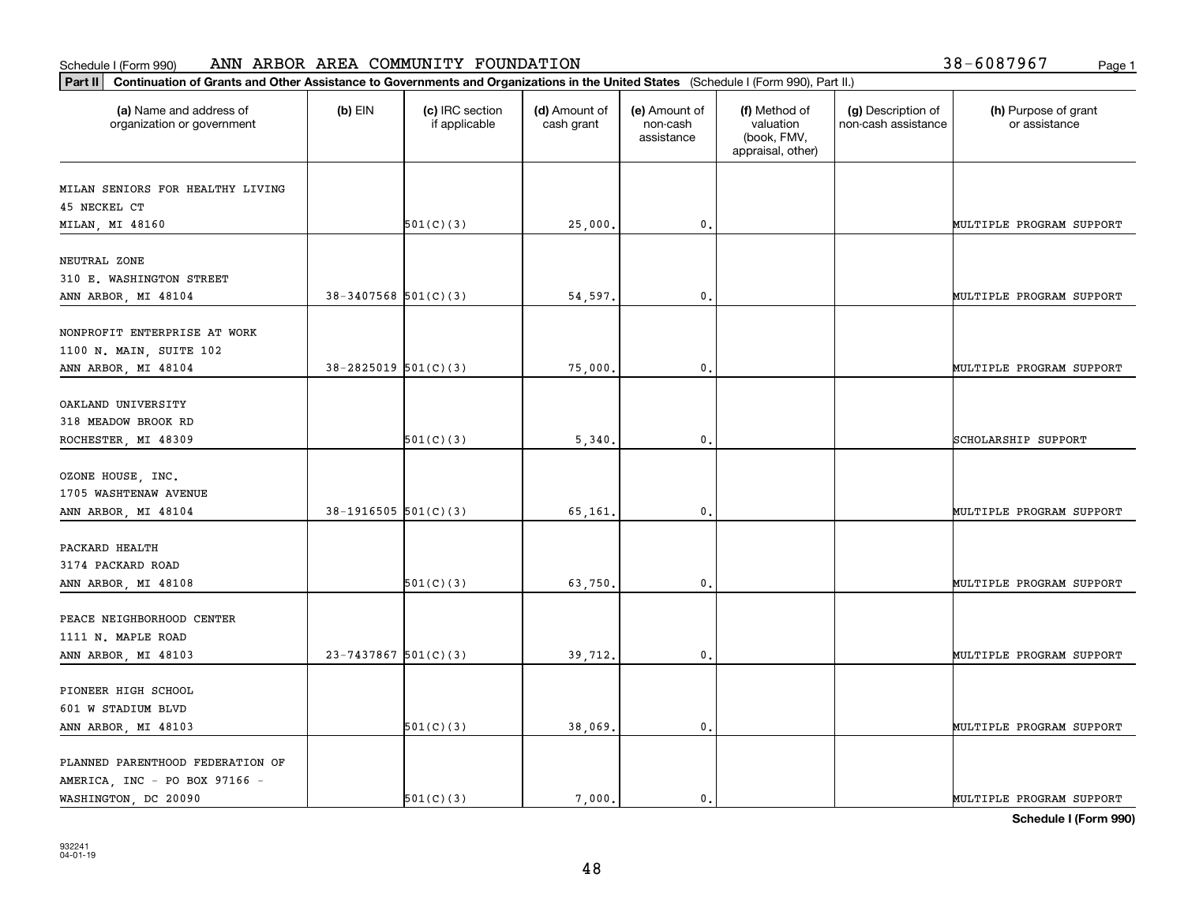| 38-6087967 |  |  |  |  | Page 1 |
|------------|--|--|--|--|--------|
|------------|--|--|--|--|--------|

| Continuation of Grants and Other Assistance to Governments and Organizations in the United States (Schedule I (Form 990), Part II.)<br>$ $ Part II |                          |                                  |                             |                                         |                                                                |                                           |                                       |
|----------------------------------------------------------------------------------------------------------------------------------------------------|--------------------------|----------------------------------|-----------------------------|-----------------------------------------|----------------------------------------------------------------|-------------------------------------------|---------------------------------------|
| (a) Name and address of<br>organization or government                                                                                              | $(b)$ EIN                | (c) IRC section<br>if applicable | (d) Amount of<br>cash grant | (e) Amount of<br>non-cash<br>assistance | (f) Method of<br>valuation<br>(book, FMV,<br>appraisal, other) | (g) Description of<br>non-cash assistance | (h) Purpose of grant<br>or assistance |
| MILAN SENIORS FOR HEALTHY LIVING                                                                                                                   |                          |                                  |                             |                                         |                                                                |                                           |                                       |
| 45 NECKEL CT                                                                                                                                       |                          |                                  |                             |                                         |                                                                |                                           |                                       |
| MILAN, MI 48160                                                                                                                                    |                          | 501(C)(3)                        | 25,000.                     | $\mathbf{0}$ .                          |                                                                |                                           | MULTIPLE PROGRAM SUPPORT              |
| NEUTRAL ZONE                                                                                                                                       |                          |                                  |                             |                                         |                                                                |                                           |                                       |
| 310 E. WASHINGTON STREET                                                                                                                           |                          |                                  |                             |                                         |                                                                |                                           |                                       |
| ANN ARBOR, MI 48104                                                                                                                                | $38-3407568$ $501(C)(3)$ |                                  | 54,597.                     | $\mathbf{0}$ .                          |                                                                |                                           | MULTIPLE PROGRAM SUPPORT              |
| NONPROFIT ENTERPRISE AT WORK                                                                                                                       |                          |                                  |                             |                                         |                                                                |                                           |                                       |
| 1100 N. MAIN, SUITE 102                                                                                                                            |                          |                                  |                             |                                         |                                                                |                                           |                                       |
| ANN ARBOR, MI 48104                                                                                                                                | $38 - 2825019$ 501(C)(3) |                                  | 75,000.                     | $\mathbf{0}$                            |                                                                |                                           | MULTIPLE PROGRAM SUPPORT              |
|                                                                                                                                                    |                          |                                  |                             |                                         |                                                                |                                           |                                       |
| OAKLAND UNIVERSITY                                                                                                                                 |                          |                                  |                             |                                         |                                                                |                                           |                                       |
| 318 MEADOW BROOK RD                                                                                                                                |                          |                                  |                             |                                         |                                                                |                                           |                                       |
| ROCHESTER, MI 48309                                                                                                                                |                          | 501(C)(3)                        | 5,340.                      | $\mathbf{0}$ .                          |                                                                |                                           | SCHOLARSHIP SUPPORT                   |
| OZONE HOUSE, INC.                                                                                                                                  |                          |                                  |                             |                                         |                                                                |                                           |                                       |
| 1705 WASHTENAW AVENUE                                                                                                                              |                          |                                  |                             |                                         |                                                                |                                           |                                       |
| ANN ARBOR, MI 48104                                                                                                                                | $38-1916505$ $501(C)(3)$ |                                  | 65,161.                     | $\mathbf{0}$ .                          |                                                                |                                           | MULTIPLE PROGRAM SUPPORT              |
|                                                                                                                                                    |                          |                                  |                             |                                         |                                                                |                                           |                                       |
| PACKARD HEALTH                                                                                                                                     |                          |                                  |                             |                                         |                                                                |                                           |                                       |
| 3174 PACKARD ROAD                                                                                                                                  |                          |                                  |                             |                                         |                                                                |                                           |                                       |
| ANN ARBOR, MI 48108                                                                                                                                |                          | 501(C)(3)                        | 63,750                      | $\mathbf{0}$                            |                                                                |                                           | MULTIPLE PROGRAM SUPPORT              |
| PEACE NEIGHBORHOOD CENTER                                                                                                                          |                          |                                  |                             |                                         |                                                                |                                           |                                       |
| 1111 N. MAPLE ROAD                                                                                                                                 |                          |                                  |                             |                                         |                                                                |                                           |                                       |
| ANN ARBOR, MI 48103                                                                                                                                | $23 - 7437867$ 501(C)(3) |                                  | 39,712.                     | 0.                                      |                                                                |                                           | MULTIPLE PROGRAM SUPPORT              |
|                                                                                                                                                    |                          |                                  |                             |                                         |                                                                |                                           |                                       |
| PIONEER HIGH SCHOOL                                                                                                                                |                          |                                  |                             |                                         |                                                                |                                           |                                       |
| 601 W STADIUM BLVD                                                                                                                                 |                          |                                  |                             |                                         |                                                                |                                           |                                       |
| ANN ARBOR, MI 48103                                                                                                                                |                          | 501(C)(3)                        | 38,069.                     | $\mathbf{0}$ .                          |                                                                |                                           | MULTIPLE PROGRAM SUPPORT              |
| PLANNED PARENTHOOD FEDERATION OF                                                                                                                   |                          |                                  |                             |                                         |                                                                |                                           |                                       |
| AMERICA, INC - PO BOX 97166 -                                                                                                                      |                          |                                  |                             |                                         |                                                                |                                           |                                       |
| WASHINGTON, DC 20090                                                                                                                               |                          | 501(C)(3)                        | 7.000.                      | 0.                                      |                                                                |                                           | MULTIPLE PROGRAM SUPPORT              |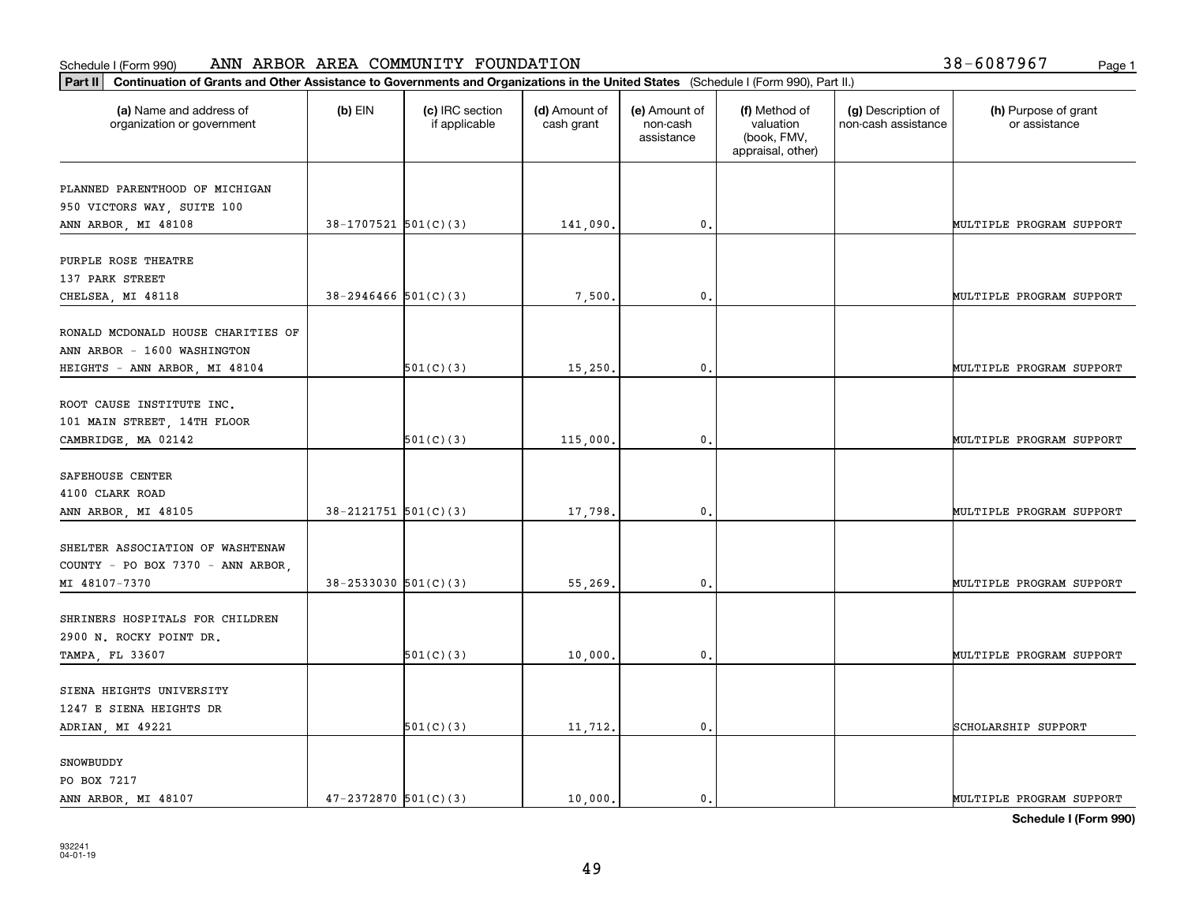| Part II   Continuation of Grants and Other Assistance to Governments and Organizations in the United States (Schedule I (Form 990), Part II.) |                            |                                  |                             |                                         |                                                                |                                           |                                       |
|-----------------------------------------------------------------------------------------------------------------------------------------------|----------------------------|----------------------------------|-----------------------------|-----------------------------------------|----------------------------------------------------------------|-------------------------------------------|---------------------------------------|
| (a) Name and address of<br>organization or government                                                                                         | $(b)$ EIN                  | (c) IRC section<br>if applicable | (d) Amount of<br>cash grant | (e) Amount of<br>non-cash<br>assistance | (f) Method of<br>valuation<br>(book, FMV,<br>appraisal, other) | (g) Description of<br>non-cash assistance | (h) Purpose of grant<br>or assistance |
| PLANNED PARENTHOOD OF MICHIGAN                                                                                                                |                            |                                  |                             |                                         |                                                                |                                           |                                       |
| 950 VICTORS WAY, SUITE 100                                                                                                                    |                            |                                  |                             |                                         |                                                                |                                           |                                       |
| ANN ARBOR, MI 48108                                                                                                                           | $38-1707521$ $501(C)(3)$   |                                  | 141,090.                    | 0.                                      |                                                                |                                           | MULTIPLE PROGRAM SUPPORT              |
|                                                                                                                                               |                            |                                  |                             |                                         |                                                                |                                           |                                       |
| PURPLE ROSE THEATRE                                                                                                                           |                            |                                  |                             |                                         |                                                                |                                           |                                       |
| 137 PARK STREET                                                                                                                               |                            |                                  |                             |                                         |                                                                |                                           |                                       |
| CHELSEA, MI 48118                                                                                                                             | $38 - 2946466$ $501(C)(3)$ |                                  | 7,500                       | 0.                                      |                                                                |                                           | MULTIPLE PROGRAM SUPPORT              |
|                                                                                                                                               |                            |                                  |                             |                                         |                                                                |                                           |                                       |
| RONALD MCDONALD HOUSE CHARITIES OF                                                                                                            |                            |                                  |                             |                                         |                                                                |                                           |                                       |
| ANN ARBOR - 1600 WASHINGTON                                                                                                                   |                            |                                  |                             |                                         |                                                                |                                           |                                       |
| HEIGHTS - ANN ARBOR, MI 48104                                                                                                                 |                            | 501(C)(3)                        | 15,250.                     | $\mathbf{0}$ .                          |                                                                |                                           | MULTIPLE PROGRAM SUPPORT              |
|                                                                                                                                               |                            |                                  |                             |                                         |                                                                |                                           |                                       |
| ROOT CAUSE INSTITUTE INC.                                                                                                                     |                            |                                  |                             |                                         |                                                                |                                           |                                       |
| 101 MAIN STREET, 14TH FLOOR                                                                                                                   |                            |                                  |                             |                                         |                                                                |                                           |                                       |
| CAMBRIDGE, MA 02142                                                                                                                           |                            | 501(C)(3)                        | 115,000.                    | 0.                                      |                                                                |                                           | MULTIPLE PROGRAM SUPPORT              |
|                                                                                                                                               |                            |                                  |                             |                                         |                                                                |                                           |                                       |
| SAFEHOUSE CENTER                                                                                                                              |                            |                                  |                             |                                         |                                                                |                                           |                                       |
| 4100 CLARK ROAD                                                                                                                               |                            |                                  |                             |                                         |                                                                |                                           |                                       |
| ANN ARBOR, MI 48105                                                                                                                           | $38 - 2121751$ $501(C)(3)$ |                                  | 17,798.                     | 0.                                      |                                                                |                                           | MULTIPLE PROGRAM SUPPORT              |
| SHELTER ASSOCIATION OF WASHTENAW                                                                                                              |                            |                                  |                             |                                         |                                                                |                                           |                                       |
| COUNTY - PO BOX 7370 - ANN ARBOR,                                                                                                             |                            |                                  |                             |                                         |                                                                |                                           |                                       |
| MI 48107-7370                                                                                                                                 | $38 - 2533030$ $501(C)(3)$ |                                  | 55,269.                     | $\mathbf{0}$ .                          |                                                                |                                           | MULTIPLE PROGRAM SUPPORT              |
|                                                                                                                                               |                            |                                  |                             |                                         |                                                                |                                           |                                       |
| SHRINERS HOSPITALS FOR CHILDREN                                                                                                               |                            |                                  |                             |                                         |                                                                |                                           |                                       |
| 2900 N. ROCKY POINT DR.                                                                                                                       |                            |                                  |                             |                                         |                                                                |                                           |                                       |
| TAMPA, FL 33607                                                                                                                               |                            | 501(C)(3)                        | 10,000,                     | $\mathbf{0}$ .                          |                                                                |                                           | MULTIPLE PROGRAM SUPPORT              |
|                                                                                                                                               |                            |                                  |                             |                                         |                                                                |                                           |                                       |
| SIENA HEIGHTS UNIVERSITY                                                                                                                      |                            |                                  |                             |                                         |                                                                |                                           |                                       |
| 1247 E SIENA HEIGHTS DR                                                                                                                       |                            |                                  |                             |                                         |                                                                |                                           |                                       |
| ADRIAN, MI 49221                                                                                                                              |                            | 501(C)(3)                        | 11,712.                     | $\mathfrak o$ .                         |                                                                |                                           | SCHOLARSHIP SUPPORT                   |
|                                                                                                                                               |                            |                                  |                             |                                         |                                                                |                                           |                                       |
| SNOWBUDDY                                                                                                                                     |                            |                                  |                             |                                         |                                                                |                                           |                                       |
| PO BOX 7217                                                                                                                                   |                            |                                  |                             |                                         |                                                                |                                           |                                       |
| ANN ARBOR, MI 48107                                                                                                                           | $47 - 2372870$ 501(C)(3)   |                                  | 10,000.                     | $\mathbf{0}$ .                          |                                                                |                                           | MULTIPLE PROGRAM SUPPORT              |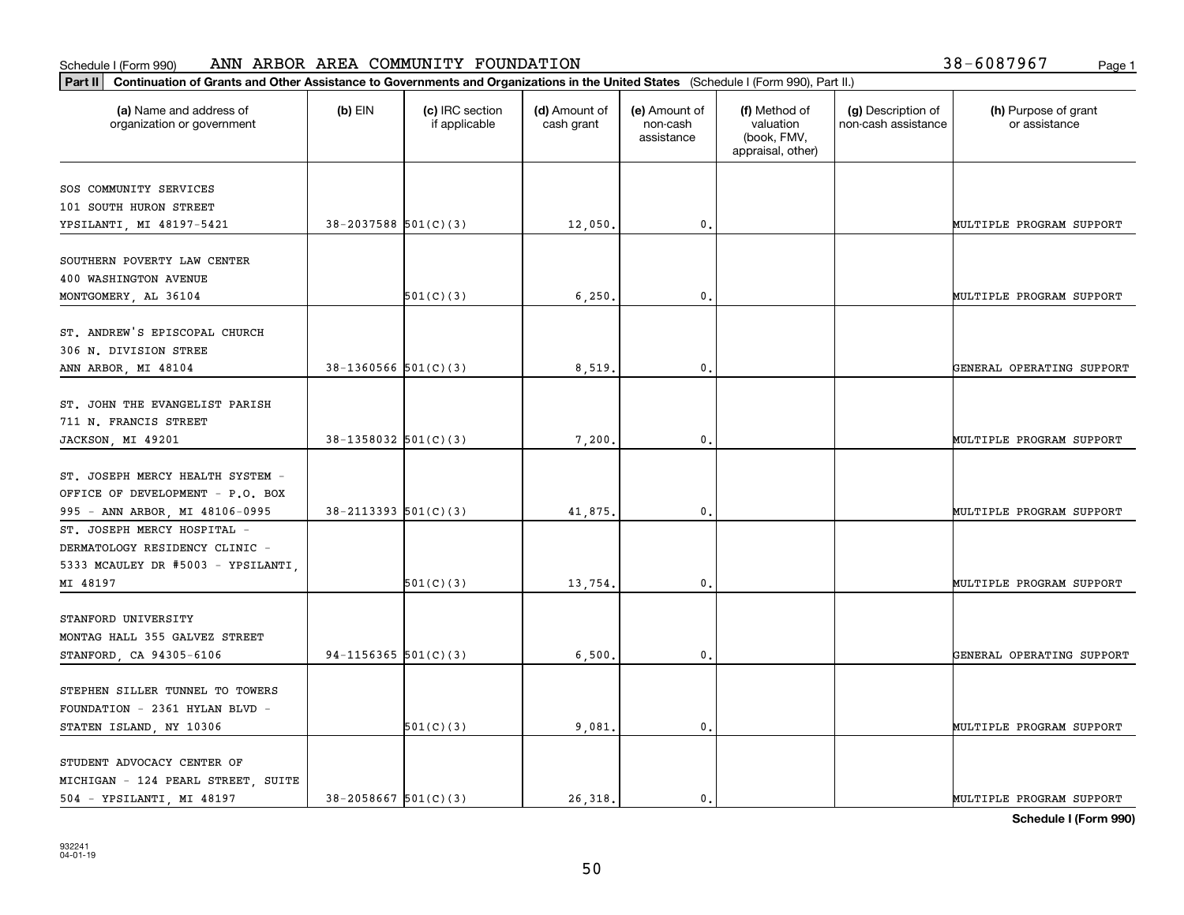| Part II   Continuation of Grants and Other Assistance to Governments and Organizations in the United States (Schedule I (Form 990), Part II.) |                            |                                  |                             |                                         |                                                                |                                           |                                       |  |  |
|-----------------------------------------------------------------------------------------------------------------------------------------------|----------------------------|----------------------------------|-----------------------------|-----------------------------------------|----------------------------------------------------------------|-------------------------------------------|---------------------------------------|--|--|
| (a) Name and address of<br>organization or government                                                                                         | $(b)$ EIN                  | (c) IRC section<br>if applicable | (d) Amount of<br>cash grant | (e) Amount of<br>non-cash<br>assistance | (f) Method of<br>valuation<br>(book, FMV,<br>appraisal, other) | (g) Description of<br>non-cash assistance | (h) Purpose of grant<br>or assistance |  |  |
| SOS COMMUNITY SERVICES                                                                                                                        |                            |                                  |                             |                                         |                                                                |                                           |                                       |  |  |
| 101 SOUTH HURON STREET                                                                                                                        |                            |                                  |                             |                                         |                                                                |                                           |                                       |  |  |
| YPSILANTI, MI 48197-5421                                                                                                                      | $38 - 2037588$ 501(C)(3)   |                                  | 12,050.                     | $\mathbf{0}$ .                          |                                                                |                                           | MULTIPLE PROGRAM SUPPORT              |  |  |
|                                                                                                                                               |                            |                                  |                             |                                         |                                                                |                                           |                                       |  |  |
| SOUTHERN POVERTY LAW CENTER                                                                                                                   |                            |                                  |                             |                                         |                                                                |                                           |                                       |  |  |
| 400 WASHINGTON AVENUE                                                                                                                         |                            |                                  |                             |                                         |                                                                |                                           |                                       |  |  |
| MONTGOMERY, AL 36104                                                                                                                          |                            | 501(C)(3)                        | 6,250.                      | 0.                                      |                                                                |                                           | MULTIPLE PROGRAM SUPPORT              |  |  |
|                                                                                                                                               |                            |                                  |                             |                                         |                                                                |                                           |                                       |  |  |
| ST. ANDREW'S EPISCOPAL CHURCH                                                                                                                 |                            |                                  |                             |                                         |                                                                |                                           |                                       |  |  |
| 306 N. DIVISION STREE                                                                                                                         |                            |                                  |                             |                                         |                                                                |                                           |                                       |  |  |
| ANN ARBOR, MI 48104                                                                                                                           | $38-1360566$ $501(C)(3)$   |                                  | 8,519                       | $\mathfrak{o}$ .                        |                                                                |                                           | GENERAL OPERATING SUPPORT             |  |  |
|                                                                                                                                               |                            |                                  |                             |                                         |                                                                |                                           |                                       |  |  |
| ST. JOHN THE EVANGELIST PARISH                                                                                                                |                            |                                  |                             |                                         |                                                                |                                           |                                       |  |  |
| 711 N. FRANCIS STREET                                                                                                                         |                            |                                  |                             |                                         |                                                                |                                           |                                       |  |  |
| JACKSON, MI 49201                                                                                                                             | $38-1358032$ 501(C)(3)     |                                  | 7,200.                      | 0.                                      |                                                                |                                           | MULTIPLE PROGRAM SUPPORT              |  |  |
|                                                                                                                                               |                            |                                  |                             |                                         |                                                                |                                           |                                       |  |  |
| ST. JOSEPH MERCY HEALTH SYSTEM -                                                                                                              |                            |                                  |                             |                                         |                                                                |                                           |                                       |  |  |
| OFFICE OF DEVELOPMENT - P.O. BOX                                                                                                              |                            |                                  |                             |                                         |                                                                |                                           |                                       |  |  |
| 995 - ANN ARBOR, MI 48106-0995                                                                                                                | $38 - 2113393$ $501(C)(3)$ |                                  | 41,875                      | $\mathbf{0}$                            |                                                                |                                           | MULTIPLE PROGRAM SUPPORT              |  |  |
| ST. JOSEPH MERCY HOSPITAL -                                                                                                                   |                            |                                  |                             |                                         |                                                                |                                           |                                       |  |  |
| DERMATOLOGY RESIDENCY CLINIC -                                                                                                                |                            |                                  |                             |                                         |                                                                |                                           |                                       |  |  |
| 5333 MCAULEY DR #5003 - YPSILANTI,                                                                                                            |                            |                                  |                             |                                         |                                                                |                                           |                                       |  |  |
| MI 48197                                                                                                                                      |                            | 501(C)(3)                        | 13,754.                     | $\mathbf{0}$                            |                                                                |                                           | MULTIPLE PROGRAM SUPPORT              |  |  |
|                                                                                                                                               |                            |                                  |                             |                                         |                                                                |                                           |                                       |  |  |
| STANFORD UNIVERSITY                                                                                                                           |                            |                                  |                             |                                         |                                                                |                                           |                                       |  |  |
| MONTAG HALL 355 GALVEZ STREET                                                                                                                 |                            |                                  |                             |                                         |                                                                |                                           |                                       |  |  |
| STANFORD, CA 94305-6106                                                                                                                       | $94-1156365$ $501(C)(3)$   |                                  | 6,500.                      | $\mathbf{0}$ .                          |                                                                |                                           | GENERAL OPERATING SUPPORT             |  |  |
|                                                                                                                                               |                            |                                  |                             |                                         |                                                                |                                           |                                       |  |  |
| STEPHEN SILLER TUNNEL TO TOWERS                                                                                                               |                            |                                  |                             |                                         |                                                                |                                           |                                       |  |  |
| FOUNDATION - 2361 HYLAN BLVD -                                                                                                                |                            |                                  |                             |                                         |                                                                |                                           |                                       |  |  |
| STATEN ISLAND, NY 10306                                                                                                                       |                            | 501(C)(3)                        | 9,081                       | $\mathfrak{o}$ .                        |                                                                |                                           | MULTIPLE PROGRAM SUPPORT              |  |  |
| STUDENT ADVOCACY CENTER OF                                                                                                                    |                            |                                  |                             |                                         |                                                                |                                           |                                       |  |  |
| MICHIGAN - 124 PEARL STREET, SUITE                                                                                                            |                            |                                  |                             |                                         |                                                                |                                           |                                       |  |  |
| 504 - YPSILANTI, MI 48197                                                                                                                     | $38 - 2058667$ 501(C)(3)   |                                  | 26.318.                     | $\mathfrak{o}$ .                        |                                                                |                                           | MULTIPLE PROGRAM SUPPORT              |  |  |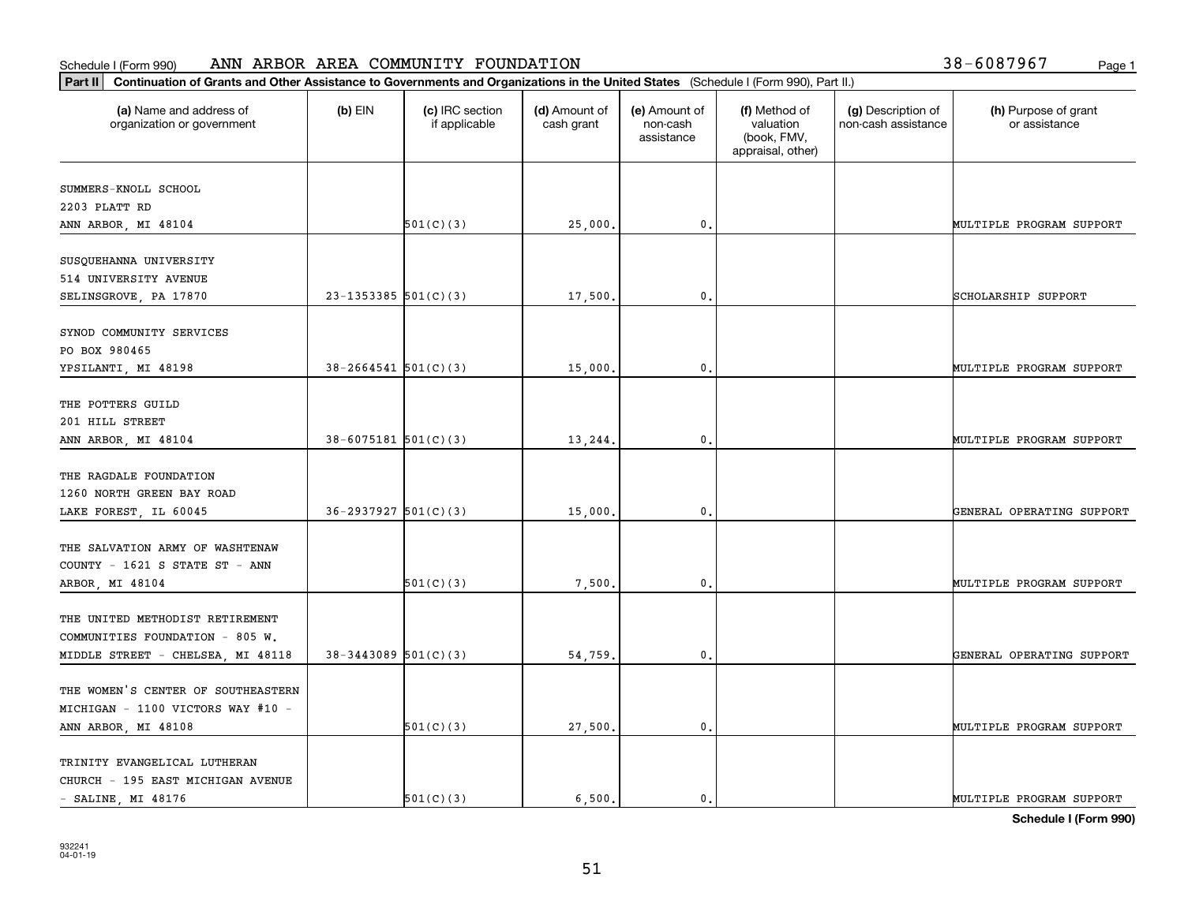| 38-6087967 | Page 1 |
|------------|--------|
|------------|--------|

| Continuation of Grants and Other Assistance to Governments and Organizations in the United States (Schedule I (Form 990), Part II.)<br>Part II |                            |                                  |                             |                                         |                                                                |                                           |                                       |
|------------------------------------------------------------------------------------------------------------------------------------------------|----------------------------|----------------------------------|-----------------------------|-----------------------------------------|----------------------------------------------------------------|-------------------------------------------|---------------------------------------|
| (a) Name and address of<br>organization or government                                                                                          | $(b)$ EIN                  | (c) IRC section<br>if applicable | (d) Amount of<br>cash grant | (e) Amount of<br>non-cash<br>assistance | (f) Method of<br>valuation<br>(book, FMV,<br>appraisal, other) | (g) Description of<br>non-cash assistance | (h) Purpose of grant<br>or assistance |
| SUMMERS-KNOLL SCHOOL                                                                                                                           |                            |                                  |                             |                                         |                                                                |                                           |                                       |
| 2203 PLATT RD                                                                                                                                  |                            |                                  |                             |                                         |                                                                |                                           |                                       |
| ANN ARBOR, MI 48104                                                                                                                            |                            | 501(C)(3)                        | 25,000.                     | $\mathfrak o$ .                         |                                                                |                                           | MULTIPLE PROGRAM SUPPORT              |
| SUSQUEHANNA UNIVERSITY                                                                                                                         |                            |                                  |                             |                                         |                                                                |                                           |                                       |
| 514 UNIVERSITY AVENUE                                                                                                                          |                            |                                  |                             |                                         |                                                                |                                           |                                       |
| SELINSGROVE, PA 17870                                                                                                                          | $23 - 1353385$ 501(C)(3)   |                                  | 17,500.                     | $\mathfrak{o}$ .                        |                                                                |                                           | SCHOLARSHIP SUPPORT                   |
| SYNOD COMMUNITY SERVICES                                                                                                                       |                            |                                  |                             |                                         |                                                                |                                           |                                       |
| PO BOX 980465                                                                                                                                  |                            |                                  |                             |                                         |                                                                |                                           |                                       |
| YPSILANTI, MI 48198                                                                                                                            | $38 - 2664541$ 501(C)(3)   |                                  | 15,000                      | 0                                       |                                                                |                                           | MULTIPLE PROGRAM SUPPORT              |
|                                                                                                                                                |                            |                                  |                             |                                         |                                                                |                                           |                                       |
| THE POTTERS GUILD                                                                                                                              |                            |                                  |                             |                                         |                                                                |                                           |                                       |
| 201 HILL STREET<br>ANN ARBOR, MI 48104                                                                                                         | $38 - 6075181$ $501(C)(3)$ |                                  | 13,244.                     | $\mathfrak o$ .                         |                                                                |                                           | MULTIPLE PROGRAM SUPPORT              |
|                                                                                                                                                |                            |                                  |                             |                                         |                                                                |                                           |                                       |
| THE RAGDALE FOUNDATION                                                                                                                         |                            |                                  |                             |                                         |                                                                |                                           |                                       |
| 1260 NORTH GREEN BAY ROAD                                                                                                                      |                            |                                  |                             |                                         |                                                                |                                           |                                       |
| LAKE FOREST, IL 60045                                                                                                                          | $36 - 2937927$ 501(C)(3)   |                                  | 15,000.                     | $\mathfrak{o}$ .                        |                                                                |                                           | GENERAL OPERATING SUPPORT             |
| THE SALVATION ARMY OF WASHTENAW                                                                                                                |                            |                                  |                             |                                         |                                                                |                                           |                                       |
| COUNTY - 1621 S STATE ST - ANN                                                                                                                 |                            |                                  |                             |                                         |                                                                |                                           |                                       |
| ARBOR, MI 48104                                                                                                                                |                            | 501(C)(3)                        | 7,500                       | 0                                       |                                                                |                                           | MULTIPLE PROGRAM SUPPORT              |
|                                                                                                                                                |                            |                                  |                             |                                         |                                                                |                                           |                                       |
| THE UNITED METHODIST RETIREMENT                                                                                                                |                            |                                  |                             |                                         |                                                                |                                           |                                       |
| COMMUNITIES FOUNDATION - 805 W.<br>MIDDLE STREET - CHELSEA, MI 48118                                                                           | $38 - 3443089$ 501(C)(3)   |                                  | 54,759                      | $\mathfrak o$ .                         |                                                                |                                           | GENERAL OPERATING SUPPORT             |
|                                                                                                                                                |                            |                                  |                             |                                         |                                                                |                                           |                                       |
| THE WOMEN'S CENTER OF SOUTHEASTERN                                                                                                             |                            |                                  |                             |                                         |                                                                |                                           |                                       |
| MICHIGAN - 1100 VICTORS WAY #10 -                                                                                                              |                            |                                  |                             |                                         |                                                                |                                           |                                       |
| ANN ARBOR, MI 48108                                                                                                                            |                            | 501(C)(3)                        | 27,500.                     | $\mathbf 0$ .                           |                                                                |                                           | MULTIPLE PROGRAM SUPPORT              |
| TRINITY EVANGELICAL LUTHERAN                                                                                                                   |                            |                                  |                             |                                         |                                                                |                                           |                                       |
| CHURCH - 195 EAST MICHIGAN AVENUE                                                                                                              |                            |                                  |                             |                                         |                                                                |                                           |                                       |
| $-$ SALINE, MI 48176                                                                                                                           |                            | 501(C)(3)                        | 6.500.                      | $\mathfrak{o}$ .                        |                                                                |                                           | MULTIPLE PROGRAM SUPPORT              |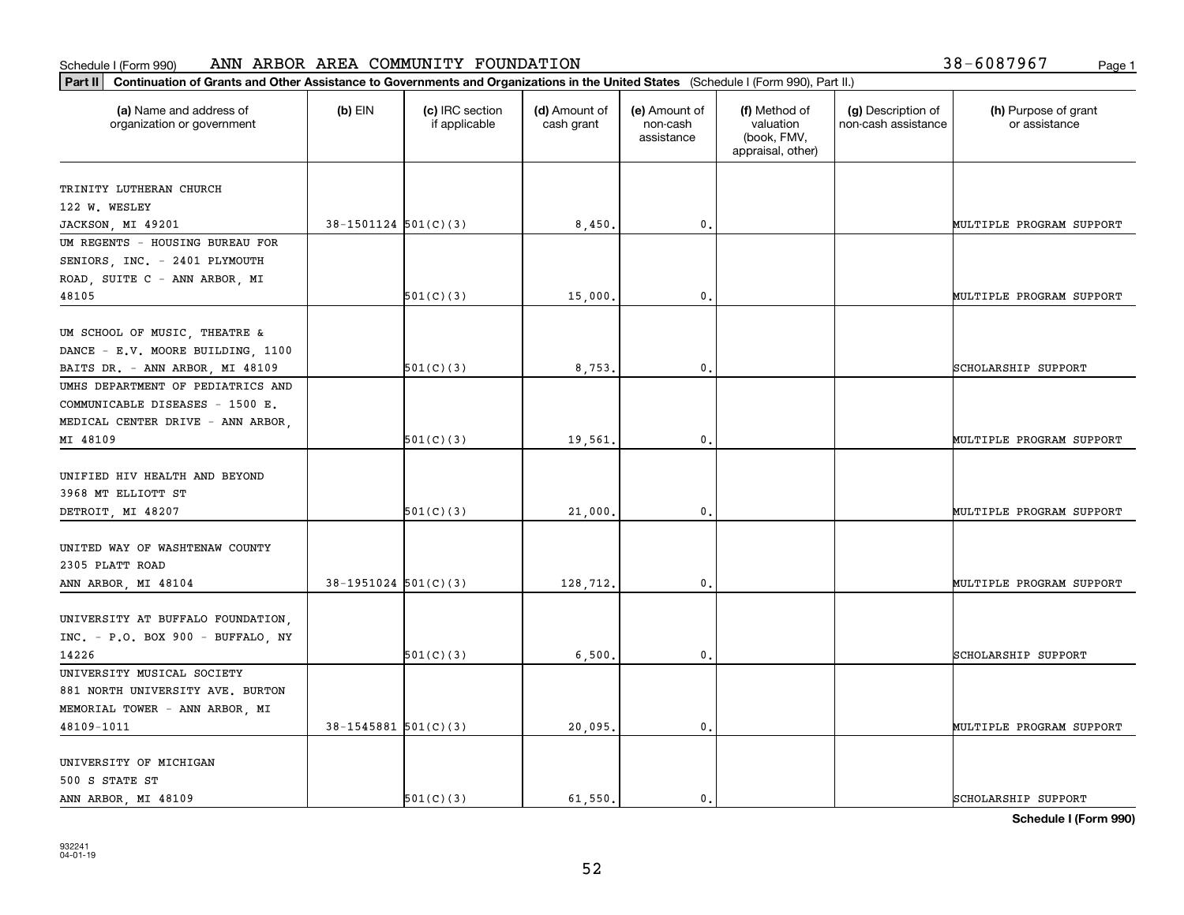| (a) Name and address of<br>organization or government | $(b)$ EIN                | (c) IRC section<br>if applicable | (d) Amount of<br>cash grant | (e) Amount of<br>non-cash<br>assistance | (f) Method of<br>valuation<br>(book, FMV,<br>appraisal, other) | (g) Description of<br>non-cash assistance | (h) Purpose of grant<br>or assistance |
|-------------------------------------------------------|--------------------------|----------------------------------|-----------------------------|-----------------------------------------|----------------------------------------------------------------|-------------------------------------------|---------------------------------------|
| TRINITY LUTHERAN CHURCH                               |                          |                                  |                             |                                         |                                                                |                                           |                                       |
| 122 W. WESLEY                                         |                          |                                  |                             |                                         |                                                                |                                           |                                       |
| JACKSON, MI 49201                                     | $38-1501124$ $501(C)(3)$ |                                  | 8,450.                      | 0.                                      |                                                                |                                           | MULTIPLE PROGRAM SUPPORT              |
| UM REGENTS - HOUSING BUREAU FOR                       |                          |                                  |                             |                                         |                                                                |                                           |                                       |
| SENIORS, INC. - 2401 PLYMOUTH                         |                          |                                  |                             |                                         |                                                                |                                           |                                       |
| ROAD, SUITE C - ANN ARBOR, MI                         |                          |                                  |                             |                                         |                                                                |                                           |                                       |
| 48105                                                 |                          | 501(C)(3)                        | 15,000                      | 0.                                      |                                                                |                                           | MULTIPLE PROGRAM SUPPORT              |
|                                                       |                          |                                  |                             |                                         |                                                                |                                           |                                       |
| UM SCHOOL OF MUSIC, THEATRE &                         |                          |                                  |                             |                                         |                                                                |                                           |                                       |
| DANCE - E.V. MOORE BUILDING, 1100                     |                          |                                  |                             |                                         |                                                                |                                           |                                       |
| BAITS DR. - ANN ARBOR, MI 48109                       |                          | 501(C)(3)                        | 8,753                       | 0.                                      |                                                                |                                           | SCHOLARSHIP SUPPORT                   |
| UMHS DEPARTMENT OF PEDIATRICS AND                     |                          |                                  |                             |                                         |                                                                |                                           |                                       |
| COMMUNICABLE DISEASES - 1500 E.                       |                          |                                  |                             |                                         |                                                                |                                           |                                       |
| MEDICAL CENTER DRIVE - ANN ARBOR,                     |                          |                                  |                             |                                         |                                                                |                                           |                                       |
| MI 48109                                              |                          | 501(C)(3)                        | 19,561.                     | 0.                                      |                                                                |                                           | MULTIPLE PROGRAM SUPPORT              |
|                                                       |                          |                                  |                             |                                         |                                                                |                                           |                                       |
| UNIFIED HIV HEALTH AND BEYOND                         |                          |                                  |                             |                                         |                                                                |                                           |                                       |
| 3968 MT ELLIOTT ST                                    |                          |                                  |                             |                                         |                                                                |                                           |                                       |
| DETROIT, MI 48207                                     |                          | 501(C)(3)                        | 21,000                      | $\mathbf{0}$                            |                                                                |                                           | MULTIPLE PROGRAM SUPPORT              |
| UNITED WAY OF WASHTENAW COUNTY                        |                          |                                  |                             |                                         |                                                                |                                           |                                       |
| 2305 PLATT ROAD                                       |                          |                                  |                             |                                         |                                                                |                                           |                                       |
| ANN ARBOR, MI 48104                                   | $38-1951024$ $501(C)(3)$ |                                  | 128,712.                    | 0.                                      |                                                                |                                           | MULTIPLE PROGRAM SUPPORT              |
|                                                       |                          |                                  |                             |                                         |                                                                |                                           |                                       |
| UNIVERSITY AT BUFFALO FOUNDATION.                     |                          |                                  |                             |                                         |                                                                |                                           |                                       |
| INC. - P.O. BOX 900 - BUFFALO, NY                     |                          |                                  |                             |                                         |                                                                |                                           |                                       |
| 14226                                                 |                          | 501(C)(3)                        | 6,500                       | 0.                                      |                                                                |                                           | SCHOLARSHIP SUPPORT                   |
| UNIVERSITY MUSICAL SOCIETY                            |                          |                                  |                             |                                         |                                                                |                                           |                                       |
| 881 NORTH UNIVERSITY AVE. BURTON                      |                          |                                  |                             |                                         |                                                                |                                           |                                       |
| MEMORIAL TOWER - ANN ARBOR, MI                        |                          |                                  |                             |                                         |                                                                |                                           |                                       |
| 48109-1011                                            | $38 - 1545881$ 501(C)(3) |                                  | 20,095.                     | 0.                                      |                                                                |                                           | MULTIPLE PROGRAM SUPPORT              |
|                                                       |                          |                                  |                             |                                         |                                                                |                                           |                                       |
| UNIVERSITY OF MICHIGAN                                |                          |                                  |                             |                                         |                                                                |                                           |                                       |
| 500 S STATE ST                                        |                          |                                  |                             |                                         |                                                                |                                           |                                       |
| ANN ARBOR, MI 48109                                   |                          | 501(C)(3)                        | 61.550.                     | $\mathfrak{o}$ .                        |                                                                |                                           | SCHOLARSHIP SUPPORT                   |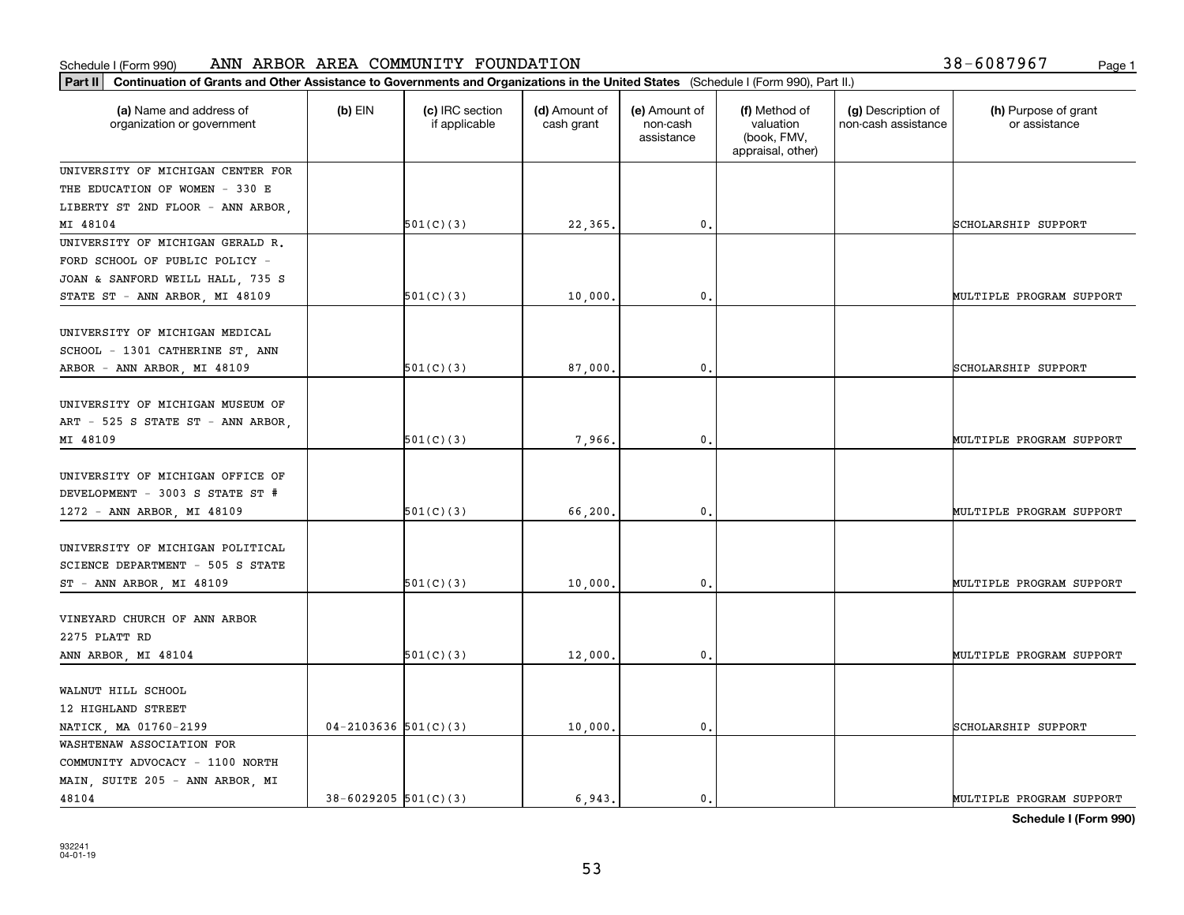|  | 38-6087967 | Page 1 |
|--|------------|--------|
|  |            |        |

| Part II   Continuation of Grants and Other Assistance to Governments and Organizations in the United States (Schedule I (Form 990), Part II.) |                            |                                  |                             |                                         |                                                                |                                           |                                       |  |
|-----------------------------------------------------------------------------------------------------------------------------------------------|----------------------------|----------------------------------|-----------------------------|-----------------------------------------|----------------------------------------------------------------|-------------------------------------------|---------------------------------------|--|
| (a) Name and address of<br>organization or government                                                                                         | $(b)$ EIN                  | (c) IRC section<br>if applicable | (d) Amount of<br>cash grant | (e) Amount of<br>non-cash<br>assistance | (f) Method of<br>valuation<br>(book, FMV,<br>appraisal, other) | (g) Description of<br>non-cash assistance | (h) Purpose of grant<br>or assistance |  |
| UNIVERSITY OF MICHIGAN CENTER FOR                                                                                                             |                            |                                  |                             |                                         |                                                                |                                           |                                       |  |
| THE EDUCATION OF WOMEN - 330 E                                                                                                                |                            |                                  |                             |                                         |                                                                |                                           |                                       |  |
| LIBERTY ST 2ND FLOOR - ANN ARBOR,                                                                                                             |                            |                                  |                             |                                         |                                                                |                                           |                                       |  |
| MI 48104                                                                                                                                      |                            | 501(C)(3)                        | 22,365.                     | $\mathbf{0}$ .                          |                                                                |                                           | SCHOLARSHIP SUPPORT                   |  |
| UNIVERSITY OF MICHIGAN GERALD R.                                                                                                              |                            |                                  |                             |                                         |                                                                |                                           |                                       |  |
| FORD SCHOOL OF PUBLIC POLICY -                                                                                                                |                            |                                  |                             |                                         |                                                                |                                           |                                       |  |
| JOAN & SANFORD WEILL HALL, 735 S                                                                                                              |                            |                                  |                             |                                         |                                                                |                                           |                                       |  |
| STATE ST - ANN ARBOR, MI 48109                                                                                                                |                            | 501(C)(3)                        | 10,000                      | 0.                                      |                                                                |                                           | MULTIPLE PROGRAM SUPPORT              |  |
| UNIVERSITY OF MICHIGAN MEDICAL<br>SCHOOL - 1301 CATHERINE ST, ANN<br>ARBOR - ANN ARBOR, MI 48109                                              |                            | 501(C)(3)                        | 87,000                      | $\mathbf{0}$                            |                                                                |                                           | SCHOLARSHIP SUPPORT                   |  |
|                                                                                                                                               |                            |                                  |                             |                                         |                                                                |                                           |                                       |  |
| UNIVERSITY OF MICHIGAN MUSEUM OF<br>ART - 525 S STATE ST - ANN ARBOR,<br>MI 48109                                                             |                            | 501(C)(3)                        | 7,966.                      | $\mathbf 0$ .                           |                                                                |                                           | MULTIPLE PROGRAM SUPPORT              |  |
| UNIVERSITY OF MICHIGAN OFFICE OF<br>DEVELOPMENT - 3003 S STATE ST #<br>1272 - ANN ARBOR, MI 48109                                             |                            | 501(C)(3)                        | 66,200                      | $\mathfrak o$ .                         |                                                                |                                           | MULTIPLE PROGRAM SUPPORT              |  |
| UNIVERSITY OF MICHIGAN POLITICAL<br>SCIENCE DEPARTMENT - 505 S STATE<br>ST - ANN ARBOR, MI 48109                                              |                            | 501(C)(3)                        | 10,000                      | 0.                                      |                                                                |                                           | MULTIPLE PROGRAM SUPPORT              |  |
| VINEYARD CHURCH OF ANN ARBOR<br>2275 PLATT RD<br>ANN ARBOR, MI 48104                                                                          |                            | 501(C)(3)                        | 12,000.                     | 0.                                      |                                                                |                                           | MULTIPLE PROGRAM SUPPORT              |  |
| WALNUT HILL SCHOOL<br>12 HIGHLAND STREET<br>NATICK, MA 01760-2199                                                                             | $04 - 2103636$ $501(C)(3)$ |                                  | 10,000                      | $\mathbf 0$ .                           |                                                                |                                           | SCHOLARSHIP SUPPORT                   |  |
| WASHTENAW ASSOCIATION FOR<br>COMMUNITY ADVOCACY - 1100 NORTH<br>MAIN, SUITE 205 - ANN ARBOR, MI<br>48104                                      | $38 - 6029205$ 501(C)(3)   |                                  | 6.943.                      | $\mathbf{0}$ .                          |                                                                |                                           | MULTIPLE PROGRAM SUPPORT              |  |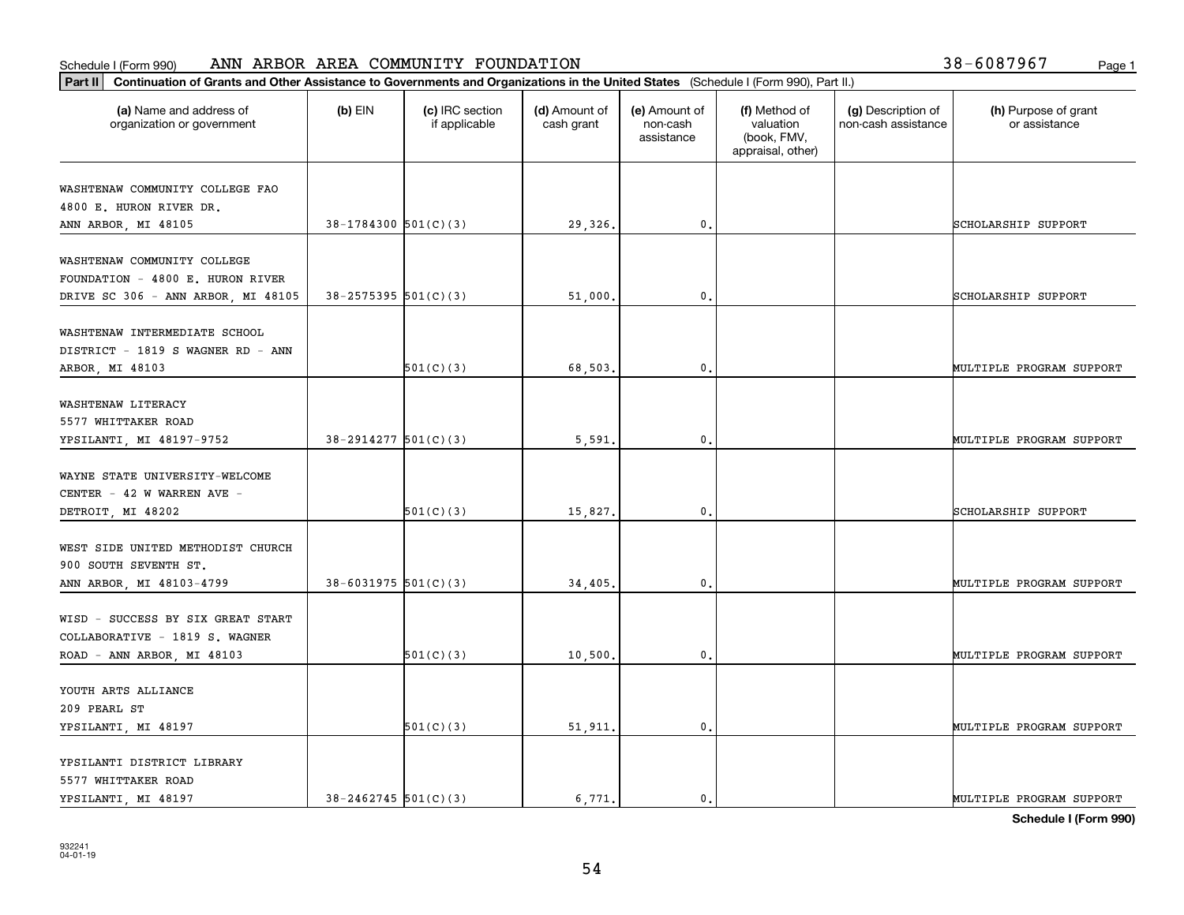| (a) Name and address of                                            | $(b)$ EIN                  | (c) IRC section | (d) Amount of | (e) Amount of          | (f) Method of                                 | (g) Description of  | (h) Purpose of grant     |
|--------------------------------------------------------------------|----------------------------|-----------------|---------------|------------------------|-----------------------------------------------|---------------------|--------------------------|
| organization or government                                         |                            | if applicable   | cash grant    | non-cash<br>assistance | valuation<br>(book, FMV,<br>appraisal, other) | non-cash assistance | or assistance            |
| WASHTENAW COMMUNITY COLLEGE FAO                                    |                            |                 |               |                        |                                               |                     |                          |
| 4800 E. HURON RIVER DR.                                            |                            |                 |               |                        |                                               |                     |                          |
| ANN ARBOR, MI 48105                                                | $38-1784300$ $501(C)(3)$   |                 | 29,326.       | 0.                     |                                               |                     | SCHOLARSHIP SUPPORT      |
| WASHTENAW COMMUNITY COLLEGE                                        |                            |                 |               |                        |                                               |                     |                          |
| FOUNDATION - 4800 E. HURON RIVER                                   |                            |                 |               |                        |                                               |                     |                          |
| DRIVE SC 306 - ANN ARBOR, MI 48105                                 | $38 - 2575395$ $501(C)(3)$ |                 | 51,000        | 0.                     |                                               |                     | SCHOLARSHIP SUPPORT      |
|                                                                    |                            |                 |               |                        |                                               |                     |                          |
| WASHTENAW INTERMEDIATE SCHOOL<br>DISTRICT - 1819 S WAGNER RD - ANN |                            |                 |               |                        |                                               |                     |                          |
| ARBOR, MI 48103                                                    |                            | 501(C)(3)       | 68,503.       | $\mathfrak{o}$ .       |                                               |                     | MULTIPLE PROGRAM SUPPORT |
|                                                                    |                            |                 |               |                        |                                               |                     |                          |
| WASHTENAW LITERACY                                                 |                            |                 |               |                        |                                               |                     |                          |
| 5577 WHITTAKER ROAD                                                |                            |                 |               |                        |                                               |                     |                          |
| YPSILANTI, MI 48197-9752                                           | $38-2914277$ 501(C)(3)     |                 | 5,591         | $\mathbf{0}$           |                                               |                     | MULTIPLE PROGRAM SUPPORT |
|                                                                    |                            |                 |               |                        |                                               |                     |                          |
| WAYNE STATE UNIVERSITY-WELCOME                                     |                            |                 |               |                        |                                               |                     |                          |
| CENTER - 42 W WARREN AVE -                                         |                            |                 |               |                        |                                               |                     |                          |
| DETROIT, MI 48202                                                  |                            | 501(C)(3)       | 15,827.       | $\mathbf{0}$           |                                               |                     | SCHOLARSHIP SUPPORT      |
| WEST SIDE UNITED METHODIST CHURCH                                  |                            |                 |               |                        |                                               |                     |                          |
| 900 SOUTH SEVENTH ST.                                              |                            |                 |               |                        |                                               |                     |                          |
| ANN ARBOR, MI 48103-4799                                           | $38 - 6031975$ 501(C)(3)   |                 | 34,405.       | $\mathbf{0}$           |                                               |                     | MULTIPLE PROGRAM SUPPORT |
|                                                                    |                            |                 |               |                        |                                               |                     |                          |
| WISD - SUCCESS BY SIX GREAT START                                  |                            |                 |               |                        |                                               |                     |                          |
| COLLABORATIVE - 1819 S. WAGNER                                     |                            |                 |               |                        |                                               |                     |                          |
| ROAD - ANN ARBOR, MI 48103                                         |                            | 501(C)(3)       | 10,500        | $^{\rm 0}$ .           |                                               |                     | MULTIPLE PROGRAM SUPPORT |
| YOUTH ARTS ALLIANCE                                                |                            |                 |               |                        |                                               |                     |                          |
| 209 PEARL ST                                                       |                            |                 |               |                        |                                               |                     |                          |
| YPSILANTI, MI 48197                                                |                            | 501(C)(3)       | 51,911.       | $\mathfrak{o}$ .       |                                               |                     | MULTIPLE PROGRAM SUPPORT |
|                                                                    |                            |                 |               |                        |                                               |                     |                          |
| YPSILANTI DISTRICT LIBRARY                                         |                            |                 |               |                        |                                               |                     |                          |
| 5577 WHITTAKER ROAD                                                |                            |                 |               |                        |                                               |                     |                          |
| YPSILANTI, MI 48197                                                | $38 - 2462745$ 501(C)(3)   |                 | 6.771.        | $\mathbf{0}$ .         |                                               |                     | MULTIPLE PROGRAM SUPPORT |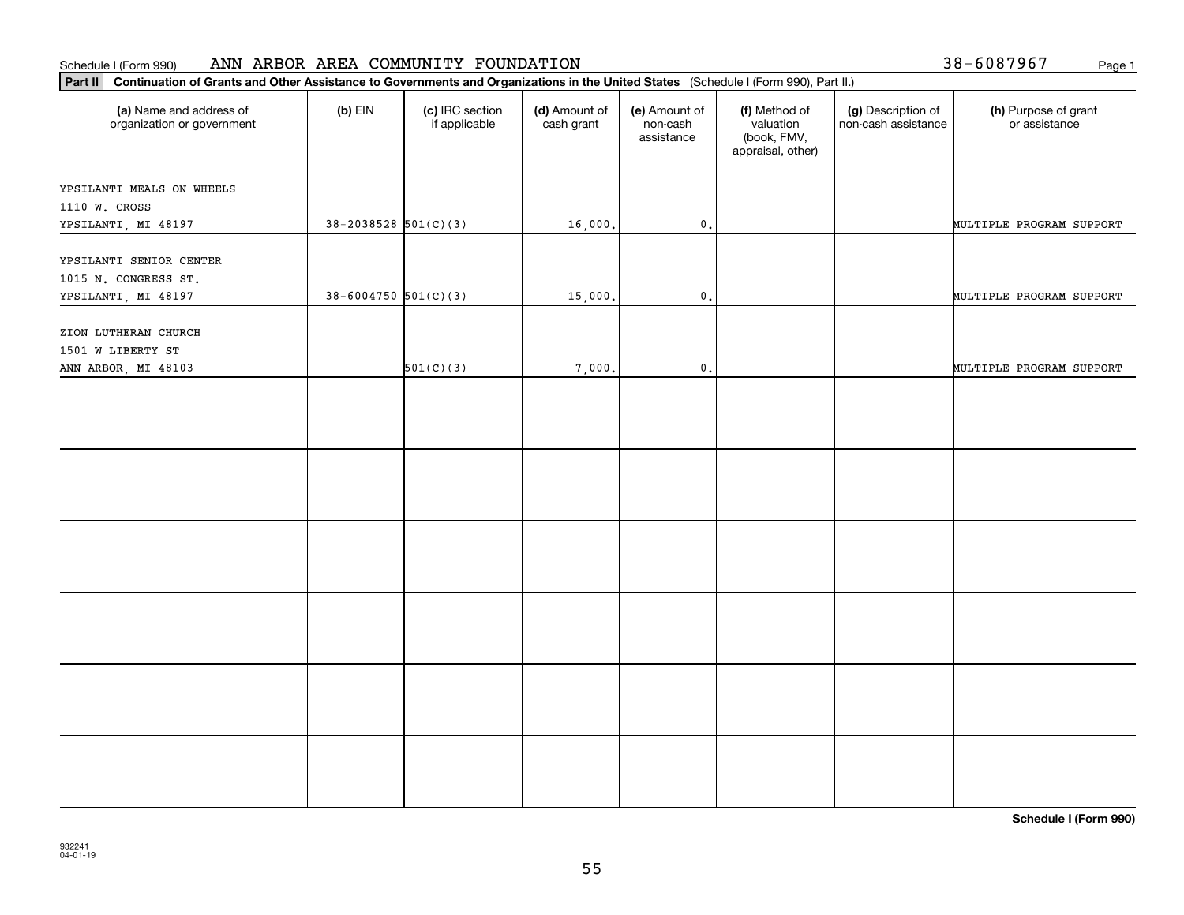38-6087967

| Part II   Continuation of Grants and Other Assistance to Governments and Organizations in the United States (Schedule I (Form 990), Part II.) |                            |                                  |                             |                                         |                                                                |                                           |                                       |  |
|-----------------------------------------------------------------------------------------------------------------------------------------------|----------------------------|----------------------------------|-----------------------------|-----------------------------------------|----------------------------------------------------------------|-------------------------------------------|---------------------------------------|--|
| (a) Name and address of<br>organization or government                                                                                         | $(b)$ EIN                  | (c) IRC section<br>if applicable | (d) Amount of<br>cash grant | (e) Amount of<br>non-cash<br>assistance | (f) Method of<br>valuation<br>(book, FMV,<br>appraisal, other) | (g) Description of<br>non-cash assistance | (h) Purpose of grant<br>or assistance |  |
| YPSILANTI MEALS ON WHEELS<br>1110 W. CROSS                                                                                                    |                            |                                  |                             |                                         |                                                                |                                           |                                       |  |
| YPSILANTI, MI 48197                                                                                                                           | $38 - 2038528$ $501(C)(3)$ |                                  | 16,000.                     | $\mathsf{0}\,.$                         |                                                                |                                           | MULTIPLE PROGRAM SUPPORT              |  |
| YPSILANTI SENIOR CENTER<br>1015 N. CONGRESS ST.                                                                                               |                            |                                  |                             |                                         |                                                                |                                           |                                       |  |
| YPSILANTI, MI 48197                                                                                                                           | $38 - 6004750$ 501(C)(3)   |                                  | 15,000.                     | $\mathbf{0}$ .                          |                                                                |                                           | MULTIPLE PROGRAM SUPPORT              |  |
| ZION LUTHERAN CHURCH<br>1501 W LIBERTY ST                                                                                                     |                            |                                  |                             |                                         |                                                                |                                           |                                       |  |
| ANN ARBOR, MI 48103                                                                                                                           |                            | 501(C)(3)                        | 7,000.                      | $\mathfrak o$ .                         |                                                                |                                           | MULTIPLE PROGRAM SUPPORT              |  |
|                                                                                                                                               |                            |                                  |                             |                                         |                                                                |                                           |                                       |  |
|                                                                                                                                               |                            |                                  |                             |                                         |                                                                |                                           |                                       |  |
|                                                                                                                                               |                            |                                  |                             |                                         |                                                                |                                           |                                       |  |
|                                                                                                                                               |                            |                                  |                             |                                         |                                                                |                                           |                                       |  |
|                                                                                                                                               |                            |                                  |                             |                                         |                                                                |                                           |                                       |  |
|                                                                                                                                               |                            |                                  |                             |                                         |                                                                |                                           |                                       |  |
|                                                                                                                                               |                            |                                  |                             |                                         |                                                                |                                           |                                       |  |
|                                                                                                                                               |                            |                                  |                             |                                         |                                                                |                                           |                                       |  |
|                                                                                                                                               |                            |                                  |                             |                                         |                                                                |                                           |                                       |  |
|                                                                                                                                               |                            |                                  |                             |                                         |                                                                |                                           |                                       |  |
|                                                                                                                                               |                            |                                  |                             |                                         |                                                                |                                           |                                       |  |
|                                                                                                                                               |                            |                                  |                             |                                         |                                                                |                                           |                                       |  |
|                                                                                                                                               |                            |                                  |                             |                                         |                                                                |                                           |                                       |  |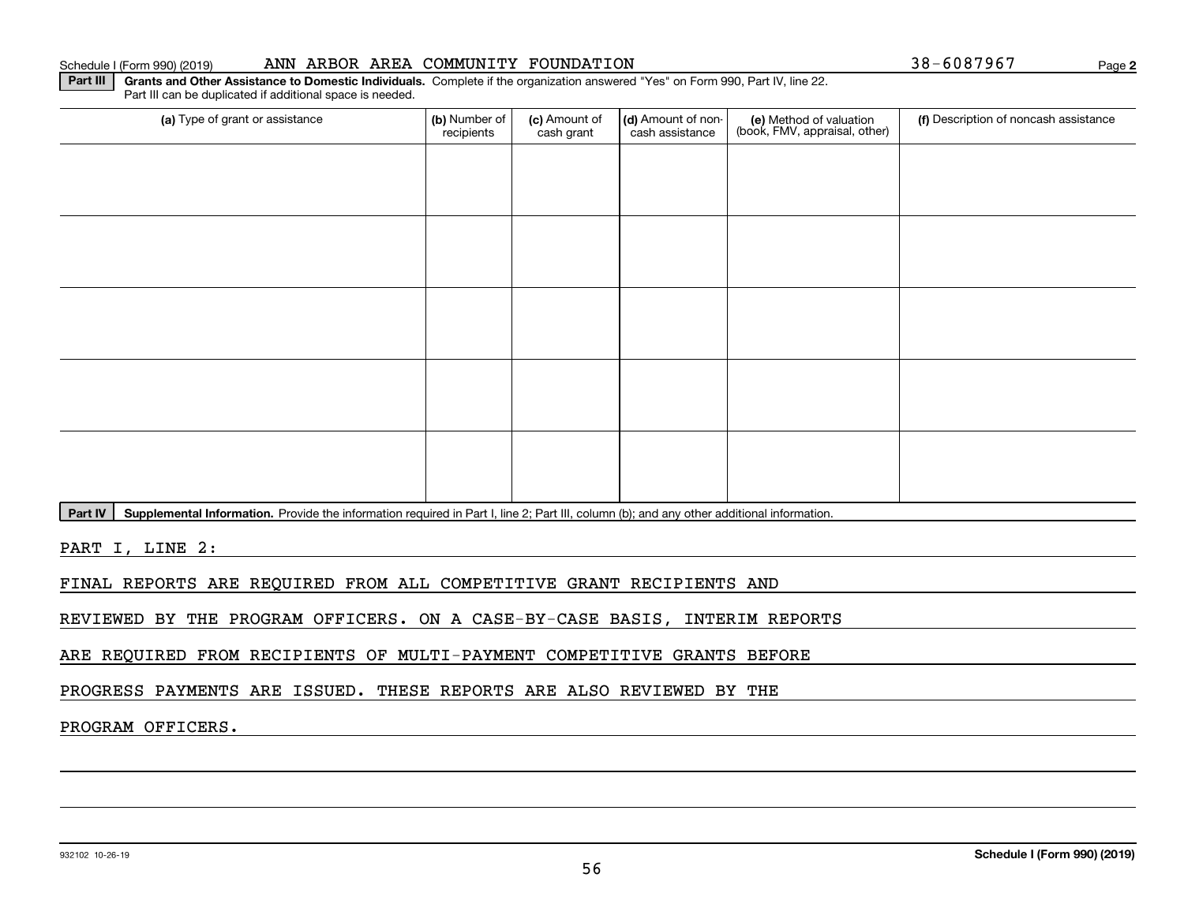**2**

**Part III | Grants and Other Assistance to Domestic Individuals. Complete if the organization answered "Yes" on Form 990, Part IV, line 22.** Part III can be duplicated if additional space is needed.

| (a) Type of grant or assistance | (b) Number of<br>recipients | (c) Amount of<br>cash grant | (d) Amount of non-<br>cash assistance | (e) Method of valuation<br>(book, FMV, appraisal, other) | (f) Description of noncash assistance |
|---------------------------------|-----------------------------|-----------------------------|---------------------------------------|----------------------------------------------------------|---------------------------------------|
|                                 |                             |                             |                                       |                                                          |                                       |
|                                 |                             |                             |                                       |                                                          |                                       |
|                                 |                             |                             |                                       |                                                          |                                       |
|                                 |                             |                             |                                       |                                                          |                                       |
|                                 |                             |                             |                                       |                                                          |                                       |
|                                 |                             |                             |                                       |                                                          |                                       |
|                                 |                             |                             |                                       |                                                          |                                       |
|                                 |                             |                             |                                       |                                                          |                                       |
|                                 |                             |                             |                                       |                                                          |                                       |
|                                 |                             |                             |                                       |                                                          |                                       |

Part IV | Supplemental Information. Provide the information required in Part I, line 2; Part III, column (b); and any other additional information.

PART I, LINE 2:

FINAL REPORTS ARE REQUIRED FROM ALL COMPETITIVE GRANT RECIPIENTS AND

REVIEWED BY THE PROGRAM OFFICERS. ON A CASE-BY-CASE BASIS, INTERIM REPORTS

ARE REQUIRED FROM RECIPIENTS OF MULTI-PAYMENT COMPETITIVE GRANTS BEFORE

PROGRESS PAYMENTS ARE ISSUED. THESE REPORTS ARE ALSO REVIEWED BY THE

# PROGRAM OFFICERS.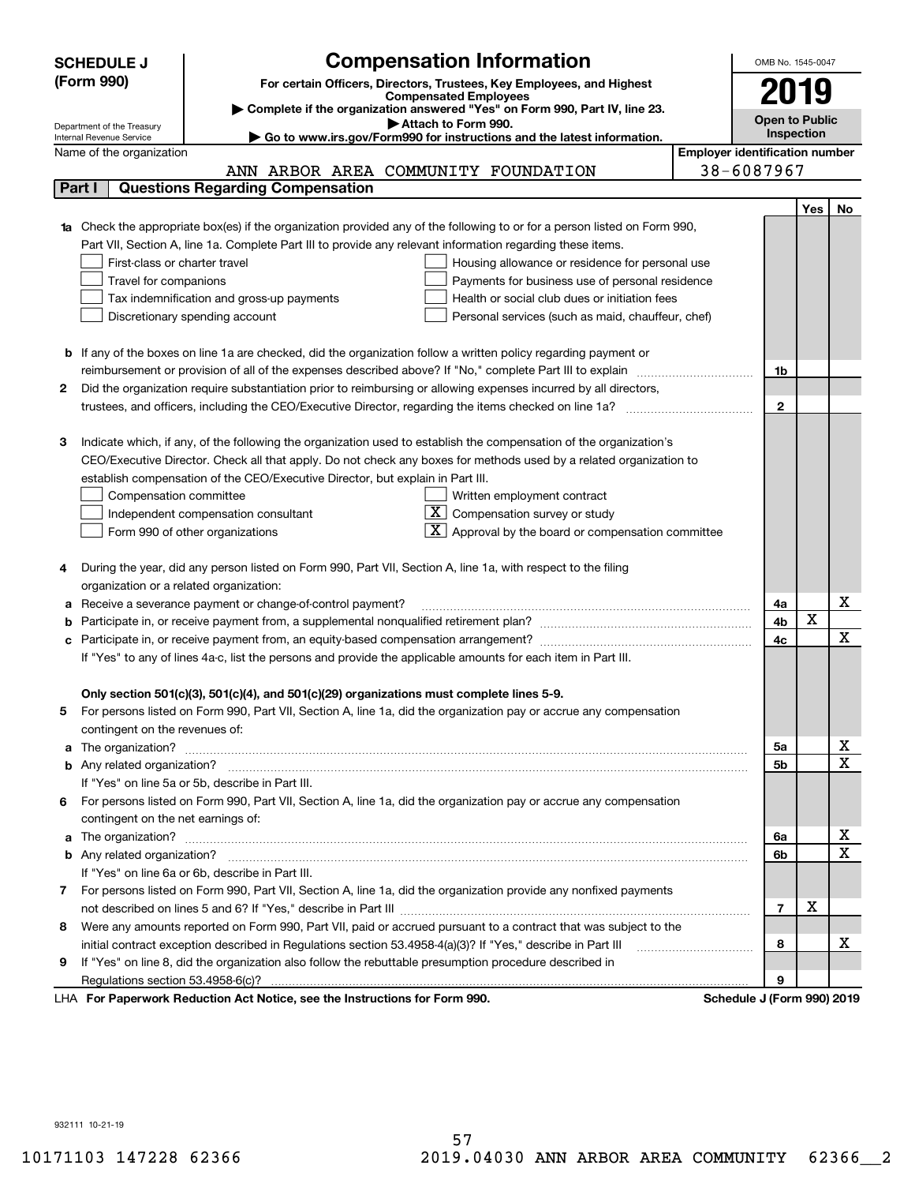| (Form 990)<br>For certain Officers, Directors, Trustees, Key Employees, and Highest<br>2019<br><b>Compensated Employees</b><br>Complete if the organization answered "Yes" on Form 990, Part IV, line 23.<br><b>Open to Public</b><br>Attach to Form 990.<br>Department of the Treasury<br>Inspection<br>► Go to www.irs.gov/Form990 for instructions and the latest information.<br>Internal Revenue Service<br><b>Employer identification number</b><br>Name of the organization<br>38-6087967<br>ANN ARBOR AREA COMMUNITY FOUNDATION<br>Part I<br><b>Questions Regarding Compensation</b><br>Yes<br>No<br>Check the appropriate box(es) if the organization provided any of the following to or for a person listed on Form 990,<br>Part VII, Section A, line 1a. Complete Part III to provide any relevant information regarding these items.<br>First-class or charter travel<br>Housing allowance or residence for personal use<br>Travel for companions<br>Payments for business use of personal residence<br>Tax indemnification and gross-up payments<br>Health or social club dues or initiation fees<br>Discretionary spending account<br>Personal services (such as maid, chauffeur, chef)<br><b>b</b> If any of the boxes on line 1a are checked, did the organization follow a written policy regarding payment or<br>1b<br>Did the organization require substantiation prior to reimbursing or allowing expenses incurred by all directors,<br>2<br>$\mathbf{2}$<br>Indicate which, if any, of the following the organization used to establish the compensation of the organization's<br>з<br>CEO/Executive Director. Check all that apply. Do not check any boxes for methods used by a related organization to<br>establish compensation of the CEO/Executive Director, but explain in Part III.<br>Compensation committee<br>Written employment contract<br>ΧI<br>Compensation survey or study<br>Independent compensation consultant<br>Approval by the board or compensation committee<br>Form 990 of other organizations<br>During the year, did any person listed on Form 990, Part VII, Section A, line 1a, with respect to the filing<br>4<br>organization or a related organization:<br>х<br>Receive a severance payment or change-of-control payment?<br>4a<br>а<br>X<br>4b<br>x<br>4c<br>If "Yes" to any of lines 4a-c, list the persons and provide the applicable amounts for each item in Part III.<br>Only section 501(c)(3), 501(c)(4), and 501(c)(29) organizations must complete lines 5-9.<br>For persons listed on Form 990, Part VII, Section A, line 1a, did the organization pay or accrue any compensation<br>5<br>contingent on the revenues of:<br>х<br>5a<br>a<br>$\mathbf x$<br>5b<br>If "Yes" on line 5a or 5b, describe in Part III.<br>For persons listed on Form 990, Part VII, Section A, line 1a, did the organization pay or accrue any compensation<br>6.<br>contingent on the net earnings of:<br>х<br>6a<br>a<br>$\mathbf X$<br>6b<br>If "Yes" on line 6a or 6b, describe in Part III.<br>7 For persons listed on Form 990, Part VII, Section A, line 1a, did the organization provide any nonfixed payments<br>х<br>$\overline{7}$<br>Were any amounts reported on Form 990, Part VII, paid or accrued pursuant to a contract that was subject to the<br>8<br>х<br>initial contract exception described in Regulations section 53.4958-4(a)(3)? If "Yes," describe in Part III<br>8<br>If "Yes" on line 8, did the organization also follow the rebuttable presumption procedure described in<br>9<br>9<br>LHA For Paperwork Reduction Act Notice, see the Instructions for Form 990.<br>Schedule J (Form 990) 2019 | <b>SCHEDULE J</b> | <b>Compensation Information</b> | OMB No. 1545-0047 |  |
|-----------------------------------------------------------------------------------------------------------------------------------------------------------------------------------------------------------------------------------------------------------------------------------------------------------------------------------------------------------------------------------------------------------------------------------------------------------------------------------------------------------------------------------------------------------------------------------------------------------------------------------------------------------------------------------------------------------------------------------------------------------------------------------------------------------------------------------------------------------------------------------------------------------------------------------------------------------------------------------------------------------------------------------------------------------------------------------------------------------------------------------------------------------------------------------------------------------------------------------------------------------------------------------------------------------------------------------------------------------------------------------------------------------------------------------------------------------------------------------------------------------------------------------------------------------------------------------------------------------------------------------------------------------------------------------------------------------------------------------------------------------------------------------------------------------------------------------------------------------------------------------------------------------------------------------------------------------------------------------------------------------------------------------------------------------------------------------------------------------------------------------------------------------------------------------------------------------------------------------------------------------------------------------------------------------------------------------------------------------------------------------------------------------------------------------------------------------------------------------------------------------------------------------------------------------------------------------------------------------------------------------------------------------------------------------------------------------------------------------------------------------------------------------------------------------------------------------------------------------------------------------------------------------------------------------------------------------------------------------------------------------------------------------------------------------------------------------------------------------------------------------------------------------------------------------------------------------------------------------------------------------------------------------------------------------------------------------------------------------------------------------------------------------------------------------------------------------------------------------------------------------------------------------------------------------------------------------------------------------------------------------------------------------------------------|-------------------|---------------------------------|-------------------|--|
|                                                                                                                                                                                                                                                                                                                                                                                                                                                                                                                                                                                                                                                                                                                                                                                                                                                                                                                                                                                                                                                                                                                                                                                                                                                                                                                                                                                                                                                                                                                                                                                                                                                                                                                                                                                                                                                                                                                                                                                                                                                                                                                                                                                                                                                                                                                                                                                                                                                                                                                                                                                                                                                                                                                                                                                                                                                                                                                                                                                                                                                                                                                                                                                                                                                                                                                                                                                                                                                                                                                                                                                                                                                                             |                   |                                 |                   |  |
|                                                                                                                                                                                                                                                                                                                                                                                                                                                                                                                                                                                                                                                                                                                                                                                                                                                                                                                                                                                                                                                                                                                                                                                                                                                                                                                                                                                                                                                                                                                                                                                                                                                                                                                                                                                                                                                                                                                                                                                                                                                                                                                                                                                                                                                                                                                                                                                                                                                                                                                                                                                                                                                                                                                                                                                                                                                                                                                                                                                                                                                                                                                                                                                                                                                                                                                                                                                                                                                                                                                                                                                                                                                                             |                   |                                 |                   |  |
|                                                                                                                                                                                                                                                                                                                                                                                                                                                                                                                                                                                                                                                                                                                                                                                                                                                                                                                                                                                                                                                                                                                                                                                                                                                                                                                                                                                                                                                                                                                                                                                                                                                                                                                                                                                                                                                                                                                                                                                                                                                                                                                                                                                                                                                                                                                                                                                                                                                                                                                                                                                                                                                                                                                                                                                                                                                                                                                                                                                                                                                                                                                                                                                                                                                                                                                                                                                                                                                                                                                                                                                                                                                                             |                   |                                 |                   |  |
|                                                                                                                                                                                                                                                                                                                                                                                                                                                                                                                                                                                                                                                                                                                                                                                                                                                                                                                                                                                                                                                                                                                                                                                                                                                                                                                                                                                                                                                                                                                                                                                                                                                                                                                                                                                                                                                                                                                                                                                                                                                                                                                                                                                                                                                                                                                                                                                                                                                                                                                                                                                                                                                                                                                                                                                                                                                                                                                                                                                                                                                                                                                                                                                                                                                                                                                                                                                                                                                                                                                                                                                                                                                                             |                   |                                 |                   |  |
|                                                                                                                                                                                                                                                                                                                                                                                                                                                                                                                                                                                                                                                                                                                                                                                                                                                                                                                                                                                                                                                                                                                                                                                                                                                                                                                                                                                                                                                                                                                                                                                                                                                                                                                                                                                                                                                                                                                                                                                                                                                                                                                                                                                                                                                                                                                                                                                                                                                                                                                                                                                                                                                                                                                                                                                                                                                                                                                                                                                                                                                                                                                                                                                                                                                                                                                                                                                                                                                                                                                                                                                                                                                                             |                   |                                 |                   |  |
|                                                                                                                                                                                                                                                                                                                                                                                                                                                                                                                                                                                                                                                                                                                                                                                                                                                                                                                                                                                                                                                                                                                                                                                                                                                                                                                                                                                                                                                                                                                                                                                                                                                                                                                                                                                                                                                                                                                                                                                                                                                                                                                                                                                                                                                                                                                                                                                                                                                                                                                                                                                                                                                                                                                                                                                                                                                                                                                                                                                                                                                                                                                                                                                                                                                                                                                                                                                                                                                                                                                                                                                                                                                                             |                   |                                 |                   |  |
|                                                                                                                                                                                                                                                                                                                                                                                                                                                                                                                                                                                                                                                                                                                                                                                                                                                                                                                                                                                                                                                                                                                                                                                                                                                                                                                                                                                                                                                                                                                                                                                                                                                                                                                                                                                                                                                                                                                                                                                                                                                                                                                                                                                                                                                                                                                                                                                                                                                                                                                                                                                                                                                                                                                                                                                                                                                                                                                                                                                                                                                                                                                                                                                                                                                                                                                                                                                                                                                                                                                                                                                                                                                                             |                   |                                 |                   |  |
|                                                                                                                                                                                                                                                                                                                                                                                                                                                                                                                                                                                                                                                                                                                                                                                                                                                                                                                                                                                                                                                                                                                                                                                                                                                                                                                                                                                                                                                                                                                                                                                                                                                                                                                                                                                                                                                                                                                                                                                                                                                                                                                                                                                                                                                                                                                                                                                                                                                                                                                                                                                                                                                                                                                                                                                                                                                                                                                                                                                                                                                                                                                                                                                                                                                                                                                                                                                                                                                                                                                                                                                                                                                                             |                   |                                 |                   |  |
|                                                                                                                                                                                                                                                                                                                                                                                                                                                                                                                                                                                                                                                                                                                                                                                                                                                                                                                                                                                                                                                                                                                                                                                                                                                                                                                                                                                                                                                                                                                                                                                                                                                                                                                                                                                                                                                                                                                                                                                                                                                                                                                                                                                                                                                                                                                                                                                                                                                                                                                                                                                                                                                                                                                                                                                                                                                                                                                                                                                                                                                                                                                                                                                                                                                                                                                                                                                                                                                                                                                                                                                                                                                                             |                   |                                 |                   |  |
|                                                                                                                                                                                                                                                                                                                                                                                                                                                                                                                                                                                                                                                                                                                                                                                                                                                                                                                                                                                                                                                                                                                                                                                                                                                                                                                                                                                                                                                                                                                                                                                                                                                                                                                                                                                                                                                                                                                                                                                                                                                                                                                                                                                                                                                                                                                                                                                                                                                                                                                                                                                                                                                                                                                                                                                                                                                                                                                                                                                                                                                                                                                                                                                                                                                                                                                                                                                                                                                                                                                                                                                                                                                                             |                   |                                 |                   |  |
|                                                                                                                                                                                                                                                                                                                                                                                                                                                                                                                                                                                                                                                                                                                                                                                                                                                                                                                                                                                                                                                                                                                                                                                                                                                                                                                                                                                                                                                                                                                                                                                                                                                                                                                                                                                                                                                                                                                                                                                                                                                                                                                                                                                                                                                                                                                                                                                                                                                                                                                                                                                                                                                                                                                                                                                                                                                                                                                                                                                                                                                                                                                                                                                                                                                                                                                                                                                                                                                                                                                                                                                                                                                                             |                   |                                 |                   |  |
|                                                                                                                                                                                                                                                                                                                                                                                                                                                                                                                                                                                                                                                                                                                                                                                                                                                                                                                                                                                                                                                                                                                                                                                                                                                                                                                                                                                                                                                                                                                                                                                                                                                                                                                                                                                                                                                                                                                                                                                                                                                                                                                                                                                                                                                                                                                                                                                                                                                                                                                                                                                                                                                                                                                                                                                                                                                                                                                                                                                                                                                                                                                                                                                                                                                                                                                                                                                                                                                                                                                                                                                                                                                                             |                   |                                 |                   |  |
|                                                                                                                                                                                                                                                                                                                                                                                                                                                                                                                                                                                                                                                                                                                                                                                                                                                                                                                                                                                                                                                                                                                                                                                                                                                                                                                                                                                                                                                                                                                                                                                                                                                                                                                                                                                                                                                                                                                                                                                                                                                                                                                                                                                                                                                                                                                                                                                                                                                                                                                                                                                                                                                                                                                                                                                                                                                                                                                                                                                                                                                                                                                                                                                                                                                                                                                                                                                                                                                                                                                                                                                                                                                                             |                   |                                 |                   |  |
|                                                                                                                                                                                                                                                                                                                                                                                                                                                                                                                                                                                                                                                                                                                                                                                                                                                                                                                                                                                                                                                                                                                                                                                                                                                                                                                                                                                                                                                                                                                                                                                                                                                                                                                                                                                                                                                                                                                                                                                                                                                                                                                                                                                                                                                                                                                                                                                                                                                                                                                                                                                                                                                                                                                                                                                                                                                                                                                                                                                                                                                                                                                                                                                                                                                                                                                                                                                                                                                                                                                                                                                                                                                                             |                   |                                 |                   |  |
|                                                                                                                                                                                                                                                                                                                                                                                                                                                                                                                                                                                                                                                                                                                                                                                                                                                                                                                                                                                                                                                                                                                                                                                                                                                                                                                                                                                                                                                                                                                                                                                                                                                                                                                                                                                                                                                                                                                                                                                                                                                                                                                                                                                                                                                                                                                                                                                                                                                                                                                                                                                                                                                                                                                                                                                                                                                                                                                                                                                                                                                                                                                                                                                                                                                                                                                                                                                                                                                                                                                                                                                                                                                                             |                   |                                 |                   |  |
|                                                                                                                                                                                                                                                                                                                                                                                                                                                                                                                                                                                                                                                                                                                                                                                                                                                                                                                                                                                                                                                                                                                                                                                                                                                                                                                                                                                                                                                                                                                                                                                                                                                                                                                                                                                                                                                                                                                                                                                                                                                                                                                                                                                                                                                                                                                                                                                                                                                                                                                                                                                                                                                                                                                                                                                                                                                                                                                                                                                                                                                                                                                                                                                                                                                                                                                                                                                                                                                                                                                                                                                                                                                                             |                   |                                 |                   |  |
|                                                                                                                                                                                                                                                                                                                                                                                                                                                                                                                                                                                                                                                                                                                                                                                                                                                                                                                                                                                                                                                                                                                                                                                                                                                                                                                                                                                                                                                                                                                                                                                                                                                                                                                                                                                                                                                                                                                                                                                                                                                                                                                                                                                                                                                                                                                                                                                                                                                                                                                                                                                                                                                                                                                                                                                                                                                                                                                                                                                                                                                                                                                                                                                                                                                                                                                                                                                                                                                                                                                                                                                                                                                                             |                   |                                 |                   |  |
|                                                                                                                                                                                                                                                                                                                                                                                                                                                                                                                                                                                                                                                                                                                                                                                                                                                                                                                                                                                                                                                                                                                                                                                                                                                                                                                                                                                                                                                                                                                                                                                                                                                                                                                                                                                                                                                                                                                                                                                                                                                                                                                                                                                                                                                                                                                                                                                                                                                                                                                                                                                                                                                                                                                                                                                                                                                                                                                                                                                                                                                                                                                                                                                                                                                                                                                                                                                                                                                                                                                                                                                                                                                                             |                   |                                 |                   |  |
|                                                                                                                                                                                                                                                                                                                                                                                                                                                                                                                                                                                                                                                                                                                                                                                                                                                                                                                                                                                                                                                                                                                                                                                                                                                                                                                                                                                                                                                                                                                                                                                                                                                                                                                                                                                                                                                                                                                                                                                                                                                                                                                                                                                                                                                                                                                                                                                                                                                                                                                                                                                                                                                                                                                                                                                                                                                                                                                                                                                                                                                                                                                                                                                                                                                                                                                                                                                                                                                                                                                                                                                                                                                                             |                   |                                 |                   |  |
|                                                                                                                                                                                                                                                                                                                                                                                                                                                                                                                                                                                                                                                                                                                                                                                                                                                                                                                                                                                                                                                                                                                                                                                                                                                                                                                                                                                                                                                                                                                                                                                                                                                                                                                                                                                                                                                                                                                                                                                                                                                                                                                                                                                                                                                                                                                                                                                                                                                                                                                                                                                                                                                                                                                                                                                                                                                                                                                                                                                                                                                                                                                                                                                                                                                                                                                                                                                                                                                                                                                                                                                                                                                                             |                   |                                 |                   |  |
|                                                                                                                                                                                                                                                                                                                                                                                                                                                                                                                                                                                                                                                                                                                                                                                                                                                                                                                                                                                                                                                                                                                                                                                                                                                                                                                                                                                                                                                                                                                                                                                                                                                                                                                                                                                                                                                                                                                                                                                                                                                                                                                                                                                                                                                                                                                                                                                                                                                                                                                                                                                                                                                                                                                                                                                                                                                                                                                                                                                                                                                                                                                                                                                                                                                                                                                                                                                                                                                                                                                                                                                                                                                                             |                   |                                 |                   |  |
|                                                                                                                                                                                                                                                                                                                                                                                                                                                                                                                                                                                                                                                                                                                                                                                                                                                                                                                                                                                                                                                                                                                                                                                                                                                                                                                                                                                                                                                                                                                                                                                                                                                                                                                                                                                                                                                                                                                                                                                                                                                                                                                                                                                                                                                                                                                                                                                                                                                                                                                                                                                                                                                                                                                                                                                                                                                                                                                                                                                                                                                                                                                                                                                                                                                                                                                                                                                                                                                                                                                                                                                                                                                                             |                   |                                 |                   |  |
|                                                                                                                                                                                                                                                                                                                                                                                                                                                                                                                                                                                                                                                                                                                                                                                                                                                                                                                                                                                                                                                                                                                                                                                                                                                                                                                                                                                                                                                                                                                                                                                                                                                                                                                                                                                                                                                                                                                                                                                                                                                                                                                                                                                                                                                                                                                                                                                                                                                                                                                                                                                                                                                                                                                                                                                                                                                                                                                                                                                                                                                                                                                                                                                                                                                                                                                                                                                                                                                                                                                                                                                                                                                                             |                   |                                 |                   |  |
|                                                                                                                                                                                                                                                                                                                                                                                                                                                                                                                                                                                                                                                                                                                                                                                                                                                                                                                                                                                                                                                                                                                                                                                                                                                                                                                                                                                                                                                                                                                                                                                                                                                                                                                                                                                                                                                                                                                                                                                                                                                                                                                                                                                                                                                                                                                                                                                                                                                                                                                                                                                                                                                                                                                                                                                                                                                                                                                                                                                                                                                                                                                                                                                                                                                                                                                                                                                                                                                                                                                                                                                                                                                                             |                   |                                 |                   |  |
|                                                                                                                                                                                                                                                                                                                                                                                                                                                                                                                                                                                                                                                                                                                                                                                                                                                                                                                                                                                                                                                                                                                                                                                                                                                                                                                                                                                                                                                                                                                                                                                                                                                                                                                                                                                                                                                                                                                                                                                                                                                                                                                                                                                                                                                                                                                                                                                                                                                                                                                                                                                                                                                                                                                                                                                                                                                                                                                                                                                                                                                                                                                                                                                                                                                                                                                                                                                                                                                                                                                                                                                                                                                                             |                   |                                 |                   |  |
|                                                                                                                                                                                                                                                                                                                                                                                                                                                                                                                                                                                                                                                                                                                                                                                                                                                                                                                                                                                                                                                                                                                                                                                                                                                                                                                                                                                                                                                                                                                                                                                                                                                                                                                                                                                                                                                                                                                                                                                                                                                                                                                                                                                                                                                                                                                                                                                                                                                                                                                                                                                                                                                                                                                                                                                                                                                                                                                                                                                                                                                                                                                                                                                                                                                                                                                                                                                                                                                                                                                                                                                                                                                                             |                   |                                 |                   |  |
|                                                                                                                                                                                                                                                                                                                                                                                                                                                                                                                                                                                                                                                                                                                                                                                                                                                                                                                                                                                                                                                                                                                                                                                                                                                                                                                                                                                                                                                                                                                                                                                                                                                                                                                                                                                                                                                                                                                                                                                                                                                                                                                                                                                                                                                                                                                                                                                                                                                                                                                                                                                                                                                                                                                                                                                                                                                                                                                                                                                                                                                                                                                                                                                                                                                                                                                                                                                                                                                                                                                                                                                                                                                                             |                   |                                 |                   |  |
|                                                                                                                                                                                                                                                                                                                                                                                                                                                                                                                                                                                                                                                                                                                                                                                                                                                                                                                                                                                                                                                                                                                                                                                                                                                                                                                                                                                                                                                                                                                                                                                                                                                                                                                                                                                                                                                                                                                                                                                                                                                                                                                                                                                                                                                                                                                                                                                                                                                                                                                                                                                                                                                                                                                                                                                                                                                                                                                                                                                                                                                                                                                                                                                                                                                                                                                                                                                                                                                                                                                                                                                                                                                                             |                   |                                 |                   |  |
|                                                                                                                                                                                                                                                                                                                                                                                                                                                                                                                                                                                                                                                                                                                                                                                                                                                                                                                                                                                                                                                                                                                                                                                                                                                                                                                                                                                                                                                                                                                                                                                                                                                                                                                                                                                                                                                                                                                                                                                                                                                                                                                                                                                                                                                                                                                                                                                                                                                                                                                                                                                                                                                                                                                                                                                                                                                                                                                                                                                                                                                                                                                                                                                                                                                                                                                                                                                                                                                                                                                                                                                                                                                                             |                   |                                 |                   |  |
|                                                                                                                                                                                                                                                                                                                                                                                                                                                                                                                                                                                                                                                                                                                                                                                                                                                                                                                                                                                                                                                                                                                                                                                                                                                                                                                                                                                                                                                                                                                                                                                                                                                                                                                                                                                                                                                                                                                                                                                                                                                                                                                                                                                                                                                                                                                                                                                                                                                                                                                                                                                                                                                                                                                                                                                                                                                                                                                                                                                                                                                                                                                                                                                                                                                                                                                                                                                                                                                                                                                                                                                                                                                                             |                   |                                 |                   |  |
|                                                                                                                                                                                                                                                                                                                                                                                                                                                                                                                                                                                                                                                                                                                                                                                                                                                                                                                                                                                                                                                                                                                                                                                                                                                                                                                                                                                                                                                                                                                                                                                                                                                                                                                                                                                                                                                                                                                                                                                                                                                                                                                                                                                                                                                                                                                                                                                                                                                                                                                                                                                                                                                                                                                                                                                                                                                                                                                                                                                                                                                                                                                                                                                                                                                                                                                                                                                                                                                                                                                                                                                                                                                                             |                   |                                 |                   |  |
|                                                                                                                                                                                                                                                                                                                                                                                                                                                                                                                                                                                                                                                                                                                                                                                                                                                                                                                                                                                                                                                                                                                                                                                                                                                                                                                                                                                                                                                                                                                                                                                                                                                                                                                                                                                                                                                                                                                                                                                                                                                                                                                                                                                                                                                                                                                                                                                                                                                                                                                                                                                                                                                                                                                                                                                                                                                                                                                                                                                                                                                                                                                                                                                                                                                                                                                                                                                                                                                                                                                                                                                                                                                                             |                   |                                 |                   |  |
|                                                                                                                                                                                                                                                                                                                                                                                                                                                                                                                                                                                                                                                                                                                                                                                                                                                                                                                                                                                                                                                                                                                                                                                                                                                                                                                                                                                                                                                                                                                                                                                                                                                                                                                                                                                                                                                                                                                                                                                                                                                                                                                                                                                                                                                                                                                                                                                                                                                                                                                                                                                                                                                                                                                                                                                                                                                                                                                                                                                                                                                                                                                                                                                                                                                                                                                                                                                                                                                                                                                                                                                                                                                                             |                   |                                 |                   |  |
|                                                                                                                                                                                                                                                                                                                                                                                                                                                                                                                                                                                                                                                                                                                                                                                                                                                                                                                                                                                                                                                                                                                                                                                                                                                                                                                                                                                                                                                                                                                                                                                                                                                                                                                                                                                                                                                                                                                                                                                                                                                                                                                                                                                                                                                                                                                                                                                                                                                                                                                                                                                                                                                                                                                                                                                                                                                                                                                                                                                                                                                                                                                                                                                                                                                                                                                                                                                                                                                                                                                                                                                                                                                                             |                   |                                 |                   |  |
|                                                                                                                                                                                                                                                                                                                                                                                                                                                                                                                                                                                                                                                                                                                                                                                                                                                                                                                                                                                                                                                                                                                                                                                                                                                                                                                                                                                                                                                                                                                                                                                                                                                                                                                                                                                                                                                                                                                                                                                                                                                                                                                                                                                                                                                                                                                                                                                                                                                                                                                                                                                                                                                                                                                                                                                                                                                                                                                                                                                                                                                                                                                                                                                                                                                                                                                                                                                                                                                                                                                                                                                                                                                                             |                   |                                 |                   |  |
|                                                                                                                                                                                                                                                                                                                                                                                                                                                                                                                                                                                                                                                                                                                                                                                                                                                                                                                                                                                                                                                                                                                                                                                                                                                                                                                                                                                                                                                                                                                                                                                                                                                                                                                                                                                                                                                                                                                                                                                                                                                                                                                                                                                                                                                                                                                                                                                                                                                                                                                                                                                                                                                                                                                                                                                                                                                                                                                                                                                                                                                                                                                                                                                                                                                                                                                                                                                                                                                                                                                                                                                                                                                                             |                   |                                 |                   |  |
|                                                                                                                                                                                                                                                                                                                                                                                                                                                                                                                                                                                                                                                                                                                                                                                                                                                                                                                                                                                                                                                                                                                                                                                                                                                                                                                                                                                                                                                                                                                                                                                                                                                                                                                                                                                                                                                                                                                                                                                                                                                                                                                                                                                                                                                                                                                                                                                                                                                                                                                                                                                                                                                                                                                                                                                                                                                                                                                                                                                                                                                                                                                                                                                                                                                                                                                                                                                                                                                                                                                                                                                                                                                                             |                   |                                 |                   |  |
|                                                                                                                                                                                                                                                                                                                                                                                                                                                                                                                                                                                                                                                                                                                                                                                                                                                                                                                                                                                                                                                                                                                                                                                                                                                                                                                                                                                                                                                                                                                                                                                                                                                                                                                                                                                                                                                                                                                                                                                                                                                                                                                                                                                                                                                                                                                                                                                                                                                                                                                                                                                                                                                                                                                                                                                                                                                                                                                                                                                                                                                                                                                                                                                                                                                                                                                                                                                                                                                                                                                                                                                                                                                                             |                   |                                 |                   |  |
|                                                                                                                                                                                                                                                                                                                                                                                                                                                                                                                                                                                                                                                                                                                                                                                                                                                                                                                                                                                                                                                                                                                                                                                                                                                                                                                                                                                                                                                                                                                                                                                                                                                                                                                                                                                                                                                                                                                                                                                                                                                                                                                                                                                                                                                                                                                                                                                                                                                                                                                                                                                                                                                                                                                                                                                                                                                                                                                                                                                                                                                                                                                                                                                                                                                                                                                                                                                                                                                                                                                                                                                                                                                                             |                   |                                 |                   |  |
|                                                                                                                                                                                                                                                                                                                                                                                                                                                                                                                                                                                                                                                                                                                                                                                                                                                                                                                                                                                                                                                                                                                                                                                                                                                                                                                                                                                                                                                                                                                                                                                                                                                                                                                                                                                                                                                                                                                                                                                                                                                                                                                                                                                                                                                                                                                                                                                                                                                                                                                                                                                                                                                                                                                                                                                                                                                                                                                                                                                                                                                                                                                                                                                                                                                                                                                                                                                                                                                                                                                                                                                                                                                                             |                   |                                 |                   |  |
|                                                                                                                                                                                                                                                                                                                                                                                                                                                                                                                                                                                                                                                                                                                                                                                                                                                                                                                                                                                                                                                                                                                                                                                                                                                                                                                                                                                                                                                                                                                                                                                                                                                                                                                                                                                                                                                                                                                                                                                                                                                                                                                                                                                                                                                                                                                                                                                                                                                                                                                                                                                                                                                                                                                                                                                                                                                                                                                                                                                                                                                                                                                                                                                                                                                                                                                                                                                                                                                                                                                                                                                                                                                                             |                   |                                 |                   |  |
|                                                                                                                                                                                                                                                                                                                                                                                                                                                                                                                                                                                                                                                                                                                                                                                                                                                                                                                                                                                                                                                                                                                                                                                                                                                                                                                                                                                                                                                                                                                                                                                                                                                                                                                                                                                                                                                                                                                                                                                                                                                                                                                                                                                                                                                                                                                                                                                                                                                                                                                                                                                                                                                                                                                                                                                                                                                                                                                                                                                                                                                                                                                                                                                                                                                                                                                                                                                                                                                                                                                                                                                                                                                                             |                   |                                 |                   |  |
|                                                                                                                                                                                                                                                                                                                                                                                                                                                                                                                                                                                                                                                                                                                                                                                                                                                                                                                                                                                                                                                                                                                                                                                                                                                                                                                                                                                                                                                                                                                                                                                                                                                                                                                                                                                                                                                                                                                                                                                                                                                                                                                                                                                                                                                                                                                                                                                                                                                                                                                                                                                                                                                                                                                                                                                                                                                                                                                                                                                                                                                                                                                                                                                                                                                                                                                                                                                                                                                                                                                                                                                                                                                                             |                   |                                 |                   |  |
|                                                                                                                                                                                                                                                                                                                                                                                                                                                                                                                                                                                                                                                                                                                                                                                                                                                                                                                                                                                                                                                                                                                                                                                                                                                                                                                                                                                                                                                                                                                                                                                                                                                                                                                                                                                                                                                                                                                                                                                                                                                                                                                                                                                                                                                                                                                                                                                                                                                                                                                                                                                                                                                                                                                                                                                                                                                                                                                                                                                                                                                                                                                                                                                                                                                                                                                                                                                                                                                                                                                                                                                                                                                                             |                   |                                 |                   |  |
|                                                                                                                                                                                                                                                                                                                                                                                                                                                                                                                                                                                                                                                                                                                                                                                                                                                                                                                                                                                                                                                                                                                                                                                                                                                                                                                                                                                                                                                                                                                                                                                                                                                                                                                                                                                                                                                                                                                                                                                                                                                                                                                                                                                                                                                                                                                                                                                                                                                                                                                                                                                                                                                                                                                                                                                                                                                                                                                                                                                                                                                                                                                                                                                                                                                                                                                                                                                                                                                                                                                                                                                                                                                                             |                   |                                 |                   |  |
|                                                                                                                                                                                                                                                                                                                                                                                                                                                                                                                                                                                                                                                                                                                                                                                                                                                                                                                                                                                                                                                                                                                                                                                                                                                                                                                                                                                                                                                                                                                                                                                                                                                                                                                                                                                                                                                                                                                                                                                                                                                                                                                                                                                                                                                                                                                                                                                                                                                                                                                                                                                                                                                                                                                                                                                                                                                                                                                                                                                                                                                                                                                                                                                                                                                                                                                                                                                                                                                                                                                                                                                                                                                                             |                   |                                 |                   |  |
|                                                                                                                                                                                                                                                                                                                                                                                                                                                                                                                                                                                                                                                                                                                                                                                                                                                                                                                                                                                                                                                                                                                                                                                                                                                                                                                                                                                                                                                                                                                                                                                                                                                                                                                                                                                                                                                                                                                                                                                                                                                                                                                                                                                                                                                                                                                                                                                                                                                                                                                                                                                                                                                                                                                                                                                                                                                                                                                                                                                                                                                                                                                                                                                                                                                                                                                                                                                                                                                                                                                                                                                                                                                                             |                   |                                 |                   |  |
|                                                                                                                                                                                                                                                                                                                                                                                                                                                                                                                                                                                                                                                                                                                                                                                                                                                                                                                                                                                                                                                                                                                                                                                                                                                                                                                                                                                                                                                                                                                                                                                                                                                                                                                                                                                                                                                                                                                                                                                                                                                                                                                                                                                                                                                                                                                                                                                                                                                                                                                                                                                                                                                                                                                                                                                                                                                                                                                                                                                                                                                                                                                                                                                                                                                                                                                                                                                                                                                                                                                                                                                                                                                                             |                   |                                 |                   |  |
|                                                                                                                                                                                                                                                                                                                                                                                                                                                                                                                                                                                                                                                                                                                                                                                                                                                                                                                                                                                                                                                                                                                                                                                                                                                                                                                                                                                                                                                                                                                                                                                                                                                                                                                                                                                                                                                                                                                                                                                                                                                                                                                                                                                                                                                                                                                                                                                                                                                                                                                                                                                                                                                                                                                                                                                                                                                                                                                                                                                                                                                                                                                                                                                                                                                                                                                                                                                                                                                                                                                                                                                                                                                                             |                   |                                 |                   |  |
|                                                                                                                                                                                                                                                                                                                                                                                                                                                                                                                                                                                                                                                                                                                                                                                                                                                                                                                                                                                                                                                                                                                                                                                                                                                                                                                                                                                                                                                                                                                                                                                                                                                                                                                                                                                                                                                                                                                                                                                                                                                                                                                                                                                                                                                                                                                                                                                                                                                                                                                                                                                                                                                                                                                                                                                                                                                                                                                                                                                                                                                                                                                                                                                                                                                                                                                                                                                                                                                                                                                                                                                                                                                                             |                   |                                 |                   |  |
|                                                                                                                                                                                                                                                                                                                                                                                                                                                                                                                                                                                                                                                                                                                                                                                                                                                                                                                                                                                                                                                                                                                                                                                                                                                                                                                                                                                                                                                                                                                                                                                                                                                                                                                                                                                                                                                                                                                                                                                                                                                                                                                                                                                                                                                                                                                                                                                                                                                                                                                                                                                                                                                                                                                                                                                                                                                                                                                                                                                                                                                                                                                                                                                                                                                                                                                                                                                                                                                                                                                                                                                                                                                                             |                   |                                 |                   |  |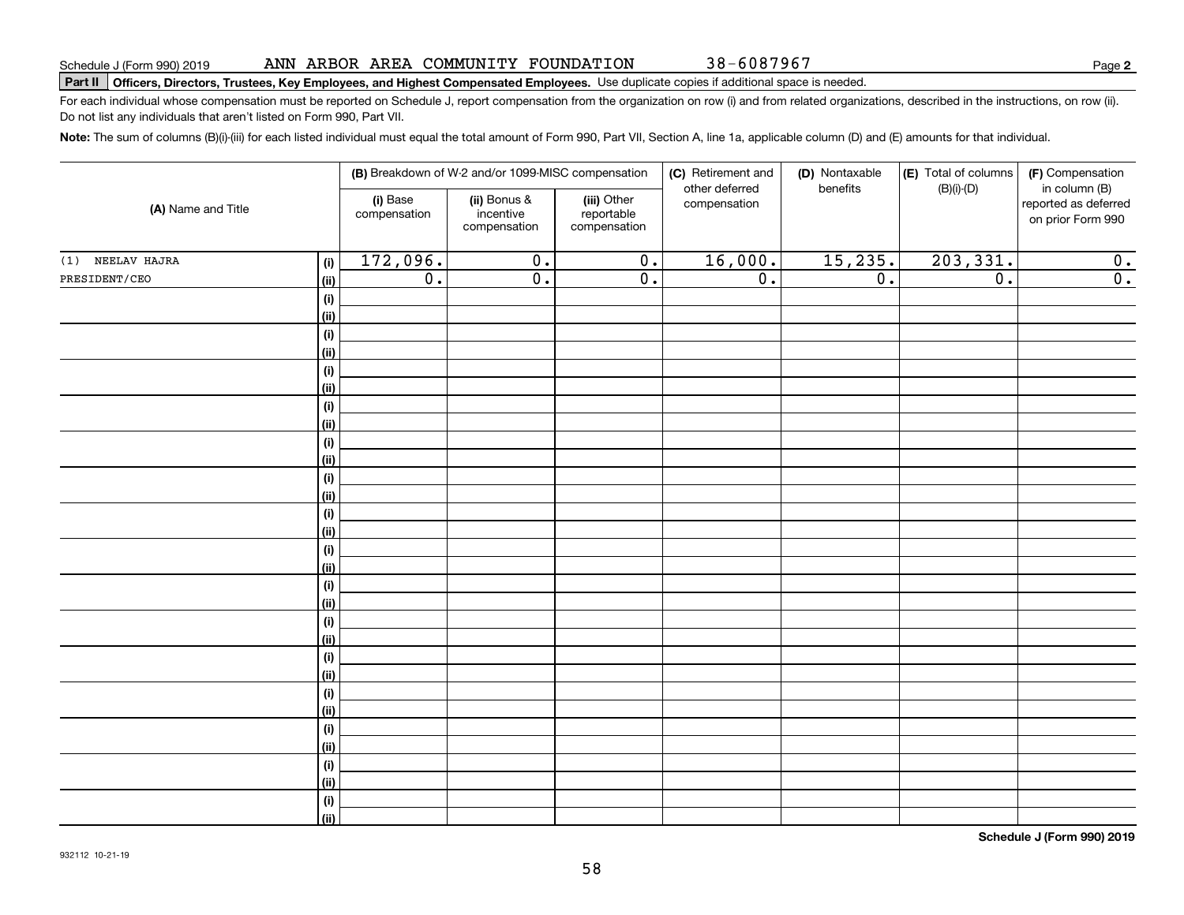|                       |  |  | ANN ARBOR AREA COMMUNITY FOUNDATION |  |
|-----------------------|--|--|-------------------------------------|--|
| ule J (Form 990) 2019 |  |  |                                     |  |

**Part II Officers, Directors, Trustees, Key Employees, and Highest Compensated Employees.**  Schedule J (Form 990) 2019 Page Use duplicate copies if additional space is needed.

For each individual whose compensation must be reported on Schedule J, report compensation from the organization on row (i) and from related organizations, described in the instructions, on row (ii). Do not list any individuals that aren't listed on Form 990, Part VII.

**Note:**  The sum of columns (B)(i)-(iii) for each listed individual must equal the total amount of Form 990, Part VII, Section A, line 1a, applicable column (D) and (E) amounts for that individual.

|                                      |                          | (B) Breakdown of W-2 and/or 1099-MISC compensation |                                           | (C) Retirement and<br>other deferred | (D) Nontaxable<br>benefits | (E) Total of columns<br>$(B)(i)$ - $(D)$ | (F) Compensation<br>in column (B)         |
|--------------------------------------|--------------------------|----------------------------------------------------|-------------------------------------------|--------------------------------------|----------------------------|------------------------------------------|-------------------------------------------|
| (A) Name and Title                   | (i) Base<br>compensation | (ii) Bonus &<br>incentive<br>compensation          | (iii) Other<br>reportable<br>compensation | compensation                         |                            |                                          | reported as deferred<br>on prior Form 990 |
| NEELAV HAJRA<br>(1)<br>(i)           | 172,096.                 | $\overline{0}$ .                                   | 0.                                        | 16,000.                              | 15, 235.                   | 203, 331.                                | 0.                                        |
| PRESIDENT/CEO<br>(ii)                | 0.                       | $\overline{0}$ .                                   | $\overline{0}$ .                          | $\overline{0}$ .                     | $\overline{0}$ .           | $\overline{0}$ .                         | $\overline{0}$ .                          |
| $\qquad \qquad \textbf{(i)}$         |                          |                                                    |                                           |                                      |                            |                                          |                                           |
| (ii)                                 |                          |                                                    |                                           |                                      |                            |                                          |                                           |
| $\qquad \qquad \textbf{(i)}$         |                          |                                                    |                                           |                                      |                            |                                          |                                           |
| (ii)                                 |                          |                                                    |                                           |                                      |                            |                                          |                                           |
| $\qquad \qquad \textbf{(i)}$         |                          |                                                    |                                           |                                      |                            |                                          |                                           |
| (ii)                                 |                          |                                                    |                                           |                                      |                            |                                          |                                           |
| $\qquad \qquad \textbf{(i)}$         |                          |                                                    |                                           |                                      |                            |                                          |                                           |
| (ii)                                 |                          |                                                    |                                           |                                      |                            |                                          |                                           |
| $\qquad \qquad \textbf{(i)}$         |                          |                                                    |                                           |                                      |                            |                                          |                                           |
| (ii)                                 |                          |                                                    |                                           |                                      |                            |                                          |                                           |
| $\qquad \qquad \textbf{(i)}$         |                          |                                                    |                                           |                                      |                            |                                          |                                           |
| (ii)                                 |                          |                                                    |                                           |                                      |                            |                                          |                                           |
| $\qquad \qquad \textbf{(i)}$         |                          |                                                    |                                           |                                      |                            |                                          |                                           |
| (ii)                                 |                          |                                                    |                                           |                                      |                            |                                          |                                           |
| $\qquad \qquad \textbf{(i)}$         |                          |                                                    |                                           |                                      |                            |                                          |                                           |
| (ii)                                 |                          |                                                    |                                           |                                      |                            |                                          |                                           |
| $\qquad \qquad \textbf{(i)}$         |                          |                                                    |                                           |                                      |                            |                                          |                                           |
| (ii)<br>$\qquad \qquad \textbf{(i)}$ |                          |                                                    |                                           |                                      |                            |                                          |                                           |
| (ii)                                 |                          |                                                    |                                           |                                      |                            |                                          |                                           |
| $\qquad \qquad \textbf{(i)}$         |                          |                                                    |                                           |                                      |                            |                                          |                                           |
| (ii)                                 |                          |                                                    |                                           |                                      |                            |                                          |                                           |
| $\qquad \qquad \textbf{(i)}$         |                          |                                                    |                                           |                                      |                            |                                          |                                           |
| (ii)                                 |                          |                                                    |                                           |                                      |                            |                                          |                                           |
| $\qquad \qquad \textbf{(i)}$         |                          |                                                    |                                           |                                      |                            |                                          |                                           |
| (ii)                                 |                          |                                                    |                                           |                                      |                            |                                          |                                           |
| $\qquad \qquad \textbf{(i)}$         |                          |                                                    |                                           |                                      |                            |                                          |                                           |
| (ii)                                 |                          |                                                    |                                           |                                      |                            |                                          |                                           |
| $\qquad \qquad \textbf{(i)}$         |                          |                                                    |                                           |                                      |                            |                                          |                                           |
| (ii)                                 |                          |                                                    |                                           |                                      |                            |                                          |                                           |

**Schedule J (Form 990) 2019**

38-6087967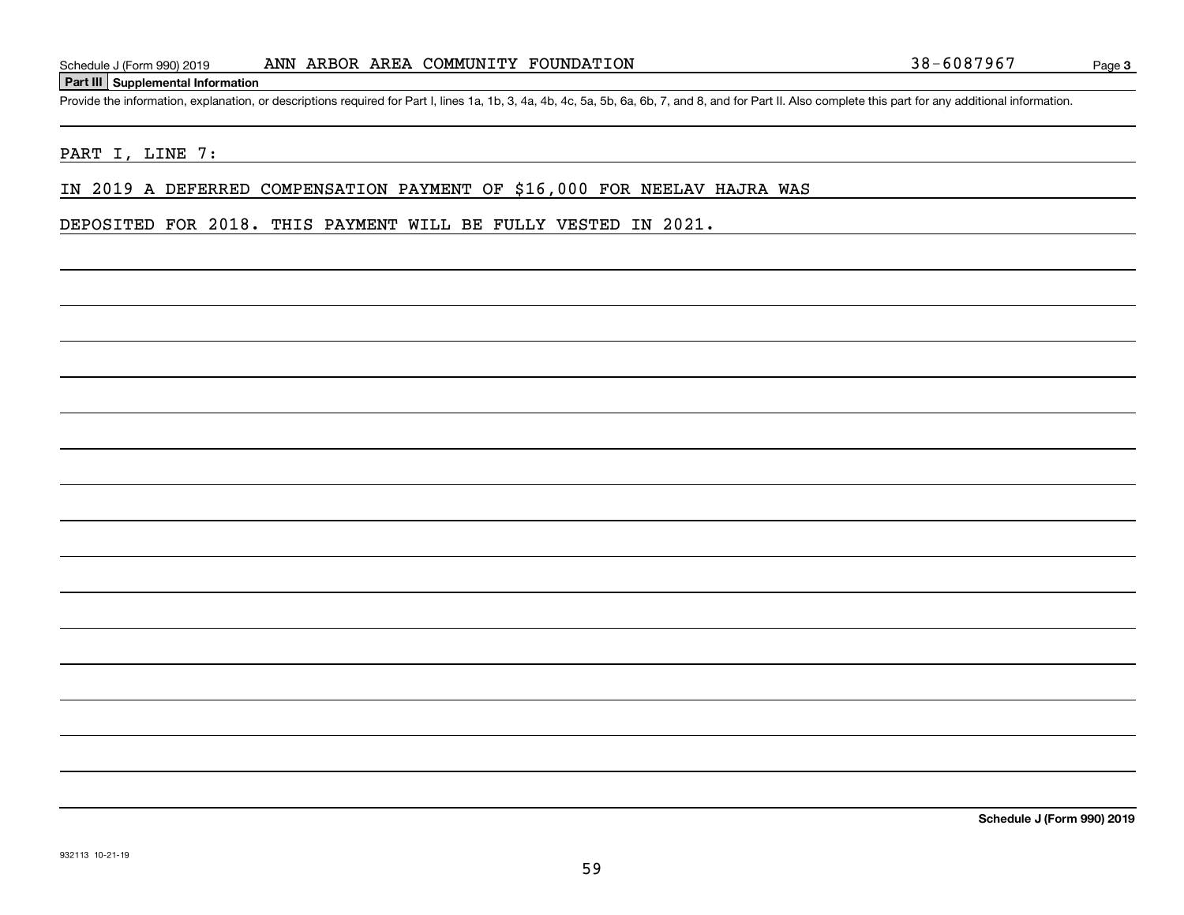### **Part III Supplemental Information**

Schedule J (Form 990) 2019 ANN ARBOR AREA COMMUNITY FOUNDATION 38-6087967<br>Part III Supplemental Information<br>Provide the information, explanation, or descriptions required for Part I, lines 1a, 1b, 3, 4a, 4b, 4c, 5a, 5b, 6a

# PART I, LINE 7:

# IN 2019 A DEFERRED COMPENSATION PAYMENT OF \$16,000 FOR NEELAV HAJRA WAS

DEPOSITED FOR 2018. THIS PAYMENT WILL BE FULLY VESTED IN 2021.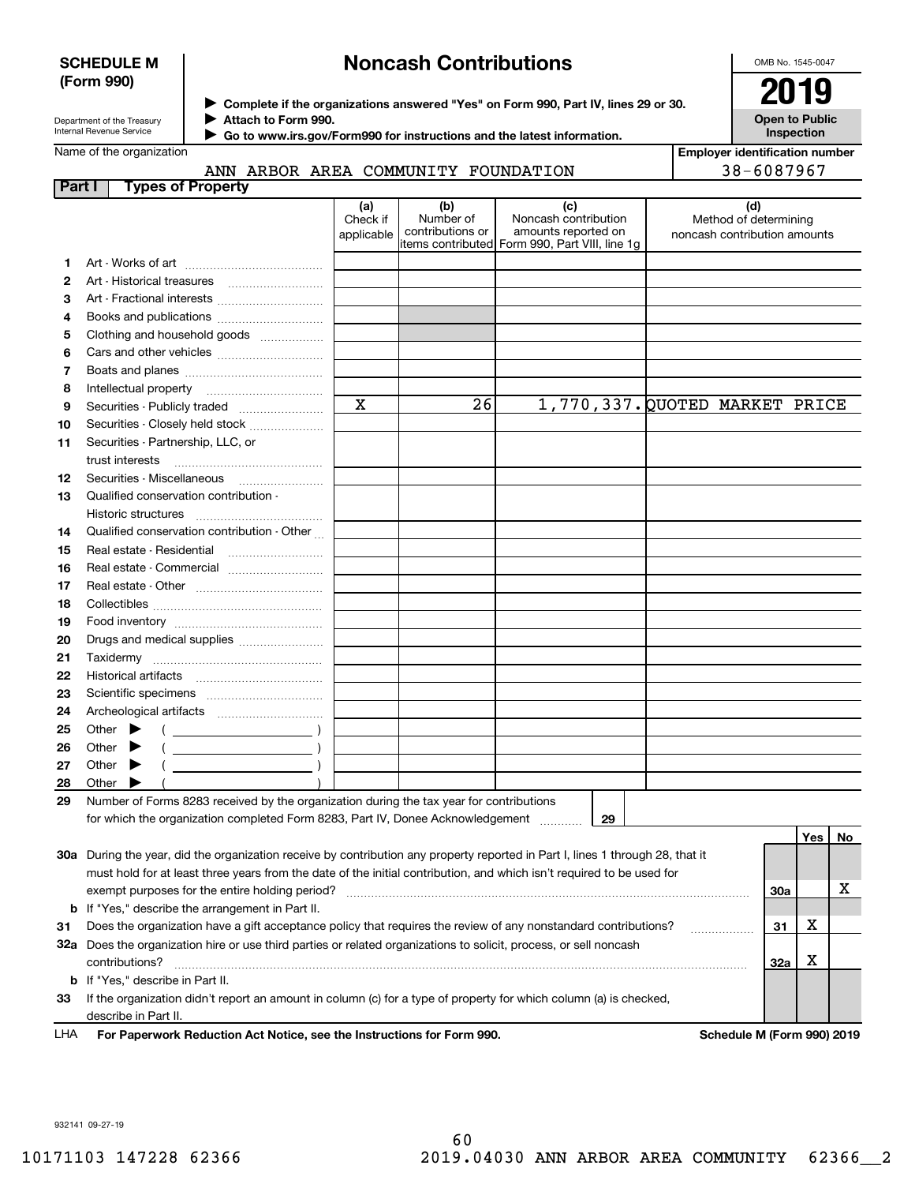# **SCHEDULE M (Form 990)**

# **Noncash Contributions**

OMB No. 1545-0047

**Open to Public**

Department of the Treasury Internal Revenue Service

Name of the organization

◆ Complete if the organizations answered "Yes" on Form 990, Part IV, lines 29 or 30. **2019 Attach to Form 990.** J

 **Go to www.irs.gov/Form990 for instructions and the latest information.** J

**InspectionEmployer identification number**

38-6087967

# ANN ARBOR AREA COMMUNITY FOUNDATION

| Part I |       |                             | <b>Types of Property</b>                                                                                                       |                               |                                      |                                                                                                      |                                                              |            |     |    |
|--------|-------|-----------------------------|--------------------------------------------------------------------------------------------------------------------------------|-------------------------------|--------------------------------------|------------------------------------------------------------------------------------------------------|--------------------------------------------------------------|------------|-----|----|
|        |       |                             |                                                                                                                                | (a)<br>Check if<br>applicable | (b)<br>Number of<br>contributions or | (c)<br>Noncash contribution<br>amounts reported on<br>items contributed Form 990, Part VIII, line 1g | (d)<br>Method of determining<br>noncash contribution amounts |            |     |    |
| 1.     |       |                             |                                                                                                                                |                               |                                      |                                                                                                      |                                                              |            |     |    |
| 2      |       |                             |                                                                                                                                |                               |                                      |                                                                                                      |                                                              |            |     |    |
| З      |       |                             | Art - Fractional interests                                                                                                     |                               |                                      |                                                                                                      |                                                              |            |     |    |
| 4      |       |                             | Books and publications                                                                                                         |                               |                                      |                                                                                                      |                                                              |            |     |    |
| 5      |       |                             | Clothing and household goods                                                                                                   |                               |                                      |                                                                                                      |                                                              |            |     |    |
| 6      |       |                             |                                                                                                                                |                               |                                      |                                                                                                      |                                                              |            |     |    |
| 7      |       |                             |                                                                                                                                |                               |                                      |                                                                                                      |                                                              |            |     |    |
| 8      |       |                             |                                                                                                                                |                               |                                      |                                                                                                      |                                                              |            |     |    |
| 9      |       |                             | Securities - Publicly traded                                                                                                   | X                             | 26                                   |                                                                                                      | 1,770,337. QUOTED MARKET PRICE                               |            |     |    |
| 10     |       |                             | Securities - Closely held stock                                                                                                |                               |                                      |                                                                                                      |                                                              |            |     |    |
| 11     |       |                             | Securities - Partnership, LLC, or                                                                                              |                               |                                      |                                                                                                      |                                                              |            |     |    |
|        |       | trust interests             |                                                                                                                                |                               |                                      |                                                                                                      |                                                              |            |     |    |
| 12     |       |                             |                                                                                                                                |                               |                                      |                                                                                                      |                                                              |            |     |    |
| 13     |       |                             | Qualified conservation contribution -                                                                                          |                               |                                      |                                                                                                      |                                                              |            |     |    |
|        |       | Historic structures         |                                                                                                                                |                               |                                      |                                                                                                      |                                                              |            |     |    |
| 14     |       |                             | Qualified conservation contribution - Other                                                                                    |                               |                                      |                                                                                                      |                                                              |            |     |    |
| 15     |       |                             | Real estate - Residential                                                                                                      |                               |                                      |                                                                                                      |                                                              |            |     |    |
| 16     |       |                             | Real estate - Commercial                                                                                                       |                               |                                      |                                                                                                      |                                                              |            |     |    |
| 17     |       |                             |                                                                                                                                |                               |                                      |                                                                                                      |                                                              |            |     |    |
| 18     |       |                             |                                                                                                                                |                               |                                      |                                                                                                      |                                                              |            |     |    |
| 19     |       |                             |                                                                                                                                |                               |                                      |                                                                                                      |                                                              |            |     |    |
| 20     |       |                             | Drugs and medical supplies                                                                                                     |                               |                                      |                                                                                                      |                                                              |            |     |    |
| 21     |       | Taxidermy                   |                                                                                                                                |                               |                                      |                                                                                                      |                                                              |            |     |    |
| 22     |       |                             |                                                                                                                                |                               |                                      |                                                                                                      |                                                              |            |     |    |
| 23     |       |                             |                                                                                                                                |                               |                                      |                                                                                                      |                                                              |            |     |    |
|        |       |                             |                                                                                                                                |                               |                                      |                                                                                                      |                                                              |            |     |    |
| 24     |       |                             |                                                                                                                                |                               |                                      |                                                                                                      |                                                              |            |     |    |
| 25     |       | Other $\blacktriangleright$ |                                                                                                                                |                               |                                      |                                                                                                      |                                                              |            |     |    |
| 26     |       | Other $\blacktriangleright$ |                                                                                                                                |                               |                                      |                                                                                                      |                                                              |            |     |    |
| 27     |       | Other $\blacktriangleright$ |                                                                                                                                |                               |                                      |                                                                                                      |                                                              |            |     |    |
| 28     | Other |                             |                                                                                                                                |                               |                                      |                                                                                                      |                                                              |            |     |    |
| 29     |       |                             | Number of Forms 8283 received by the organization during the tax year for contributions                                        |                               |                                      |                                                                                                      |                                                              |            |     |    |
|        |       |                             | for which the organization completed Form 8283, Part IV, Donee Acknowledgement                                                 |                               |                                      | 29                                                                                                   |                                                              |            |     |    |
|        |       |                             |                                                                                                                                |                               |                                      |                                                                                                      |                                                              |            | Yes | No |
|        |       |                             | 30a During the year, did the organization receive by contribution any property reported in Part I, lines 1 through 28, that it |                               |                                      |                                                                                                      |                                                              |            |     |    |
|        |       |                             | must hold for at least three years from the date of the initial contribution, and which isn't required to be used for          |                               |                                      |                                                                                                      |                                                              |            |     | х  |
|        |       |                             | exempt purposes for the entire holding period?                                                                                 |                               |                                      |                                                                                                      |                                                              | 30a        |     |    |
|        |       |                             | <b>b</b> If "Yes," describe the arrangement in Part II.                                                                        |                               |                                      |                                                                                                      |                                                              |            |     |    |
| 31     |       |                             | Does the organization have a gift acceptance policy that requires the review of any nonstandard contributions?                 |                               |                                      |                                                                                                      |                                                              | 31         | х   |    |
|        |       |                             | 32a Does the organization hire or use third parties or related organizations to solicit, process, or sell noncash              |                               |                                      |                                                                                                      |                                                              |            |     |    |
|        |       | contributions?              |                                                                                                                                |                               |                                      |                                                                                                      |                                                              | <b>32a</b> | х   |    |
|        |       |                             | <b>b</b> If "Yes," describe in Part II.                                                                                        |                               |                                      |                                                                                                      |                                                              |            |     |    |
| 33     |       |                             | If the organization didn't report an amount in column (c) for a type of property for which column (a) is checked,              |                               |                                      |                                                                                                      |                                                              |            |     |    |
|        |       | describe in Part II.        |                                                                                                                                |                               |                                      |                                                                                                      |                                                              |            |     |    |

**For Paperwork Reduction Act Notice, see the Instructions for Form 990. Schedule M (Form 990) 2019** LHA

932141 09-27-19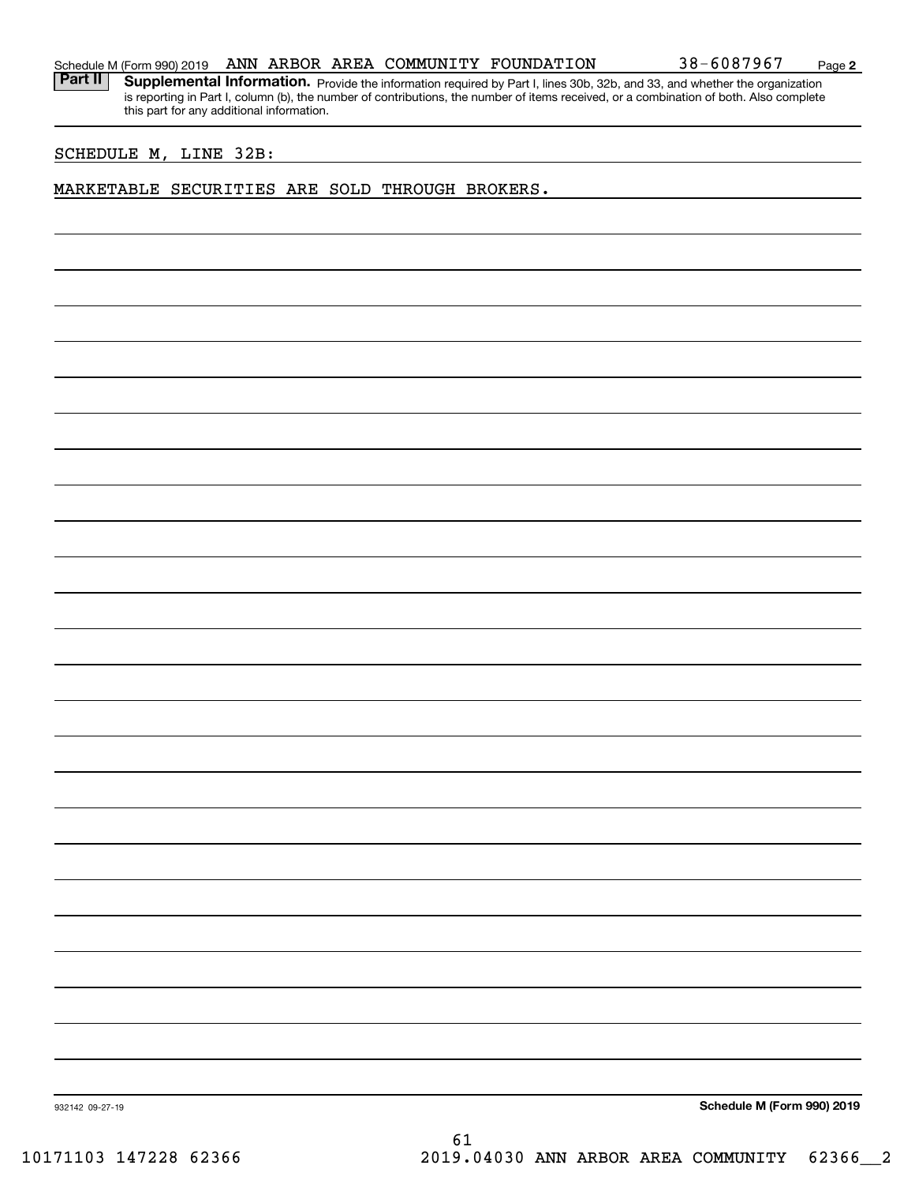**2**

Part II | Supplemental Information. Provide the information required by Part I, lines 30b, 32b, and 33, and whether the organization is reporting in Part I, column (b), the number of contributions, the number of items received, or a combination of both. Also complete this part for any additional information.

# SCHEDULE M, LINE 32B:

# MARKETABLE SECURITIES ARE SOLD THROUGH BROKERS.

**Schedule M (Form 990) 2019**

932142 09-27-19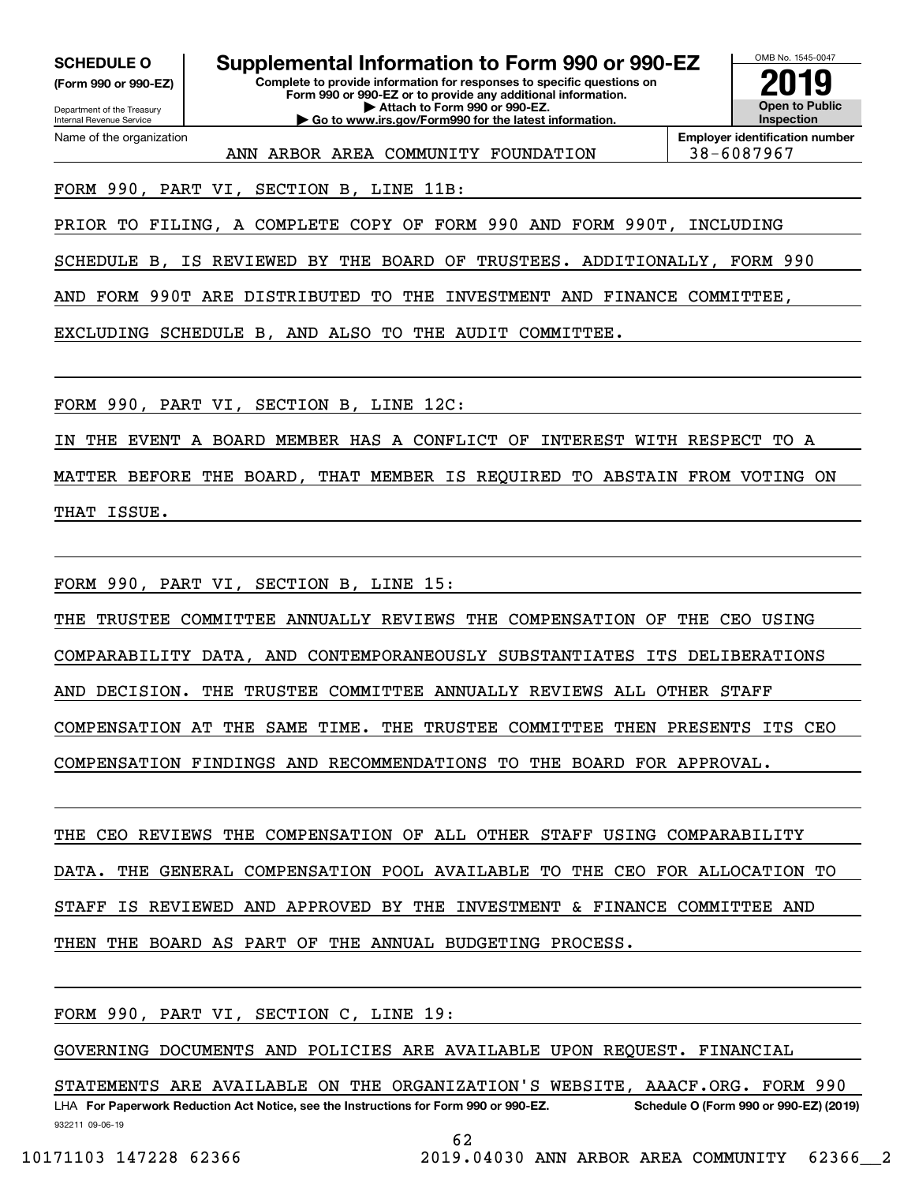**(Form 990 or 990-EZ)**

Department of the Treasury Internal Revenue Service Name of the organization

**Complete to provide information for responses to specific questions on Form 990 or 990-EZ or to provide any additional information. | Attach to Form 990 or 990-EZ. | Go to www.irs.gov/Form990 for the latest information. SCHEDULE O Supplemental Information to Form 990 or 990-EZ**



**Employer identification number** ANN ARBOR AREA COMMUNITY FOUNDATION 38-6087967

FORM 990, PART VI, SECTION B, LINE 11B:

PRIOR TO FILING, A COMPLETE COPY OF FORM 990 AND FORM 990T, INCLUDING

SCHEDULE B, IS REVIEWED BY THE BOARD OF TRUSTEES. ADDITIONALLY, FORM 990

AND FORM 990T ARE DISTRIBUTED TO THE INVESTMENT AND FINANCE COMMITTEE,

EXCLUDING SCHEDULE B, AND ALSO TO THE AUDIT COMMITTEE.

FORM 990, PART VI, SECTION B, LINE 12C:

IN THE EVENT A BOARD MEMBER HAS A CONFLICT OF INTEREST WITH RESPECT TO A

MATTER BEFORE THE BOARD, THAT MEMBER IS REQUIRED TO ABSTAIN FROM VOTING ON THAT ISSUE.

FORM 990, PART VI, SECTION B, LINE 15:

THE TRUSTEE COMMITTEE ANNUALLY REVIEWS THE COMPENSATION OF THE CEO USING

COMPARABILITY DATA, AND CONTEMPORANEOUSLY SUBSTANTIATES ITS DELIBERATIONS

AND DECISION. THE TRUSTEE COMMITTEE ANNUALLY REVIEWS ALL OTHER STAFF

COMPENSATION AT THE SAME TIME. THE TRUSTEE COMMITTEE THEN PRESENTS ITS CEO

COMPENSATION FINDINGS AND RECOMMENDATIONS TO THE BOARD FOR APPROVAL.

THE CEO REVIEWS THE COMPENSATION OF ALL OTHER STAFF USING COMPARABILITY DATA. THE GENERAL COMPENSATION POOL AVAILABLE TO THE CEO FOR ALLOCATION TO STAFF IS REVIEWED AND APPROVED BY THE INVESTMENT & FINANCE COMMITTEE AND THEN THE BOARD AS PART OF THE ANNUAL BUDGETING PROCESS.

FORM 990, PART VI, SECTION C, LINE 19:

GOVERNING DOCUMENTS AND POLICIES ARE AVAILABLE UPON REQUEST. FINANCIAL

932211 09-06-19 LHA For Paperwork Reduction Act Notice, see the Instructions for Form 990 or 990-EZ. Schedule O (Form 990 or 990-EZ) (2019) STATEMENTS ARE AVAILABLE ON THE ORGANIZATION'S WEBSITE, AAACF.ORG. FORM 990

62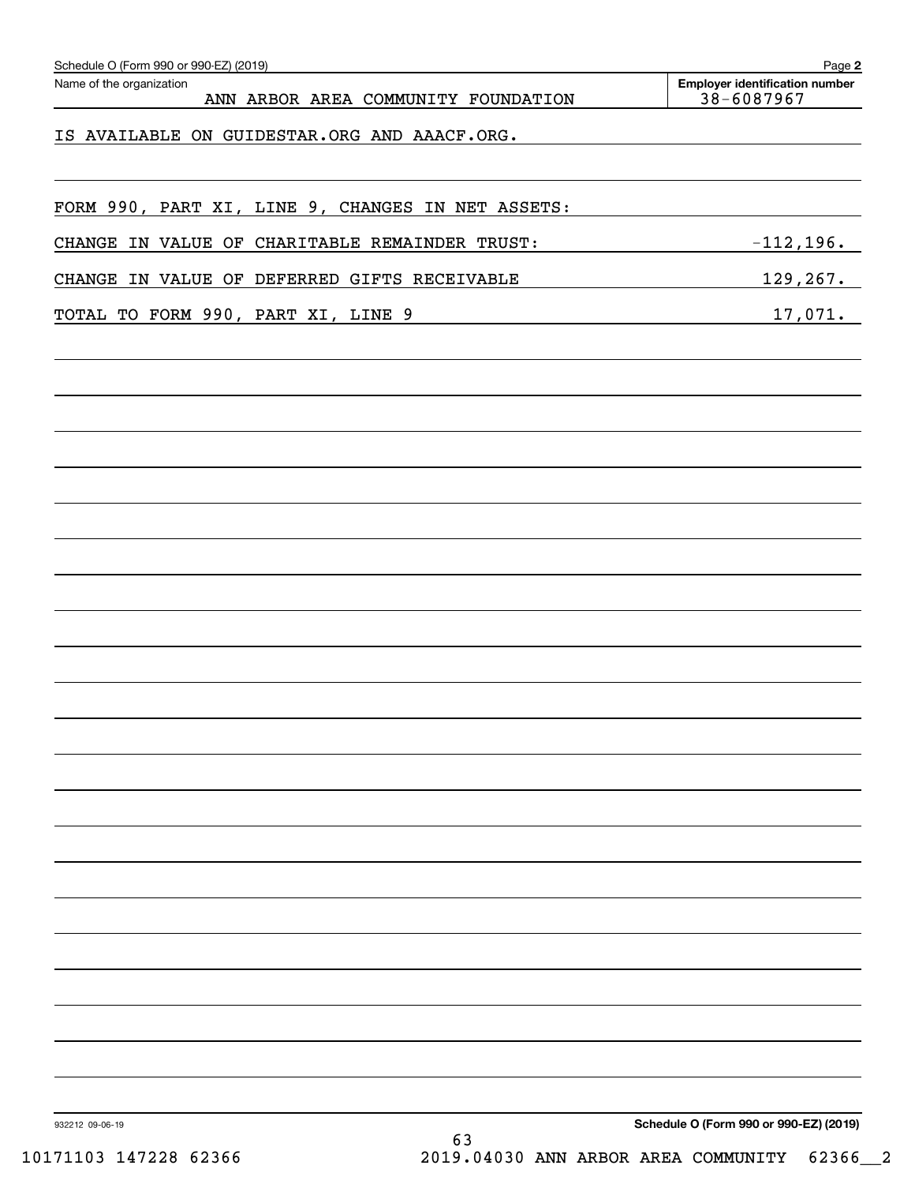| 38-6087967                             |
|----------------------------------------|
|                                        |
|                                        |
|                                        |
| $-112, 196.$                           |
| 129, 267.                              |
| 17,071.                                |
|                                        |
|                                        |
|                                        |
|                                        |
|                                        |
|                                        |
|                                        |
|                                        |
|                                        |
|                                        |
|                                        |
|                                        |
|                                        |
|                                        |
|                                        |
| Schedule O (Form 990 or 990-EZ) (2019) |

10171103 147228 62366 2019.04030 ANN ARBOR AREA COMMUNITY 62366\_\_2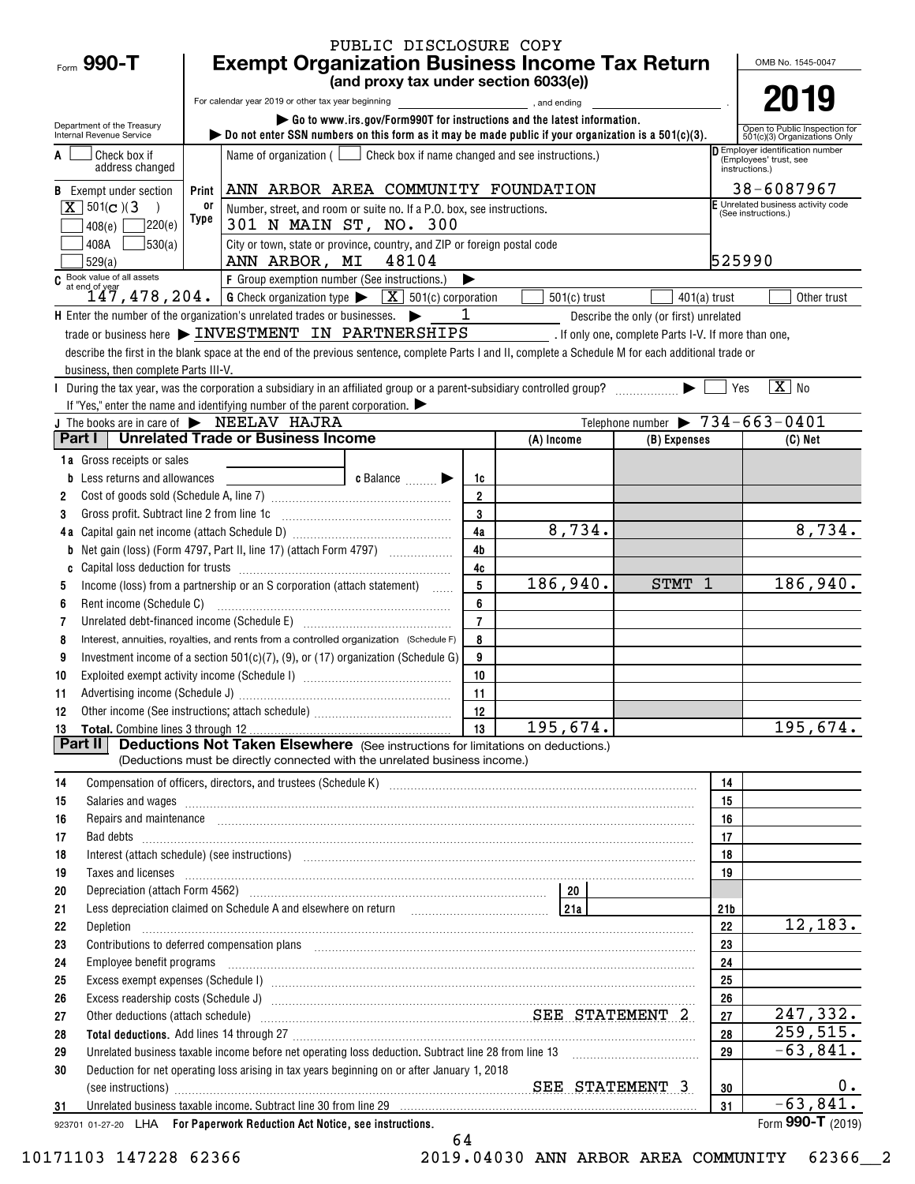|                                                                                                                |            |                                                                                                                                                                                                                                                                                                                                                                                                                                                                     | PUBLIC DISCLOSURE COPY                |                |                                                                                                                                                                                           |                                                        |                 |                                                                   |
|----------------------------------------------------------------------------------------------------------------|------------|---------------------------------------------------------------------------------------------------------------------------------------------------------------------------------------------------------------------------------------------------------------------------------------------------------------------------------------------------------------------------------------------------------------------------------------------------------------------|---------------------------------------|----------------|-------------------------------------------------------------------------------------------------------------------------------------------------------------------------------------------|--------------------------------------------------------|-----------------|-------------------------------------------------------------------|
| Form 990-T                                                                                                     |            | <b>Exempt Organization Business Income Tax Return</b>                                                                                                                                                                                                                                                                                                                                                                                                               |                                       |                |                                                                                                                                                                                           |                                                        |                 | OMB No. 1545-0047                                                 |
|                                                                                                                |            |                                                                                                                                                                                                                                                                                                                                                                                                                                                                     | (and proxy tax under section 6033(e)) |                |                                                                                                                                                                                           |                                                        |                 | 2019                                                              |
|                                                                                                                |            | For calendar year 2019 or other tax year beginning                                                                                                                                                                                                                                                                                                                                                                                                                  |                                       |                | and ending state and state and state and state and state and state and state and state and state and state and<br>Go to www.irs.gov/Form990T for instructions and the latest information. |                                                        |                 |                                                                   |
| Department of the Treasury<br>Internal Revenue Service                                                         |            | $\triangleright$ Do not enter SSN numbers on this form as it may be made public if your organization is a 501(c)(3).                                                                                                                                                                                                                                                                                                                                                |                                       |                |                                                                                                                                                                                           |                                                        |                 | Open to Public Inspection for<br>501(c)(3) Organizations Only     |
| Check box if                                                                                                   |            | Name of organization ( $\Box$ Check box if name changed and see instructions.)                                                                                                                                                                                                                                                                                                                                                                                      |                                       |                |                                                                                                                                                                                           |                                                        |                 | <b>D</b> Employer identification number<br>(Employees' trust, see |
| address changed                                                                                                |            |                                                                                                                                                                                                                                                                                                                                                                                                                                                                     |                                       |                |                                                                                                                                                                                           |                                                        |                 | instructions.)                                                    |
| <b>B</b> Exempt under section                                                                                  | Print      | ANN ARBOR AREA COMMUNITY FOUNDATION                                                                                                                                                                                                                                                                                                                                                                                                                                 |                                       |                |                                                                                                                                                                                           |                                                        |                 | 38-6087967                                                        |
| $X \mid 501(c)$ (3)                                                                                            | 0ľ<br>Type | Number, street, and room or suite no. If a P.O. box, see instructions.                                                                                                                                                                                                                                                                                                                                                                                              |                                       |                |                                                                                                                                                                                           |                                                        |                 | E Unrelated business activity code<br>(See instructions.)         |
| 7220(e)<br>408(e)                                                                                              |            | 301 N MAIN ST, NO. 300                                                                                                                                                                                                                                                                                                                                                                                                                                              |                                       |                |                                                                                                                                                                                           |                                                        |                 |                                                                   |
| 30(a)<br>408A<br>529(a)                                                                                        |            | City or town, state or province, country, and ZIP or foreign postal code<br>ANN ARBOR, MI 48104                                                                                                                                                                                                                                                                                                                                                                     |                                       |                |                                                                                                                                                                                           |                                                        | 525990          |                                                                   |
|                                                                                                                |            |                                                                                                                                                                                                                                                                                                                                                                                                                                                                     |                                       |                |                                                                                                                                                                                           |                                                        |                 |                                                                   |
| C Book value of all assets<br>$147,478,204.$ G Check organization type $\sqrt{\frac{X}{N}}$ 501(c) corporation |            |                                                                                                                                                                                                                                                                                                                                                                                                                                                                     |                                       |                | $501(c)$ trust                                                                                                                                                                            | $401(a)$ trust                                         |                 | Other trust                                                       |
| H Enter the number of the organization's unrelated trades or businesses.                                       |            |                                                                                                                                                                                                                                                                                                                                                                                                                                                                     |                                       | $\mathbf{1}$   |                                                                                                                                                                                           | Describe the only (or first) unrelated                 |                 |                                                                   |
|                                                                                                                |            | $\text{trade or business here}$ $\blacktriangleright$ INVESTMENT IN PARTNERSHIPS                                                                                                                                                                                                                                                                                                                                                                                    |                                       |                |                                                                                                                                                                                           | _ . If only one, complete Parts I-V. If more than one, |                 |                                                                   |
|                                                                                                                |            | describe the first in the blank space at the end of the previous sentence, complete Parts I and II, complete a Schedule M for each additional trade or                                                                                                                                                                                                                                                                                                              |                                       |                |                                                                                                                                                                                           |                                                        |                 |                                                                   |
| business, then complete Parts III-V.                                                                           |            |                                                                                                                                                                                                                                                                                                                                                                                                                                                                     |                                       |                |                                                                                                                                                                                           |                                                        |                 |                                                                   |
|                                                                                                                |            | During the tax year, was the corporation a subsidiary in an affiliated group or a parent-subsidiary controlled group? $\ldots$                                                                                                                                                                                                                                                                                                                                      |                                       |                |                                                                                                                                                                                           |                                                        | Yes             | $\sqrt{X}$ No                                                     |
| J The books are in care of > NEELAV HAJRA                                                                      |            | If "Yes," enter the name and identifying number of the parent corporation. $\blacktriangleright$                                                                                                                                                                                                                                                                                                                                                                    |                                       |                |                                                                                                                                                                                           | Telephone number $\triangleright$ 734-663-0401         |                 |                                                                   |
|                                                                                                                |            | Part I   Unrelated Trade or Business Income                                                                                                                                                                                                                                                                                                                                                                                                                         |                                       |                | (A) Income                                                                                                                                                                                | (B) Expenses                                           |                 | $(C)$ Net                                                         |
| 1a Gross receipts or sales                                                                                     |            |                                                                                                                                                                                                                                                                                                                                                                                                                                                                     |                                       |                |                                                                                                                                                                                           |                                                        |                 |                                                                   |
| <b>b</b> Less returns and allowances                                                                           |            |                                                                                                                                                                                                                                                                                                                                                                                                                                                                     | c Balance                             | 1c             |                                                                                                                                                                                           |                                                        |                 |                                                                   |
| 2                                                                                                              |            |                                                                                                                                                                                                                                                                                                                                                                                                                                                                     |                                       | $\overline{2}$ |                                                                                                                                                                                           |                                                        |                 |                                                                   |
| Gross profit. Subtract line 2 from line 1c<br>3                                                                |            |                                                                                                                                                                                                                                                                                                                                                                                                                                                                     |                                       | 3              |                                                                                                                                                                                           |                                                        |                 |                                                                   |
|                                                                                                                |            |                                                                                                                                                                                                                                                                                                                                                                                                                                                                     |                                       | 4a             | 8,734.                                                                                                                                                                                    |                                                        |                 | 8,734.                                                            |
| b                                                                                                              |            | Net gain (loss) (Form 4797, Part II, line 17) (attach Form 4797)                                                                                                                                                                                                                                                                                                                                                                                                    |                                       | 4 <sub>b</sub> |                                                                                                                                                                                           |                                                        |                 |                                                                   |
| C                                                                                                              |            |                                                                                                                                                                                                                                                                                                                                                                                                                                                                     |                                       | 4c             |                                                                                                                                                                                           |                                                        |                 |                                                                   |
| 5                                                                                                              |            | Income (loss) from a partnership or an S corporation (attach statement)                                                                                                                                                                                                                                                                                                                                                                                             |                                       | 5<br>6         | 186,940.                                                                                                                                                                                  | STMT 1                                                 |                 | 186, 940.                                                         |
| Rent income (Schedule C)<br>6<br>7                                                                             |            | Unrelated debt-financed income (Schedule E) [11] [2010] [2010] [2010] [2010] [2010] [2010] [2010] [2010] [2010                                                                                                                                                                                                                                                                                                                                                      |                                       | $\overline{7}$ |                                                                                                                                                                                           |                                                        |                 |                                                                   |
| 8                                                                                                              |            | Interest, annuities, royalties, and rents from a controlled organization (Schedule F)                                                                                                                                                                                                                                                                                                                                                                               |                                       | 8              |                                                                                                                                                                                           |                                                        |                 |                                                                   |
| 9                                                                                                              |            | Investment income of a section 501(c)(7), (9), or (17) organization (Schedule G)                                                                                                                                                                                                                                                                                                                                                                                    |                                       | 9              |                                                                                                                                                                                           |                                                        |                 |                                                                   |
| 10                                                                                                             |            |                                                                                                                                                                                                                                                                                                                                                                                                                                                                     |                                       | 10             |                                                                                                                                                                                           |                                                        |                 |                                                                   |
| 11                                                                                                             |            |                                                                                                                                                                                                                                                                                                                                                                                                                                                                     |                                       | 11             |                                                                                                                                                                                           |                                                        |                 |                                                                   |
|                                                                                                                |            |                                                                                                                                                                                                                                                                                                                                                                                                                                                                     |                                       | - 12           |                                                                                                                                                                                           |                                                        |                 |                                                                   |
|                                                                                                                |            |                                                                                                                                                                                                                                                                                                                                                                                                                                                                     |                                       | 13             | 195,674.                                                                                                                                                                                  |                                                        |                 | 195,674.                                                          |
| Part II                                                                                                        |            | <b>Deductions Not Taken Elsewhere</b> (See instructions for limitations on deductions.)<br>(Deductions must be directly connected with the unrelated business income.)                                                                                                                                                                                                                                                                                              |                                       |                |                                                                                                                                                                                           |                                                        |                 |                                                                   |
|                                                                                                                |            |                                                                                                                                                                                                                                                                                                                                                                                                                                                                     |                                       |                |                                                                                                                                                                                           |                                                        |                 |                                                                   |
| 14<br>15                                                                                                       |            | Compensation of officers, directors, and trustees (Schedule K) [11] [2000] [2000] [2000] [2000] [2000] [2000] [3000] [3000] [3000] [3000] [3000] [3000] [3000] [3000] [3000] [3000] [3000] [3000] [3000] [3000] [3000] [3000]<br>Salaries and wages <i>[11] marror marror marror marror marror marror marror marror marror marror marror</i> marror marror marror marror marror marror marror marror marror marror marror marror marror marror marror marror marror |                                       |                |                                                                                                                                                                                           |                                                        | 14<br>15        |                                                                   |
| 16                                                                                                             |            | Repairs and maintenance <i>[1] [1] [1] [1] [1] [1] [1] [1] [1] [1]</i> [1] <b>[1] [1] [1] [1] [1] [1] [1] [1] [1] [1] [1] [1] [1] [1] [1] [1] [1] [1] [1] [1] [1] [1] [1] [1] [1] [</b>                                                                                                                                                                                                                                                                             |                                       |                |                                                                                                                                                                                           |                                                        | 16              |                                                                   |
| 17                                                                                                             |            |                                                                                                                                                                                                                                                                                                                                                                                                                                                                     |                                       |                |                                                                                                                                                                                           |                                                        | 17              |                                                                   |
| 18                                                                                                             |            | Interest (attach schedule) (see instructions) www.communicalisations.communicalisations.communicalisations.com                                                                                                                                                                                                                                                                                                                                                      |                                       |                |                                                                                                                                                                                           |                                                        | 18              |                                                                   |
| 19                                                                                                             |            | Taxes and licenses <b>contractive and contract and contract and contract and contract and licenses</b>                                                                                                                                                                                                                                                                                                                                                              |                                       |                |                                                                                                                                                                                           |                                                        | 19              |                                                                   |
| 20                                                                                                             |            |                                                                                                                                                                                                                                                                                                                                                                                                                                                                     |                                       |                |                                                                                                                                                                                           |                                                        |                 |                                                                   |
| 21                                                                                                             |            | Less depreciation claimed on Schedule A and elsewhere on return [200] [218] [218]                                                                                                                                                                                                                                                                                                                                                                                   |                                       |                |                                                                                                                                                                                           |                                                        | 21 <sub>b</sub> |                                                                   |
| 22<br>Depletion                                                                                                |            |                                                                                                                                                                                                                                                                                                                                                                                                                                                                     |                                       |                |                                                                                                                                                                                           |                                                        | 22              | 12,183.                                                           |
| 23                                                                                                             |            | Contributions to deferred compensation plans [11] manufactured contributions to deferred compensation plans [11] manufactured compensation plans [11] manufactured compensation plans [11] manufactured contributions to defer                                                                                                                                                                                                                                      |                                       |                |                                                                                                                                                                                           |                                                        | 23              |                                                                   |
| 24<br>25                                                                                                       |            |                                                                                                                                                                                                                                                                                                                                                                                                                                                                     |                                       |                |                                                                                                                                                                                           |                                                        | 24<br>25        |                                                                   |
| 26                                                                                                             |            |                                                                                                                                                                                                                                                                                                                                                                                                                                                                     |                                       |                |                                                                                                                                                                                           |                                                        | 26              |                                                                   |
| 27                                                                                                             |            | Other deductions (attach schedule) material material contracts and SEE STATEMENT 2                                                                                                                                                                                                                                                                                                                                                                                  |                                       |                |                                                                                                                                                                                           |                                                        | 27              | 247,332.                                                          |
| 28                                                                                                             |            |                                                                                                                                                                                                                                                                                                                                                                                                                                                                     |                                       |                |                                                                                                                                                                                           |                                                        | 28              | 259,515.                                                          |
| 29                                                                                                             |            |                                                                                                                                                                                                                                                                                                                                                                                                                                                                     |                                       |                |                                                                                                                                                                                           |                                                        | 29              | $-63,841.$                                                        |
| 30                                                                                                             |            | Deduction for net operating loss arising in tax years beginning on or after January 1, 2018                                                                                                                                                                                                                                                                                                                                                                         |                                       |                |                                                                                                                                                                                           |                                                        |                 |                                                                   |
|                                                                                                                |            |                                                                                                                                                                                                                                                                                                                                                                                                                                                                     |                                       |                |                                                                                                                                                                                           |                                                        | 30              | 0.                                                                |
| 31                                                                                                             |            | Unrelated business taxable income. Subtract line 30 from line 29 [11] Martin Martin Martin Martin Martin Martin Martin Martin Martin Martin Martin Martin Martin Martin Martin Martin Martin Martin Martin Martin Martin Marti                                                                                                                                                                                                                                      |                                       |                |                                                                                                                                                                                           |                                                        | 31              | $-63,841.$<br>Form 990-T $(2019)$                                 |
| 923701 01-27-20 LHA For Paperwork Reduction Act Notice, see instructions.                                      |            |                                                                                                                                                                                                                                                                                                                                                                                                                                                                     |                                       |                |                                                                                                                                                                                           |                                                        |                 |                                                                   |

64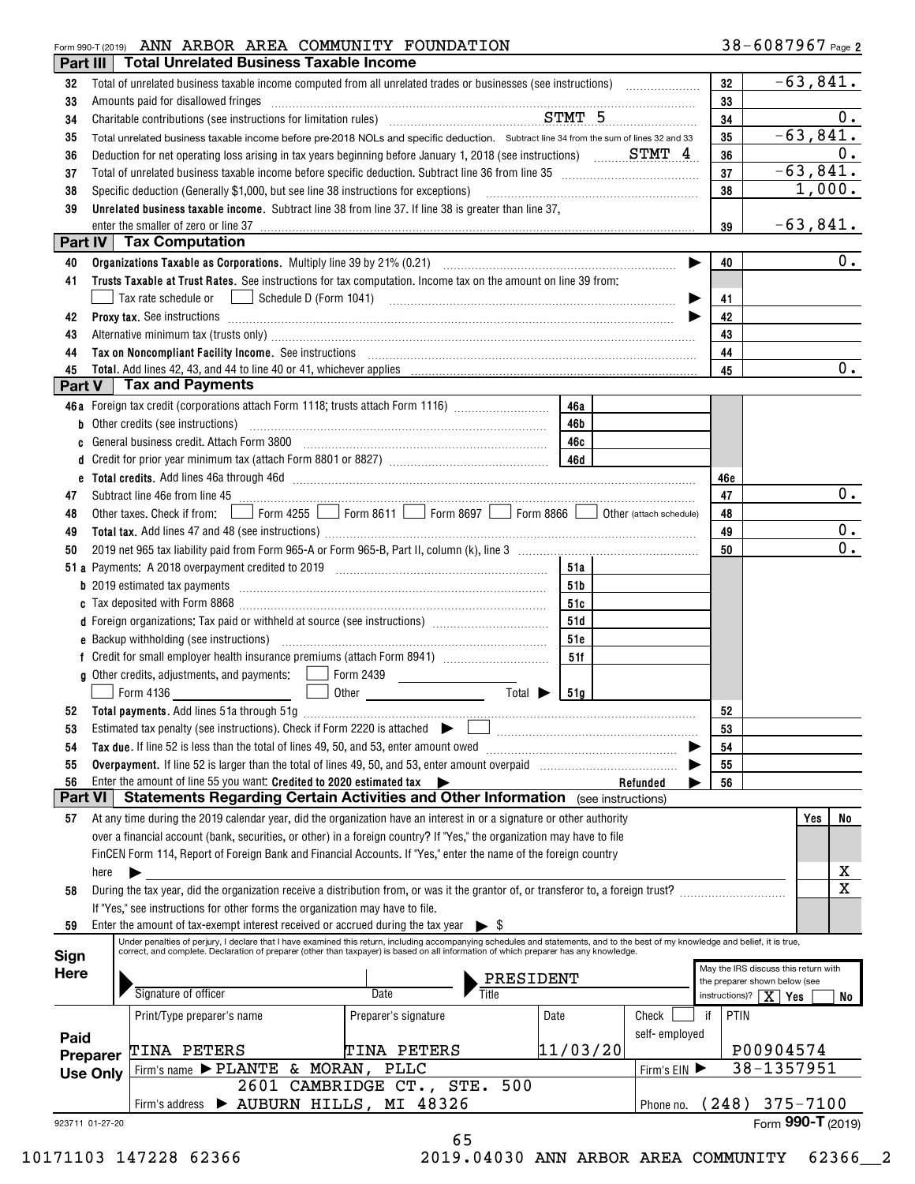# Form 990-T (2019) Page ANN ARBOR AREA COMMUNITY FOUNDATION

| Part III        |                 | <b>Total Unrelated Business Taxable Income</b>                                                                                                                                                                                                                                                                                                                                                                                                                                               |                                                                                                                                                                                                                                                                                                                                                                                                                                             |          |               |     |                                                                       |
|-----------------|-----------------|----------------------------------------------------------------------------------------------------------------------------------------------------------------------------------------------------------------------------------------------------------------------------------------------------------------------------------------------------------------------------------------------------------------------------------------------------------------------------------------------|---------------------------------------------------------------------------------------------------------------------------------------------------------------------------------------------------------------------------------------------------------------------------------------------------------------------------------------------------------------------------------------------------------------------------------------------|----------|---------------|-----|-----------------------------------------------------------------------|
| 32              |                 |                                                                                                                                                                                                                                                                                                                                                                                                                                                                                              |                                                                                                                                                                                                                                                                                                                                                                                                                                             |          |               | 32  | $-63,841.$                                                            |
| 33              |                 | Amounts paid for disallowed fringes                                                                                                                                                                                                                                                                                                                                                                                                                                                          | $\begin{minipage}[b]{0.5\textwidth} \centering \begin{tabular}{ l l l } \hline \multicolumn{1}{ l l l } \hline \multicolumn{1}{ l l } \multicolumn{1}{ l } \multicolumn{1}{ l } \multicolumn{1}{ l } \multicolumn{1}{ l } \multicolumn{1}{ l } \multicolumn{1}{ l } \multicolumn{1}{ l } \multicolumn{1}{ l } \multicolumn{1}{ l } \multicolumn{1}{ l } \multicolumn{1}{ l } \multicolumn{1}{ l } \multicolumn{1}{ l } \multicolumn{1}{ l $ |          |               | 33  |                                                                       |
| 34              |                 |                                                                                                                                                                                                                                                                                                                                                                                                                                                                                              |                                                                                                                                                                                                                                                                                                                                                                                                                                             |          |               | 34  | 0.                                                                    |
| 35              |                 | Total unrelated business taxable income before pre-2018 NOLs and specific deduction. Subtract line 34 from the sum of lines 32 and 33                                                                                                                                                                                                                                                                                                                                                        |                                                                                                                                                                                                                                                                                                                                                                                                                                             |          |               | 35  | $-63,841.$                                                            |
| 36              |                 | Deduction for net operating loss arising in tax years beginning before January 1, 2018 (see instructions) $S TMT_4$                                                                                                                                                                                                                                                                                                                                                                          |                                                                                                                                                                                                                                                                                                                                                                                                                                             |          |               | 36  | 0.                                                                    |
| 37              |                 |                                                                                                                                                                                                                                                                                                                                                                                                                                                                                              |                                                                                                                                                                                                                                                                                                                                                                                                                                             |          |               | 37  | $-63,841.$                                                            |
| 38              |                 | Specific deduction (Generally \$1,000, but see line 38 instructions for exceptions)                                                                                                                                                                                                                                                                                                                                                                                                          |                                                                                                                                                                                                                                                                                                                                                                                                                                             |          |               | 38  | 1,000.                                                                |
| 39              |                 | Unrelated business taxable income. Subtract line 38 from line 37. If line 38 is greater than line 37,                                                                                                                                                                                                                                                                                                                                                                                        |                                                                                                                                                                                                                                                                                                                                                                                                                                             |          |               |     |                                                                       |
|                 |                 | enter the smaller of zero or line 37                                                                                                                                                                                                                                                                                                                                                                                                                                                         |                                                                                                                                                                                                                                                                                                                                                                                                                                             |          |               | 39  | $-63,841.$                                                            |
|                 |                 | Part IV   Tax Computation                                                                                                                                                                                                                                                                                                                                                                                                                                                                    |                                                                                                                                                                                                                                                                                                                                                                                                                                             |          |               |     |                                                                       |
| 40              |                 |                                                                                                                                                                                                                                                                                                                                                                                                                                                                                              |                                                                                                                                                                                                                                                                                                                                                                                                                                             |          | ▶             | 40  | 0.                                                                    |
|                 |                 |                                                                                                                                                                                                                                                                                                                                                                                                                                                                                              |                                                                                                                                                                                                                                                                                                                                                                                                                                             |          |               |     |                                                                       |
| 41              |                 | Trusts Taxable at Trust Rates. See instructions for tax computation. Income tax on the amount on line 39 from:                                                                                                                                                                                                                                                                                                                                                                               |                                                                                                                                                                                                                                                                                                                                                                                                                                             |          |               |     |                                                                       |
|                 |                 | Tax rate schedule or <u>Imperior Schedule D</u> (Form 1041) <b>Fig. 10.1 Conserver Conserver Conserver Conserver Conserver Conserver Conserver Conserver Conserver Conserver Conserver Conserver Conserver Conserver Conserver Cons</b>                                                                                                                                                                                                                                                      |                                                                                                                                                                                                                                                                                                                                                                                                                                             |          |               | 41  |                                                                       |
| 42              |                 | Proxy tax. See instructions information and contact the set of the set of the set of the set of the set of the set of the set of the set of the set of the set of the set of the set of the set of the set of the set of the s                                                                                                                                                                                                                                                               |                                                                                                                                                                                                                                                                                                                                                                                                                                             |          |               | 42  |                                                                       |
| 43              |                 | Alternative minimum tax (trusts only) manufactured and an according to the state of the state of the state of the state of the state of the state of the state of the state of the state of the state of the state of the stat                                                                                                                                                                                                                                                               |                                                                                                                                                                                                                                                                                                                                                                                                                                             |          |               | 43  |                                                                       |
| 44              |                 | Tax on Noncompliant Facility Income. See instructions [11] The manufacture in the contract on Noncompliant Facility Income. See instructions [11] The manufacture in the set of the set of the set of the set of the set of th                                                                                                                                                                                                                                                               |                                                                                                                                                                                                                                                                                                                                                                                                                                             |          |               | 44  |                                                                       |
| 45              |                 |                                                                                                                                                                                                                                                                                                                                                                                                                                                                                              |                                                                                                                                                                                                                                                                                                                                                                                                                                             |          |               | 45  | $0$ .                                                                 |
| Part V          |                 | <b>Tax and Payments</b>                                                                                                                                                                                                                                                                                                                                                                                                                                                                      |                                                                                                                                                                                                                                                                                                                                                                                                                                             |          |               |     |                                                                       |
|                 |                 | 46a Foreign tax credit (corporations attach Form 1118; trusts attach Form 1116)                                                                                                                                                                                                                                                                                                                                                                                                              |                                                                                                                                                                                                                                                                                                                                                                                                                                             | 46a      |               |     |                                                                       |
|                 |                 | <b>b</b> Other credits (see instructions)                                                                                                                                                                                                                                                                                                                                                                                                                                                    |                                                                                                                                                                                                                                                                                                                                                                                                                                             | 46b      |               |     |                                                                       |
| c               |                 | General business credit. Attach Form 3800                                                                                                                                                                                                                                                                                                                                                                                                                                                    |                                                                                                                                                                                                                                                                                                                                                                                                                                             | 46c      |               |     |                                                                       |
| d               |                 |                                                                                                                                                                                                                                                                                                                                                                                                                                                                                              |                                                                                                                                                                                                                                                                                                                                                                                                                                             |          |               |     |                                                                       |
|                 |                 |                                                                                                                                                                                                                                                                                                                                                                                                                                                                                              |                                                                                                                                                                                                                                                                                                                                                                                                                                             |          |               | 46e |                                                                       |
| 47              |                 | Subtract line 46e from line 45 <b>manual contract to the contract of the 46</b> from line 46e from line 45                                                                                                                                                                                                                                                                                                                                                                                   |                                                                                                                                                                                                                                                                                                                                                                                                                                             |          |               | 47  | 0.                                                                    |
| 48              |                 | Other taxes. Check if from: Form 4255 Form 8611 Form 8697 Form 8866 Other (attach schedule)                                                                                                                                                                                                                                                                                                                                                                                                  |                                                                                                                                                                                                                                                                                                                                                                                                                                             |          |               | 48  |                                                                       |
| 49              |                 |                                                                                                                                                                                                                                                                                                                                                                                                                                                                                              |                                                                                                                                                                                                                                                                                                                                                                                                                                             |          |               | 49  | 0.                                                                    |
| 50              |                 |                                                                                                                                                                                                                                                                                                                                                                                                                                                                                              |                                                                                                                                                                                                                                                                                                                                                                                                                                             |          |               | 50  | 0.                                                                    |
|                 |                 |                                                                                                                                                                                                                                                                                                                                                                                                                                                                                              |                                                                                                                                                                                                                                                                                                                                                                                                                                             | 51a      |               |     |                                                                       |
|                 |                 | b 2019 estimated tax payments communications are all the contract of the contract of the contract of the contract of the contract of the contract of the contract of the contract of the contract of the contract of the contr                                                                                                                                                                                                                                                               |                                                                                                                                                                                                                                                                                                                                                                                                                                             | 51b      |               |     |                                                                       |
|                 |                 |                                                                                                                                                                                                                                                                                                                                                                                                                                                                                              |                                                                                                                                                                                                                                                                                                                                                                                                                                             | 51c      |               |     |                                                                       |
|                 |                 | d Foreign organizations: Tax paid or withheld at source (see instructions) [1000111111111111111111111111111111                                                                                                                                                                                                                                                                                                                                                                               |                                                                                                                                                                                                                                                                                                                                                                                                                                             | 51d      |               |     |                                                                       |
|                 |                 |                                                                                                                                                                                                                                                                                                                                                                                                                                                                                              |                                                                                                                                                                                                                                                                                                                                                                                                                                             | 51e      |               |     |                                                                       |
|                 |                 |                                                                                                                                                                                                                                                                                                                                                                                                                                                                                              |                                                                                                                                                                                                                                                                                                                                                                                                                                             | 51f      |               |     |                                                                       |
|                 |                 |                                                                                                                                                                                                                                                                                                                                                                                                                                                                                              |                                                                                                                                                                                                                                                                                                                                                                                                                                             |          |               |     |                                                                       |
|                 |                 | Form 4136                                                                                                                                                                                                                                                                                                                                                                                                                                                                                    | Total $\blacktriangleright$                                                                                                                                                                                                                                                                                                                                                                                                                 | 51a      |               |     |                                                                       |
| 52              |                 |                                                                                                                                                                                                                                                                                                                                                                                                                                                                                              |                                                                                                                                                                                                                                                                                                                                                                                                                                             |          |               | 52  |                                                                       |
| 53              |                 | Estimated tax penalty (see instructions). Check if Form 2220 is attached $\begin{array}{ccc} \bullet & \begin{array}{ccc} \bullet & \end{array} & \begin{array}{ccc} \bullet & \end{array} & \begin{array}{ccc} \bullet & \end{array} & \begin{array}{ccc} \bullet & \end{array} & \begin{array}{ccc} \bullet & \end{array} & \begin{array}{ccc} \bullet & \end{array} & \begin{array}{ccc} \bullet & \end{array} & \begin{array}{ccc} \bullet & \end{array} & \begin{array}{ccc} \bullet &$ |                                                                                                                                                                                                                                                                                                                                                                                                                                             |          |               | 53  |                                                                       |
| 54              |                 | Tax due. If line 52 is less than the total of lines 49, 50, and 53, enter amount owed                                                                                                                                                                                                                                                                                                                                                                                                        |                                                                                                                                                                                                                                                                                                                                                                                                                                             |          |               | 54  |                                                                       |
| 55              |                 |                                                                                                                                                                                                                                                                                                                                                                                                                                                                                              |                                                                                                                                                                                                                                                                                                                                                                                                                                             |          |               | 55  |                                                                       |
| 56              |                 | Enter the amount of line 55 you want: Credited to 2020 estimated tax $\blacktriangleright$                                                                                                                                                                                                                                                                                                                                                                                                   |                                                                                                                                                                                                                                                                                                                                                                                                                                             |          | Refunded      | 56  |                                                                       |
| <b>Part VI</b>  |                 | <b>Statements Regarding Certain Activities and Other Information</b> (see instructions)                                                                                                                                                                                                                                                                                                                                                                                                      |                                                                                                                                                                                                                                                                                                                                                                                                                                             |          |               |     |                                                                       |
| 57              |                 | At any time during the 2019 calendar year, did the organization have an interest in or a signature or other authority                                                                                                                                                                                                                                                                                                                                                                        |                                                                                                                                                                                                                                                                                                                                                                                                                                             |          |               |     | Yes<br>No                                                             |
|                 |                 | over a financial account (bank, securities, or other) in a foreign country? If "Yes," the organization may have to file                                                                                                                                                                                                                                                                                                                                                                      |                                                                                                                                                                                                                                                                                                                                                                                                                                             |          |               |     |                                                                       |
|                 |                 | FinCEN Form 114, Report of Foreign Bank and Financial Accounts. If "Yes," enter the name of the foreign country                                                                                                                                                                                                                                                                                                                                                                              |                                                                                                                                                                                                                                                                                                                                                                                                                                             |          |               |     |                                                                       |
|                 | here            |                                                                                                                                                                                                                                                                                                                                                                                                                                                                                              |                                                                                                                                                                                                                                                                                                                                                                                                                                             |          |               |     | х                                                                     |
| 58              |                 | During the tax year, did the organization receive a distribution from, or was it the grantor of, or transferor to, a foreign trust?                                                                                                                                                                                                                                                                                                                                                          |                                                                                                                                                                                                                                                                                                                                                                                                                                             |          |               |     | $\mathbf X$                                                           |
|                 |                 | If "Yes," see instructions for other forms the organization may have to file.                                                                                                                                                                                                                                                                                                                                                                                                                |                                                                                                                                                                                                                                                                                                                                                                                                                                             |          |               |     |                                                                       |
| 59              |                 | Enter the amount of tax-exempt interest received or accrued during the tax year $\triangleright$ \$                                                                                                                                                                                                                                                                                                                                                                                          |                                                                                                                                                                                                                                                                                                                                                                                                                                             |          |               |     |                                                                       |
|                 |                 | Under penalties of perjury, I declare that I have examined this return, including accompanying schedules and statements, and to the best of my knowledge and belief, it is true,                                                                                                                                                                                                                                                                                                             |                                                                                                                                                                                                                                                                                                                                                                                                                                             |          |               |     |                                                                       |
| Sign            |                 | correct, and complete. Declaration of preparer (other than taxpayer) is based on all information of which preparer has any knowledge.                                                                                                                                                                                                                                                                                                                                                        |                                                                                                                                                                                                                                                                                                                                                                                                                                             |          |               |     |                                                                       |
| <b>Here</b>     |                 |                                                                                                                                                                                                                                                                                                                                                                                                                                                                                              | PRESIDENT                                                                                                                                                                                                                                                                                                                                                                                                                                   |          |               |     | May the IRS discuss this return with<br>the preparer shown below (see |
|                 |                 | Signature of officer                                                                                                                                                                                                                                                                                                                                                                                                                                                                         | <b>Title</b><br>Date                                                                                                                                                                                                                                                                                                                                                                                                                        |          |               |     | instructions)? $X$ Yes<br>No                                          |
|                 |                 | Print/Type preparer's name                                                                                                                                                                                                                                                                                                                                                                                                                                                                   | Preparer's signature                                                                                                                                                                                                                                                                                                                                                                                                                        | Date     | Check         | if  | PTIN                                                                  |
|                 |                 |                                                                                                                                                                                                                                                                                                                                                                                                                                                                                              |                                                                                                                                                                                                                                                                                                                                                                                                                                             |          | self-employed |     |                                                                       |
| Paid            |                 | TINA PETERS                                                                                                                                                                                                                                                                                                                                                                                                                                                                                  | TINA PETERS                                                                                                                                                                                                                                                                                                                                                                                                                                 | 11/03/20 |               |     | P00904574                                                             |
|                 | Preparer        | & MORAN,<br>Firm's name $\blacktriangleright$ $\text{PLANTE}$                                                                                                                                                                                                                                                                                                                                                                                                                                | PLLC                                                                                                                                                                                                                                                                                                                                                                                                                                        |          | Firm's EIN    |     | $38 - 1357951$                                                        |
|                 | <b>Use Only</b> | 2601 CAMBRIDGE CT.,                                                                                                                                                                                                                                                                                                                                                                                                                                                                          | STE.<br>500                                                                                                                                                                                                                                                                                                                                                                                                                                 |          |               |     |                                                                       |
|                 |                 | > AUBURN HILLS, MI 48326<br>Firm's address                                                                                                                                                                                                                                                                                                                                                                                                                                                   |                                                                                                                                                                                                                                                                                                                                                                                                                                             |          | Phone no.     |     | $(248)$ 375-7100                                                      |
| 923711 01-27-20 |                 |                                                                                                                                                                                                                                                                                                                                                                                                                                                                                              |                                                                                                                                                                                                                                                                                                                                                                                                                                             |          |               |     | Form 990-T (2019)                                                     |
|                 |                 |                                                                                                                                                                                                                                                                                                                                                                                                                                                                                              | 65                                                                                                                                                                                                                                                                                                                                                                                                                                          |          |               |     |                                                                       |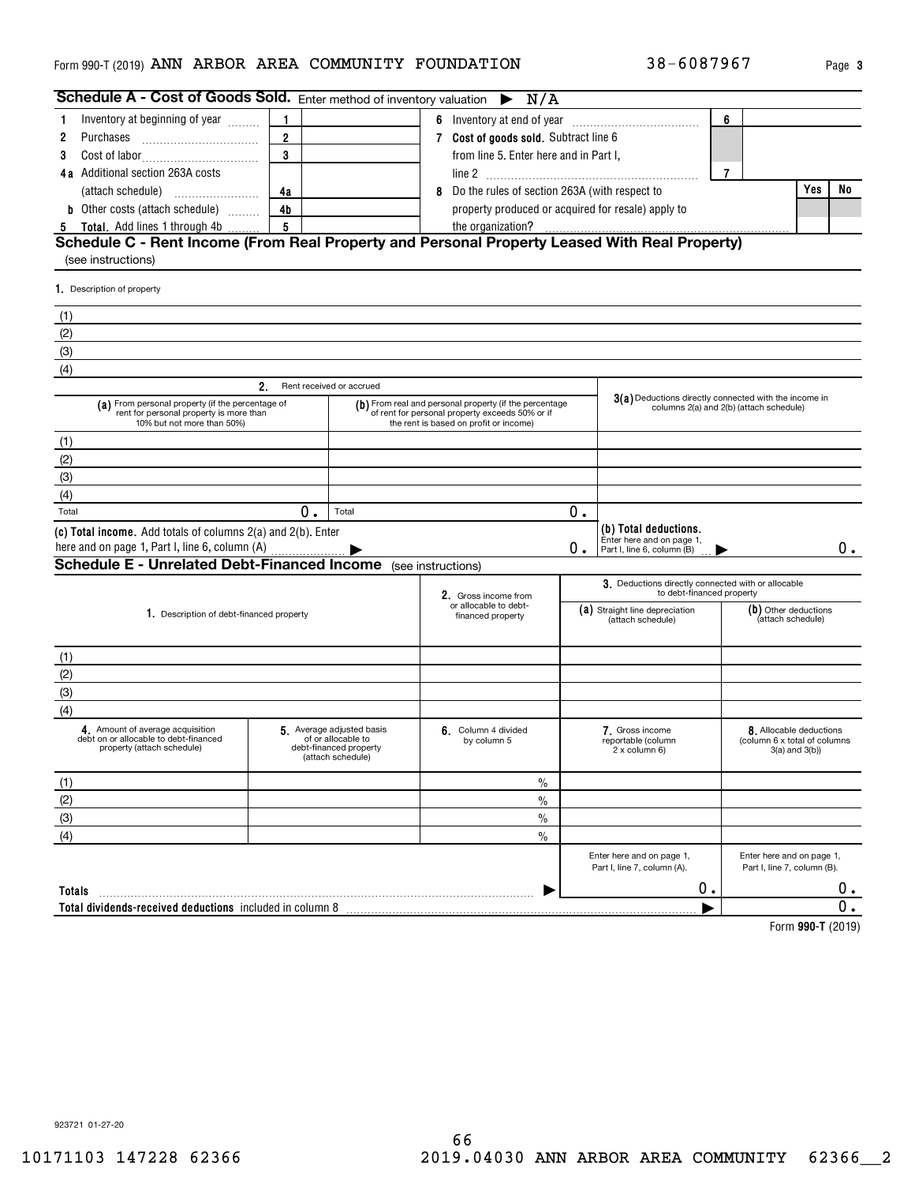# Form 990-T (2019) **ANN ARBOR AREA COMMUNITY FOUNDATION** 38-6087967 Page 3

| Schedule A - Cost of Goods Sold. Enter method of inventory valuation $\blacktriangleright$                                |                |                                                                                               | N/A                                                                                                                                                 |    |                                                                                  |                |                                                                                |           |
|---------------------------------------------------------------------------------------------------------------------------|----------------|-----------------------------------------------------------------------------------------------|-----------------------------------------------------------------------------------------------------------------------------------------------------|----|----------------------------------------------------------------------------------|----------------|--------------------------------------------------------------------------------|-----------|
| Inventory at beginning of year                                                                                            | 1              |                                                                                               |                                                                                                                                                     |    |                                                                                  | 6              |                                                                                |           |
| 2<br>Purchases                                                                                                            | $\overline{2}$ |                                                                                               | 7 Cost of goods sold. Subtract line 6                                                                                                               |    |                                                                                  |                |                                                                                |           |
| 3                                                                                                                         | 3              |                                                                                               | from line 5. Enter here and in Part I,                                                                                                              |    |                                                                                  |                |                                                                                |           |
| 4a Additional section 263A costs                                                                                          |                |                                                                                               |                                                                                                                                                     |    |                                                                                  | $\overline{7}$ |                                                                                |           |
|                                                                                                                           | 4a             |                                                                                               | 8 Do the rules of section 263A (with respect to                                                                                                     |    |                                                                                  |                | Yes                                                                            | No        |
| <b>b</b> Other costs (attach schedule)                                                                                    | 4 <sub>b</sub> |                                                                                               | property produced or acquired for resale) apply to                                                                                                  |    |                                                                                  |                |                                                                                |           |
| <b>Total.</b> Add lines 1 through 4b<br>5                                                                                 | 5              |                                                                                               | the organization?                                                                                                                                   |    |                                                                                  |                |                                                                                |           |
| Schedule C - Rent Income (From Real Property and Personal Property Leased With Real Property)<br>(see instructions)       |                |                                                                                               |                                                                                                                                                     |    |                                                                                  |                |                                                                                |           |
| 1. Description of property                                                                                                |                |                                                                                               |                                                                                                                                                     |    |                                                                                  |                |                                                                                |           |
| (1)                                                                                                                       |                |                                                                                               |                                                                                                                                                     |    |                                                                                  |                |                                                                                |           |
| (2)                                                                                                                       |                |                                                                                               |                                                                                                                                                     |    |                                                                                  |                |                                                                                |           |
| (3)                                                                                                                       |                |                                                                                               |                                                                                                                                                     |    |                                                                                  |                |                                                                                |           |
| (4)                                                                                                                       |                |                                                                                               |                                                                                                                                                     |    |                                                                                  |                |                                                                                |           |
|                                                                                                                           | 2.             | Rent received or accrued                                                                      |                                                                                                                                                     |    |                                                                                  |                |                                                                                |           |
| (a) From personal property (if the percentage of<br>rent for personal property is more than<br>10% but not more than 50%) |                |                                                                                               | (b) From real and personal property (if the percentage<br>of rent for personal property exceeds 50% or if<br>the rent is based on profit or income) |    | 3(a) Deductions directly connected with the income in                            |                | columns 2(a) and 2(b) (attach schedule)                                        |           |
| (1)                                                                                                                       |                |                                                                                               |                                                                                                                                                     |    |                                                                                  |                |                                                                                |           |
| (2)                                                                                                                       |                |                                                                                               |                                                                                                                                                     |    |                                                                                  |                |                                                                                |           |
| (3)                                                                                                                       |                |                                                                                               |                                                                                                                                                     |    |                                                                                  |                |                                                                                |           |
| (4)                                                                                                                       |                |                                                                                               |                                                                                                                                                     |    |                                                                                  |                |                                                                                |           |
| Total                                                                                                                     | 0.             | Total                                                                                         |                                                                                                                                                     | 0. |                                                                                  |                |                                                                                |           |
| (c) Total income. Add totals of columns 2(a) and 2(b). Enter<br>here and on page 1, Part I, line 6, column (A)            |                |                                                                                               |                                                                                                                                                     | 0. | (b) Total deductions.<br>Enter here and on page 1,<br>Part I, line 6, column (B) |                |                                                                                | 0.        |
| <b>Schedule E - Unrelated Debt-Financed Income</b> (see instructions)                                                     |                |                                                                                               |                                                                                                                                                     |    |                                                                                  |                |                                                                                |           |
|                                                                                                                           |                |                                                                                               | 2. Gross income from<br>or allocable to debt-                                                                                                       |    | 3. Deductions directly connected with or allocable<br>to debt-financed property  |                |                                                                                |           |
| 1. Description of debt-financed property                                                                                  |                |                                                                                               | financed property                                                                                                                                   |    | (a) Straight line depreciation<br>(attach schedule)                              |                | (b) Other deductions<br>(attach schedule)                                      |           |
| (1)                                                                                                                       |                |                                                                                               |                                                                                                                                                     |    |                                                                                  |                |                                                                                |           |
| (2)                                                                                                                       |                |                                                                                               |                                                                                                                                                     |    |                                                                                  |                |                                                                                |           |
| (3)                                                                                                                       |                |                                                                                               |                                                                                                                                                     |    |                                                                                  |                |                                                                                |           |
| (4)                                                                                                                       |                |                                                                                               |                                                                                                                                                     |    |                                                                                  |                |                                                                                |           |
| 4. Amount of average acquisition<br>debt on or allocable to debt-financed<br>property (attach schedule)                   |                | 5 Average adjusted basis<br>of or allocable to<br>debt-financed property<br>(attach schedule) | 6. Column 4 divided<br>by column 5                                                                                                                  |    | 7. Gross income<br>reportable (column<br>2 x column 6)                           |                | 8. Allocable deductions<br>(column 6 x total of columns<br>$3(a)$ and $3(b)$ ) |           |
| (1)                                                                                                                       |                |                                                                                               | $\%$                                                                                                                                                |    |                                                                                  |                |                                                                                |           |
| (2)                                                                                                                       |                |                                                                                               | $\%$                                                                                                                                                |    |                                                                                  |                |                                                                                |           |
| (3)                                                                                                                       |                |                                                                                               | $\%$                                                                                                                                                |    |                                                                                  |                |                                                                                |           |
| (4)                                                                                                                       |                |                                                                                               | $\frac{0}{0}$                                                                                                                                       |    |                                                                                  |                |                                                                                |           |
|                                                                                                                           |                |                                                                                               |                                                                                                                                                     |    | Enter here and on page 1,<br>Part I, line 7, column (A).                         |                | Enter here and on page 1,<br>Part I, line 7, column (B).                       |           |
| Totals                                                                                                                    |                |                                                                                               |                                                                                                                                                     |    | 0.                                                                               |                |                                                                                | $0 \cdot$ |
| Total dividends-received deductions included in column 8                                                                  |                |                                                                                               |                                                                                                                                                     |    |                                                                                  |                |                                                                                | О.        |
|                                                                                                                           |                |                                                                                               |                                                                                                                                                     |    |                                                                                  |                |                                                                                |           |

**990-T**  Form (2019)

923721 01-27-20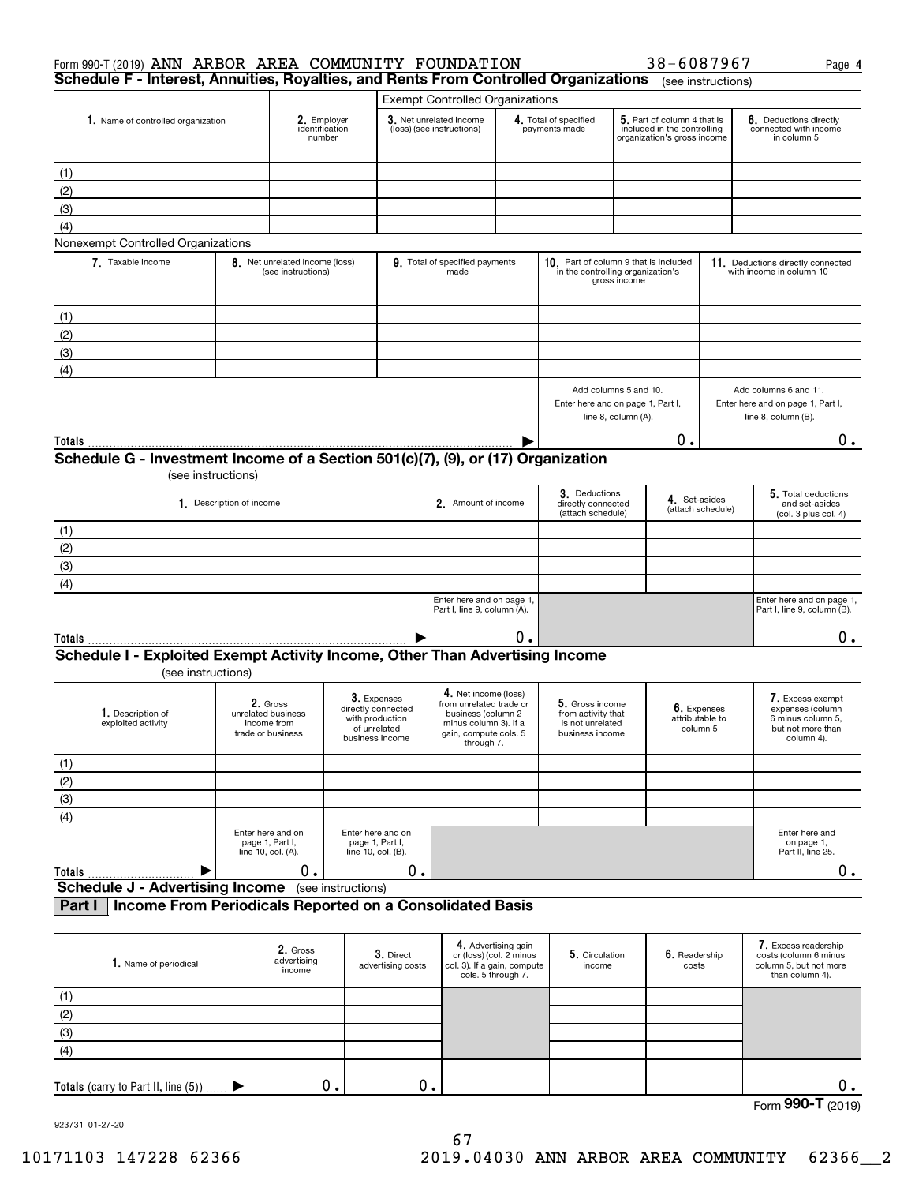| Form 990-T (2019) ANN ARBOR AREA COMMUNITY FOUNDATION<br>Schedule F - Interest, Annuities, Royalties, and Rents From Controlled Organizations |                          |                                                                    |                    |                                                                                         |                                                                                                                                       |                                                                      |                                                                                   |                                                                                            | 38-6087967                                                                                | (see instructions) | Page 4                                                                                       |  |
|-----------------------------------------------------------------------------------------------------------------------------------------------|--------------------------|--------------------------------------------------------------------|--------------------|-----------------------------------------------------------------------------------------|---------------------------------------------------------------------------------------------------------------------------------------|----------------------------------------------------------------------|-----------------------------------------------------------------------------------|--------------------------------------------------------------------------------------------|-------------------------------------------------------------------------------------------|--------------------|----------------------------------------------------------------------------------------------|--|
|                                                                                                                                               |                          |                                                                    |                    |                                                                                         | <b>Exempt Controlled Organizations</b>                                                                                                |                                                                      |                                                                                   |                                                                                            |                                                                                           |                    |                                                                                              |  |
| 1. Name of controlled organization                                                                                                            |                          | 2. Employer<br>identification<br>number                            |                    |                                                                                         | 3. Net unrelated income<br>(loss) (see instructions)                                                                                  |                                                                      | 4. Total of specified<br>payments made                                            |                                                                                            | 5. Part of column 4 that is<br>included in the controlling<br>organization's gross income |                    | 6. Deductions directly<br>connected with income<br>in column 5                               |  |
| (1)<br>(2)<br>(3)                                                                                                                             |                          |                                                                    |                    |                                                                                         |                                                                                                                                       |                                                                      |                                                                                   |                                                                                            |                                                                                           |                    |                                                                                              |  |
| (4)                                                                                                                                           |                          |                                                                    |                    |                                                                                         |                                                                                                                                       |                                                                      |                                                                                   |                                                                                            |                                                                                           |                    |                                                                                              |  |
| Nonexempt Controlled Organizations                                                                                                            |                          |                                                                    |                    |                                                                                         |                                                                                                                                       |                                                                      |                                                                                   |                                                                                            |                                                                                           |                    |                                                                                              |  |
| 7. Taxable Income                                                                                                                             |                          | 8. Net unrelated income (loss)<br>(see instructions)               |                    |                                                                                         | 9. Total of specified payments<br>made                                                                                                |                                                                      |                                                                                   | 10. Part of column 9 that is included<br>in the controlling organization's<br>gross income |                                                                                           |                    | 11. Deductions directly connected<br>with income in column 10                                |  |
| (1)<br>(2)<br>(3)                                                                                                                             |                          |                                                                    |                    |                                                                                         |                                                                                                                                       |                                                                      |                                                                                   |                                                                                            |                                                                                           |                    |                                                                                              |  |
| (4)                                                                                                                                           |                          |                                                                    |                    |                                                                                         |                                                                                                                                       |                                                                      |                                                                                   |                                                                                            |                                                                                           |                    |                                                                                              |  |
|                                                                                                                                               |                          |                                                                    |                    |                                                                                         |                                                                                                                                       |                                                                      | Add columns 5 and 10.<br>Enter here and on page 1, Part I,<br>line 8, column (A). |                                                                                            |                                                                                           |                    | Add columns 6 and 11.<br>Enter here and on page 1, Part I,<br>line 8, column (B).            |  |
| Totals                                                                                                                                        |                          |                                                                    |                    |                                                                                         |                                                                                                                                       |                                                                      |                                                                                   |                                                                                            | О.                                                                                        |                    | 0.                                                                                           |  |
| Schedule G - Investment Income of a Section 501(c)(7), (9), or (17) Organization                                                              | (see instructions)       |                                                                    |                    |                                                                                         |                                                                                                                                       |                                                                      |                                                                                   |                                                                                            |                                                                                           |                    |                                                                                              |  |
|                                                                                                                                               | 1. Description of income |                                                                    |                    |                                                                                         | 2. Amount of income                                                                                                                   |                                                                      | 3. Deductions<br>directly connected<br>(attach schedule)                          |                                                                                            | 4. Set-asides                                                                             | (attach schedule)  | 5. Total deductions<br>and set-asides<br>(col. 3 plus col. 4)                                |  |
| (1)                                                                                                                                           |                          |                                                                    |                    |                                                                                         |                                                                                                                                       |                                                                      |                                                                                   |                                                                                            |                                                                                           |                    |                                                                                              |  |
| (2)                                                                                                                                           |                          |                                                                    |                    |                                                                                         |                                                                                                                                       |                                                                      |                                                                                   |                                                                                            |                                                                                           |                    |                                                                                              |  |
| (3)                                                                                                                                           |                          |                                                                    |                    |                                                                                         |                                                                                                                                       |                                                                      |                                                                                   |                                                                                            |                                                                                           |                    |                                                                                              |  |
| (4)                                                                                                                                           |                          |                                                                    |                    |                                                                                         |                                                                                                                                       |                                                                      |                                                                                   |                                                                                            |                                                                                           |                    |                                                                                              |  |
|                                                                                                                                               |                          |                                                                    |                    |                                                                                         | Enter here and on page 1,<br>Part I, line 9, column (A).                                                                              |                                                                      |                                                                                   |                                                                                            |                                                                                           |                    | Enter here and on page 1,<br>Part I, line 9, column (B).                                     |  |
| Totals                                                                                                                                        |                          |                                                                    |                    |                                                                                         |                                                                                                                                       | О.                                                                   |                                                                                   |                                                                                            |                                                                                           |                    | 0.                                                                                           |  |
| Schedule I - Exploited Exempt Activity Income, Other Than Advertising Income                                                                  |                          |                                                                    |                    |                                                                                         |                                                                                                                                       |                                                                      |                                                                                   |                                                                                            |                                                                                           |                    |                                                                                              |  |
| (see instructions)<br>1. Description of<br>exploited activity                                                                                 |                          | 2. Gross<br>unrelated business<br>income from<br>trade or business |                    | 3. Expenses<br>directly connected<br>with production<br>of unrelated<br>business income | 4. Net income (loss)<br>from unrelated trade or<br>business (column 2<br>minus column 3). If a<br>gain, compute cols. 5<br>through 7. |                                                                      | 5. Gross income<br>from activity that<br>is not unrelated<br>business income      |                                                                                            | 6. Expenses<br>attributable to<br>column 5                                                |                    | 7. Excess exempt<br>expenses (column<br>6 minus column 5.<br>but not more than<br>column 4). |  |
| (1)                                                                                                                                           |                          |                                                                    |                    |                                                                                         |                                                                                                                                       |                                                                      |                                                                                   |                                                                                            |                                                                                           |                    |                                                                                              |  |
| (2)                                                                                                                                           |                          |                                                                    |                    |                                                                                         |                                                                                                                                       |                                                                      |                                                                                   |                                                                                            |                                                                                           |                    |                                                                                              |  |
| (3)                                                                                                                                           |                          |                                                                    |                    |                                                                                         |                                                                                                                                       |                                                                      |                                                                                   |                                                                                            |                                                                                           |                    |                                                                                              |  |
| (4)                                                                                                                                           |                          |                                                                    |                    |                                                                                         |                                                                                                                                       |                                                                      |                                                                                   |                                                                                            |                                                                                           |                    |                                                                                              |  |
|                                                                                                                                               |                          | Enter here and on<br>page 1, Part I,<br>line 10, col. (A).         |                    | Enter here and on<br>page 1, Part I,<br>line 10, col. (B).                              |                                                                                                                                       |                                                                      |                                                                                   |                                                                                            |                                                                                           |                    | Enter here and<br>on page 1,<br>Part II, line 25.                                            |  |
| <b>Totals</b>                                                                                                                                 |                          | 0.                                                                 |                    | 0.                                                                                      |                                                                                                                                       |                                                                      |                                                                                   |                                                                                            |                                                                                           |                    | 0.                                                                                           |  |
| <b>Schedule J - Advertising Income</b><br>Income From Periodicals Reported on a Consolidated Basis<br>Part I                                  |                          |                                                                    | (see instructions) |                                                                                         |                                                                                                                                       |                                                                      |                                                                                   |                                                                                            |                                                                                           |                    |                                                                                              |  |
| 1. Name of periodical                                                                                                                         |                          | 2. Gross<br>advertising<br>income                                  |                    | 3. Direct<br>advertising costs                                                          | col. 3). If a gain, compute                                                                                                           | 4. Advertising gain<br>or (loss) (col. 2 minus<br>cols. 5 through 7. | 5. Circulation<br>income                                                          |                                                                                            | 6. Readership<br>costs                                                                    |                    | 7. Excess readership<br>costs (column 6 minus<br>column 5, but not more<br>than column 4).   |  |
|                                                                                                                                               |                          |                                                                    |                    |                                                                                         |                                                                                                                                       |                                                                      |                                                                                   |                                                                                            |                                                                                           |                    |                                                                                              |  |

| 1. Name of periodical                  | advertising<br>income | $U.$ $U.$<br>advertising costs | U(1033)(001.21111103)<br>$ $ col. 3). If a gain, compute $ $<br>cols. 5 through 7. | $\mathbf{v}$ . Un cuiduon<br>income | $V_{\bullet}$ includionly<br>costs | <b>COSTO ICOMMITTELY THILIDS</b><br>column 5, but not more<br>than column 4). |
|----------------------------------------|-----------------------|--------------------------------|------------------------------------------------------------------------------------|-------------------------------------|------------------------------------|-------------------------------------------------------------------------------|
|                                        |                       |                                |                                                                                    |                                     |                                    |                                                                               |
| (2)                                    |                       |                                |                                                                                    |                                     |                                    |                                                                               |
| (3)                                    |                       |                                |                                                                                    |                                     |                                    |                                                                               |
| (4)                                    |                       |                                |                                                                                    |                                     |                                    |                                                                               |
| Totals (carry to Part II, line $(5)$ ) | $\bullet$             | о.                             |                                                                                    |                                     |                                    |                                                                               |

Form (2019) **990-T**

923731 01-27-20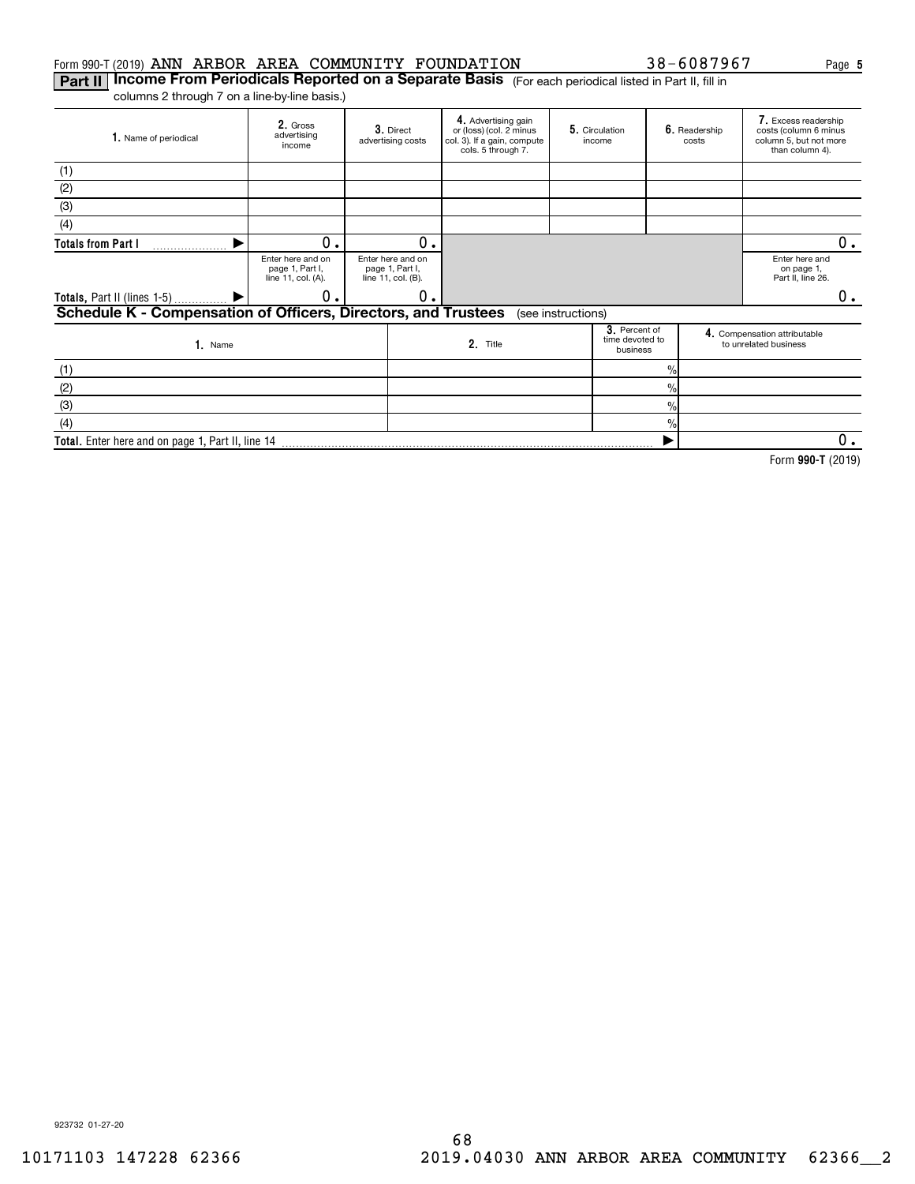# Form 990-T (2019) ANN ARBOR AREA COMMUNITY FOUNDATION  $38-6087967$  Page

**Part II | Income From Periodicals Reported on a Separate Basis** (For each periodical listed in Part II, fill in columns 2 through 7 on a line-by-line basis.)

**Total.**  Enter here and on page 1, Part II, line 14

| 1. Name of periodical                                          | 2. Gross<br>advertising<br>income                          | 3. Direct<br>advertising costs                             | 4. Advertising gain<br>or (loss) (col. 2 minus<br>col. 3). If a gain, compute<br>cols. 5 through 7. | 5. Circulation<br>income                     |                | 6. Readership<br>costs | 7. Excess readership<br>costs (column 6 minus<br>column 5, but not more<br>than column 4). |
|----------------------------------------------------------------|------------------------------------------------------------|------------------------------------------------------------|-----------------------------------------------------------------------------------------------------|----------------------------------------------|----------------|------------------------|--------------------------------------------------------------------------------------------|
| (1)                                                            |                                                            |                                                            |                                                                                                     |                                              |                |                        |                                                                                            |
| (2)                                                            |                                                            |                                                            |                                                                                                     |                                              |                |                        |                                                                                            |
| (3)                                                            |                                                            |                                                            |                                                                                                     |                                              |                |                        |                                                                                            |
| (4)                                                            |                                                            |                                                            |                                                                                                     |                                              |                |                        |                                                                                            |
| <b>Totals from Part I</b>                                      | 0                                                          | О.                                                         |                                                                                                     |                                              |                |                        | 0.                                                                                         |
|                                                                | Enter here and on<br>page 1, Part I,<br>line 11, col. (A). | Enter here and on<br>page 1, Part I,<br>line 11, col. (B). |                                                                                                     |                                              |                |                        | Enter here and<br>on page 1,<br>Part II, line 26.                                          |
| <b>Totals, Part II (lines 1-5)</b>                             | 0                                                          | 0.                                                         |                                                                                                     |                                              |                |                        | 0.                                                                                         |
| Schedule K - Compensation of Officers, Directors, and Trustees |                                                            |                                                            |                                                                                                     | (see instructions)                           |                |                        |                                                                                            |
| 1. Name                                                        |                                                            |                                                            | 2. Title                                                                                            | 3. Percent of<br>time devoted to<br>business |                |                        | 4. Compensation attributable<br>to unrelated business                                      |
| (1)                                                            |                                                            |                                                            |                                                                                                     |                                              | $\frac{0}{0}$  |                        |                                                                                            |
| (2)                                                            |                                                            |                                                            |                                                                                                     |                                              | $\frac{9}{6}$  |                        |                                                                                            |
| (3)                                                            |                                                            |                                                            |                                                                                                     |                                              | $\frac{9}{10}$ |                        |                                                                                            |
| (4)                                                            |                                                            |                                                            |                                                                                                     |                                              | $\frac{0}{0}$  |                        |                                                                                            |
| Total. Enter here and on page 1, Part II, line 14              |                                                            |                                                            |                                                                                                     |                                              |                |                        | 0.                                                                                         |

**990-T**  Form (2019)

923732 01-27-20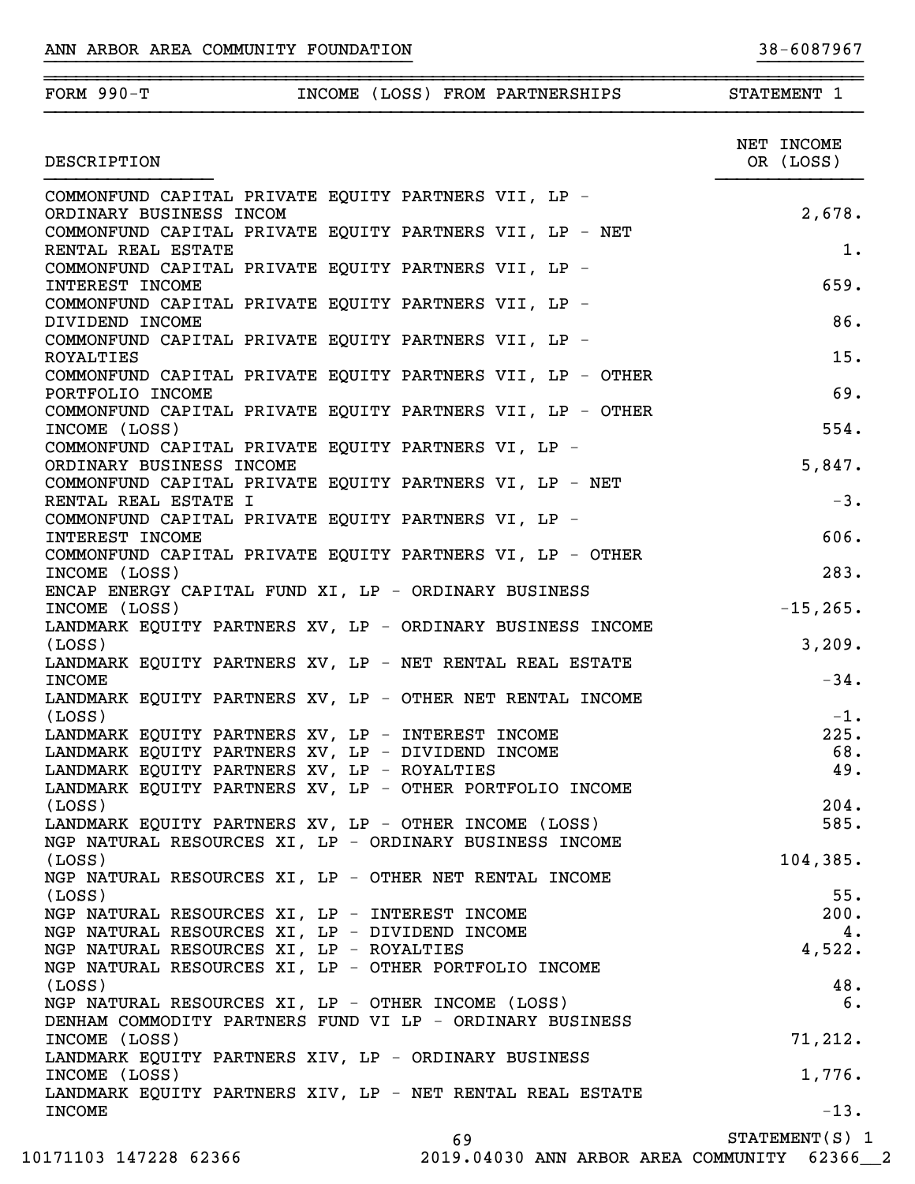| FORM $990-T$                                                                                                   |  |    | INCOME (LOSS) FROM PARTNERSHIPS | STATEMENT 1             |
|----------------------------------------------------------------------------------------------------------------|--|----|---------------------------------|-------------------------|
| DESCRIPTION                                                                                                    |  |    |                                 | NET INCOME<br>OR (LOSS) |
| COMMONFUND CAPITAL PRIVATE EQUITY PARTNERS VII, LP -                                                           |  |    |                                 |                         |
| ORDINARY BUSINESS INCOM                                                                                        |  |    |                                 | 2,678.                  |
| COMMONFUND CAPITAL PRIVATE EQUITY PARTNERS VII, LP - NET                                                       |  |    |                                 |                         |
| RENTAL REAL ESTATE                                                                                             |  |    |                                 | 1.                      |
| COMMONFUND CAPITAL PRIVATE EQUITY PARTNERS VII, LP -                                                           |  |    |                                 | 659.                    |
| INTEREST INCOME<br>COMMONFUND CAPITAL PRIVATE EQUITY PARTNERS VII, LP -                                        |  |    |                                 |                         |
| DIVIDEND INCOME                                                                                                |  |    |                                 | 86.                     |
| COMMONFUND CAPITAL PRIVATE EQUITY PARTNERS VII, LP -                                                           |  |    |                                 |                         |
| ROYALTIES                                                                                                      |  |    |                                 | 15.                     |
| COMMONFUND CAPITAL PRIVATE EQUITY PARTNERS VII, LP - OTHER                                                     |  |    |                                 |                         |
| PORTFOLIO INCOME                                                                                               |  |    |                                 | 69.                     |
| COMMONFUND CAPITAL PRIVATE EQUITY PARTNERS VII, LP - OTHER                                                     |  |    |                                 |                         |
| INCOME (LOSS)                                                                                                  |  |    |                                 | 554.                    |
| COMMONFUND CAPITAL PRIVATE EQUITY PARTNERS VI, LP -                                                            |  |    |                                 |                         |
| ORDINARY BUSINESS INCOME<br>COMMONFUND CAPITAL PRIVATE EQUITY PARTNERS VI, LP - NET                            |  |    |                                 | 5,847.                  |
| RENTAL REAL ESTATE I                                                                                           |  |    |                                 | $-3.$                   |
| COMMONFUND CAPITAL PRIVATE EQUITY PARTNERS VI, LP -                                                            |  |    |                                 |                         |
| INTEREST INCOME                                                                                                |  |    |                                 | 606.                    |
| COMMONFUND CAPITAL PRIVATE EQUITY PARTNERS VI, LP - OTHER                                                      |  |    |                                 |                         |
| INCOME (LOSS)                                                                                                  |  |    |                                 | 283.                    |
| ENCAP ENERGY CAPITAL FUND XI, LP - ORDINARY BUSINESS                                                           |  |    |                                 |                         |
| INCOME (LOSS)                                                                                                  |  |    |                                 | $-15, 265.$             |
| LANDMARK EQUITY PARTNERS XV, LP - ORDINARY BUSINESS INCOME                                                     |  |    |                                 |                         |
| (Loss)                                                                                                         |  |    |                                 | 3,209.                  |
| LANDMARK EQUITY PARTNERS XV, LP - NET RENTAL REAL ESTATE<br><b>INCOME</b>                                      |  |    |                                 | $-34.$                  |
| LANDMARK EQUITY PARTNERS XV, LP - OTHER NET RENTAL INCOME                                                      |  |    |                                 |                         |
| (LOSS)                                                                                                         |  |    |                                 | $-1$ .                  |
| LANDMARK EQUITY PARTNERS XV, LP - INTEREST INCOME                                                              |  |    |                                 | 225.                    |
| LANDMARK EQUITY PARTNERS XV, LP - DIVIDEND INCOME                                                              |  |    |                                 | 68.                     |
| LANDMARK EQUITY PARTNERS XV, LP - ROYALTIES                                                                    |  |    |                                 | 49.                     |
| LANDMARK EQUITY PARTNERS XV, LP - OTHER PORTFOLIO INCOME                                                       |  |    |                                 |                         |
| (LOSS)                                                                                                         |  |    |                                 | 204.                    |
| LANDMARK EQUITY PARTNERS XV, LP - OTHER INCOME (LOSS)                                                          |  |    |                                 | 585.                    |
| NGP NATURAL RESOURCES XI, LP - ORDINARY BUSINESS INCOME<br>(LOSS)                                              |  |    |                                 | 104, 385.               |
| NGP NATURAL RESOURCES XI, LP - OTHER NET RENTAL INCOME                                                         |  |    |                                 |                         |
| (LOSS)                                                                                                         |  |    |                                 | 55.                     |
| NGP NATURAL RESOURCES XI, LP - INTEREST INCOME                                                                 |  |    |                                 | 200.                    |
| NGP NATURAL RESOURCES XI, LP - DIVIDEND INCOME                                                                 |  |    |                                 | 4.                      |
| NGP NATURAL RESOURCES XI, LP - ROYALTIES                                                                       |  |    |                                 | 4,522.                  |
| NGP NATURAL RESOURCES XI, LP - OTHER PORTFOLIO INCOME                                                          |  |    |                                 |                         |
| (LOSS)                                                                                                         |  |    |                                 | 48.                     |
| NGP NATURAL RESOURCES XI, LP - OTHER INCOME (LOSS)<br>DENHAM COMMODITY PARTNERS FUND VI LP - ORDINARY BUSINESS |  |    |                                 | 6.                      |
| INCOME (LOSS)                                                                                                  |  |    |                                 | 71,212.                 |
| LANDMARK EQUITY PARTNERS XIV, LP - ORDINARY BUSINESS                                                           |  |    |                                 |                         |
| INCOME (LOSS)                                                                                                  |  |    |                                 | 1,776.                  |
| LANDMARK EQUITY PARTNERS XIV, LP - NET RENTAL REAL ESTATE                                                      |  |    |                                 |                         |
| <b>INCOME</b>                                                                                                  |  |    |                                 | $-13.$                  |
|                                                                                                                |  | 69 |                                 | $STATEMENT(S)$ 1        |

10171103 147228 62366 2019.04030 ANN ARBOR AREA COMMUNITY 62366\_\_2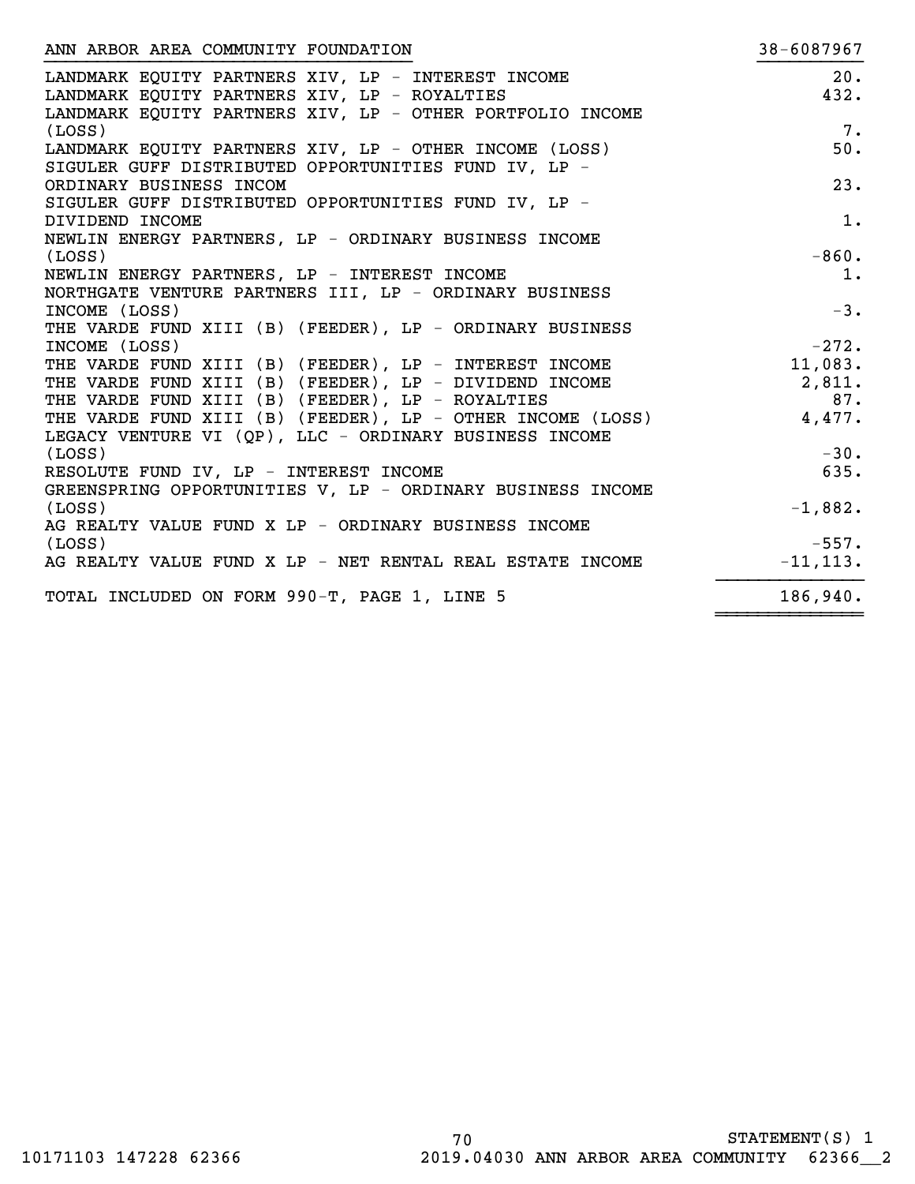| ANN ARBOR AREA COMMUNITY FOUNDATION                               | 38-6087967  |
|-------------------------------------------------------------------|-------------|
| LANDMARK EQUITY PARTNERS XIV, LP - INTEREST INCOME                | 20.         |
| LANDMARK EQUITY PARTNERS XIV, LP - ROYALTIES                      | 432.        |
| LANDMARK EQUITY PARTNERS XIV, LP - OTHER PORTFOLIO INCOME         |             |
| (LOSS)                                                            | 7.          |
| LANDMARK EQUITY PARTNERS XIV, LP - OTHER INCOME (LOSS)            | 50.         |
| SIGULER GUFF DISTRIBUTED OPPORTUNITIES FUND IV, LP -              |             |
| ORDINARY BUSINESS INCOM                                           | 23.         |
| SIGULER GUFF DISTRIBUTED OPPORTUNITIES FUND IV, LP -              |             |
| DIVIDEND INCOME                                                   | 1.          |
| NEWLIN ENERGY PARTNERS, LP - ORDINARY BUSINESS INCOME             |             |
| (LOSS)                                                            | $-860.$     |
| NEWLIN ENERGY PARTNERS, LP - INTEREST INCOME                      | 1.          |
| NORTHGATE VENTURE PARTNERS III, LP - ORDINARY BUSINESS            |             |
| INCOME (LOSS)                                                     | $-3.$       |
| THE VARDE FUND XIII (B) (FEEDER), LP - ORDINARY BUSINESS          |             |
| INCOME (LOSS)                                                     | $-272.$     |
| THE VARDE FUND XIII (B) (FEEDER), LP - INTEREST INCOME            | 11,083.     |
| THE VARDE FUND XIII (B) (FEEDER), LP - DIVIDEND INCOME            | 2,811.      |
| THE VARDE FUND XIII (B) (FEEDER), LP - ROYALTIES                  | 87.         |
| THE VARDE FOND AIII (B) (FEEDER), LP - OTHER INCOME (LOSS) 4,477. |             |
| LEGACY VENTURE VI (QP), LLC - ORDINARY BUSINESS INCOME            |             |
| (LOSS)                                                            | $-30.$      |
| RESOLUTE FUND IV, LP - INTEREST INCOME                            | 635.        |
| GREENSPRING OPPORTUNITIES V, LP - ORDINARY BUSINESS INCOME        |             |
| (LOSS)                                                            | $-1,882.$   |
| AG REALTY VALUE FUND X LP - ORDINARY BUSINESS INCOME              |             |
| (LOSS)                                                            | $-557.$     |
| AG REALTY VALUE FUND X LP - NET RENTAL REAL ESTATE INCOME         | $-11, 113.$ |
| TOTAL INCLUDED ON FORM 990-T, PAGE 1, LINE 5                      | 186,940.    |
|                                                                   |             |

~~~~~~~~~~~~~~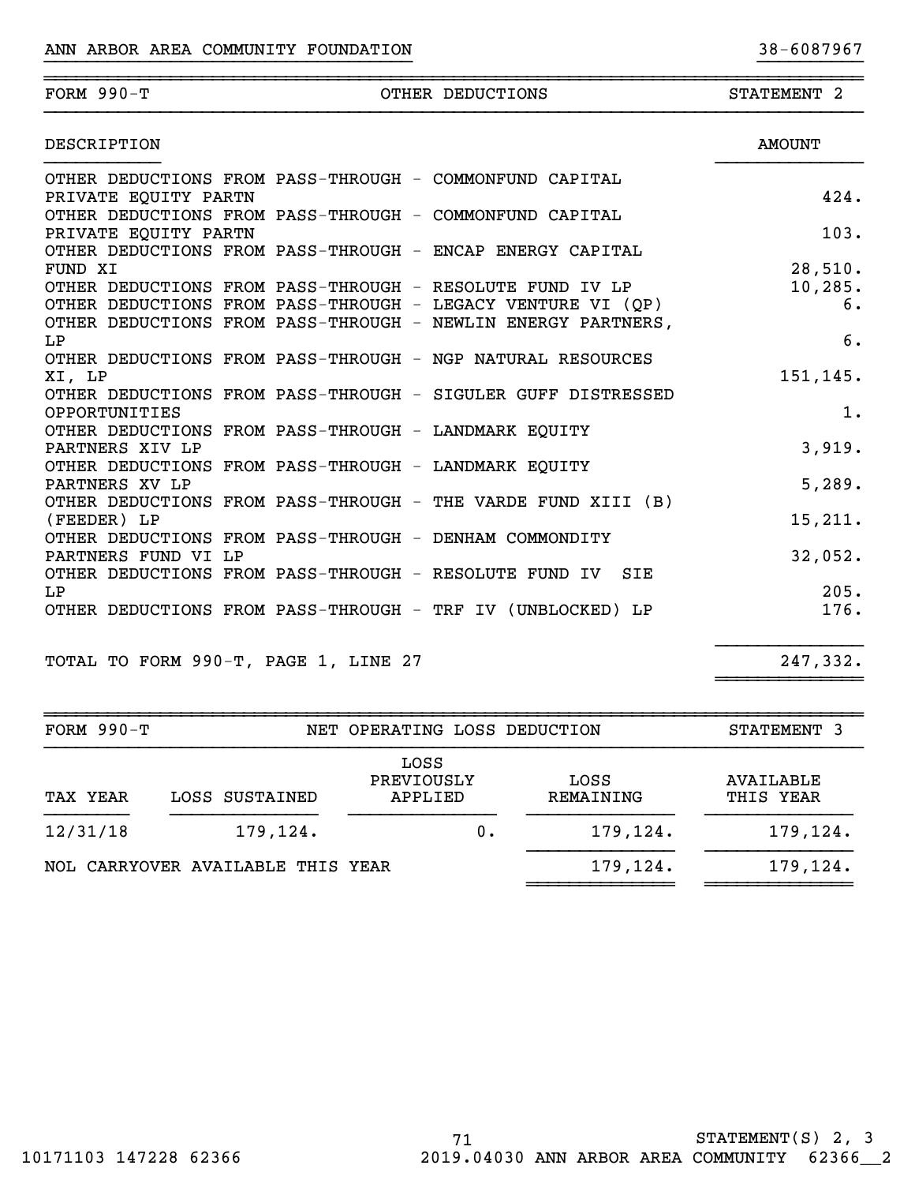| FORM $990-T$         | OTHER DEDUCTIONS                                                    | STATEMENT <sub>2</sub> |
|----------------------|---------------------------------------------------------------------|------------------------|
| DESCRIPTION          |                                                                     | <b>AMOUNT</b>          |
|                      | OTHER DEDUCTIONS FROM PASS-THROUGH - COMMONFUND CAPITAL             |                        |
| PRIVATE EQUITY PARTN |                                                                     | 424.                   |
|                      | OTHER DEDUCTIONS FROM PASS-THROUGH - COMMONFUND CAPITAL             |                        |
| PRIVATE EQUITY PARTN |                                                                     | 103.                   |
|                      | OTHER DEDUCTIONS FROM PASS-THROUGH - ENCAP ENERGY CAPITAL           |                        |
| FUND XI              |                                                                     | 28,510.                |
|                      | OTHER DEDUCTIONS FROM PASS-THROUGH - RESOLUTE FUND IV LP            | 10, 285.               |
|                      | OTHER DEDUCTIONS FROM PASS-THROUGH - LEGACY VENTURE VI (QP)         | 6.                     |
|                      | OTHER DEDUCTIONS FROM PASS-THROUGH - NEWLIN ENERGY PARTNERS,        |                        |
| LP                   |                                                                     | 6.                     |
|                      | OTHER DEDUCTIONS FROM PASS-THROUGH - NGP NATURAL RESOURCES          |                        |
| XI, LP               |                                                                     | 151,145.               |
|                      | OTHER DEDUCTIONS FROM PASS-THROUGH - SIGULER GUFF DISTRESSED        |                        |
| OPPORTUNITIES        |                                                                     | 1.                     |
|                      | OTHER DEDUCTIONS FROM PASS-THROUGH - LANDMARK EQUITY                |                        |
| PARTNERS XIV LP      |                                                                     | 3,919.                 |
|                      | OTHER DEDUCTIONS FROM PASS-THROUGH - LANDMARK EQUITY                |                        |
| PARTNERS XV LP       |                                                                     | 5,289.                 |
|                      | OTHER DEDUCTIONS FROM PASS-THROUGH - THE VARDE FUND XIII (B)        |                        |
| (FEEDER) LP          |                                                                     | 15,211.                |
|                      | OTHER DEDUCTIONS FROM PASS-THROUGH - DENHAM COMMONDITY              |                        |
| PARTNERS FUND VI LP  |                                                                     | 32,052.                |
|                      | OTHER DEDUCTIONS FROM PASS-THROUGH - RESOLUTE FUND IV<br><b>SIE</b> |                        |
| LP                   |                                                                     | 205.                   |
|                      | OTHER DEDUCTIONS FROM PASS-THROUGH - TRF IV (UNBLOCKED) LP          | 176.                   |
|                      |                                                                     |                        |

TOTAL TO FORM 990-T, PAGE 1, LINE 27 247,332.

| FORM $990-T$ |                                   | NET OPERATING LOSS DEDUCTION  |                   | STATEMENT 3            |
|--------------|-----------------------------------|-------------------------------|-------------------|------------------------|
| TAX YEAR     | LOSS SUSTAINED                    | LOSS<br>PREVIOUSLY<br>APPLIED | LOSS<br>REMAINING | AVAILABLE<br>THIS YEAR |
| 12/31/18     | 179,124.                          |                               | 179,124.<br>Ο.    | 179,124.               |
|              | NOL CARRYOVER AVAILABLE THIS YEAR |                               | 179,124.          | 179,124.               |

}}}}}}}}}}}}}}

~~~~~~~~~~~~~~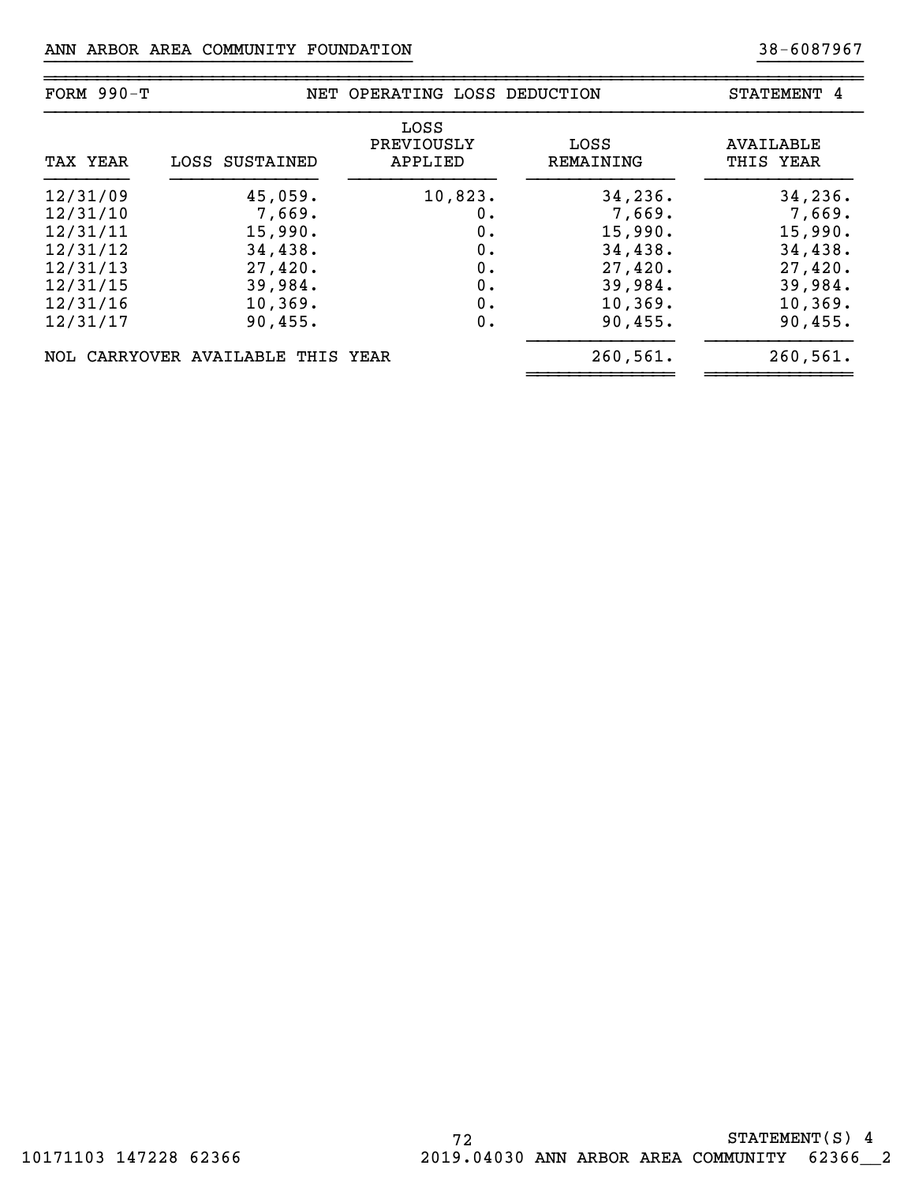| FORM $990-T$ |                                   | NET OPERATING LOSS DEDUCTION  |                   | STATEMENT 4            |
|--------------|-----------------------------------|-------------------------------|-------------------|------------------------|
| TAX YEAR     | LOSS SUSTAINED                    | LOSS<br>PREVIOUSLY<br>APPLIED | LOSS<br>REMAINING | AVAILABLE<br>THIS YEAR |
| 12/31/09     | 45,059.                           | 10,823.                       | 34, 236.          | 34,236.                |
| 12/31/10     | 7,669.                            | 0.                            | 7,669.            | 7,669.                 |
| 12/31/11     | 15,990.                           | 0.                            | 15,990.           | 15,990.                |
| 12/31/12     | 34,438.                           | 0.                            | 34,438.           | 34,438.                |
| 12/31/13     | 27,420.                           | 0.                            | 27,420.           | 27,420.                |
| 12/31/15     | 39,984.                           | 0.                            | 39,984.           | 39,984.                |
| 12/31/16     | 10, 369.                          | 0.                            | 10, 369.          | 10, 369.               |
| 12/31/17     | 90, 455.                          | 0.                            | 90,455.           | 90, 455.               |
|              | NOL CARRYOVER AVAILABLE THIS YEAR |                               | 260,561.          | 260, 561.              |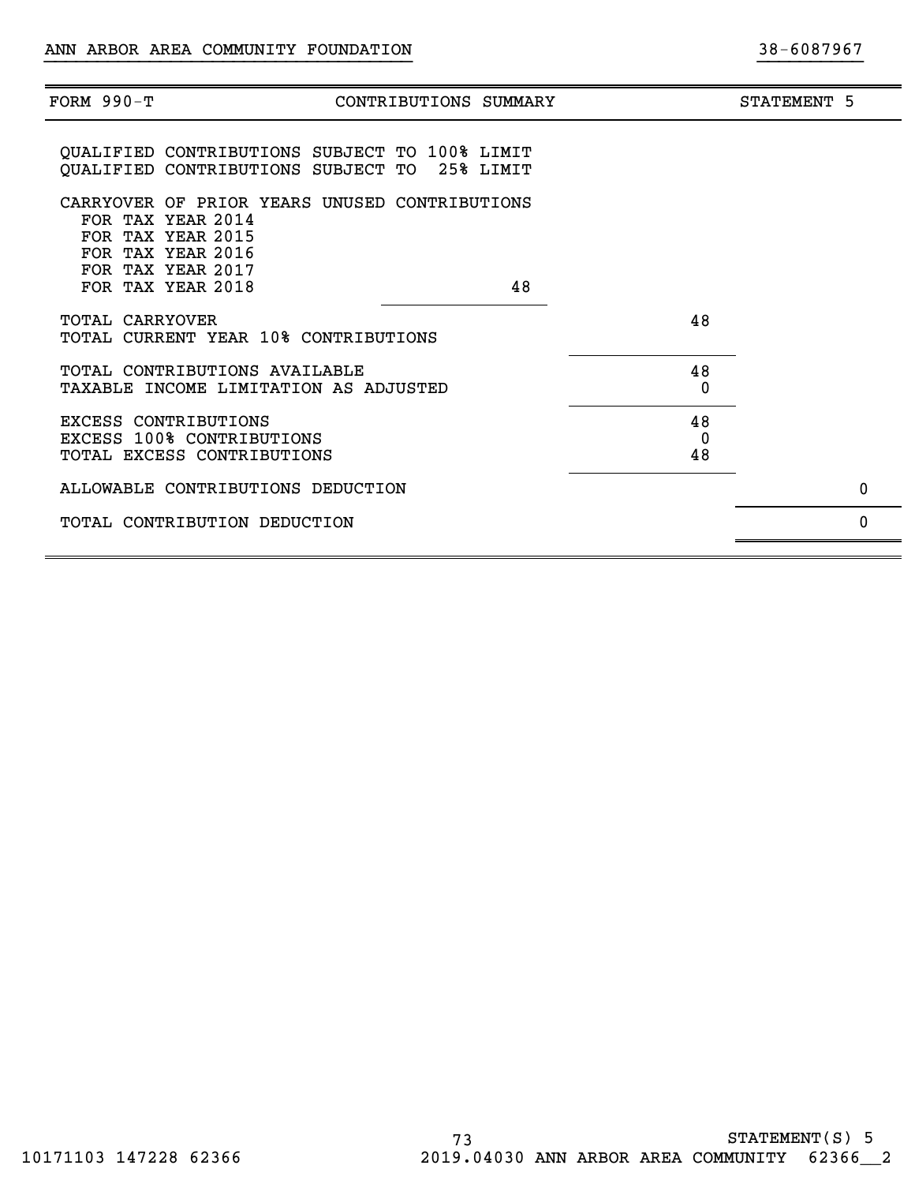| FORM $990-T$    | CONTRIBUTIONS SUMMARY                                                                                                             |               | STATEMENT 5 |
|-----------------|-----------------------------------------------------------------------------------------------------------------------------------|---------------|-------------|
|                 | QUALIFIED CONTRIBUTIONS SUBJECT TO 100% LIMIT<br>QUALIFIED CONTRIBUTIONS SUBJECT TO 25% LIMIT                                     |               |             |
|                 | CARRYOVER OF PRIOR YEARS UNUSED CONTRIBUTIONS<br>FOR TAX YEAR 2014<br>FOR TAX YEAR 2015<br>FOR TAX YEAR 2016<br>FOR TAX YEAR 2017 |               |             |
| TOTAL CARRYOVER | FOR TAX YEAR 2018<br>48<br>TOTAL CURRENT YEAR 10% CONTRIBUTIONS                                                                   | 48            |             |
|                 | TOTAL CONTRIBUTIONS AVAILABLE<br>TAXABLE INCOME LIMITATION AS ADJUSTED                                                            | 48<br>0       |             |
|                 | <b>EXCESS CONTRIBUTIONS</b><br><b>EXCESS 100% CONTRIBUTIONS</b><br>TOTAL EXCESS CONTRIBUTIONS                                     | 48<br>0<br>48 |             |
|                 | ALLOWABLE CONTRIBUTIONS DEDUCTION                                                                                                 |               | $\mathbf 0$ |
|                 | TOTAL CONTRIBUTION DEDUCTION                                                                                                      |               | 0           |
|                 |                                                                                                                                   |               |             |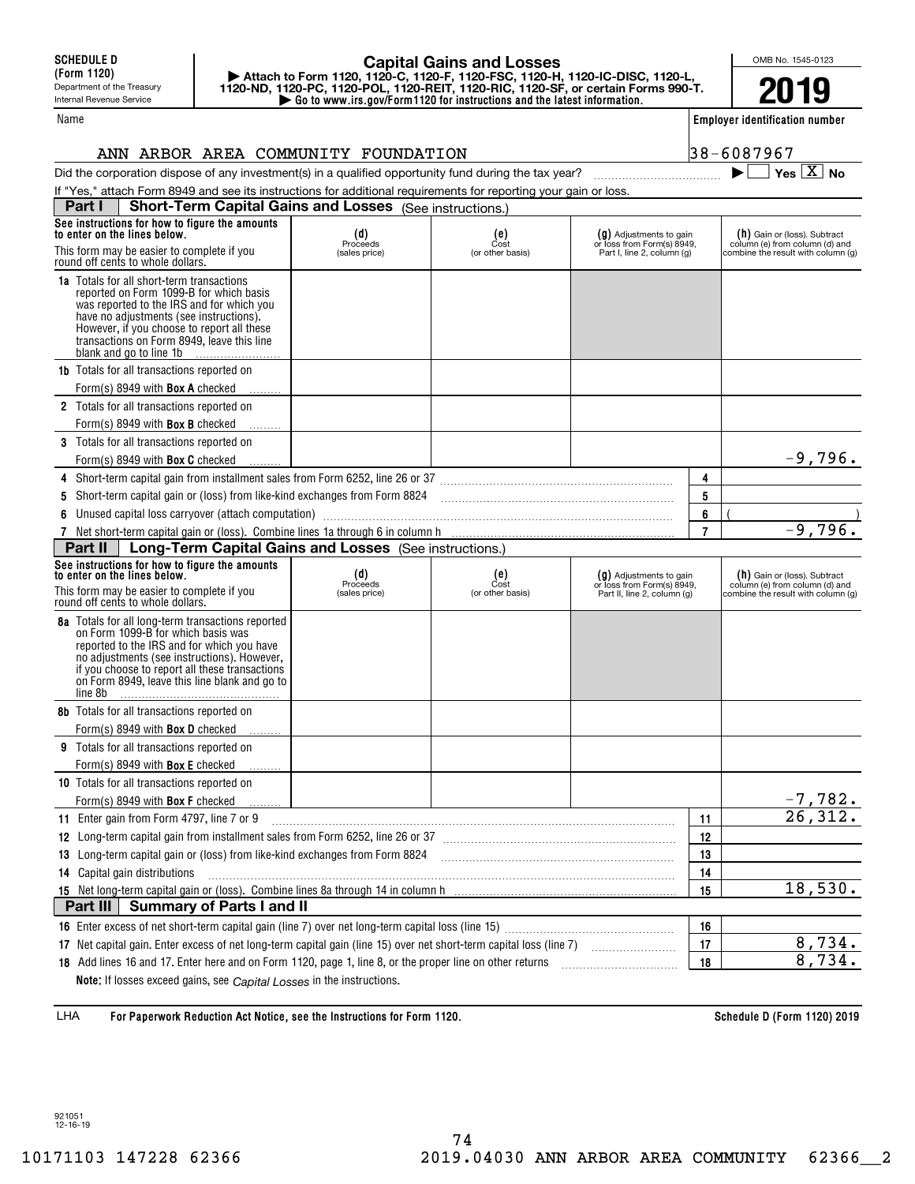## **| Go to www.irs.gov/Form1120 for instructions and the latest information. | Attach to Form 1120, 1120-C, 1120-F, 1120-FSC, 1120-H, 1120-IC-DISC, 1120-L, 1120-ND, 1120-PC, 1120-POL, 1120-REIT, 1120-RIC, 1120-SF, or certain Forms 990-T. Capital Gains and Losses**

OMB No. 1545-0123 **2019**

**Employer identification number**

 $38 - 6087967$ 

 $\blacktriangleright$   $\Box$  Yes  $\boxed{X}$  No

|  |  |  |  | ANN ARBOR AREA COMMUNITY FOUNDATION |
|--|--|--|--|-------------------------------------|
|--|--|--|--|-------------------------------------|

Did the corporation dispose of any investment(s) in a qualified opportunity fund during the tax year?  $\Box$   $\Box$ 

|   | If "Yes," attach Form 8949 and see its instructions for additional requirements for reporting your gain or loss.                                                                                                                                                                                           |                                    |                                                                                       |                                                                                      |                |                                                                                                      |
|---|------------------------------------------------------------------------------------------------------------------------------------------------------------------------------------------------------------------------------------------------------------------------------------------------------------|------------------------------------|---------------------------------------------------------------------------------------|--------------------------------------------------------------------------------------|----------------|------------------------------------------------------------------------------------------------------|
|   | <b>Short-Term Capital Gains and Losses</b> (See instructions.)<br>Part I                                                                                                                                                                                                                                   |                                    |                                                                                       |                                                                                      |                |                                                                                                      |
|   | See instructions for how to figure the amounts<br>to enter on the lines below.<br>This form may be easier to complete if you<br>round off cents to whole dollars.                                                                                                                                          | $(d)$<br>Proceeds<br>(sales price) | $_{\text{Cost}}^{\text{(e)}}$<br>(or other basis)                                     | (g) Adjustments to gain<br>or loss from Form(s) 8949,<br>Part I, line 2, column (g)  |                | (h) Gain or (loss). Subtract<br>column (e) from column (d) and<br>combine the result with column (g) |
|   | <b>1a</b> Totals for all short-term transactions<br>reported on Form 1099-B for which basis<br>was reported to the IRS and for which you<br>have no adjustments (see instructions).<br>However, if you choose to report all these<br>transactions on Form 8949, leave this line<br>blank and go to line 1b |                                    |                                                                                       |                                                                                      |                |                                                                                                      |
|   | <b>1b</b> Totals for all transactions reported on                                                                                                                                                                                                                                                          |                                    |                                                                                       |                                                                                      |                |                                                                                                      |
|   | Form(s) 8949 with Box A checked                                                                                                                                                                                                                                                                            |                                    |                                                                                       |                                                                                      |                |                                                                                                      |
|   | 2 Totals for all transactions reported on                                                                                                                                                                                                                                                                  |                                    |                                                                                       |                                                                                      |                |                                                                                                      |
|   | Form(s) 8949 with <b>Box B</b> checked                                                                                                                                                                                                                                                                     |                                    |                                                                                       |                                                                                      |                |                                                                                                      |
|   | 3 Totals for all transactions reported on                                                                                                                                                                                                                                                                  |                                    |                                                                                       |                                                                                      |                |                                                                                                      |
|   | Form(s) 8949 with <b>Box C</b> checked                                                                                                                                                                                                                                                                     |                                    |                                                                                       |                                                                                      |                | $-9,796.$                                                                                            |
|   | 4 Short-term capital gain from installment sales from Form 6252, line 26 or 37 [11] [12] Short-term capital gain from installment sales from Form 6252, line 26 or 37                                                                                                                                      |                                    |                                                                                       |                                                                                      | 4              |                                                                                                      |
| 5 | Short-term capital gain or (loss) from like-kind exchanges from Form 8824                                                                                                                                                                                                                                  |                                    |                                                                                       |                                                                                      | 5              |                                                                                                      |
| 6 | Unused capital loss carryover (attach computation) manufacture and content to contract the content of the content of the content of the content of the content of the content of the content of the content of the content of                                                                              |                                    |                                                                                       |                                                                                      | 6              |                                                                                                      |
|   |                                                                                                                                                                                                                                                                                                            |                                    |                                                                                       |                                                                                      | $\overline{7}$ | $-9,796.$                                                                                            |
|   | Part II<br>Long-Term Capital Gains and Losses (See instructions.)                                                                                                                                                                                                                                          |                                    |                                                                                       |                                                                                      |                |                                                                                                      |
|   | See instructions for how to figure the amounts<br>to enter on the lines below.<br>This form may be easier to complete if you<br>round off cents to whole dollars.                                                                                                                                          | $(d)$<br>Proceeds<br>(sales price) | $\begin{smallmatrix} \text{(e)} \\ \text{Cost} \end{smallmatrix}$<br>(or other basis) | (g) Adjustments to gain<br>or loss from Form(s) 8949,<br>Part II, line 2, column (g) |                | (h) Gain or (loss). Subtract<br>column (e) from column (d) and<br>combine the result with column (g) |
|   | 8a Totals for all long-term transactions reported<br>on Form 1099-B for which basis was<br>reported to the IRS and for which you have<br>no adjustments (see instructions). However,<br>if you choose to report all these transactions<br>on Form 8949, leave this line blank and go to<br>line 8b         |                                    |                                                                                       |                                                                                      |                |                                                                                                      |
|   | <b>8b</b> Totals for all transactions reported on                                                                                                                                                                                                                                                          |                                    |                                                                                       |                                                                                      |                |                                                                                                      |
|   | Form(s) 8949 with <b>Box D</b> checked                                                                                                                                                                                                                                                                     |                                    |                                                                                       |                                                                                      |                |                                                                                                      |
|   | 9 Totals for all transactions reported on                                                                                                                                                                                                                                                                  |                                    |                                                                                       |                                                                                      |                |                                                                                                      |
|   | Form(s) 8949 with Box E checked                                                                                                                                                                                                                                                                            |                                    |                                                                                       |                                                                                      |                |                                                                                                      |
|   | 10 Totals for all transactions reported on                                                                                                                                                                                                                                                                 |                                    |                                                                                       |                                                                                      |                |                                                                                                      |
|   | Form(s) 8949 with Box F checked                                                                                                                                                                                                                                                                            |                                    |                                                                                       |                                                                                      |                | <u>-7,782.</u>                                                                                       |
|   | 11 Enter gain from Form 4797, line 7 or 9                                                                                                                                                                                                                                                                  |                                    |                                                                                       |                                                                                      | 11             |                                                                                                      |
|   |                                                                                                                                                                                                                                                                                                            |                                    |                                                                                       |                                                                                      | 12             |                                                                                                      |
|   | 13 Long-term capital gain or (loss) from like-kind exchanges from Form 8824                                                                                                                                                                                                                                |                                    |                                                                                       |                                                                                      | 13             |                                                                                                      |
|   | 14 Capital gain distributions                                                                                                                                                                                                                                                                              |                                    |                                                                                       |                                                                                      | 14             |                                                                                                      |
|   |                                                                                                                                                                                                                                                                                                            |                                    |                                                                                       |                                                                                      | 15             | 18,530.                                                                                              |
|   | Part III<br><b>Summary of Parts I and II</b>                                                                                                                                                                                                                                                               |                                    |                                                                                       |                                                                                      |                |                                                                                                      |
|   |                                                                                                                                                                                                                                                                                                            |                                    |                                                                                       |                                                                                      | 16             |                                                                                                      |
|   | 17 Net capital gain. Enter excess of net long-term capital gain (line 15) over net short-term capital loss (line 7)                                                                                                                                                                                        |                                    |                                                                                       |                                                                                      | 17             | 8,734.                                                                                               |
|   | 18 Add lines 16 and 17. Enter here and on Form 1120, page 1, line 8, or the proper line on other returns                                                                                                                                                                                                   |                                    |                                                                                       |                                                                                      | 18             | 8,734.                                                                                               |
|   | Note: If losses exceed gains, see Capital Losses in the instructions.                                                                                                                                                                                                                                      |                                    |                                                                                       |                                                                                      |                |                                                                                                      |

**For Paperwork Reduction Act Notice, see the Instructions for Form 1120. Schedule D (Form 1120) 2019** LHA

921051 12-16-19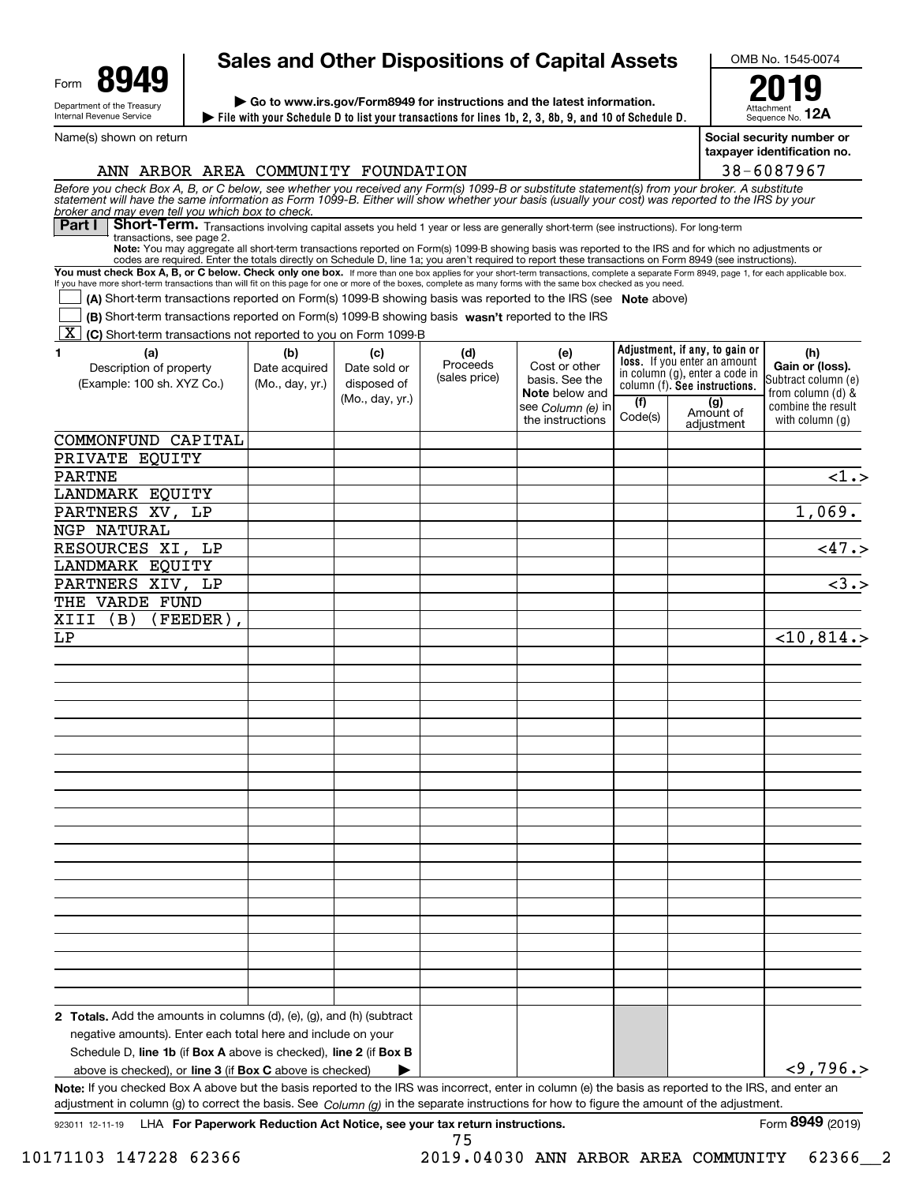| Form                                                   | uл |  |  |  |  |  |
|--------------------------------------------------------|----|--|--|--|--|--|
| Department of the Treasury<br>Internal Revenue Service |    |  |  |  |  |  |

Name(s) shown on return

# **Sales and Other Dispositions of Capital Assets**

**File with your Schedule D to list your transactions for lines 1b, 2, 3, 8b, 9, and 10 of Schedule D. | | Go to www.irs.gov/Form8949 for instructions and the latest information.**

OMB No. 1545-0074

Attachmer Sequence No. **12A2019**

**Social security number or n** no.

| ⊺ taxpayer iɑentification |
|---------------------------|
| 38-6087967                |

| ANN ARBOR AREA COMMUNITY FOUNDATION                                                                                                                                                                                                                                                                                                          |                 |                 |                 |                                 |         |                                                                       | 38-6087967                             |
|----------------------------------------------------------------------------------------------------------------------------------------------------------------------------------------------------------------------------------------------------------------------------------------------------------------------------------------------|-----------------|-----------------|-----------------|---------------------------------|---------|-----------------------------------------------------------------------|----------------------------------------|
| Before you check Box A, B, or C below, see whether you received any Form(s) 1099-B or substitute statement(s) from your broker. A substitute<br>statement will have the same information as Form 1099-B. Either will show whether<br>broker and may even tell you which box to check.                                                        |                 |                 |                 |                                 |         |                                                                       |                                        |
| Short-Term. Transactions involving capital assets you held 1 year or less are generally short-term (see instructions). For long-term<br>Part I                                                                                                                                                                                               |                 |                 |                 |                                 |         |                                                                       |                                        |
| transactions, see page 2.<br>Note: You may aggregate all short-term transactions reported on Form(s) 1099-B showing basis was reported to the IRS and for which no adjustments or<br>codes are required. Enter the totals directly on Schedule D, line 1a; you aren't required to report these transactions on Form 8949 (see instructions). |                 |                 |                 |                                 |         |                                                                       |                                        |
| You must check Box A, B, or C below. Check only one box. If more than one box applies for your short-term transactions, complete a separate Form 8949, page 1, for each applicable box.                                                                                                                                                      |                 |                 |                 |                                 |         |                                                                       |                                        |
| If you have more short-term transactions than will fit on this page for one or more of the boxes, complete as many forms with the same box checked as you need.                                                                                                                                                                              |                 |                 |                 |                                 |         |                                                                       |                                        |
| (A) Short-term transactions reported on Form(s) 1099-B showing basis was reported to the IRS (see Note above)                                                                                                                                                                                                                                |                 |                 |                 |                                 |         |                                                                       |                                        |
| (B) Short-term transactions reported on Form(s) 1099-B showing basis wasn't reported to the IRS                                                                                                                                                                                                                                              |                 |                 |                 |                                 |         |                                                                       |                                        |
| K (C) Short-term transactions not reported to you on Form 1099-B                                                                                                                                                                                                                                                                             |                 |                 |                 |                                 |         |                                                                       |                                        |
| (a)<br>1.                                                                                                                                                                                                                                                                                                                                    | (b)             | (c)             | (d)<br>Proceeds | (e)                             |         | Adjustment, if any, to gain or<br><b>loss.</b> If you enter an amount | (h)                                    |
| Description of property                                                                                                                                                                                                                                                                                                                      | Date acquired   | Date sold or    | (sales price)   | Cost or other<br>basis. See the |         | in column (g), enter a code in                                        | Gain or (loss).<br>Subtract column (e) |
| (Example: 100 sh. XYZ Co.)                                                                                                                                                                                                                                                                                                                   | (Mo., day, yr.) | disposed of     |                 | Note below and                  |         | column (f). See instructions.                                         | from column (d) &                      |
|                                                                                                                                                                                                                                                                                                                                              |                 | (Mo., day, yr.) |                 | see Column (e) in               | (f)     | (g)<br>Amount of                                                      | combine the result                     |
|                                                                                                                                                                                                                                                                                                                                              |                 |                 |                 | the instructions                | Code(s) | adjustment                                                            | with column $(q)$                      |
| COMMONFUND CAPITAL                                                                                                                                                                                                                                                                                                                           |                 |                 |                 |                                 |         |                                                                       |                                        |
| PRIVATE EQUITY                                                                                                                                                                                                                                                                                                                               |                 |                 |                 |                                 |         |                                                                       |                                        |
| <b>PARTNE</b>                                                                                                                                                                                                                                                                                                                                |                 |                 |                 |                                 |         |                                                                       | $\overline{$ 1.5}                      |
| LANDMARK EQUITY                                                                                                                                                                                                                                                                                                                              |                 |                 |                 |                                 |         |                                                                       |                                        |
| PARTNERS XV, LP                                                                                                                                                                                                                                                                                                                              |                 |                 |                 |                                 |         |                                                                       | 1,069.                                 |
| <b>NGP NATURAL</b>                                                                                                                                                                                                                                                                                                                           |                 |                 |                 |                                 |         |                                                                       |                                        |
| RESOURCES XI, LP                                                                                                                                                                                                                                                                                                                             |                 |                 |                 |                                 |         |                                                                       | $\sqrt{47.5}$                          |
| LANDMARK EQUITY                                                                                                                                                                                                                                                                                                                              |                 |                 |                 |                                 |         |                                                                       |                                        |
| PARTNERS XIV, LP                                                                                                                                                                                                                                                                                                                             |                 |                 |                 |                                 |         |                                                                       | $\overline{\langle 3.5 \rangle}$       |
| THE VARDE FUND                                                                                                                                                                                                                                                                                                                               |                 |                 |                 |                                 |         |                                                                       |                                        |
| XIII (B)<br>$(FEEDER)$ ,                                                                                                                                                                                                                                                                                                                     |                 |                 |                 |                                 |         |                                                                       |                                        |
|                                                                                                                                                                                                                                                                                                                                              |                 |                 |                 |                                 |         |                                                                       |                                        |
| LP                                                                                                                                                                                                                                                                                                                                           |                 |                 |                 |                                 |         |                                                                       | $<$ 10,814.>                           |
|                                                                                                                                                                                                                                                                                                                                              |                 |                 |                 |                                 |         |                                                                       |                                        |
|                                                                                                                                                                                                                                                                                                                                              |                 |                 |                 |                                 |         |                                                                       |                                        |
|                                                                                                                                                                                                                                                                                                                                              |                 |                 |                 |                                 |         |                                                                       |                                        |
|                                                                                                                                                                                                                                                                                                                                              |                 |                 |                 |                                 |         |                                                                       |                                        |
|                                                                                                                                                                                                                                                                                                                                              |                 |                 |                 |                                 |         |                                                                       |                                        |
|                                                                                                                                                                                                                                                                                                                                              |                 |                 |                 |                                 |         |                                                                       |                                        |
|                                                                                                                                                                                                                                                                                                                                              |                 |                 |                 |                                 |         |                                                                       |                                        |
|                                                                                                                                                                                                                                                                                                                                              |                 |                 |                 |                                 |         |                                                                       |                                        |
|                                                                                                                                                                                                                                                                                                                                              |                 |                 |                 |                                 |         |                                                                       |                                        |
|                                                                                                                                                                                                                                                                                                                                              |                 |                 |                 |                                 |         |                                                                       |                                        |
|                                                                                                                                                                                                                                                                                                                                              |                 |                 |                 |                                 |         |                                                                       |                                        |
|                                                                                                                                                                                                                                                                                                                                              |                 |                 |                 |                                 |         |                                                                       |                                        |
|                                                                                                                                                                                                                                                                                                                                              |                 |                 |                 |                                 |         |                                                                       |                                        |
|                                                                                                                                                                                                                                                                                                                                              |                 |                 |                 |                                 |         |                                                                       |                                        |
|                                                                                                                                                                                                                                                                                                                                              |                 |                 |                 |                                 |         |                                                                       |                                        |
|                                                                                                                                                                                                                                                                                                                                              |                 |                 |                 |                                 |         |                                                                       |                                        |
|                                                                                                                                                                                                                                                                                                                                              |                 |                 |                 |                                 |         |                                                                       |                                        |
|                                                                                                                                                                                                                                                                                                                                              |                 |                 |                 |                                 |         |                                                                       |                                        |
|                                                                                                                                                                                                                                                                                                                                              |                 |                 |                 |                                 |         |                                                                       |                                        |
|                                                                                                                                                                                                                                                                                                                                              |                 |                 |                 |                                 |         |                                                                       |                                        |
|                                                                                                                                                                                                                                                                                                                                              |                 |                 |                 |                                 |         |                                                                       |                                        |
| <b>2 Totals.</b> Add the amounts in columns $(d)$ , $(e)$ , $(g)$ , and $(h)$ (subtract                                                                                                                                                                                                                                                      |                 |                 |                 |                                 |         |                                                                       |                                        |
| negative amounts). Enter each total here and include on your                                                                                                                                                                                                                                                                                 |                 |                 |                 |                                 |         |                                                                       |                                        |
| Schedule D, line 1b (if Box A above is checked), line 2 (if Box B                                                                                                                                                                                                                                                                            |                 |                 |                 |                                 |         |                                                                       |                                        |
| above is checked), or line 3 (if Box C above is checked)                                                                                                                                                                                                                                                                                     |                 |                 |                 |                                 |         |                                                                       | $<$ 9,796.>                            |
| Note: If you checked Box A above but the basis reported to the IRS was incorrect, enter in column (e) the basis as reported to the IRS, and enter an<br>adjustment in column (g) to correct the basis. See Column (g) in the separate instructions for how to figure the amount of the adjustment.                                           |                 |                 |                 |                                 |         |                                                                       |                                        |

75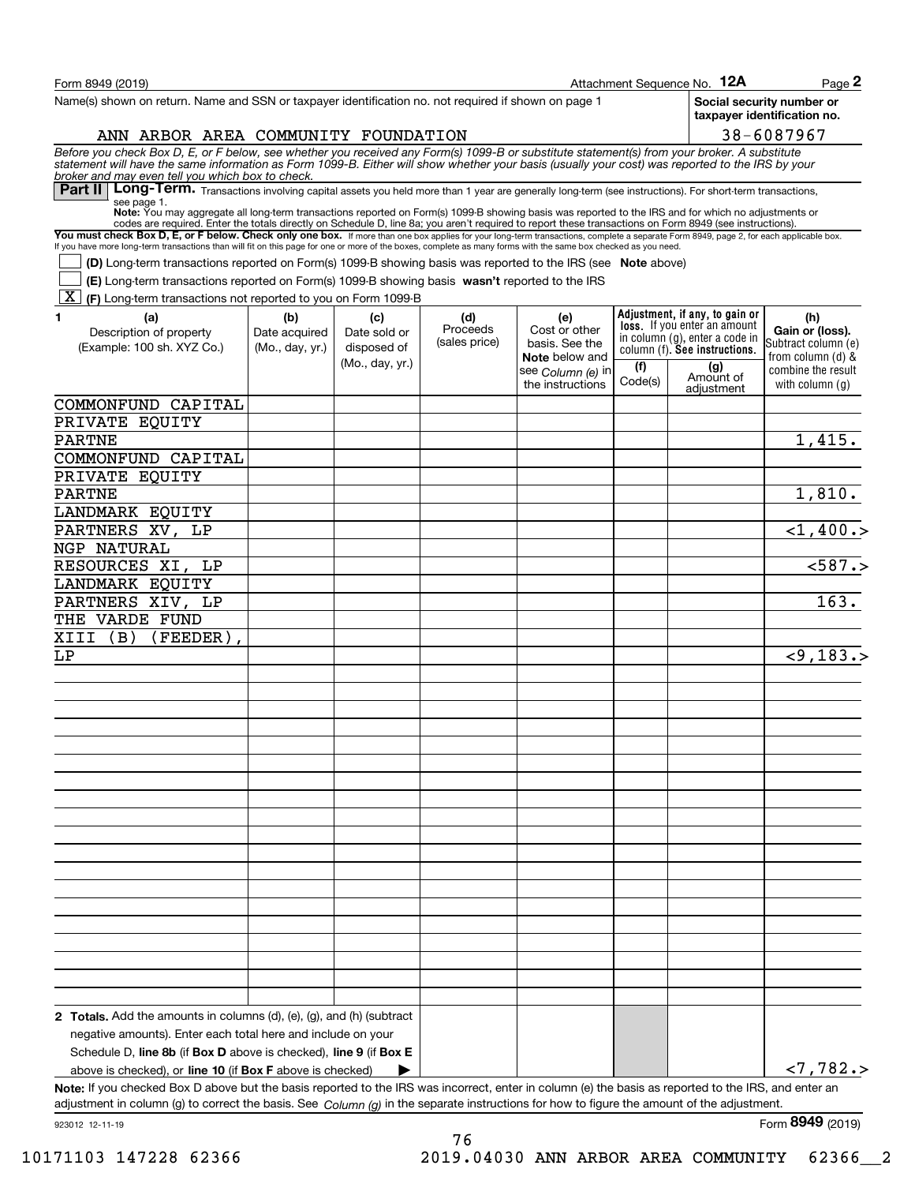| Form 8949 (2019)                                                                                                                                                                                                                                                                                                                                  |                 |                 |                           |                                       |                | Attachment Sequence No. 12A                                           | Page $2$                                                 |
|---------------------------------------------------------------------------------------------------------------------------------------------------------------------------------------------------------------------------------------------------------------------------------------------------------------------------------------------------|-----------------|-----------------|---------------------------|---------------------------------------|----------------|-----------------------------------------------------------------------|----------------------------------------------------------|
| Name(s) shown on return. Name and SSN or taxpayer identification no. not required if shown on page 1                                                                                                                                                                                                                                              |                 |                 |                           |                                       |                |                                                                       | Social security number or<br>taxpayer identification no. |
| ANN ARBOR AREA COMMUNITY FOUNDATION                                                                                                                                                                                                                                                                                                               |                 |                 |                           |                                       |                |                                                                       | 38-6087967                                               |
| Before you check Box D, E, or F below, see whether you received any Form(s) 1099-B or substitute statement(s) from your broker. A substitute statement will have the same information as Form 1099-B. Either will show whether<br>broker and may even tell you which box to check.                                                                |                 |                 |                           |                                       |                |                                                                       |                                                          |
| Part II   Long-Term. Transactions involving capital assets you held more than 1 year are generally long-term (see instructions). For short-term transactions,<br>see page 1.                                                                                                                                                                      |                 |                 |                           |                                       |                |                                                                       |                                                          |
| Note: You may aggregate all long-term transactions reported on Form(s) 1099-B showing basis was reported to the IRS and for which no adjustments or                                                                                                                                                                                               |                 |                 |                           |                                       |                |                                                                       |                                                          |
| codes are required. Enter the totals directly on Schedule D, line 8a; you aren't required to report these transactions on Form 8949 (see instructions).<br>You must check Box D, E, or F below. Check only one box. If more than one box applies for your long-term transactions, complete a separate Form 8949, page 2, for each applicable box. |                 |                 |                           |                                       |                |                                                                       |                                                          |
| If you have more long-term transactions than will fit on this page for one or more of the boxes, complete as many forms with the same box checked as you need.                                                                                                                                                                                    |                 |                 |                           |                                       |                |                                                                       |                                                          |
| <b>(D)</b> Long-term transactions reported on Form(s) 1099-B showing basis was reported to the IRS (see Note above)                                                                                                                                                                                                                               |                 |                 |                           |                                       |                |                                                                       |                                                          |
| (E) Long-term transactions reported on Form(s) 1099-B showing basis wasn't reported to the IRS                                                                                                                                                                                                                                                    |                 |                 |                           |                                       |                |                                                                       |                                                          |
| ΧI<br>(F) Long-term transactions not reported to you on Form 1099-B                                                                                                                                                                                                                                                                               |                 |                 |                           |                                       |                |                                                                       |                                                          |
| 1<br>(a)                                                                                                                                                                                                                                                                                                                                          | (b)             | (c)             | (d)                       | (e)                                   |                | Adjustment, if any, to gain or<br><b>loss.</b> If you enter an amount | (h)                                                      |
| Description of property                                                                                                                                                                                                                                                                                                                           | Date acquired   | Date sold or    | Proceeds<br>(sales price) | Cost or other<br>basis. See the       |                | in column (g), enter a code in                                        | Gain or (loss).<br>Subtract column (e)                   |
| (Example: 100 sh. XYZ Co.)                                                                                                                                                                                                                                                                                                                        | (Mo., day, yr.) | disposed of     |                           | Note below and                        |                | column (f). See instructions.                                         | from column (d) &                                        |
|                                                                                                                                                                                                                                                                                                                                                   |                 | (Mo., day, yr.) |                           | see Column (e) in<br>the instructions | (f)<br>Code(s) | (g)<br>Amount of<br>adiustment                                        | combine the result<br>with column (a)                    |
| COMMONFUND CAPITAL                                                                                                                                                                                                                                                                                                                                |                 |                 |                           |                                       |                |                                                                       |                                                          |
| PRIVATE EQUITY                                                                                                                                                                                                                                                                                                                                    |                 |                 |                           |                                       |                |                                                                       |                                                          |
| <b>PARTNE</b>                                                                                                                                                                                                                                                                                                                                     |                 |                 |                           |                                       |                |                                                                       | 1,415.                                                   |
| COMMONFUND CAPITAL                                                                                                                                                                                                                                                                                                                                |                 |                 |                           |                                       |                |                                                                       |                                                          |
| PRIVATE EQUITY                                                                                                                                                                                                                                                                                                                                    |                 |                 |                           |                                       |                |                                                                       |                                                          |
| <b>PARTNE</b>                                                                                                                                                                                                                                                                                                                                     |                 |                 |                           |                                       |                |                                                                       | 1,810.                                                   |
| LANDMARK EQUITY                                                                                                                                                                                                                                                                                                                                   |                 |                 |                           |                                       |                |                                                                       |                                                          |
| PARTNERS XV, LP                                                                                                                                                                                                                                                                                                                                   |                 |                 |                           |                                       |                |                                                                       | $<$ 1,400.>                                              |
| NGP NATURAL                                                                                                                                                                                                                                                                                                                                       |                 |                 |                           |                                       |                |                                                                       |                                                          |
| RESOURCES XI, LP                                                                                                                                                                                                                                                                                                                                  |                 |                 |                           |                                       |                |                                                                       | < 587.                                                   |
| LANDMARK EQUITY                                                                                                                                                                                                                                                                                                                                   |                 |                 |                           |                                       |                |                                                                       |                                                          |
| PARTNERS XIV, LP                                                                                                                                                                                                                                                                                                                                  |                 |                 |                           |                                       |                |                                                                       | 163.                                                     |
| THE VARDE FUND                                                                                                                                                                                                                                                                                                                                    |                 |                 |                           |                                       |                |                                                                       |                                                          |
| (FEEDER)<br>XIII<br>(B)                                                                                                                                                                                                                                                                                                                           |                 |                 |                           |                                       |                |                                                                       |                                                          |
| LΡ                                                                                                                                                                                                                                                                                                                                                |                 |                 |                           |                                       |                |                                                                       | < 9, 183.                                                |
|                                                                                                                                                                                                                                                                                                                                                   |                 |                 |                           |                                       |                |                                                                       |                                                          |
|                                                                                                                                                                                                                                                                                                                                                   |                 |                 |                           |                                       |                |                                                                       |                                                          |
|                                                                                                                                                                                                                                                                                                                                                   |                 |                 |                           |                                       |                |                                                                       |                                                          |
|                                                                                                                                                                                                                                                                                                                                                   |                 |                 |                           |                                       |                |                                                                       |                                                          |
|                                                                                                                                                                                                                                                                                                                                                   |                 |                 |                           |                                       |                |                                                                       |                                                          |
|                                                                                                                                                                                                                                                                                                                                                   |                 |                 |                           |                                       |                |                                                                       |                                                          |
|                                                                                                                                                                                                                                                                                                                                                   |                 |                 |                           |                                       |                |                                                                       |                                                          |
|                                                                                                                                                                                                                                                                                                                                                   |                 |                 |                           |                                       |                |                                                                       |                                                          |
|                                                                                                                                                                                                                                                                                                                                                   |                 |                 |                           |                                       |                |                                                                       |                                                          |
|                                                                                                                                                                                                                                                                                                                                                   |                 |                 |                           |                                       |                |                                                                       |                                                          |
|                                                                                                                                                                                                                                                                                                                                                   |                 |                 |                           |                                       |                |                                                                       |                                                          |
|                                                                                                                                                                                                                                                                                                                                                   |                 |                 |                           |                                       |                |                                                                       |                                                          |
|                                                                                                                                                                                                                                                                                                                                                   |                 |                 |                           |                                       |                |                                                                       |                                                          |
|                                                                                                                                                                                                                                                                                                                                                   |                 |                 |                           |                                       |                |                                                                       |                                                          |
|                                                                                                                                                                                                                                                                                                                                                   |                 |                 |                           |                                       |                |                                                                       |                                                          |
|                                                                                                                                                                                                                                                                                                                                                   |                 |                 |                           |                                       |                |                                                                       |                                                          |
|                                                                                                                                                                                                                                                                                                                                                   |                 |                 |                           |                                       |                |                                                                       |                                                          |
|                                                                                                                                                                                                                                                                                                                                                   |                 |                 |                           |                                       |                |                                                                       |                                                          |
| <b>2 Totals.</b> Add the amounts in columns $(d)$ , $(e)$ , $(g)$ , and $(h)$ (subtract                                                                                                                                                                                                                                                           |                 |                 |                           |                                       |                |                                                                       |                                                          |
| negative amounts). Enter each total here and include on your                                                                                                                                                                                                                                                                                      |                 |                 |                           |                                       |                |                                                                       |                                                          |
| Schedule D, line 8b (if Box D above is checked), line 9 (if Box E                                                                                                                                                                                                                                                                                 |                 |                 |                           |                                       |                |                                                                       |                                                          |
| above is checked), or <b>line 10</b> (if <b>Box F</b> above is checked)                                                                                                                                                                                                                                                                           |                 |                 |                           |                                       |                |                                                                       | < 7, 782.                                                |
| Note: If you checked Box D above but the basis reported to the IRS was incorrect, enter in column (e) the basis as reported to the IRS, and enter an                                                                                                                                                                                              |                 |                 |                           |                                       |                |                                                                       |                                                          |
| adjustment in column (g) to correct the basis. See $Column(q)$ in the separate instructions for how to figure the amount of the adjustment.                                                                                                                                                                                                       |                 |                 |                           |                                       |                |                                                                       |                                                          |
| 923012 12-11-19                                                                                                                                                                                                                                                                                                                                   |                 |                 |                           |                                       |                |                                                                       | Form 8949 (2019)                                         |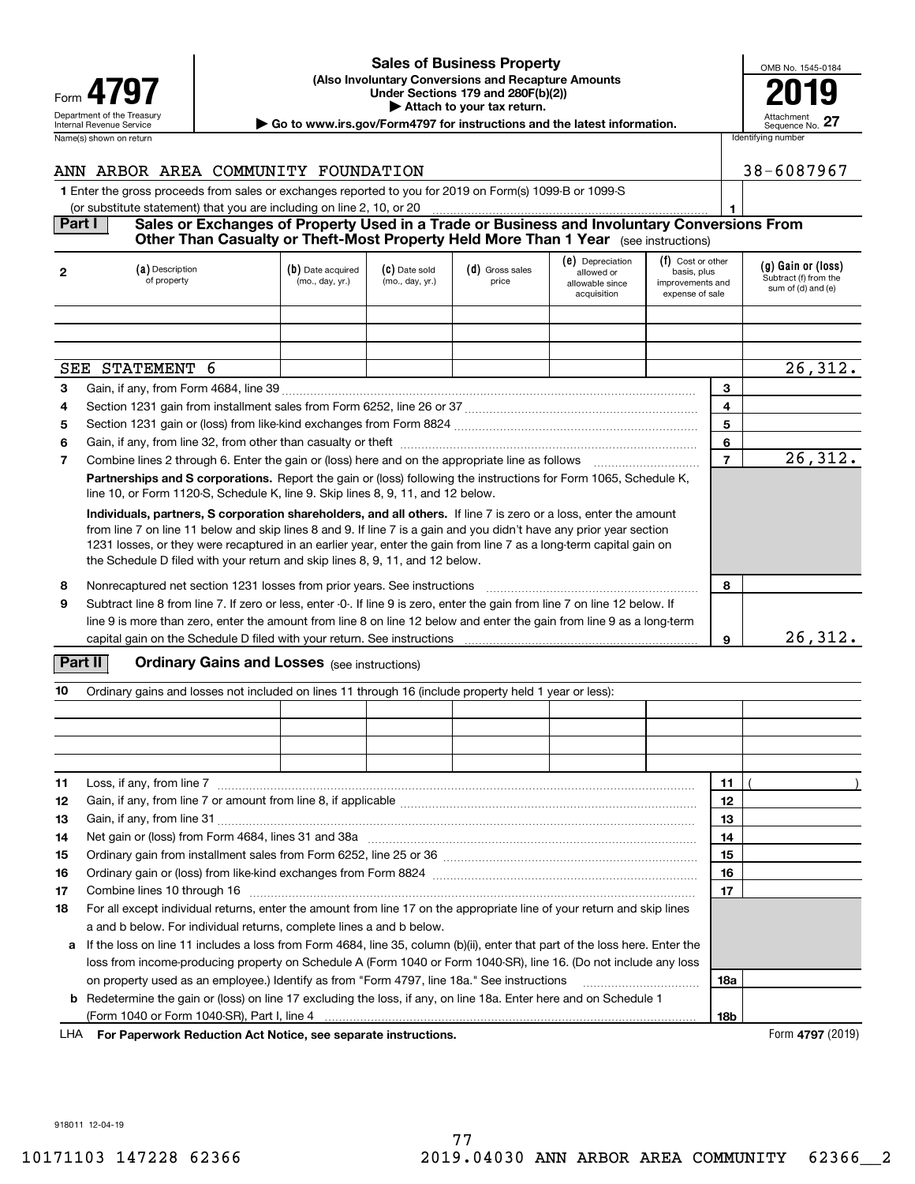| Form                                                   |
|--------------------------------------------------------|
| Department of the Treasury<br>Internal Revenue Service |
| Name(s) shown on return                                |

#### Department of the Treasury **Attachment** Control of the Treasury Attachment **(Also Involuntary Conversions and Recapture Amounts 4797 Example 19 The CALL CONSERVANT Under Sections 179 and 280F(b)(2))**<br> **Example 19 and 280F(b)(2) | Attach to your tax return. Sales of Business Property**

| OMB No. 1545-0184             |
|-------------------------------|
|                               |
| Attachment<br>Sequence No. 27 |

|                | Internal Revenue Service                                                                                                                                                                                                                                                                                                                                                                                                                      |                                      |                                    |                            | Go to www.irs.gov/Form4797 for instructions and the latest information. |                                                    |                | ,,,,,,,,,,,,,,,,,<br>Sequence No. 27                              |
|----------------|-----------------------------------------------------------------------------------------------------------------------------------------------------------------------------------------------------------------------------------------------------------------------------------------------------------------------------------------------------------------------------------------------------------------------------------------------|--------------------------------------|------------------------------------|----------------------------|-------------------------------------------------------------------------|----------------------------------------------------|----------------|-------------------------------------------------------------------|
|                | Name(s) shown on return                                                                                                                                                                                                                                                                                                                                                                                                                       |                                      |                                    |                            |                                                                         |                                                    |                | Identifying number                                                |
|                | ANN ARBOR AREA COMMUNITY FOUNDATION                                                                                                                                                                                                                                                                                                                                                                                                           |                                      |                                    |                            |                                                                         |                                                    |                | 38-6087967                                                        |
|                | 1 Enter the gross proceeds from sales or exchanges reported to you for 2019 on Form(s) 1099 B or 1099 S                                                                                                                                                                                                                                                                                                                                       |                                      |                                    |                            |                                                                         |                                                    |                |                                                                   |
| Part I         | (or substitute statement) that you are including on line 2, 10, or 20<br>Sales or Exchanges of Property Used in a Trade or Business and Involuntary Conversions From                                                                                                                                                                                                                                                                          |                                      |                                    |                            |                                                                         |                                                    |                |                                                                   |
|                | Other Than Casualty or Theft-Most Property Held More Than 1 Year (see instructions)                                                                                                                                                                                                                                                                                                                                                           |                                      |                                    |                            |                                                                         |                                                    |                |                                                                   |
|                |                                                                                                                                                                                                                                                                                                                                                                                                                                               |                                      |                                    |                            | (e) Depreciation                                                        | (f) Cost or other                                  |                |                                                                   |
| $\mathbf{2}$   | (a) Description<br>of property                                                                                                                                                                                                                                                                                                                                                                                                                | (b) Date acquired<br>(mo., day, yr.) | $(c)$ Date sold<br>(mo., day, yr.) | $(d)$ Gross sales<br>price | allowed or<br>allowable since<br>acquisition                            | basis, plus<br>improvements and<br>expense of sale |                | (g) Gain or (loss)<br>Subtract (f) from the<br>sum of (d) and (e) |
|                |                                                                                                                                                                                                                                                                                                                                                                                                                                               |                                      |                                    |                            |                                                                         |                                                    |                |                                                                   |
|                |                                                                                                                                                                                                                                                                                                                                                                                                                                               |                                      |                                    |                            |                                                                         |                                                    |                |                                                                   |
|                | SEE STATEMENT 6                                                                                                                                                                                                                                                                                                                                                                                                                               |                                      |                                    |                            |                                                                         |                                                    |                | 26, 312.                                                          |
| 3              |                                                                                                                                                                                                                                                                                                                                                                                                                                               |                                      |                                    |                            |                                                                         |                                                    | 3              |                                                                   |
| 4              | Section 1231 gain from installment sales from Form 6252, line 26 or 37 [111][12] content manuscription 1231 gain from installment sales from Form 6252, line 26 or 37                                                                                                                                                                                                                                                                         |                                      |                                    |                            |                                                                         |                                                    | 4              |                                                                   |
| 5              |                                                                                                                                                                                                                                                                                                                                                                                                                                               |                                      |                                    |                            |                                                                         |                                                    | 5              |                                                                   |
| 6              |                                                                                                                                                                                                                                                                                                                                                                                                                                               |                                      |                                    |                            |                                                                         |                                                    | 6              |                                                                   |
| $\overline{7}$ |                                                                                                                                                                                                                                                                                                                                                                                                                                               |                                      |                                    |                            |                                                                         |                                                    | $\overline{7}$ | 26, 312.                                                          |
|                | Partnerships and S corporations. Report the gain or (loss) following the instructions for Form 1065, Schedule K,<br>line 10, or Form 1120-S, Schedule K, line 9. Skip lines 8, 9, 11, and 12 below.                                                                                                                                                                                                                                           |                                      |                                    |                            |                                                                         |                                                    |                |                                                                   |
|                | Individuals, partners, S corporation shareholders, and all others. If line 7 is zero or a loss, enter the amount<br>from line 7 on line 11 below and skip lines 8 and 9. If line 7 is a gain and you didn't have any prior year section<br>1231 losses, or they were recaptured in an earlier year, enter the gain from line 7 as a long-term capital gain on<br>the Schedule D filed with your return and skip lines 8, 9, 11, and 12 below. |                                      |                                    |                            |                                                                         |                                                    |                |                                                                   |
| 8              | Nonrecaptured net section 1231 losses from prior years. See instructions                                                                                                                                                                                                                                                                                                                                                                      |                                      |                                    |                            |                                                                         |                                                    | 8              |                                                                   |
| 9              | Subtract line 8 from line 7. If zero or less, enter -0-. If line 9 is zero, enter the gain from line 7 on line 12 below. If<br>line 9 is more than zero, enter the amount from line 8 on line 12 below and enter the gain from line 9 as a long-term                                                                                                                                                                                          |                                      |                                    |                            |                                                                         |                                                    |                |                                                                   |
|                |                                                                                                                                                                                                                                                                                                                                                                                                                                               |                                      |                                    |                            |                                                                         |                                                    | 9              | 26,312.                                                           |
|                | Part II<br><b>Ordinary Gains and Losses</b> (see instructions)                                                                                                                                                                                                                                                                                                                                                                                |                                      |                                    |                            |                                                                         |                                                    |                |                                                                   |
| 10             | Ordinary gains and losses not included on lines 11 through 16 (include property held 1 year or less):                                                                                                                                                                                                                                                                                                                                         |                                      |                                    |                            |                                                                         |                                                    |                |                                                                   |
|                |                                                                                                                                                                                                                                                                                                                                                                                                                                               |                                      |                                    |                            |                                                                         |                                                    |                |                                                                   |
|                |                                                                                                                                                                                                                                                                                                                                                                                                                                               |                                      |                                    |                            |                                                                         |                                                    |                |                                                                   |
|                |                                                                                                                                                                                                                                                                                                                                                                                                                                               |                                      |                                    |                            |                                                                         |                                                    |                |                                                                   |
|                |                                                                                                                                                                                                                                                                                                                                                                                                                                               |                                      |                                    |                            |                                                                         |                                                    |                |                                                                   |
| 11             |                                                                                                                                                                                                                                                                                                                                                                                                                                               |                                      |                                    |                            |                                                                         |                                                    | 11             |                                                                   |

| 12 |                                                                                                                                                                                                                                | 12  |  |
|----|--------------------------------------------------------------------------------------------------------------------------------------------------------------------------------------------------------------------------------|-----|--|
| 13 |                                                                                                                                                                                                                                | 13  |  |
| 14 |                                                                                                                                                                                                                                | 14  |  |
| 15 |                                                                                                                                                                                                                                | 15  |  |
| 16 |                                                                                                                                                                                                                                | 16  |  |
| 17 | Combine lines 10 through 16 [11] [12] Combine lines 10 through 16 [12] [12] Manuscript 16 [12] Manuscript 16 [12] Manuscript 16 [12] Manuscript 17 [12] Manuscript 17 [12] Manuscript 17 [12] Manuscript 17 [12] Manuscript 17 | 17  |  |
| 18 | For all except individual returns, enter the amount from line 17 on the appropriate line of your return and skip lines                                                                                                         |     |  |
|    | a and b below. For individual returns, complete lines a and b below.                                                                                                                                                           |     |  |
| a  | If the loss on line 11 includes a loss from Form 4684, line 35, column (b)(ii), enter that part of the loss here. Enter the                                                                                                    |     |  |
|    | loss from income-producing property on Schedule A (Form 1040 or Form 1040-SR), line 16. (Do not include any loss                                                                                                               |     |  |
|    | on property used as an employee.) Identify as from "Form 4797, line 18a." See instructions                                                                                                                                     | 18a |  |
|    | <b>b</b> Redetermine the gain or (loss) on line 17 excluding the loss, if any, on line 18a. Enter here and on Schedule 1                                                                                                       |     |  |
|    |                                                                                                                                                                                                                                | 18b |  |

**For Paperwork Reduction Act Notice, see separate instructions.** Form **4797** (2019) LHA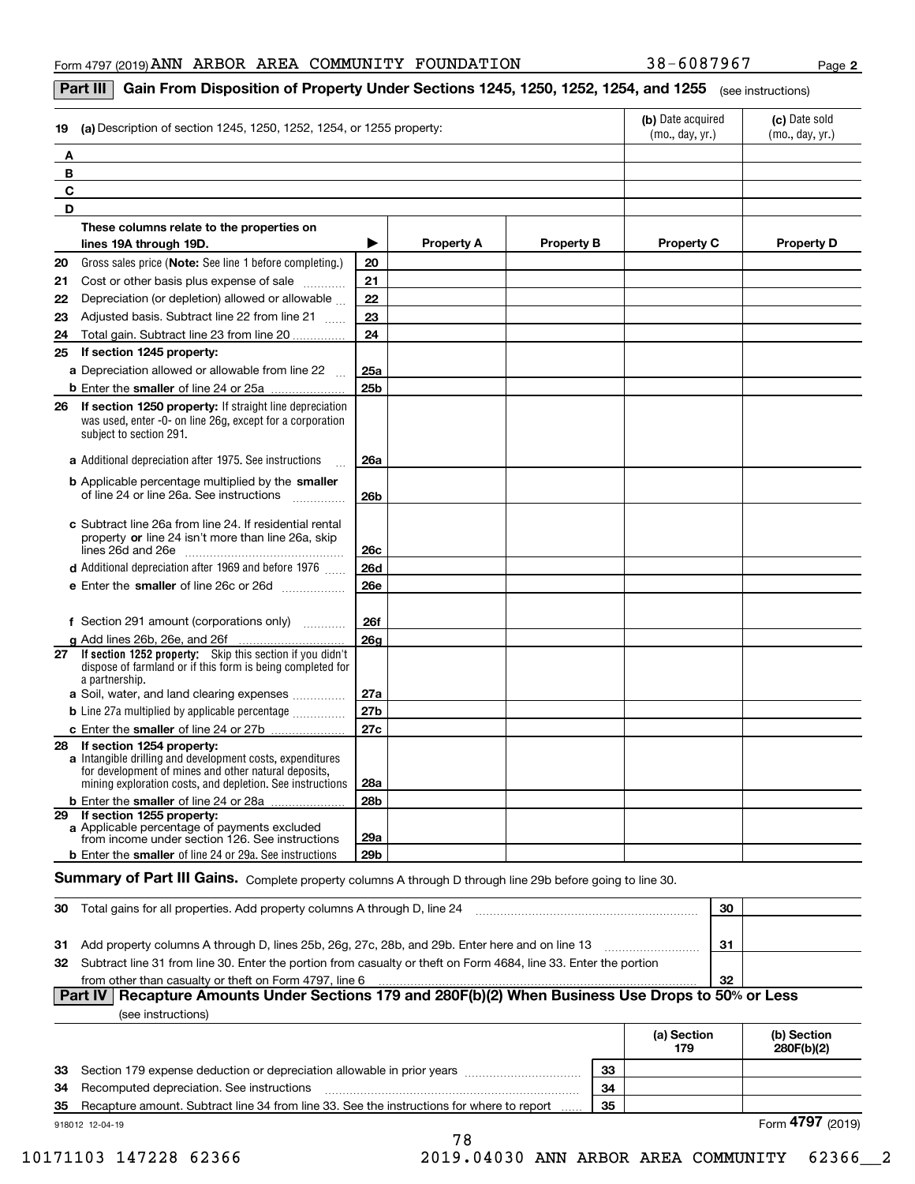**2**

#### **Part III**  $\mid$  **Gain From Disposition of Property Under Sections 1245, 1250, 1252, 1254, and 1255**  $\mid$  $_{\rm (see\, instructions)}$

| (a) Description of section 1245, 1250, 1252, 1254, or 1255 property:<br>19                                                                                                                                        | (b) Date acquired<br>(mo., day, yr.) | (c) Date sold<br>(mo., day, yr.) |                   |                   |                   |
|-------------------------------------------------------------------------------------------------------------------------------------------------------------------------------------------------------------------|--------------------------------------|----------------------------------|-------------------|-------------------|-------------------|
| A                                                                                                                                                                                                                 |                                      |                                  |                   |                   |                   |
| В                                                                                                                                                                                                                 |                                      |                                  |                   |                   |                   |
| C                                                                                                                                                                                                                 |                                      |                                  |                   |                   |                   |
| D                                                                                                                                                                                                                 |                                      |                                  |                   |                   |                   |
| These columns relate to the properties on                                                                                                                                                                         |                                      |                                  |                   |                   |                   |
| lines 19A through 19D.                                                                                                                                                                                            | ▶                                    | <b>Property A</b>                | <b>Property B</b> | <b>Property C</b> | <b>Property D</b> |
| 20<br>Gross sales price (Note: See line 1 before completing.)                                                                                                                                                     | 20                                   |                                  |                   |                   |                   |
| 21<br>Cost or other basis plus expense of sale                                                                                                                                                                    | 21                                   |                                  |                   |                   |                   |
| Depreciation (or depletion) allowed or allowable<br>22                                                                                                                                                            | 22                                   |                                  |                   |                   |                   |
| Adjusted basis. Subtract line 22 from line 21<br>23                                                                                                                                                               | 23                                   |                                  |                   |                   |                   |
| Total gain. Subtract line 23 from line 20<br>24                                                                                                                                                                   | 24                                   |                                  |                   |                   |                   |
| If section 1245 property:<br>25                                                                                                                                                                                   |                                      |                                  |                   |                   |                   |
| a Depreciation allowed or allowable from line 22                                                                                                                                                                  | 25a                                  |                                  |                   |                   |                   |
|                                                                                                                                                                                                                   | 25 <sub>b</sub>                      |                                  |                   |                   |                   |
| If section 1250 property: If straight line depreciation<br>26<br>was used, enter -0- on line 26g, except for a corporation<br>subject to section 291.                                                             |                                      |                                  |                   |                   |                   |
| a Additional depreciation after 1975. See instructions                                                                                                                                                            | <b>26a</b>                           |                                  |                   |                   |                   |
| <b>b</b> Applicable percentage multiplied by the smaller<br>of line 24 or line 26a. See instructions                                                                                                              | 26 <sub>b</sub>                      |                                  |                   |                   |                   |
| c Subtract line 26a from line 24. If residential rental<br>property or line 24 isn't more than line 26a, skip                                                                                                     | 26c                                  |                                  |                   |                   |                   |
| <b>d</b> Additional depreciation after 1969 and before 1976                                                                                                                                                       | <b>26d</b>                           |                                  |                   |                   |                   |
| e Enter the smaller of line 26c or 26d                                                                                                                                                                            | <b>26e</b>                           |                                  |                   |                   |                   |
| f Section 291 amount (corporations only)                                                                                                                                                                          | <b>26f</b>                           |                                  |                   |                   |                   |
| g Add lines 26b, 26e, and 26f<br>.                                                                                                                                                                                | 26 <sub>g</sub>                      |                                  |                   |                   |                   |
| 27 If section 1252 property: Skip this section if you didn't<br>dispose of farmland or if this form is being completed for<br>a partnership.                                                                      |                                      |                                  |                   |                   |                   |
| a Soil, water, and land clearing expenses                                                                                                                                                                         | 27a                                  |                                  |                   |                   |                   |
| <b>b</b> Line 27a multiplied by applicable percentage                                                                                                                                                             | 27 <sub>b</sub>                      |                                  |                   |                   |                   |
|                                                                                                                                                                                                                   | 27c                                  |                                  |                   |                   |                   |
| If section 1254 property:<br>28<br>a Intangible drilling and development costs, expenditures<br>for development of mines and other natural deposits,<br>mining exploration costs, and depletion. See instructions | 28a                                  |                                  |                   |                   |                   |
| b Enter the smaller of line 24 or 28a                                                                                                                                                                             | <b>28b</b>                           |                                  |                   |                   |                   |
| 29 If section 1255 property:<br>a Applicable percentage of payments excluded<br>from income under section 126. See instructions                                                                                   | 29a                                  |                                  |                   |                   |                   |
| <b>b</b> Enter the smaller of line 24 or 29a. See instructions                                                                                                                                                    | 29b                                  |                                  |                   |                   |                   |

### $S$ ummary of Part III Gains. Complete property columns A through D through line 29b before going to line 30.

| -30 | Total gains for all properties. Add property columns A through D, line 24                                           | 30  |  |  |  |  |
|-----|---------------------------------------------------------------------------------------------------------------------|-----|--|--|--|--|
|     |                                                                                                                     |     |  |  |  |  |
|     | 31 Add property columns A through D, lines 25b, 26g, 27c, 28b, and 29b. Enter here and on line 13                   | -31 |  |  |  |  |
|     | 32 Subtract line 31 from line 30. Enter the portion from casualty or theft on Form 4684, line 33. Enter the portion |     |  |  |  |  |
|     | from other than casualty or theft on Form 4797, line 6                                                              | -32 |  |  |  |  |
|     | Part IV   Recapture Amounts Under Sections 179 and 280F(b)(2) When Business Use Drops to 50% or Less                |     |  |  |  |  |

|--|

|    |                                                                                           |    | (a) Section<br>179 | (b) Section<br>280F(b)(2) |
|----|-------------------------------------------------------------------------------------------|----|--------------------|---------------------------|
|    | 33 Section 179 expense deduction or depreciation allowable in prior years                 | 33 |                    |                           |
| 34 | Recomputed depreciation. See instructions                                                 | 34 |                    |                           |
| 35 | Recapture amount. Subtract line 34 from line 33. See the instructions for where to report | 35 |                    |                           |
|    | 918012 12-04-19                                                                           |    | Form 4797 (2019)   |                           |

78